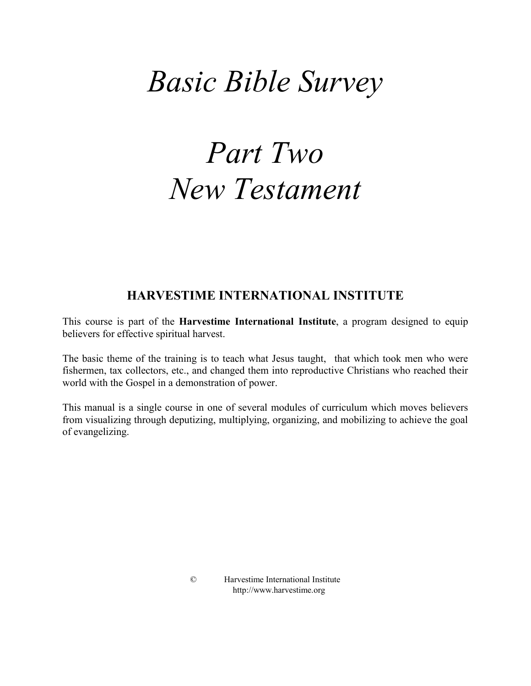# *Basic Bible Survey*

# *Part Two New Testament*

## **HARVESTIME INTERNATIONAL INSTITUTE**

This course is part of the **Harvestime International Institute**, a program designed to equip believers for effective spiritual harvest.

The basic theme of the training is to teach what Jesus taught, that which took men who were fishermen, tax collectors, etc., and changed them into reproductive Christians who reached their world with the Gospel in a demonstration of power.

This manual is a single course in one of several modules of curriculum which moves believers from visualizing through deputizing, multiplying, organizing, and mobilizing to achieve the goal of evangelizing.

> © Harvestime International Institute http://www.harvestime.org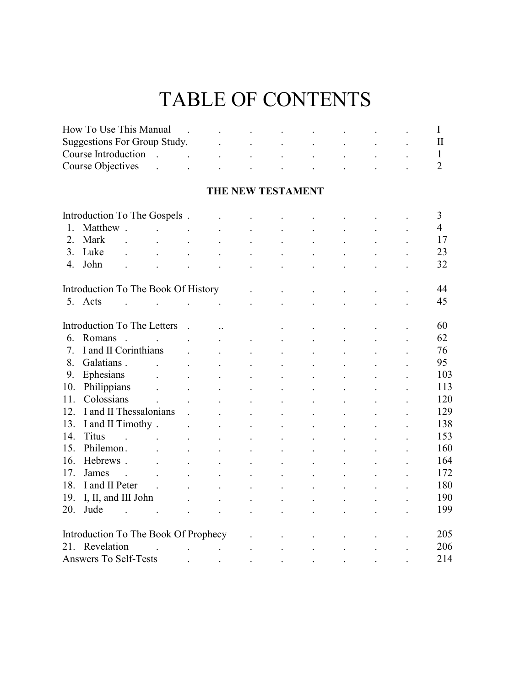## TABLE OF CONTENTS

| How To Use This Manual .                                                                                                                                                                                                       |                            |  |  | the contract of the contract of the contract of the contract of the contract of the contract of the contract of                                                                                          |  |  |
|--------------------------------------------------------------------------------------------------------------------------------------------------------------------------------------------------------------------------------|----------------------------|--|--|----------------------------------------------------------------------------------------------------------------------------------------------------------------------------------------------------------|--|--|
| Suggestions For Group Study.                                                                                                                                                                                                   |                            |  |  | and the contract of the contract of the contract of the contract of the contract of the contract of the contract of                                                                                      |  |  |
| Course Introduction entries and the course of the course of the course of the course of the course of the course of the course of the course of the course of the course of the course of the course of the course of the cour |                            |  |  |                                                                                                                                                                                                          |  |  |
| Course Objectives .                                                                                                                                                                                                            | and the state of the state |  |  | $\mathcal{L}(\mathbf{r},\mathbf{r})$ and $\mathcal{L}(\mathbf{r},\mathbf{r})$ and $\mathcal{L}(\mathbf{r},\mathbf{r})$ and $\mathcal{L}(\mathbf{r},\mathbf{r})$ and $\mathcal{L}(\mathbf{r},\mathbf{r})$ |  |  |

## **THE NEW TESTAMENT**

|     |                                                                                                                                                                                                                                                    |                                 |                                                                                                                                                                                                                                                                                                                                                                                                                                                           |                                           |                                                                                                                                                                                                                                                       | $\mathbf{L}^{\text{max}}$ and $\mathbf{L}^{\text{max}}$               | $\mathbf{L}^{\text{max}}$                                        |                                                |                      | $\overline{3}$ |
|-----|----------------------------------------------------------------------------------------------------------------------------------------------------------------------------------------------------------------------------------------------------|---------------------------------|-----------------------------------------------------------------------------------------------------------------------------------------------------------------------------------------------------------------------------------------------------------------------------------------------------------------------------------------------------------------------------------------------------------------------------------------------------------|-------------------------------------------|-------------------------------------------------------------------------------------------------------------------------------------------------------------------------------------------------------------------------------------------------------|-----------------------------------------------------------------------|------------------------------------------------------------------|------------------------------------------------|----------------------|----------------|
| 1.  | Matthew.                                                                                                                                                                                                                                           |                                 | $\mathcal{L}^{\mathcal{L}}$ . The contract of the contract of the contract of the contract of the contract of the contract of the contract of the contract of the contract of the contract of the contract of the contract of the contrac                                                                                                                                                                                                                 |                                           | $\mathbf{L}^{\text{max}}$ and $\mathbf{L}^{\text{max}}$                                                                                                                                                                                               | <b>All Contracts</b>                                                  |                                                                  |                                                | $\sim$               | $\overline{4}$ |
| 2.  | Mark<br>$\ddot{\phantom{a}}$                                                                                                                                                                                                                       |                                 |                                                                                                                                                                                                                                                                                                                                                                                                                                                           |                                           | $\mathcal{L}^{\mathcal{A}}$ and $\mathcal{L}^{\mathcal{A}}$ are the set of the set of the set of the set of the set of the set of the set of the set of the set of the set of the set of the set of the set of the set of the set of the set of the s |                                                                       | $\mathbf{L}^{(1)}$ and $\mathbf{L}^{(2)}$ and $\mathbf{L}^{(3)}$ | $\mathbf{r} = \mathbf{r}$                      |                      | 17             |
| 3.  | Luke<br>$\mathbf{r}$                                                                                                                                                                                                                               | $\mathbf{L}$ and $\mathbf{L}$   | $\mathbf{L}$                                                                                                                                                                                                                                                                                                                                                                                                                                              |                                           | $\mathbf{L}^{\text{max}}$ and $\mathbf{L}^{\text{max}}$ and $\mathbf{L}^{\text{max}}$                                                                                                                                                                 |                                                                       | $\mathcal{L}^{\text{max}}$                                       |                                                |                      | 23             |
| 4.  | John                                                                                                                                                                                                                                               | $\mathcal{L}$ and $\mathcal{L}$ |                                                                                                                                                                                                                                                                                                                                                                                                                                                           |                                           | the contract of the contract of the contract of the contract of the contract of the contract of the contract of                                                                                                                                       |                                                                       |                                                                  |                                                |                      | 32             |
|     | Introduction To The Book Of History                                                                                                                                                                                                                |                                 |                                                                                                                                                                                                                                                                                                                                                                                                                                                           |                                           | $\mathcal{L}_{\text{max}}$ and $\mathcal{L}_{\text{max}}$                                                                                                                                                                                             |                                                                       | $\ddot{\phantom{0}}$                                             |                                                |                      | 44             |
|     | 5. Acts                                                                                                                                                                                                                                            |                                 |                                                                                                                                                                                                                                                                                                                                                                                                                                                           |                                           | $\mathbf{L}^{(n)}$ and $\mathbf{L}^{(n)}$ are all the set of the set of $\mathbf{L}^{(n)}$                                                                                                                                                            |                                                                       |                                                                  |                                                | $\ddot{\phantom{a}}$ | 45             |
|     | Introduction To The Letters .                                                                                                                                                                                                                      |                                 |                                                                                                                                                                                                                                                                                                                                                                                                                                                           | <b>Contract Contract Street</b>           |                                                                                                                                                                                                                                                       |                                                                       |                                                                  |                                                |                      | 60             |
| 6.  | Romans.                                                                                                                                                                                                                                            |                                 | $\mathcal{L}^{\text{max}}$ and $\mathcal{L}^{\text{max}}$ . The set of the $\mathcal{L}^{\text{max}}$                                                                                                                                                                                                                                                                                                                                                     | $\mathbf{L}^{(1)}$ and $\mathbf{L}^{(2)}$ | $\mathbf{z}$ and $\mathbf{z}$ and $\mathbf{z}$                                                                                                                                                                                                        |                                                                       |                                                                  |                                                |                      | 62             |
| 7.  | I and II Corinthians                                                                                                                                                                                                                               |                                 | $\mathbf{L}$ and $\mathbf{L}$                                                                                                                                                                                                                                                                                                                                                                                                                             | <b>Allen Street</b>                       | $\mathbf{L}$ and $\mathbf{L}$ and $\mathbf{L}$                                                                                                                                                                                                        | $\mathbf{z}$ and $\mathbf{z}$                                         |                                                                  |                                                |                      | 76             |
| 8.  | Galatians.                                                                                                                                                                                                                                         |                                 | $\mathcal{L}^{\mathcal{A}}$ . The contract of the contract of the contract of the contract of the contract of the contract of the contract of the contract of the contract of the contract of the contract of the contract of the contrac                                                                                                                                                                                                                 |                                           | $\mathbf{L}$ and $\mathbf{L}$ and $\mathbf{L}$                                                                                                                                                                                                        | $\mathcal{L}^{\pm}$                                                   |                                                                  |                                                | $\ddot{\phantom{a}}$ | 95             |
| 9.  | Ephesians                                                                                                                                                                                                                                          |                                 | $\mathbf{r} = \mathbf{r} \times \mathbf{r}$ . The set of $\mathbf{r}$                                                                                                                                                                                                                                                                                                                                                                                     | $\mathcal{L}^{\text{max}}$                | $\mathcal{L}^{\text{max}}$                                                                                                                                                                                                                            |                                                                       |                                                                  |                                                |                      | 103            |
| 10. | Philippians                                                                                                                                                                                                                                        |                                 |                                                                                                                                                                                                                                                                                                                                                                                                                                                           |                                           | and the state of the state of the state of                                                                                                                                                                                                            | $\mathbf{L}^{(1)}$ and $\mathbf{L}^{(2)}$ and $\mathbf{L}^{(3)}$      | $\mathbf{r}$ and $\mathbf{r}$                                    | $\mathbf{r}$ and $\mathbf{r}$                  |                      | 113            |
| 11. | Colossians                                                                                                                                                                                                                                         |                                 | $\mathcal{L}^{\mathcal{A}}$ . The contract of the contract of the contract of $\mathcal{L}^{\mathcal{A}}$                                                                                                                                                                                                                                                                                                                                                 |                                           | $\mathcal{L}^{\text{max}}$                                                                                                                                                                                                                            | $\mathbf{L}^{\text{max}}$                                             | $\ddot{\phantom{0}}$                                             |                                                |                      | 120            |
| 12. | I and II Thessalonians (a)                                                                                                                                                                                                                         |                                 |                                                                                                                                                                                                                                                                                                                                                                                                                                                           |                                           | $\mathbf{r}$ and $\mathbf{r}$                                                                                                                                                                                                                         | $\mathbf{L}^{\text{max}}$                                             | $\sim$                                                           |                                                |                      | 129            |
| 13. | I and II Timothy.                                                                                                                                                                                                                                  |                                 | and the company of the company                                                                                                                                                                                                                                                                                                                                                                                                                            |                                           | $\mathbf{L}^{(1)}$ and $\mathbf{L}^{(2)}$                                                                                                                                                                                                             | $\mathbf{L}^{\text{max}}$ and $\mathbf{L}^{\text{max}}$               | $\mathbf{L}$ and $\mathbf{L}$                                    | <b>All Contracts</b>                           | $\ddot{\phantom{0}}$ | 138            |
| 14. | Titus<br>$\mathcal{L}^{\mathcal{A}}$ . The contract of the contract of the contract of the contract of the contract of the contract of the contract of the contract of the contract of the contract of the contract of the contract of the contrac |                                 |                                                                                                                                                                                                                                                                                                                                                                                                                                                           |                                           | $\mathbf{L}^{\text{max}}$                                                                                                                                                                                                                             | $\mathcal{L}^{\text{max}}$                                            |                                                                  |                                                |                      | 153            |
| 15. | Philemon.                                                                                                                                                                                                                                          |                                 |                                                                                                                                                                                                                                                                                                                                                                                                                                                           |                                           | $\mathbf{r}^{\prime}$ , and $\mathbf{r}^{\prime}$ , and $\mathbf{r}^{\prime}$ , and $\mathbf{r}^{\prime}$ , and $\mathbf{r}^{\prime}$                                                                                                                 | $\mathbf{L}^{(1)}$ and $\mathbf{L}^{(2)}$ and $\mathbf{L}^{(3)}$      | $\ddot{\phantom{0}}$                                             |                                                | $\ddot{\phantom{a}}$ | 160            |
| 16. | Hebrews.                                                                                                                                                                                                                                           | $\mathbb{R}^{\mathbb{Z}^2}$     | $\mathcal{L}^{\text{max}}$                                                                                                                                                                                                                                                                                                                                                                                                                                | $\ddot{\phantom{0}}$                      | $\mathcal{L}^{\text{max}}$                                                                                                                                                                                                                            | $\mathbf{L}^{\text{max}}$                                             |                                                                  |                                                |                      | 164            |
| 17. | James<br>$\sim$                                                                                                                                                                                                                                    |                                 | $\mathcal{L}^{\mathcal{L}}(\mathcal{L}^{\mathcal{L}}(\mathcal{L}^{\mathcal{L}}(\mathcal{L}^{\mathcal{L}}(\mathcal{L}^{\mathcal{L}}(\mathcal{L}^{\mathcal{L}}(\mathcal{L}^{\mathcal{L}}(\mathcal{L}^{\mathcal{L}}(\mathcal{L}^{\mathcal{L}}(\mathcal{L}^{\mathcal{L}}(\mathcal{L}^{\mathcal{L}}(\mathcal{L}^{\mathcal{L}}(\mathcal{L}^{\mathcal{L}}(\mathcal{L}^{\mathcal{L}}(\mathcal{L}^{\mathcal{L}}(\mathcal{L}^{\mathcal{L}}(\mathcal{L}^{\mathcal{L$ |                                           | $\mathbf{L}^{(1)}$ and $\mathbf{L}^{(2)}$                                                                                                                                                                                                             | <b>All Contracts</b>                                                  |                                                                  |                                                |                      | 172            |
| 18. | I and II Peter                                                                                                                                                                                                                                     |                                 |                                                                                                                                                                                                                                                                                                                                                                                                                                                           |                                           | $\mathcal{L}(\mathcal{A})$ and $\mathcal{L}(\mathcal{A})$ are all the set of the set of the set of $\mathcal{L}(\mathcal{A})$                                                                                                                         | $\mathbf{L}^{(1)}$ and $\mathbf{L}^{(2)}$                             | $\ddotsc$                                                        | $\mathbf{L}^{\text{max}}$                      | $\mathcal{L}^{\pm}$  | 180            |
| 19. | I, II, and III John                                                                                                                                                                                                                                |                                 | $\mathbf{r}$                                                                                                                                                                                                                                                                                                                                                                                                                                              | $\mathcal{L}^{\text{max}}$                | $\mathcal{L}^{\text{max}}$                                                                                                                                                                                                                            | $\mathbf{L}$                                                          |                                                                  |                                                |                      | 190            |
| 20. | Jude                                                                                                                                                                                                                                               |                                 |                                                                                                                                                                                                                                                                                                                                                                                                                                                           |                                           | the contract of the contract of the contract of the contract of the contract of                                                                                                                                                                       |                                                                       |                                                                  | $\mathbf{z}$ and $\mathbf{z}$ and $\mathbf{z}$ | $\ddot{\phantom{a}}$ | 199            |
|     | Introduction To The Book Of Prophecy                                                                                                                                                                                                               |                                 |                                                                                                                                                                                                                                                                                                                                                                                                                                                           |                                           |                                                                                                                                                                                                                                                       |                                                                       |                                                                  |                                                |                      | 205            |
|     | 21. Revelation                                                                                                                                                                                                                                     |                                 | $\mathcal{L}^{\mathcal{L}}(\mathcal{L}^{\mathcal{L}}(\mathcal{L}^{\mathcal{L}}(\mathcal{L}^{\mathcal{L}}(\mathcal{L}^{\mathcal{L}}(\mathcal{L}^{\mathcal{L}}(\mathcal{L}^{\mathcal{L}}(\mathcal{L}^{\mathcal{L}}(\mathcal{L}^{\mathcal{L}}(\mathcal{L}^{\mathcal{L}}(\mathcal{L}^{\mathcal{L}}(\mathcal{L}^{\mathcal{L}}(\mathcal{L}^{\mathcal{L}}(\mathcal{L}^{\mathcal{L}}(\mathcal{L}^{\mathcal{L}}(\mathcal{L}^{\mathcal{L}}(\mathcal{L}^{\mathcal{L$ |                                           | $\mathbf{L}^{\text{max}}$                                                                                                                                                                                                                             | $\bullet$                                                             |                                                                  |                                                |                      | 206            |
|     | Answers To Self-Tests                                                                                                                                                                                                                              |                                 |                                                                                                                                                                                                                                                                                                                                                                                                                                                           |                                           | <b>All Contracts</b>                                                                                                                                                                                                                                  | $\bullet$ - $\bullet$ - $\bullet$ - $\bullet$ - $\bullet$ - $\bullet$ |                                                                  |                                                |                      | 214            |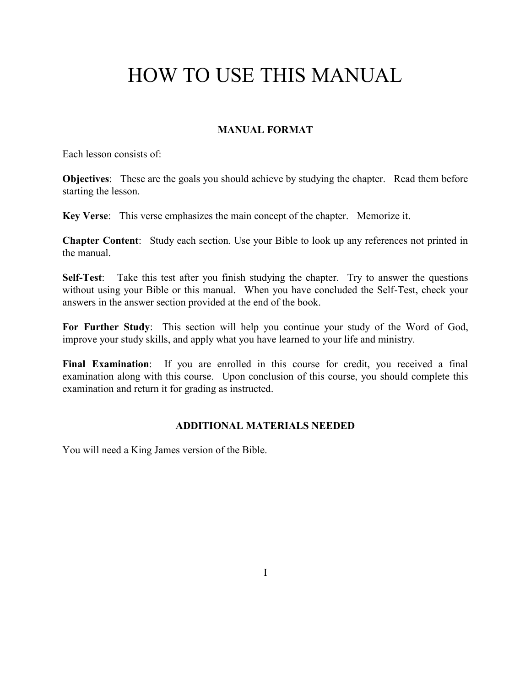## HOW TO USE THIS MANUAL

## **MANUAL FORMAT**

Each lesson consists of:

**Objectives:** These are the goals you should achieve by studying the chapter. Read them before starting the lesson.

**Key Verse**: This verse emphasizes the main concept of the chapter. Memorize it.

**Chapter Content**: Study each section. Use your Bible to look up any references not printed in the manual.

**Self-Test**: Take this test after you finish studying the chapter. Try to answer the questions without using your Bible or this manual. When you have concluded the Self-Test, check your answers in the answer section provided at the end of the book.

**For Further Study**: This section will help you continue your study of the Word of God, improve your study skills, and apply what you have learned to your life and ministry.

**Final Examination**: If you are enrolled in this course for credit, you received a final examination along with this course. Upon conclusion of this course, you should complete this examination and return it for grading as instructed.

### **ADDITIONAL MATERIALS NEEDED**

You will need a King James version of the Bible.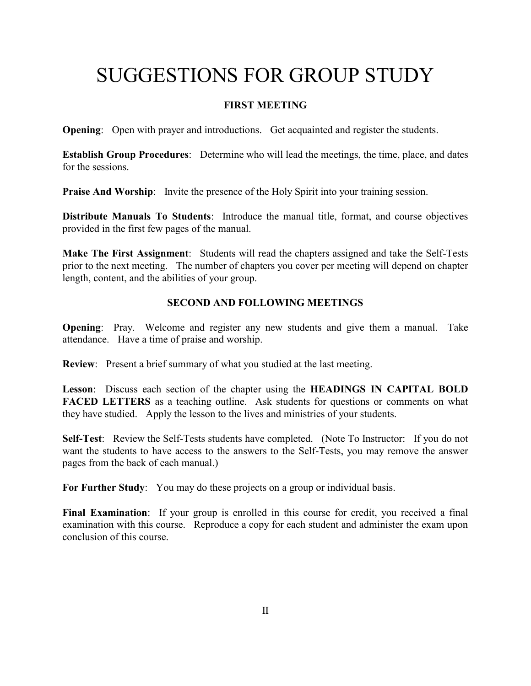## SUGGESTIONS FOR GROUP STUDY

#### **FIRST MEETING**

**Opening:** Open with prayer and introductions. Get acquainted and register the students.

**Establish Group Procedures**: Determine who will lead the meetings, the time, place, and dates for the sessions.

**Praise And Worship:** Invite the presence of the Holy Spirit into your training session.

**Distribute Manuals To Students**: Introduce the manual title, format, and course objectives provided in the first few pages of the manual.

**Make The First Assignment**: Students will read the chapters assigned and take the Self-Tests prior to the next meeting. The number of chapters you cover per meeting will depend on chapter length, content, and the abilities of your group.

### **SECOND AND FOLLOWING MEETINGS**

**Opening**: Pray. Welcome and register any new students and give them a manual. Take attendance. Have a time of praise and worship.

**Review:** Present a brief summary of what you studied at the last meeting.

**Lesson**: Discuss each section of the chapter using the **HEADINGS IN CAPITAL BOLD FACED LETTERS** as a teaching outline. Ask students for questions or comments on what they have studied. Apply the lesson to the lives and ministries of your students.

**Self-Test**: Review the Self-Tests students have completed. (Note To Instructor: If you do not want the students to have access to the answers to the Self-Tests, you may remove the answer pages from the back of each manual.)

**For Further Study**: You may do these projects on a group or individual basis.

**Final Examination**: If your group is enrolled in this course for credit, you received a final examination with this course. Reproduce a copy for each student and administer the exam upon conclusion of this course.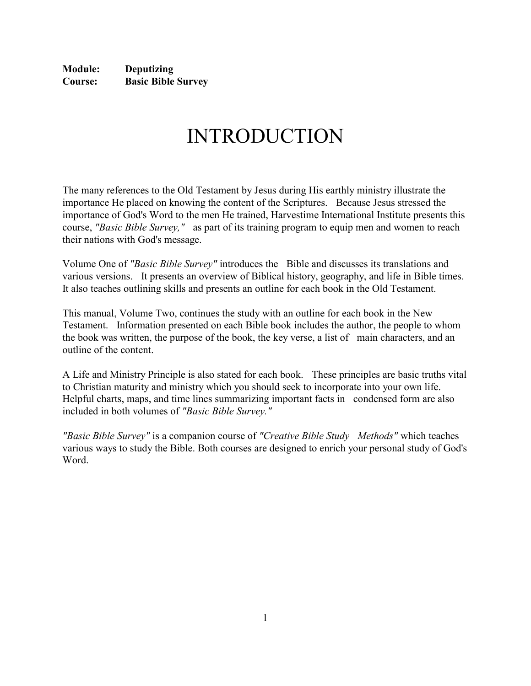**Module: Deputizing Course: Basic Bible Survey**

## INTRODUCTION

The many references to the Old Testament by Jesus during His earthly ministry illustrate the importance He placed on knowing the content of the Scriptures. Because Jesus stressed the importance of God's Word to the men He trained, Harvestime International Institute presents this course, *"Basic Bible Survey,"* as part of its training program to equip men and women to reach their nations with God's message.

Volume One of *"Basic Bible Survey"* introduces the Bible and discusses its translations and various versions. It presents an overview of Biblical history, geography, and life in Bible times. It also teaches outlining skills and presents an outline for each book in the Old Testament.

This manual, Volume Two, continues the study with an outline for each book in the New Testament. Information presented on each Bible book includes the author, the people to whom the book was written, the purpose of the book, the key verse, a list of main characters, and an outline of the content.

A Life and Ministry Principle is also stated for each book. These principles are basic truths vital to Christian maturity and ministry which you should seek to incorporate into your own life. Helpful charts, maps, and time lines summarizing important facts in condensed form are also included in both volumes of *"Basic Bible Survey."*

*"Basic Bible Survey"* is a companion course of *"Creative Bible Study Methods"* which teaches various ways to study the Bible. Both courses are designed to enrich your personal study of God's Word.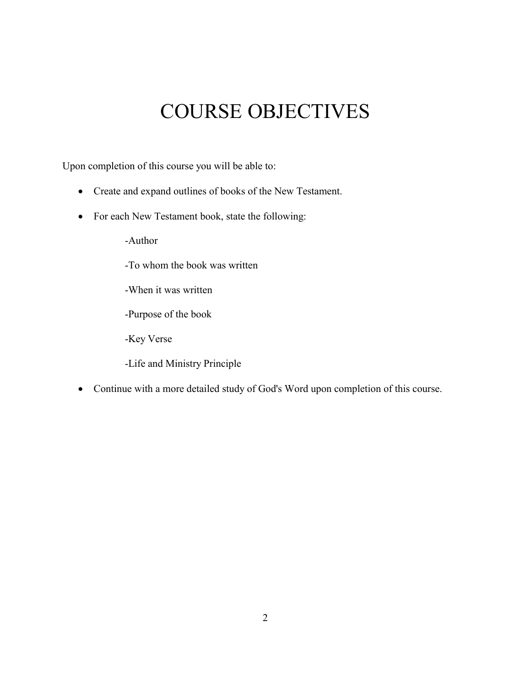## COURSE OBJECTIVES

Upon completion of this course you will be able to:

- Create and expand outlines of books of the New Testament.
- For each New Testament book, state the following:

-Author

-To whom the book was written

-When it was written

-Purpose of the book

-Key Verse

-Life and Ministry Principle

Continue with a more detailed study of God's Word upon completion of this course.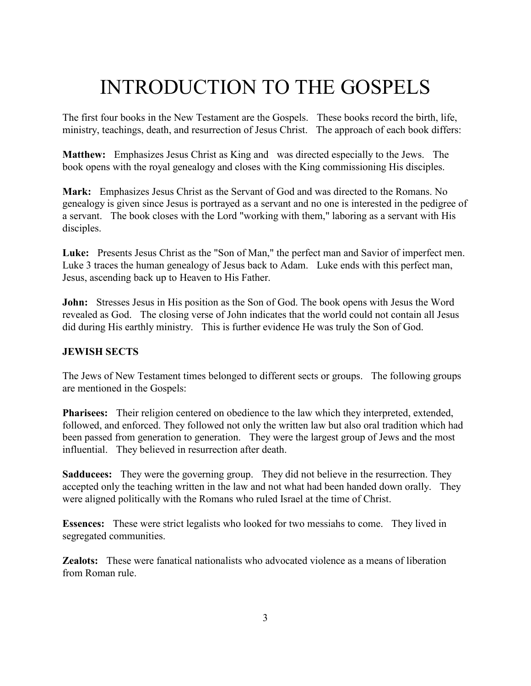## INTRODUCTION TO THE GOSPELS

The first four books in the New Testament are the Gospels. These books record the birth, life, ministry, teachings, death, and resurrection of Jesus Christ. The approach of each book differs:

**Matthew:** Emphasizes Jesus Christ as King and was directed especially to the Jews. The book opens with the royal genealogy and closes with the King commissioning His disciples.

**Mark:** Emphasizes Jesus Christ as the Servant of God and was directed to the Romans. No genealogy is given since Jesus is portrayed as a servant and no one is interested in the pedigree of a servant. The book closes with the Lord "working with them," laboring as a servant with His disciples.

**Luke:** Presents Jesus Christ as the "Son of Man," the perfect man and Savior of imperfect men. Luke 3 traces the human genealogy of Jesus back to Adam. Luke ends with this perfect man, Jesus, ascending back up to Heaven to His Father.

**John:** Stresses Jesus in His position as the Son of God. The book opens with Jesus the Word revealed as God. The closing verse of John indicates that the world could not contain all Jesus did during His earthly ministry. This is further evidence He was truly the Son of God.

## **JEWISH SECTS**

The Jews of New Testament times belonged to different sects or groups. The following groups are mentioned in the Gospels:

**Pharisees:** Their religion centered on obedience to the law which they interpreted, extended, followed, and enforced. They followed not only the written law but also oral tradition which had been passed from generation to generation. They were the largest group of Jews and the most influential. They believed in resurrection after death.

**Sadducees:** They were the governing group. They did not believe in the resurrection. They accepted only the teaching written in the law and not what had been handed down orally. They were aligned politically with the Romans who ruled Israel at the time of Christ.

**Essences:** These were strict legalists who looked for two messiahs to come. They lived in segregated communities.

**Zealots:** These were fanatical nationalists who advocated violence as a means of liberation from Roman rule.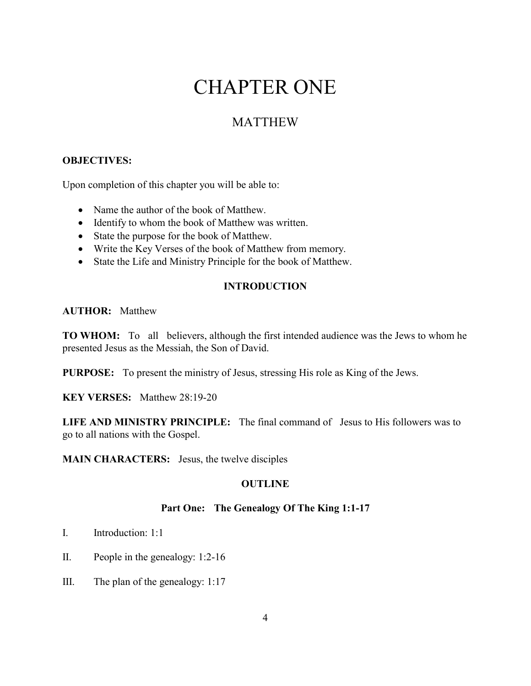## CHAPTER ONE

## MATTHEW

## **OBJECTIVES:**

Upon completion of this chapter you will be able to:

- Name the author of the book of Matthew.
- Identify to whom the book of Matthew was written.
- State the purpose for the book of Matthew.
- Write the Key Verses of the book of Matthew from memory.
- State the Life and Ministry Principle for the book of Matthew.

## **INTRODUCTION**

**AUTHOR:** Matthew

**TO WHOM:** To all believers, although the first intended audience was the Jews to whom he presented Jesus as the Messiah, the Son of David.

**PURPOSE:** To present the ministry of Jesus, stressing His role as King of the Jews.

**KEY VERSES:** Matthew 28:19-20

**LIFE AND MINISTRY PRINCIPLE:** The final command of Jesus to His followers was to go to all nations with the Gospel.

**MAIN CHARACTERS:** Jesus, the twelve disciples

### **OUTLINE**

### **Part One: The Genealogy Of The King 1:1-17**

- I. Introduction: 1:1
- II. People in the genealogy: 1:2-16
- III. The plan of the genealogy: 1:17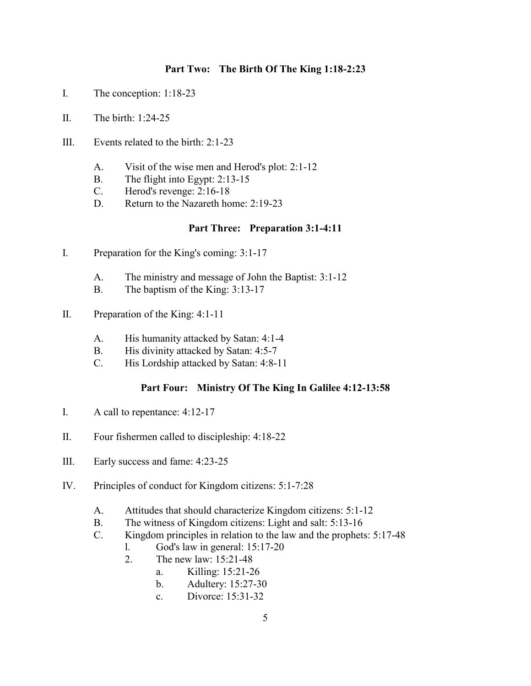## **Part Two: The Birth Of The King 1:18-2:23**

- I. The conception: 1:18-23
- II. The birth: 1:24-25
- III. Events related to the birth: 2:1-23
	- A. Visit of the wise men and Herod's plot: 2:1-12
	- B. The flight into Egypt: 2:13-15
	- C. Herod's revenge: 2:16-18
	- D. Return to the Nazareth home: 2:19-23

### **Part Three: Preparation 3:1-4:11**

- I. Preparation for the King's coming: 3:1-17
	- A. The ministry and message of John the Baptist: 3:1-12
	- B. The baptism of the King: 3:13-17
- II. Preparation of the King: 4:1-11
	- A. His humanity attacked by Satan: 4:1-4
	- B. His divinity attacked by Satan: 4:5-7
	- C. His Lordship attacked by Satan: 4:8-11

#### **Part Four: Ministry Of The King In Galilee 4:12-13:58**

- I. A call to repentance: 4:12-17
- II. Four fishermen called to discipleship: 4:18-22
- III. Early success and fame: 4:23-25
- IV. Principles of conduct for Kingdom citizens: 5:1-7:28
	- A. Attitudes that should characterize Kingdom citizens: 5:1-12
	- B. The witness of Kingdom citizens: Light and salt: 5:13-16
	- C. Kingdom principles in relation to the law and the prophets: 5:17-48
		- l. God's law in general: 15:17-20
		- 2. The new law: 15:21-48
			- a. Killing: 15:21-26
			- b. Adultery: 15:27-30
			- c. Divorce: 15:31-32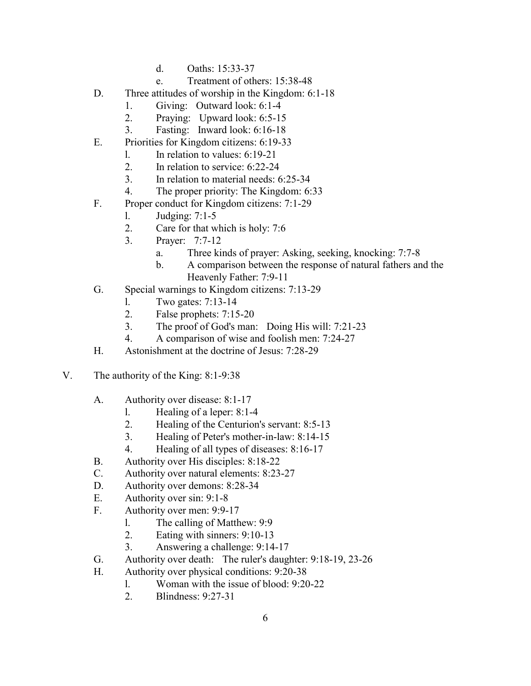- d. Oaths: 15:33-37
- e. Treatment of others: 15:38-48
- D. Three attitudes of worship in the Kingdom: 6:1-18
	- 1. Giving: Outward look: 6:1-4
	- 2. Praying: Upward look: 6:5-15
	- 3. Fasting: Inward look: 6:16-18
- E. Priorities for Kingdom citizens: 6:19-33
	- l. In relation to values: 6:19-21
	- 2. In relation to service: 6:22-24
	- 3. In relation to material needs: 6:25-34
	- 4. The proper priority: The Kingdom: 6:33
- F. Proper conduct for Kingdom citizens: 7:1-29
	- l. Judging: 7:1-5
	- 2. Care for that which is holy: 7:6
	- 3. Prayer: 7:7-12
		- a. Three kinds of prayer: Asking, seeking, knocking: 7:7-8
		- b. A comparison between the response of natural fathers and the Heavenly Father: 7:9-11
- G. Special warnings to Kingdom citizens: 7:13-29
	- l. Two gates: 7:13-14
	- 2. False prophets: 7:15-20
	- 3. The proof of God's man: Doing His will: 7:21-23
	- 4. A comparison of wise and foolish men: 7:24-27
- H. Astonishment at the doctrine of Jesus: 7:28-29
- V. The authority of the King: 8:1-9:38
	- A. Authority over disease: 8:1-17
		- l. Healing of a leper: 8:1-4
			- 2. Healing of the Centurion's servant: 8:5-13
			- 3. Healing of Peter's mother-in-law: 8:14-15
		- 4. Healing of all types of diseases: 8:16-17
	- B. Authority over His disciples: 8:18-22
	- C. Authority over natural elements: 8:23-27
	- D. Authority over demons: 8:28-34
	- E. Authority over sin: 9:1-8
	- F. Authority over men: 9:9-17
		- l. The calling of Matthew: 9:9
		- 2. Eating with sinners: 9:10-13
		- 3. Answering a challenge: 9:14-17
	- G. Authority over death: The ruler's daughter: 9:18-19, 23-26
	- H. Authority over physical conditions: 9:20-38
		- l. Woman with the issue of blood: 9:20-22
			- 2. Blindness: 9:27-31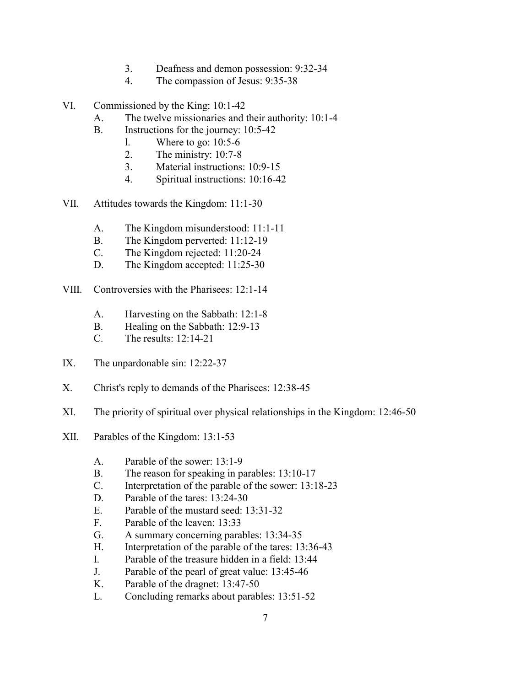- 3. Deafness and demon possession: 9:32-34
- 4. The compassion of Jesus: 9:35-38
- VI. Commissioned by the King: 10:1-42
	- A. The twelve missionaries and their authority: 10:1-4
	- B. Instructions for the journey: 10:5-42
		- l. Where to go: 10:5-6
		- 2. The ministry: 10:7-8
		- 3. Material instructions: 10:9-15
		- 4. Spiritual instructions: 10:16-42
- VII. Attitudes towards the Kingdom: 11:1-30
	- A. The Kingdom misunderstood: 11:1-11
	- B. The Kingdom perverted: 11:12-19
	- C. The Kingdom rejected: 11:20-24
	- D. The Kingdom accepted: 11:25-30
- VIII. Controversies with the Pharisees: 12:1-14
	- A. Harvesting on the Sabbath: 12:1-8
	- B. Healing on the Sabbath: 12:9-13
	- C. The results: 12:14-21
- IX. The unpardonable sin: 12:22-37
- X. Christ's reply to demands of the Pharisees: 12:38-45
- XI. The priority of spiritual over physical relationships in the Kingdom: 12:46-50
- XII. Parables of the Kingdom: 13:1-53
	- A. Parable of the sower: 13:1-9
	- B. The reason for speaking in parables: 13:10-17
	- C. Interpretation of the parable of the sower: 13:18-23
	- D. Parable of the tares: 13:24-30
	- E. Parable of the mustard seed: 13:31-32
	- F. Parable of the leaven: 13:33
	- G. A summary concerning parables: 13:34-35
	- H. Interpretation of the parable of the tares: 13:36-43
	- I. Parable of the treasure hidden in a field: 13:44
	- J. Parable of the pearl of great value: 13:45-46
	- K. Parable of the dragnet: 13:47-50
	- L. Concluding remarks about parables: 13:51-52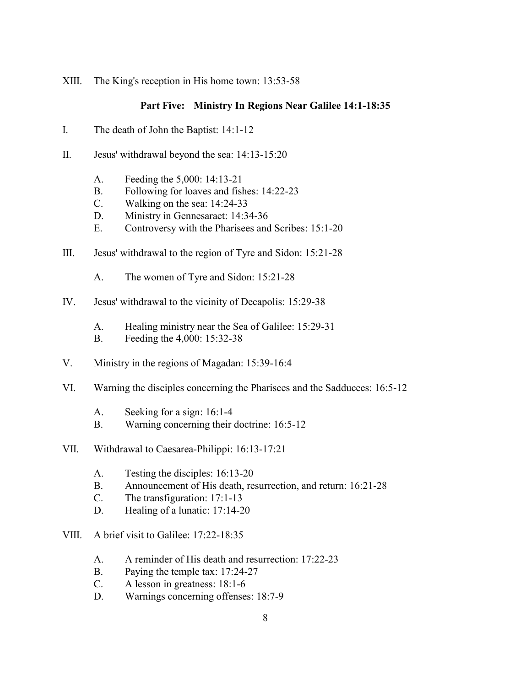XIII. The King's reception in His home town: 13:53-58

#### **Part Five: Ministry In Regions Near Galilee 14:1-18:35**

- I. The death of John the Baptist: 14:1-12
- II. Jesus' withdrawal beyond the sea: 14:13-15:20
	- A. Feeding the 5,000: 14:13-21
	- B. Following for loaves and fishes: 14:22-23
	- C. Walking on the sea: 14:24-33
	- D. Ministry in Gennesaraet: 14:34-36
	- E. Controversy with the Pharisees and Scribes: 15:1-20
- III. Jesus' withdrawal to the region of Tyre and Sidon: 15:21-28
	- A. The women of Tyre and Sidon: 15:21-28
- IV. Jesus' withdrawal to the vicinity of Decapolis: 15:29-38
	- A. Healing ministry near the Sea of Galilee: 15:29-31
	- B. Feeding the 4,000: 15:32-38
- V. Ministry in the regions of Magadan: 15:39-16:4
- VI. Warning the disciples concerning the Pharisees and the Sadducees: 16:5-12
	- A. Seeking for a sign: 16:1-4
	- B. Warning concerning their doctrine: 16:5-12
- VII. Withdrawal to Caesarea-Philippi: 16:13-17:21
	- A. Testing the disciples: 16:13-20
	- B. Announcement of His death, resurrection, and return: 16:21-28
	- C. The transfiguration: 17:1-13
	- D. Healing of a lunatic: 17:14-20
- VIII. A brief visit to Galilee: 17:22-18:35
	- A. A reminder of His death and resurrection: 17:22-23
	- B. Paying the temple tax: 17:24-27
	- C. A lesson in greatness: 18:1-6
	- D. Warnings concerning offenses: 18:7-9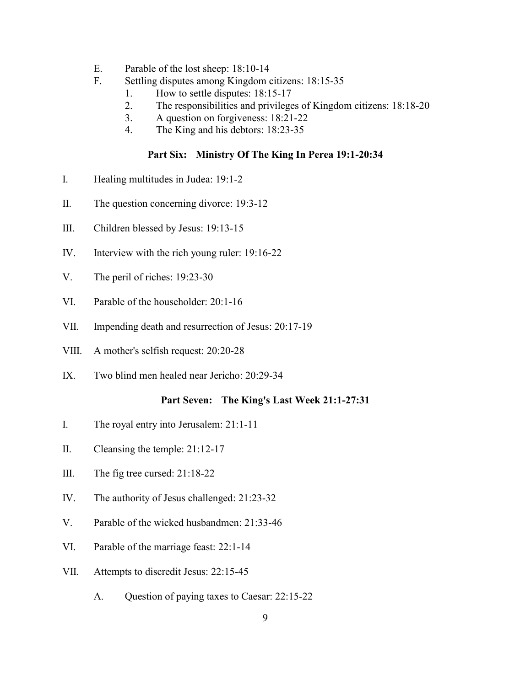- E. Parable of the lost sheep: 18:10-14
- F. Settling disputes among Kingdom citizens: 18:15-35
	- 1. How to settle disputes: 18:15-17
	- 2. The responsibilities and privileges of Kingdom citizens: 18:18-20
	- 3. A question on forgiveness: 18:21-22
	- 4. The King and his debtors: 18:23-35

## **Part Six: Ministry Of The King In Perea 19:1-20:34**

- I. Healing multitudes in Judea: 19:1-2
- II. The question concerning divorce: 19:3-12
- III. Children blessed by Jesus: 19:13-15
- IV. Interview with the rich young ruler: 19:16-22
- V. The peril of riches: 19:23-30
- VI. Parable of the householder: 20:1-16
- VII. Impending death and resurrection of Jesus: 20:17-19
- VIII. A mother's selfish request: 20:20-28
- IX. Two blind men healed near Jericho: 20:29-34

### **Part Seven: The King's Last Week 21:1-27:31**

- I. The royal entry into Jerusalem: 21:1-11
- II. Cleansing the temple: 21:12-17
- III. The fig tree cursed: 21:18-22
- IV. The authority of Jesus challenged: 21:23-32
- V. Parable of the wicked husbandmen: 21:33-46
- VI. Parable of the marriage feast: 22:1-14
- VII. Attempts to discredit Jesus: 22:15-45
	- A. Question of paying taxes to Caesar: 22:15-22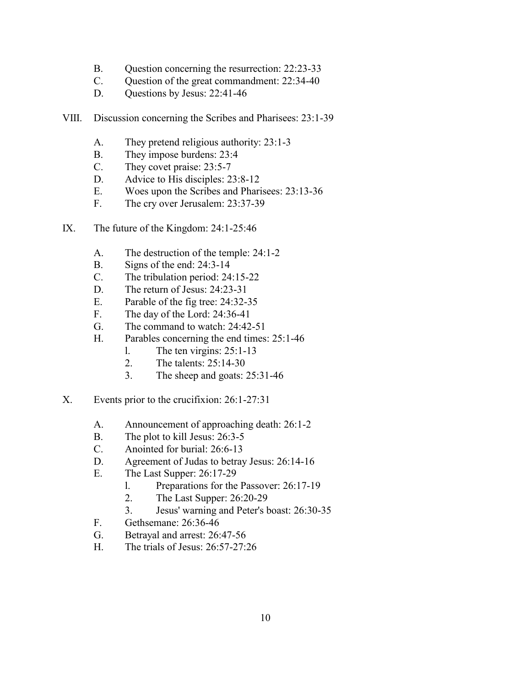- B. Question concerning the resurrection: 22:23-33
- C. Question of the great commandment: 22:34-40
- D. Questions by Jesus: 22:41-46
- VIII. Discussion concerning the Scribes and Pharisees: 23:1-39
	- A. They pretend religious authority: 23:1-3
	- B. They impose burdens: 23:4
	- C. They covet praise: 23:5-7
	- D. Advice to His disciples: 23:8-12
	- E. Woes upon the Scribes and Pharisees: 23:13-36
	- F. The cry over Jerusalem: 23:37-39
- IX. The future of the Kingdom: 24:1-25:46
	- A. The destruction of the temple: 24:1-2
	- B. Signs of the end: 24:3-14
	- C. The tribulation period: 24:15-22
	- D. The return of Jesus: 24:23-31
	- E. Parable of the fig tree: 24:32-35
	- F. The day of the Lord: 24:36-41
	- G. The command to watch: 24:42-51
	- H. Parables concerning the end times: 25:1-46
		- l. The ten virgins: 25:1-13
		- 2. The talents: 25:14-30
		- 3. The sheep and goats: 25:31-46
- X. Events prior to the crucifixion: 26:1-27:31
	- A. Announcement of approaching death: 26:1-2
	- B. The plot to kill Jesus: 26:3-5
	- C. Anointed for burial: 26:6-13
	- D. Agreement of Judas to betray Jesus: 26:14-16
	- E. The Last Supper: 26:17-29
		- l. Preparations for the Passover: 26:17-19
		- 2. The Last Supper: 26:20-29
		- 3. Jesus' warning and Peter's boast: 26:30-35
	- F. Gethsemane: 26:36-46
	- G. Betrayal and arrest: 26:47-56
	- H. The trials of Jesus: 26:57-27:26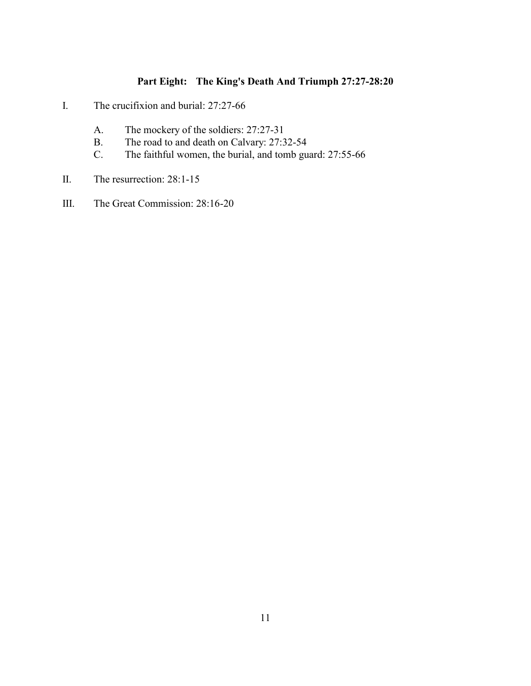## **Part Eight: The King's Death And Triumph 27:27-28:20**

- I. The crucifixion and burial: 27:27-66
	- A. The mockery of the soldiers: 27:27-31<br>B. The road to and death on Calvary: 27:3
	- The road to and death on Calvary: 27:32-54
	- C. The faithful women, the burial, and tomb guard: 27:55-66
- II. The resurrection: 28:1-15
- III. The Great Commission: 28:16-20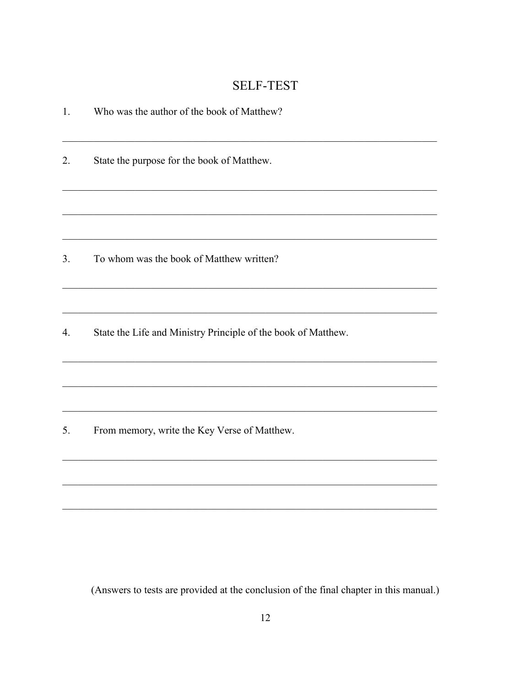## **SELF-TEST**

| 1. | Who was the author of the book of Matthew?                    |
|----|---------------------------------------------------------------|
| 2. | State the purpose for the book of Matthew.                    |
|    |                                                               |
| 3. | To whom was the book of Matthew written?                      |
|    |                                                               |
| 4. | State the Life and Ministry Principle of the book of Matthew. |
|    |                                                               |
|    |                                                               |

5. From memory, write the Key Verse of Matthew.

(Answers to tests are provided at the conclusion of the final chapter in this manual.)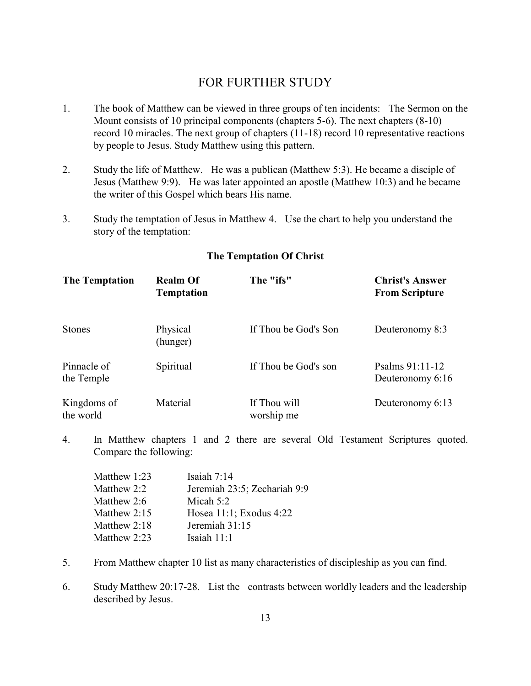## FOR FURTHER STUDY

- 1. The book of Matthew can be viewed in three groups of ten incidents: The Sermon on the Mount consists of 10 principal components (chapters 5-6). The next chapters (8-10) record 10 miracles. The next group of chapters (11-18) record 10 representative reactions by people to Jesus. Study Matthew using this pattern.
- 2. Study the life of Matthew. He was a publican (Matthew 5:3). He became a disciple of Jesus (Matthew 9:9). He was later appointed an apostle (Matthew 10:3) and he became the writer of this Gospel which bears His name.
- 3. Study the temptation of Jesus in Matthew 4. Use the chart to help you understand the story of the temptation:

| <b>The Temptation</b>     | <b>Realm Of</b><br><b>Temptation</b> | The "ifs"                  | <b>Christ's Answer</b><br><b>From Scripture</b> |
|---------------------------|--------------------------------------|----------------------------|-------------------------------------------------|
| <b>Stones</b>             | Physical<br>(hunger)                 | If Thou be God's Son       | Deuteronomy 8:3                                 |
| Pinnacle of<br>the Temple | Spiritual                            | If Thou be God's son       | Psalms 91:11-12<br>Deuteronomy 6:16             |
| Kingdoms of<br>the world  | Material                             | If Thou will<br>worship me | Deuteronomy 6:13                                |

#### **The Temptation Of Christ**

4. In Matthew chapters 1 and 2 there are several Old Testament Scriptures quoted. Compare the following:

| Matthew 1:23   | Isaiah $7:14$                |
|----------------|------------------------------|
| Matthew 2:2    | Jeremiah 23:5; Zechariah 9:9 |
| Matthew 2:6    | Micah $5:2$                  |
| Matthew $2:15$ | Hosea $11:1$ ; Exodus $4:22$ |
| Matthew 2:18   | Jeremiah 31:15               |
| Matthew 2:23   | Isaiah $11:1$                |

- 5. From Matthew chapter 10 list as many characteristics of discipleship as you can find.
- 6. Study Matthew 20:17-28. List the contrasts between worldly leaders and the leadership described by Jesus.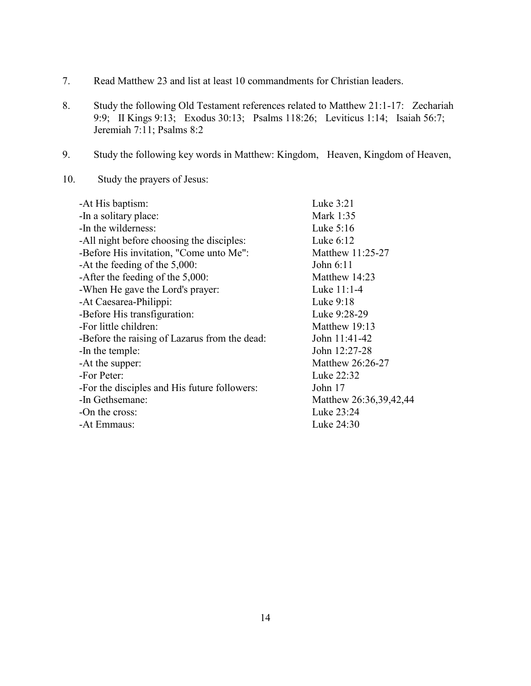- 7. Read Matthew 23 and list at least 10 commandments for Christian leaders.
- 8. Study the following Old Testament references related to Matthew 21:1-17: Zechariah 9:9; II Kings 9:13; Exodus 30:13; Psalms 118:26; Leviticus 1:14; Isaiah 56:7; Jeremiah 7:11; Psalms 8:2
- 9. Study the following key words in Matthew: Kingdom, Heaven, Kingdom of Heaven,
- 10. Study the prayers of Jesus:

| -At His baptism:                              | Luke 3:21              |
|-----------------------------------------------|------------------------|
| -In a solitary place:                         | <b>Mark 1:35</b>       |
| -In the wilderness:                           | Luke $5:16$            |
| -All night before choosing the disciples:     | Luke $6:12$            |
| -Before His invitation, "Come unto Me":       | Matthew 11:25-27       |
| -At the feeding of the 5,000:                 | John 6:11              |
| -After the feeding of the $5,000$ :           | Matthew 14:23          |
| -When He gave the Lord's prayer:              | Luke 11:1-4            |
| -At Caesarea-Philippi:                        | Luke 9:18              |
| -Before His transfiguration:                  | Luke 9:28-29           |
| -For little children:                         | Matthew 19:13          |
| -Before the raising of Lazarus from the dead: | John 11:41-42          |
| -In the temple:                               | John 12:27-28          |
| -At the supper:                               | Matthew 26:26-27       |
| -For Peter:                                   | Luke 22:32             |
| -For the disciples and His future followers:  | John 17                |
| -In Gethsemane:                               | Matthew 26:36,39,42,44 |
| -On the cross:                                | Luke 23:24             |
| -At Emmaus:                                   | Luke 24:30             |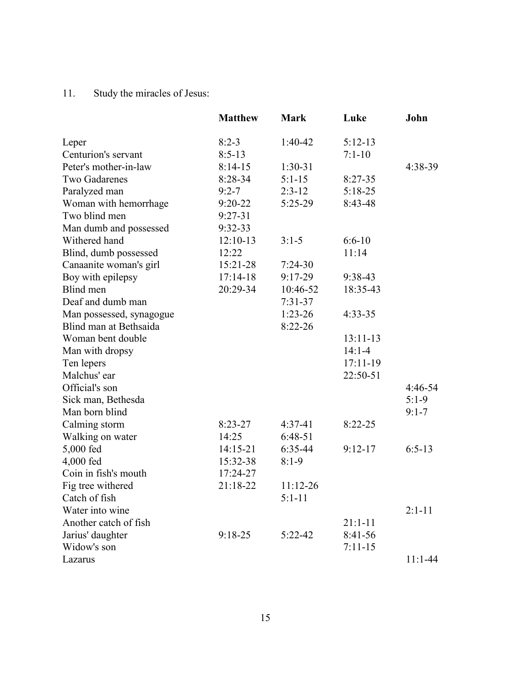## 11. Study the miracles of Jesus:

|                          | <b>Matthew</b> | <b>Mark</b> | Luke        | John       |
|--------------------------|----------------|-------------|-------------|------------|
| Leper                    | $8:2-3$        | $1:40-42$   | $5:12-13$   |            |
| Centurion's servant      | $8:5-13$       |             | $7:1 - 10$  |            |
| Peter's mother-in-law    | $8:14-15$      | $1:30-31$   |             | 4:38-39    |
| <b>Two Gadarenes</b>     | 8:28-34        | $5:1-15$    | $8:27-35$   |            |
| Paralyzed man            | $9:2 - 7$      | $2:3-12$    | $5:18-25$   |            |
| Woman with hemorrhage    | $9:20 - 22$    | 5:25-29     | 8:43-48     |            |
| Two blind men            | $9:27-31$      |             |             |            |
| Man dumb and possessed   | 9:32-33        |             |             |            |
| Withered hand            | 12:10-13       | $3:1-5$     | $6:6-10$    |            |
| Blind, dumb possessed    | 12:22          |             | 11:14       |            |
| Canaanite woman's girl   | 15:21-28       | $7:24-30$   |             |            |
| Boy with epilepsy        | $17:14-18$     | $9:17-29$   | 9:38-43     |            |
| Blind men                | 20:29-34       | 10:46-52    | 18:35-43    |            |
| Deaf and dumb man        |                | $7:31-37$   |             |            |
| Man possessed, synagogue |                | $1:23-26$   | $4:33-35$   |            |
| Blind man at Bethsaida   |                | $8:22-26$   |             |            |
| Woman bent double        |                |             | $13:11-13$  |            |
| Man with dropsy          |                |             | $14:1 - 4$  |            |
| Ten lepers               |                |             | 17:11-19    |            |
| Malchus' ear             |                |             | 22:50-51    |            |
| Official's son           |                |             |             | $4:46-54$  |
| Sick man, Bethesda       |                |             |             | $5:1-9$    |
| Man born blind           |                |             |             | $9:1 - 7$  |
| Calming storm            | $8:23-27$      | $4:37-41$   | $8:22-25$   |            |
| Walking on water         | 14:25          | $6:48-51$   |             |            |
| 5,000 fed                | 14:15-21       | $6:35-44$   | $9:12-17$   | $6:5-13$   |
| 4,000 fed                | 15:32-38       | $8:1-9$     |             |            |
| Coin in fish's mouth     | 17:24-27       |             |             |            |
| Fig tree withered        | 21:18-22       | $11:12-26$  |             |            |
| Catch of fish            |                | $5:1 - 11$  |             |            |
| Water into wine          |                |             |             | $2:1 - 11$ |
| Another catch of fish    |                |             | $21:1 - 11$ |            |
| Jarius' daughter         | $9:18-25$      | $5:22-42$   | 8:41-56     |            |
| Widow's son              |                |             | $7:11-15$   |            |
| Lazarus                  |                |             |             | $11:1-44$  |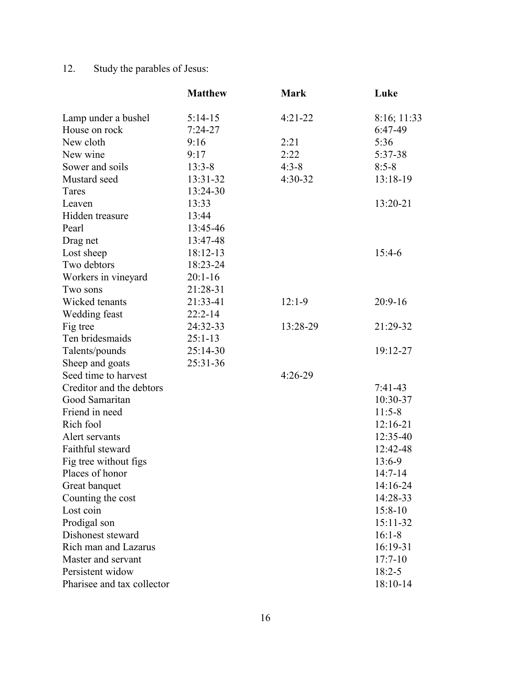## 12. Study the parables of Jesus:

|                            | <b>Matthew</b> | <b>Mark</b> | Luke        |
|----------------------------|----------------|-------------|-------------|
| Lamp under a bushel        | $5:14-15$      | $4:21-22$   | 8:16; 11:33 |
| House on rock              | $7:24-27$      |             | 6:47-49     |
| New cloth                  | 9:16           | 2:21        | 5:36        |
| New wine                   | 9:17           | 2:22        | 5:37-38     |
| Sower and soils            | $13:3-8$       | $4:3-8$     | $8:5 - 8$   |
| Mustard seed               | 13:31-32       | $4:30-32$   | 13:18-19    |
| Tares                      | 13:24-30       |             |             |
| Leaven                     | 13:33          |             | 13:20-21    |
| Hidden treasure            | 13:44          |             |             |
| Pearl                      | 13:45-46       |             |             |
| Drag net                   | 13:47-48       |             |             |
| Lost sheep                 | 18:12-13       |             | $15:4-6$    |
| Two debtors                | 18:23-24       |             |             |
| Workers in vineyard        | $20:1-16$      |             |             |
| Two sons                   | 21:28-31       |             |             |
| Wicked tenants             | 21:33-41       | $12:1-9$    | $20:9-16$   |
| Wedding feast              | $22:2-14$      |             |             |
| Fig tree                   | 24:32-33       | 13:28-29    | 21:29-32    |
| Ten bridesmaids            | $25:1-13$      |             |             |
| Talents/pounds             | $25:14-30$     |             | 19:12-27    |
| Sheep and goats            | 25:31-36       |             |             |
| Seed time to harvest       |                | $4:26-29$   |             |
| Creditor and the debtors   |                |             | $7:41-43$   |
| Good Samaritan             |                |             | 10:30-37    |
| Friend in need             |                |             | $11:5-8$    |
| Rich fool                  |                |             | 12:16-21    |
| Alert servants             |                |             | 12:35-40    |
| Faithful steward           |                |             | 12:42-48    |
| Fig tree without figs      |                |             | 13:6-9      |
| Places of honor            |                |             | $14:7-14$   |
| Great banquet              |                |             | 14:16-24    |
| Counting the cost          |                |             | 14:28-33    |
| Lost coin                  |                |             | $15:8-10$   |
| Prodigal son               |                |             | 15:11-32    |
| Dishonest steward          |                |             | $16:1 - 8$  |
| Rich man and Lazarus       |                |             | 16:19-31    |
| Master and servant         |                |             | $17:7-10$   |
| Persistent widow           |                |             | $18:2 - 5$  |
| Pharisee and tax collector |                |             | 18:10-14    |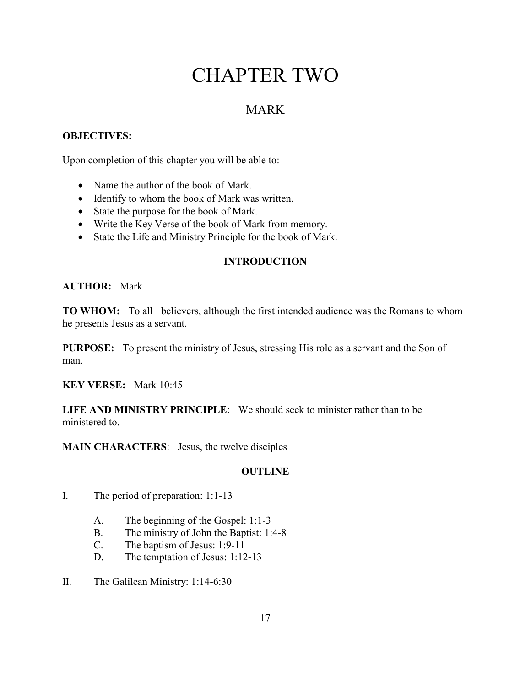## CHAPTER TWO

## MARK

## **OBJECTIVES:**

Upon completion of this chapter you will be able to:

- Name the author of the book of Mark.
- Identify to whom the book of Mark was written.
- State the purpose for the book of Mark.
- Write the Key Verse of the book of Mark from memory.
- State the Life and Ministry Principle for the book of Mark.

## **INTRODUCTION**

### **AUTHOR:** Mark

**TO WHOM:** To all believers, although the first intended audience was the Romans to whom he presents Jesus as a servant.

**PURPOSE:** To present the ministry of Jesus, stressing His role as a servant and the Son of man.

**KEY VERSE:** Mark 10:45

**LIFE AND MINISTRY PRINCIPLE**: We should seek to minister rather than to be ministered to.

**MAIN CHARACTERS**: Jesus, the twelve disciples

### **OUTLINE**

- I. The period of preparation: 1:1-13
	- A. The beginning of the Gospel: 1:1-3
	- B. The ministry of John the Baptist: 1:4-8
	- C. The baptism of Jesus: 1:9-11
	- D. The temptation of Jesus: 1:12-13
- II. The Galilean Ministry: 1:14-6:30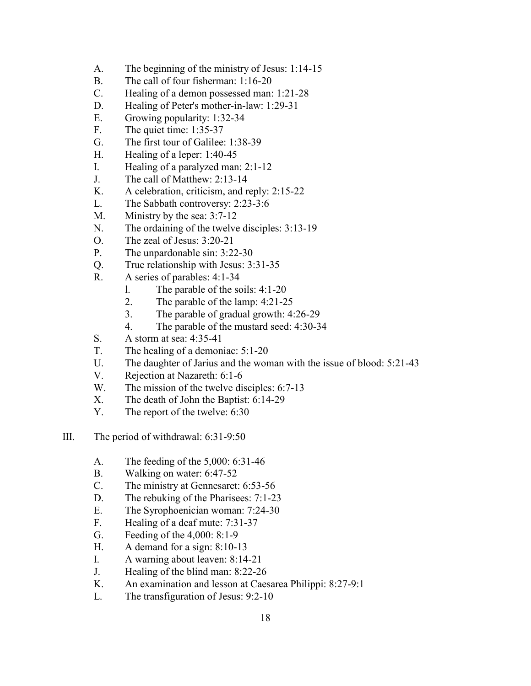- A. The beginning of the ministry of Jesus: 1:14-15
- B. The call of four fisherman: 1:16-20
- C. Healing of a demon possessed man: 1:21-28
- D. Healing of Peter's mother-in-law: 1:29-31
- E. Growing popularity: 1:32-34
- F. The quiet time: 1:35-37
- G. The first tour of Galilee: 1:38-39
- H. Healing of a leper: 1:40-45
- I. Healing of a paralyzed man: 2:1-12
- J. The call of Matthew: 2:13-14
- K. A celebration, criticism, and reply: 2:15-22
- L. The Sabbath controversy: 2:23-3:6
- M. Ministry by the sea: 3:7-12
- N. The ordaining of the twelve disciples: 3:13-19
- O. The zeal of Jesus: 3:20-21
- P. The unpardonable sin: 3:22-30
- Q. True relationship with Jesus: 3:31-35
- R. A series of parables: 4:1-34
	- l. The parable of the soils: 4:1-20
	- 2. The parable of the lamp: 4:21-25
	- 3. The parable of gradual growth: 4:26-29
	- 4. The parable of the mustard seed: 4:30-34
- S. A storm at sea: 4:35-41
- T. The healing of a demoniac: 5:1-20
- U. The daughter of Jarius and the woman with the issue of blood: 5:21-43
- V. Rejection at Nazareth: 6:1-6
- W. The mission of the twelve disciples: 6:7-13
- X. The death of John the Baptist: 6:14-29
- Y. The report of the twelve: 6:30
- III. The period of withdrawal: 6:31-9:50
	- A. The feeding of the 5,000: 6:31-46
	- B. Walking on water: 6:47-52
	- C. The ministry at Gennesaret: 6:53-56
	- D. The rebuking of the Pharisees: 7:1-23
	- E. The Syrophoenician woman: 7:24-30
	- F. Healing of a deaf mute: 7:31-37
	- G. Feeding of the 4,000: 8:1-9
	- H. A demand for a sign: 8:10-13
	- I. A warning about leaven: 8:14-21
	- J. Healing of the blind man: 8:22-26
	- K. An examination and lesson at Caesarea Philippi: 8:27-9:1
	- L. The transfiguration of Jesus: 9:2-10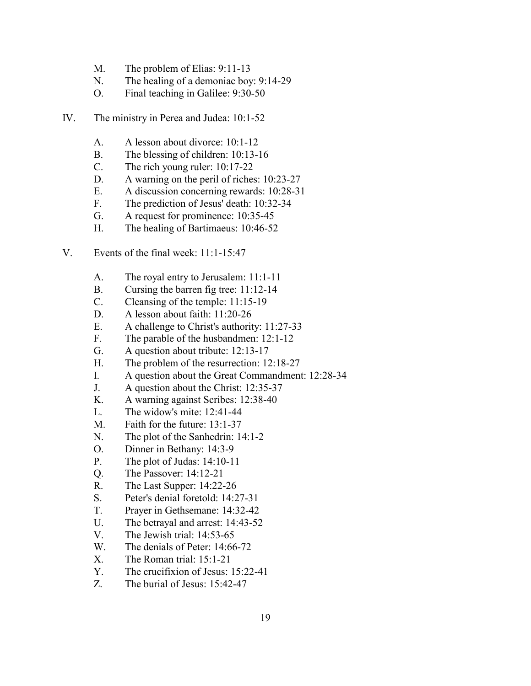- M. The problem of Elias: 9:11-13
- N. The healing of a demoniac boy: 9:14-29
- O. Final teaching in Galilee: 9:30-50
- IV. The ministry in Perea and Judea: 10:1-52
	- A. A lesson about divorce: 10:1-12
	- B. The blessing of children: 10:13-16
	- C. The rich young ruler: 10:17-22
	- D. A warning on the peril of riches: 10:23-27
	- E. A discussion concerning rewards: 10:28-31
	- F. The prediction of Jesus' death: 10:32-34
	- G. A request for prominence: 10:35-45
	- H. The healing of Bartimaeus: 10:46-52
- V. Events of the final week: 11:1-15:47
	- A. The royal entry to Jerusalem: 11:1-11
	- B. Cursing the barren fig tree: 11:12-14
	- C. Cleansing of the temple: 11:15-19
	- D. A lesson about faith: 11:20-26
	- E. A challenge to Christ's authority: 11:27-33
	- F. The parable of the husbandmen: 12:1-12
	- G. A question about tribute: 12:13-17
	- H. The problem of the resurrection: 12:18-27
	- I. A question about the Great Commandment: 12:28-34
	- J. A question about the Christ: 12:35-37
	- K. A warning against Scribes: 12:38-40
	- L. The widow's mite: 12:41-44
	- M. Faith for the future: 13:1-37
	- N. The plot of the Sanhedrin: 14:1-2
	- O. Dinner in Bethany: 14:3-9
	- P. The plot of Judas: 14:10-11
	- Q. The Passover: 14:12-21
	- R. The Last Supper: 14:22-26
	- S. Peter's denial foretold: 14:27-31
	- T. Prayer in Gethsemane: 14:32-42
	- U. The betrayal and arrest: 14:43-52
	- V. The Jewish trial: 14:53-65
	- W. The denials of Peter: 14:66-72
	- X. The Roman trial: 15:1-21
	- Y. The crucifixion of Jesus: 15:22-41
	- Z. The burial of Jesus: 15:42-47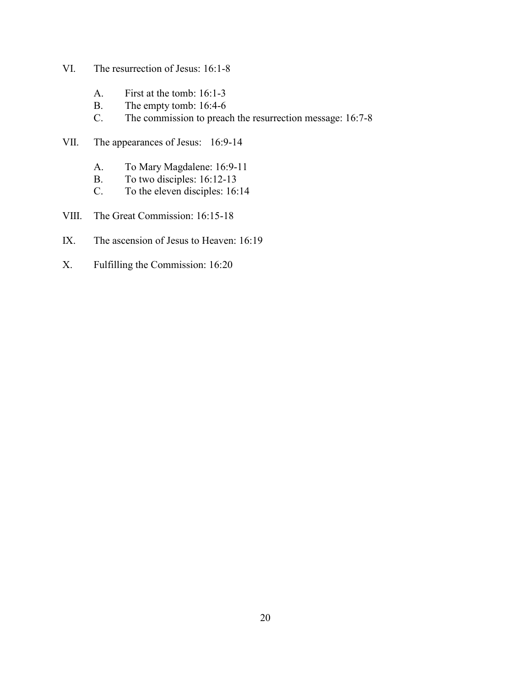- VI. The resurrection of Jesus: 16:1-8
	- A. First at the tomb: 16:1-3
	- B. The empty tomb: 16:4-6
	- C. The commission to preach the resurrection message: 16:7-8
- VII. The appearances of Jesus: 16:9-14
	- A. To Mary Magdalene: 16:9-11
	- B. To two disciples: 16:12-13
	- C. To the eleven disciples: 16:14
- VIII. The Great Commission: 16:15-18
- IX. The ascension of Jesus to Heaven: 16:19
- X. Fulfilling the Commission: 16:20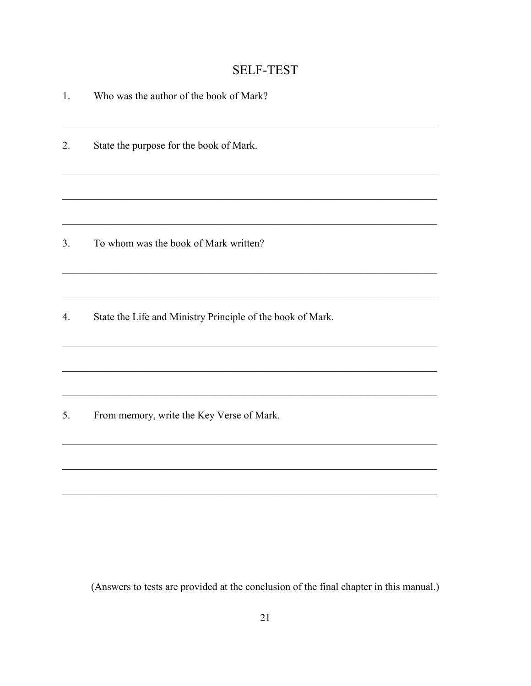## **SELF-TEST**

 $1<sub>1</sub>$ Who was the author of the book of Mark?

State the purpose for the book of Mark. 2.

To whom was the book of Mark written?  $3.$ 

State the Life and Ministry Principle of the book of Mark.  $4.$ 

From memory, write the Key Verse of Mark. 5.

(Answers to tests are provided at the conclusion of the final chapter in this manual.)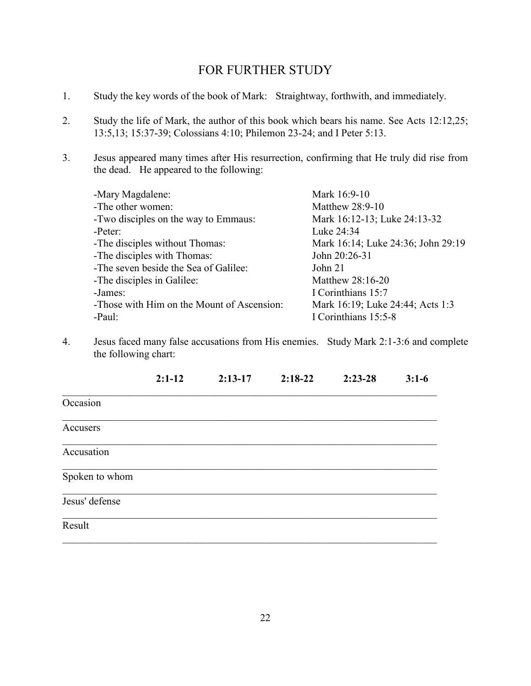## FOR FURTHER STUDY

- 1. Study the key words of the book of Mark: Straightway, forthwith, and immediately.
- 2. Study the life of Mark, the author of this book which bears his name. See Acts 12:12,25; 13:5,13; 15:37-39; Colossians 4:10; Philemon 23-24; and I Peter 5:13.
- 3. Jesus appeared many times after His resurrection, confirming that He truly did rise from the dead. He appeared to the following:

| -Mary Magdalene:                           | Mark 16:9-10                       |
|--------------------------------------------|------------------------------------|
| -The other women:                          | Matthew 28:9-10                    |
| -Two disciples on the way to Emmaus:       | Mark 16:12-13; Luke 24:13-32       |
| -Peter:                                    | Luke 24:34                         |
| -The disciples without Thomas:             | Mark 16:14; Luke 24:36; John 29:19 |
| -The disciples with Thomas:                | John 20:26-31                      |
| -The seven beside the Sea of Galilee:      | John 21                            |
| -The disciples in Galilee:                 | Matthew 28:16-20                   |
| -James:                                    | I Corinthians 15:7                 |
| -Those with Him on the Mount of Ascension: | Mark 16:19; Luke 24:44; Acts 1:3   |
| -Paul:                                     | I Corinthians 15:5-8               |

4. Jesus faced many false accusations from His enemies. Study Mark 2:1-3:6 and complete the following chart:

|                | $2:1-12$ | $2:13-17$ | $2:18-22$ | $2:23-28$ | $3:1-6$ |
|----------------|----------|-----------|-----------|-----------|---------|
| Occasion       |          |           |           |           |         |
| Accusers       |          |           |           |           |         |
| Accusation     |          |           |           |           |         |
| Spoken to whom |          |           |           |           |         |
| Jesus' defense |          |           |           |           |         |
| Result         |          |           |           |           |         |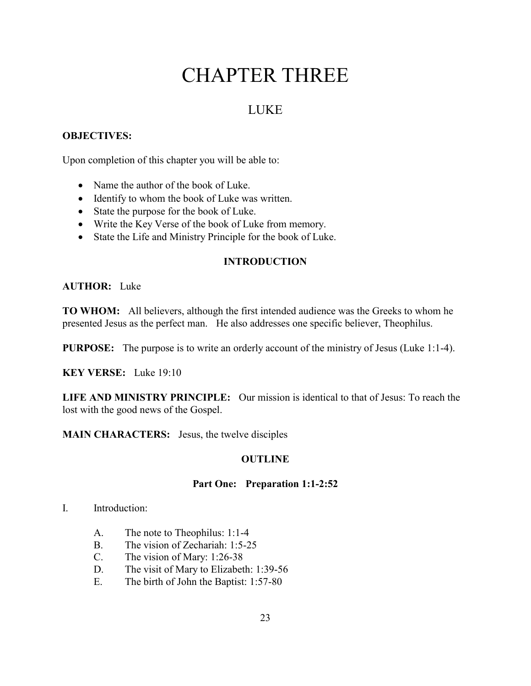## CHAPTER THREE

## LUKE

### **OBJECTIVES:**

Upon completion of this chapter you will be able to:

- Name the author of the book of Luke.
- Identify to whom the book of Luke was written.
- State the purpose for the book of Luke.
- Write the Key Verse of the book of Luke from memory.
- State the Life and Ministry Principle for the book of Luke.

### **INTRODUCTION**

**AUTHOR:** Luke

**TO WHOM:** All believers, although the first intended audience was the Greeks to whom he presented Jesus as the perfect man. He also addresses one specific believer, Theophilus.

**PURPOSE:** The purpose is to write an orderly account of the ministry of Jesus (Luke 1:1-4).

**KEY VERSE:** Luke 19:10

**LIFE AND MINISTRY PRINCIPLE:** Our mission is identical to that of Jesus: To reach the lost with the good news of the Gospel.

**MAIN CHARACTERS:** Jesus, the twelve disciples

### **OUTLINE**

### **Part One: Preparation 1:1-2:52**

- I. Introduction:
	- A. The note to Theophilus: 1:1-4
	- B. The vision of Zechariah: 1:5-25
	- C. The vision of Mary: 1:26-38
	- D. The visit of Mary to Elizabeth: 1:39-56
	- E. The birth of John the Baptist: 1:57-80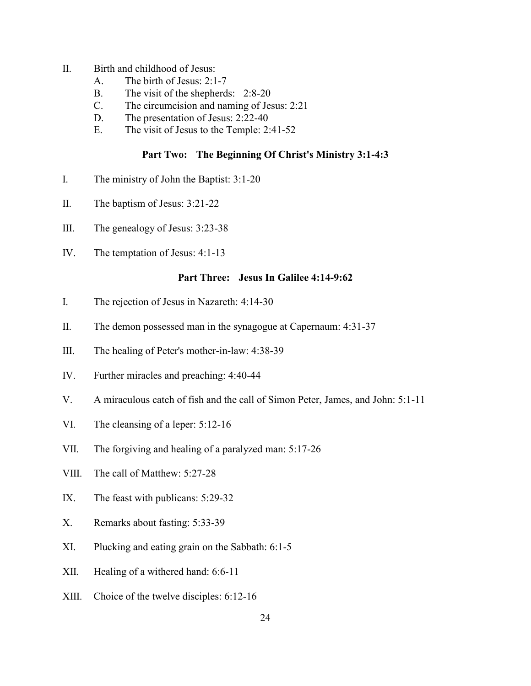- II. Birth and childhood of Jesus:
	- A. The birth of Jesus: 2:1-7
	- B. The visit of the shepherds: 2:8-20
	- C. The circumcision and naming of Jesus: 2:21
	- D. The presentation of Jesus: 2:22-40
	- E. The visit of Jesus to the Temple: 2:41-52

### **Part Two: The Beginning Of Christ's Ministry 3:1-4:3**

- I. The ministry of John the Baptist: 3:1-20
- II. The baptism of Jesus: 3:21-22
- III. The genealogy of Jesus: 3:23-38
- IV. The temptation of Jesus: 4:1-13

#### **Part Three: Jesus In Galilee 4:14-9:62**

- I. The rejection of Jesus in Nazareth: 4:14-30
- II. The demon possessed man in the synagogue at Capernaum: 4:31-37
- III. The healing of Peter's mother-in-law: 4:38-39
- IV. Further miracles and preaching: 4:40-44
- V. A miraculous catch of fish and the call of Simon Peter, James, and John: 5:1-11
- VI. The cleansing of a leper: 5:12-16
- VII. The forgiving and healing of a paralyzed man: 5:17-26
- VIII. The call of Matthew: 5:27-28
- IX. The feast with publicans: 5:29-32
- X. Remarks about fasting: 5:33-39
- XI. Plucking and eating grain on the Sabbath: 6:1-5
- XII. Healing of a withered hand: 6:6-11
- XIII. Choice of the twelve disciples: 6:12-16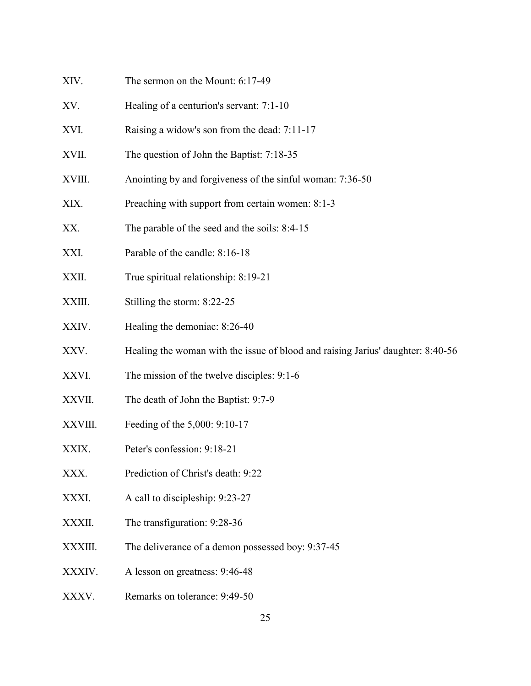| XIV.    | The sermon on the Mount: 6:17-49                                                |
|---------|---------------------------------------------------------------------------------|
| XV.     | Healing of a centurion's servant: 7:1-10                                        |
| XVI.    | Raising a widow's son from the dead: 7:11-17                                    |
| XVII.   | The question of John the Baptist: 7:18-35                                       |
| XVIII.  | Anointing by and forgiveness of the sinful woman: 7:36-50                       |
| XIX.    | Preaching with support from certain women: 8:1-3                                |
| XX.     | The parable of the seed and the soils: 8:4-15                                   |
| XXI.    | Parable of the candle: 8:16-18                                                  |
| XXII.   | True spiritual relationship: 8:19-21                                            |
| XXIII.  | Stilling the storm: 8:22-25                                                     |
| XXIV.   | Healing the demoniac: 8:26-40                                                   |
| XXV.    | Healing the woman with the issue of blood and raising Jarius' daughter: 8:40-56 |
| XXVI.   | The mission of the twelve disciples: 9:1-6                                      |
| XXVII.  | The death of John the Baptist: 9:7-9                                            |
| XXVIII. | Feeding of the 5,000: 9:10-17                                                   |
| XXIX.   | Peter's confession: 9:18-21                                                     |
| XXX.    | Prediction of Christ's death: 9:22                                              |
| XXXI.   | A call to discipleship: 9:23-27                                                 |
| XXXII.  | The transfiguration: 9:28-36                                                    |
| XXXIII. | The deliverance of a demon possessed boy: 9:37-45                               |
| XXXIV.  | A lesson on greatness: 9:46-48                                                  |
| XXXV.   | Remarks on tolerance: 9:49-50                                                   |
|         |                                                                                 |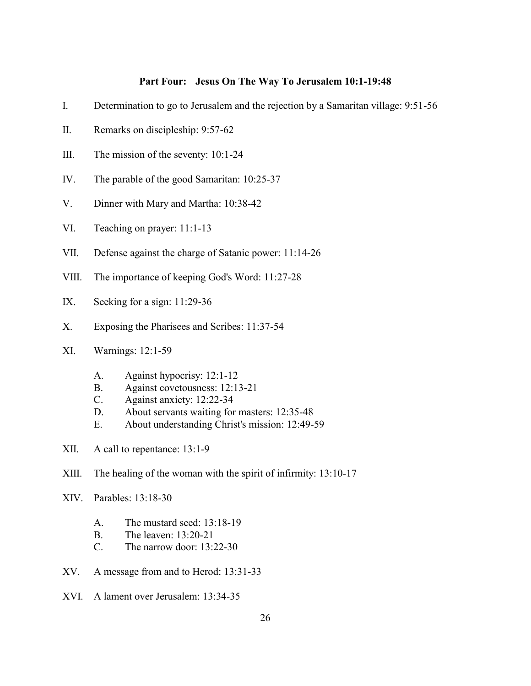### **Part Four: Jesus On The Way To Jerusalem 10:1-19:48**

- I. Determination to go to Jerusalem and the rejection by a Samaritan village: 9:51-56
- II. Remarks on discipleship: 9:57-62
- III. The mission of the seventy: 10:1-24
- IV. The parable of the good Samaritan: 10:25-37
- V. Dinner with Mary and Martha: 10:38-42
- VI. Teaching on prayer: 11:1-13
- VII. Defense against the charge of Satanic power: 11:14-26
- VIII. The importance of keeping God's Word: 11:27-28
- IX. Seeking for a sign: 11:29-36
- X. Exposing the Pharisees and Scribes: 11:37-54
- XI. Warnings: 12:1-59
	- A. Against hypocrisy: 12:1-12
	- B. Against covetousness: 12:13-21
	- C. Against anxiety: 12:22-34
	- D. About servants waiting for masters: 12:35-48
	- E. About understanding Christ's mission: 12:49-59
- XII. A call to repentance: 13:1-9
- XIII. The healing of the woman with the spirit of infirmity: 13:10-17
- XIV. Parables: 13:18-30
	- A. The mustard seed: 13:18-19
	- B. The leaven: 13:20-21
	- C. The narrow door: 13:22-30
- XV. A message from and to Herod: 13:31-33
- XVI. A lament over Jerusalem: 13:34-35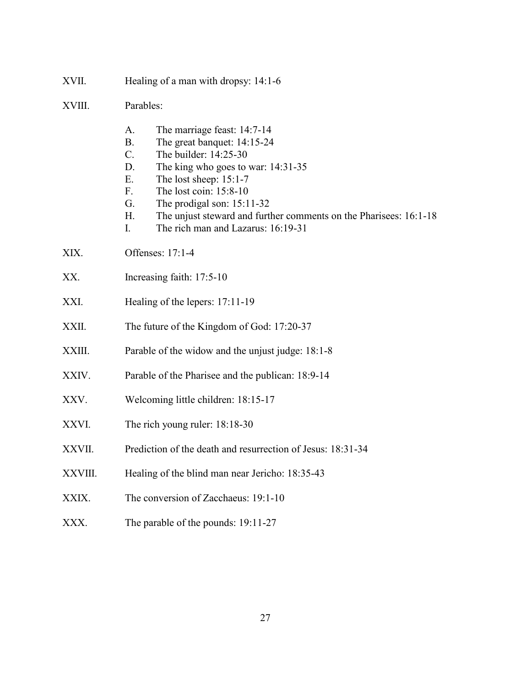| XVII.   | Healing of a man with dropsy: 14:1-6                                                                                                                                                                                                                                                                                                                                                                         |  |  |  |  |
|---------|--------------------------------------------------------------------------------------------------------------------------------------------------------------------------------------------------------------------------------------------------------------------------------------------------------------------------------------------------------------------------------------------------------------|--|--|--|--|
| XVIII.  | Parables:                                                                                                                                                                                                                                                                                                                                                                                                    |  |  |  |  |
|         | The marriage feast: 14:7-14<br>A.<br>The great banquet: 14:15-24<br><b>B.</b><br>The builder: 14:25-30<br>$C_{\cdot}$<br>D.<br>The king who goes to war: 14:31-35<br>The lost sheep: $15:1-7$<br>Ε.<br>The lost coin: 15:8-10<br>F <sub>1</sub><br>G.<br>The prodigal son: $15:11-32$<br>The unjust steward and further comments on the Pharisees: 16:1-18<br>Η.<br>The rich man and Lazarus: 16:19-31<br>I. |  |  |  |  |
| XIX.    | Offenses: 17:1-4                                                                                                                                                                                                                                                                                                                                                                                             |  |  |  |  |
| XX.     | Increasing faith: 17:5-10                                                                                                                                                                                                                                                                                                                                                                                    |  |  |  |  |
| XXI.    | Healing of the lepers: 17:11-19                                                                                                                                                                                                                                                                                                                                                                              |  |  |  |  |
| XXII.   | The future of the Kingdom of God: 17:20-37                                                                                                                                                                                                                                                                                                                                                                   |  |  |  |  |
| XXIII.  | Parable of the widow and the unjust judge: 18:1-8                                                                                                                                                                                                                                                                                                                                                            |  |  |  |  |
| XXIV.   | Parable of the Pharisee and the publican: 18:9-14                                                                                                                                                                                                                                                                                                                                                            |  |  |  |  |
| XXV.    | Welcoming little children: 18:15-17                                                                                                                                                                                                                                                                                                                                                                          |  |  |  |  |
| XXVI.   | The rich young ruler: $18:18-30$                                                                                                                                                                                                                                                                                                                                                                             |  |  |  |  |
| XXVII.  | Prediction of the death and resurrection of Jesus: 18:31-34                                                                                                                                                                                                                                                                                                                                                  |  |  |  |  |
| XXVIII. | Healing of the blind man near Jericho: 18:35-43                                                                                                                                                                                                                                                                                                                                                              |  |  |  |  |
| XXIX.   | The conversion of Zacchaeus: 19:1-10                                                                                                                                                                                                                                                                                                                                                                         |  |  |  |  |
| XXX.    | The parable of the pounds: 19:11-27                                                                                                                                                                                                                                                                                                                                                                          |  |  |  |  |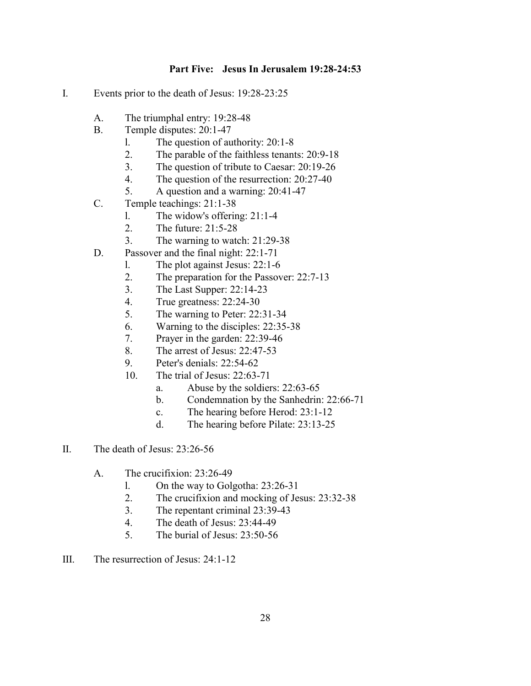### **Part Five: Jesus In Jerusalem 19:28-24:53**

- I. Events prior to the death of Jesus: 19:28-23:25
	- A. The triumphal entry: 19:28-48
	- B. Temple disputes: 20:1-47
		- l. The question of authority: 20:1-8
		- 2. The parable of the faithless tenants: 20:9-18
		- 3. The question of tribute to Caesar: 20:19-26
		- 4. The question of the resurrection: 20:27-40
		- 5. A question and a warning: 20:41-47
	- C. Temple teachings: 21:1-38
		- l. The widow's offering: 21:1-4
		- 2. The future: 21:5-28
		- 3. The warning to watch: 21:29-38
	- D. Passover and the final night: 22:1-71
		- l. The plot against Jesus: 22:1-6
		- 2. The preparation for the Passover: 22:7-13
		- 3. The Last Supper: 22:14-23
		- 4. True greatness: 22:24-30
		- 5. The warning to Peter: 22:31-34
		- 6. Warning to the disciples: 22:35-38
		- 7. Prayer in the garden: 22:39-46
		- 8. The arrest of Jesus: 22:47-53
		- 9. Peter's denials: 22:54-62
		- 10. The trial of Jesus: 22:63-71
			- a. Abuse by the soldiers: 22:63-65
			- b. Condemnation by the Sanhedrin: 22:66-71
			- c. The hearing before Herod: 23:1-12
			- d. The hearing before Pilate: 23:13-25
- II. The death of Jesus: 23:26-56
	- A. The crucifixion: 23:26-49
		- l. On the way to Golgotha: 23:26-31
		- 2. The crucifixion and mocking of Jesus: 23:32-38
		- 3. The repentant criminal 23:39-43
		- 4. The death of Jesus: 23:44-49
		- 5. The burial of Jesus: 23:50-56
- III. The resurrection of Jesus: 24:1-12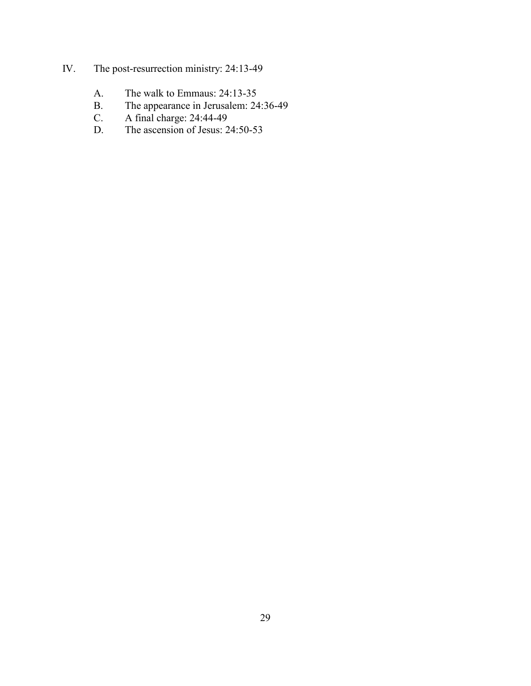- IV. The post-resurrection ministry: 24:13-49
	- A. The walk to Emmaus: 24:13-35
	- B. The appearance in Jerusalem: 24:36-49
	- C. A final charge: 24:44-49
	- D. The ascension of Jesus: 24:50-53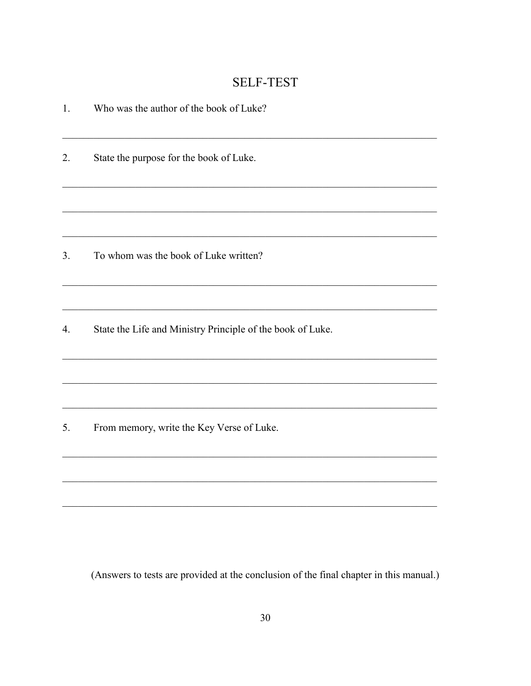## **SELF-TEST**

| 1. | Who was the author of the book of Luke?<br>State the purpose for the book of Luke. |  |  |
|----|------------------------------------------------------------------------------------|--|--|
| 2. |                                                                                    |  |  |
|    |                                                                                    |  |  |
| 3. | To whom was the book of Luke written?                                              |  |  |
| 4. | State the Life and Ministry Principle of the book of Luke.                         |  |  |
|    |                                                                                    |  |  |
| 5. | From memory, write the Key Verse of Luke.                                          |  |  |
|    |                                                                                    |  |  |

(Answers to tests are provided at the conclusion of the final chapter in this manual.)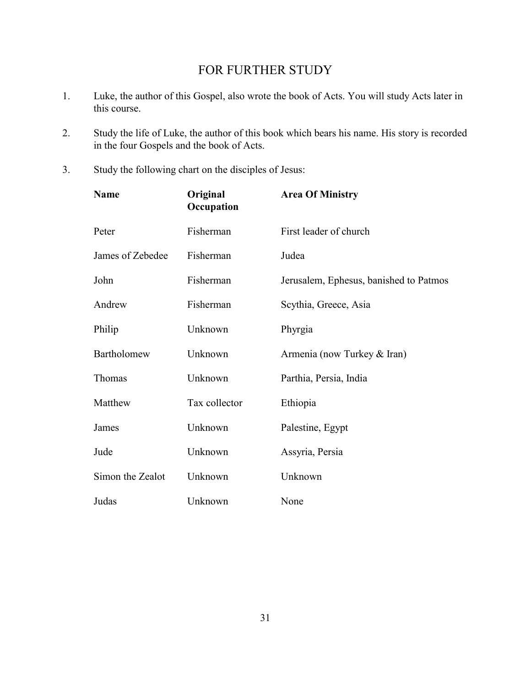## FOR FURTHER STUDY

- 1. Luke, the author of this Gospel, also wrote the book of Acts. You will study Acts later in this course.
- 2. Study the life of Luke, the author of this book which bears his name. His story is recorded in the four Gospels and the book of Acts.
- 3. Study the following chart on the disciples of Jesus:

| <b>Name</b>      | Original<br>Occupation | <b>Area Of Ministry</b>                |
|------------------|------------------------|----------------------------------------|
| Peter            | Fisherman              | First leader of church                 |
| James of Zebedee | Fisherman              | Judea                                  |
| John             | Fisherman              | Jerusalem, Ephesus, banished to Patmos |
| Andrew           | Fisherman              | Scythia, Greece, Asia                  |
| Philip           | Unknown                | Phyrgia                                |
| Bartholomew      | Unknown                | Armenia (now Turkey & Iran)            |
| Thomas           | Unknown                | Parthia, Persia, India                 |
| Matthew          | Tax collector          | Ethiopia                               |
| James            | Unknown                | Palestine, Egypt                       |
| Jude             | Unknown                | Assyria, Persia                        |
| Simon the Zealot | Unknown                | Unknown                                |
| Judas            | Unknown                | None                                   |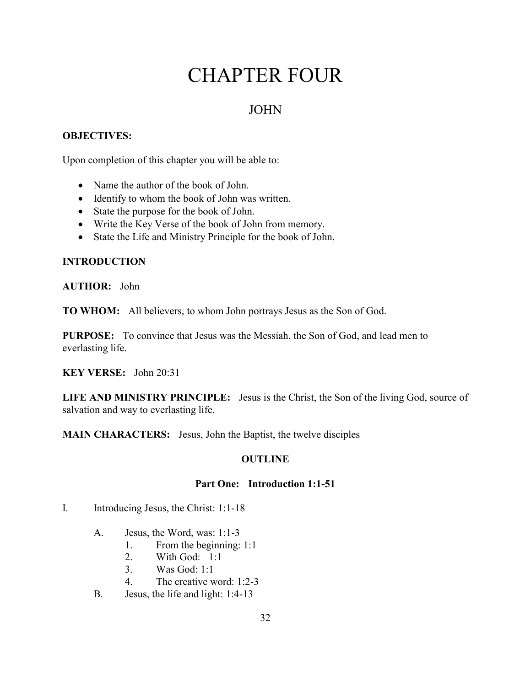# CHAPTER FOUR

### JOHN

#### **OBJECTIVES:**

Upon completion of this chapter you will be able to:

- Name the author of the book of John.
- Identify to whom the book of John was written.
- State the purpose for the book of John.
- Write the Key Verse of the book of John from memory.
- State the Life and Ministry Principle for the book of John.

#### **INTRODUCTION**

**AUTHOR:** John

**TO WHOM:** All believers, to whom John portrays Jesus as the Son of God.

**PURPOSE:** To convince that Jesus was the Messiah, the Son of God, and lead men to everlasting life.

**KEY VERSE:** John 20:31

**LIFE AND MINISTRY PRINCIPLE:** Jesus is the Christ, the Son of the living God, source of salvation and way to everlasting life.

**MAIN CHARACTERS:** Jesus, John the Baptist, the twelve disciples

#### **OUTLINE**

#### **Part One: Introduction 1:1-51**

- I. Introducing Jesus, the Christ: 1:1-18
	- A. Jesus, the Word, was: 1:1-3
		- 1. From the beginning: 1:1
		- 2. With God: 1:1
		- 3. Was God: 1:1
		- 4. The creative word: 1:2-3
	- B. Jesus, the life and light: 1:4-13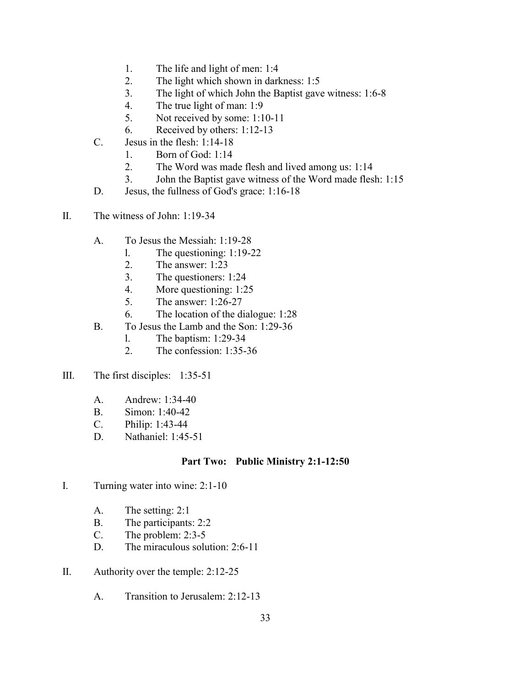- 1. The life and light of men: 1:4
- 2. The light which shown in darkness: 1:5
- 3. The light of which John the Baptist gave witness: 1:6-8
- 4. The true light of man: 1:9
- 5. Not received by some: 1:10-11
- 6. Received by others: 1:12-13
- C. Jesus in the flesh: 1:14-18
	- 1. Born of God: 1:14
	- 2. The Word was made flesh and lived among us: 1:14
	- 3. John the Baptist gave witness of the Word made flesh: 1:15
- D. Jesus, the fullness of God's grace: 1:16-18
- II. The witness of John: 1:19-34
	- A. To Jesus the Messiah: 1:19-28
		- l. The questioning: 1:19-22
		- 2. The answer: 1:23
		- 3. The questioners: 1:24
		- 4. More questioning: 1:25
		- 5. The answer: 1:26-27
		- 6. The location of the dialogue: 1:28
	- B. To Jesus the Lamb and the Son: 1:29-36
		- l. The baptism: 1:29-34
		- 2. The confession: 1:35-36

#### III. The first disciples: 1:35-51

- A. Andrew: 1:34-40
- B. Simon: 1:40-42
- C. Philip: 1:43-44
- D. Nathaniel: 1:45-51

#### **Part Two: Public Ministry 2:1-12:50**

- I. Turning water into wine: 2:1-10
	- A. The setting: 2:1
	- B. The participants: 2:2
	- C. The problem: 2:3-5
	- D. The miraculous solution: 2:6-11
- II. Authority over the temple: 2:12-25
	- A. Transition to Jerusalem: 2:12-13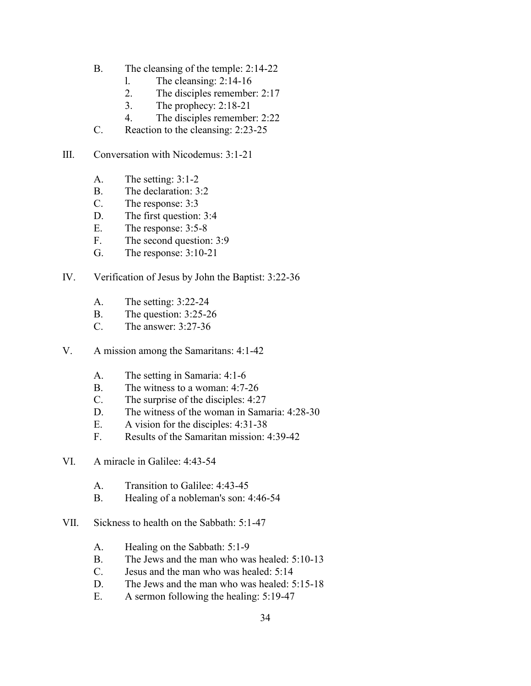- B. The cleansing of the temple: 2:14-22
	- l. The cleansing: 2:14-16
	- 2. The disciples remember: 2:17
	- 3. The prophecy: 2:18-21
	- 4. The disciples remember: 2:22
- C. Reaction to the cleansing: 2:23-25
- III. Conversation with Nicodemus: 3:1-21
	- A. The setting: 3:1-2
	- B. The declaration: 3:2
	- C. The response: 3:3
	- D. The first question: 3:4
	- E. The response: 3:5-8
	- F. The second question: 3:9
	- G. The response: 3:10-21
- IV. Verification of Jesus by John the Baptist: 3:22-36
	- A. The setting: 3:22-24
	- B. The question: 3:25-26
	- C. The answer: 3:27-36
- V. A mission among the Samaritans: 4:1-42
	- A. The setting in Samaria: 4:1-6
	- B. The witness to a woman: 4:7-26
	- C. The surprise of the disciples: 4:27
	- D. The witness of the woman in Samaria: 4:28-30
	- E. A vision for the disciples: 4:31-38
	- F. Results of the Samaritan mission: 4:39-42
- VI. A miracle in Galilee: 4:43-54
	- A. Transition to Galilee: 4:43-45
	- B. Healing of a nobleman's son: 4:46-54
- VII. Sickness to health on the Sabbath: 5:1-47
	- A. Healing on the Sabbath: 5:1-9
	- B. The Jews and the man who was healed: 5:10-13
	- C. Jesus and the man who was healed: 5:14
	- D. The Jews and the man who was healed: 5:15-18
	- E. A sermon following the healing: 5:19-47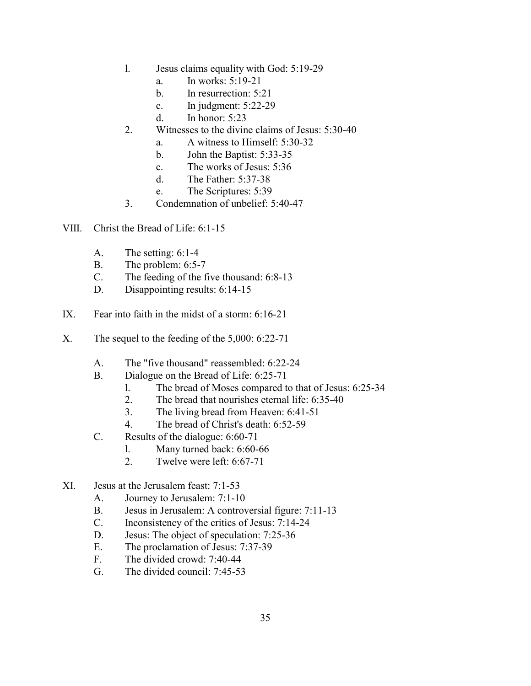- l. Jesus claims equality with God: 5:19-29
	- a. In works: 5:19-21
	- b. In resurrection: 5:21
	- c. In judgment: 5:22-29
	- d. In honor: 5:23
- 2. Witnesses to the divine claims of Jesus: 5:30-40
	- a. A witness to Himself: 5:30-32
	- b. John the Baptist: 5:33-35
	- c. The works of Jesus: 5:36
	- d. The Father: 5:37-38
	- e. The Scriptures: 5:39
- 3. Condemnation of unbelief: 5:40-47
- VIII. Christ the Bread of Life: 6:1-15
	- A. The setting: 6:1-4
	- B. The problem: 6:5-7
	- C. The feeding of the five thousand: 6:8-13
	- D. Disappointing results: 6:14-15
- IX. Fear into faith in the midst of a storm: 6:16-21
- X. The sequel to the feeding of the 5,000: 6:22-71
	- A. The "five thousand" reassembled: 6:22-24
	- B. Dialogue on the Bread of Life: 6:25-71
		- l. The bread of Moses compared to that of Jesus: 6:25-34
		- 2. The bread that nourishes eternal life: 6:35-40
		- 3. The living bread from Heaven: 6:41-51
		- 4. The bread of Christ's death: 6:52-59
	- C. Results of the dialogue: 6:60-71
		- l. Many turned back: 6:60-66
		- 2. Twelve were left: 6:67-71
- XI. Jesus at the Jerusalem feast: 7:1-53
	- A. Journey to Jerusalem: 7:1-10
	- B. Jesus in Jerusalem: A controversial figure: 7:11-13
	- C. Inconsistency of the critics of Jesus: 7:14-24
	- D. Jesus: The object of speculation: 7:25-36
	- E. The proclamation of Jesus: 7:37-39
	- F. The divided crowd: 7:40-44
	- G. The divided council: 7:45-53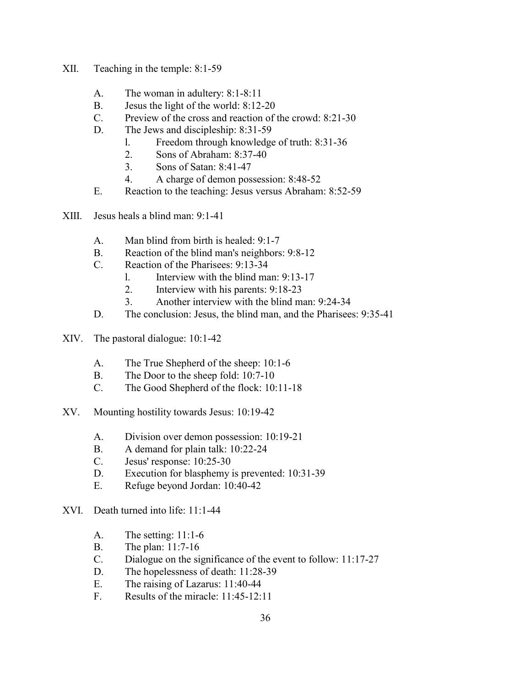- XII. Teaching in the temple: 8:1-59
	- A. The woman in adultery: 8:1-8:11
	- B. Jesus the light of the world: 8:12-20
	- C. Preview of the cross and reaction of the crowd: 8:21-30
	- D. The Jews and discipleship: 8:31-59
		- l. Freedom through knowledge of truth: 8:31-36
		- 2. Sons of Abraham: 8:37-40
		- 3. Sons of Satan: 8:41-47
		- 4. A charge of demon possession: 8:48-52
	- E. Reaction to the teaching: Jesus versus Abraham: 8:52-59
- XIII. Jesus heals a blind man: 9:1-41
	- A. Man blind from birth is healed: 9:1-7
	- B. Reaction of the blind man's neighbors: 9:8-12
	- C. Reaction of the Pharisees: 9:13-34
		- l. Interview with the blind man: 9:13-17
		- 2. Interview with his parents: 9:18-23
		- 3. Another interview with the blind man: 9:24-34
	- D. The conclusion: Jesus, the blind man, and the Pharisees: 9:35-41
- XIV. The pastoral dialogue: 10:1-42
	- A. The True Shepherd of the sheep: 10:1-6
	- B. The Door to the sheep fold: 10:7-10
	- C. The Good Shepherd of the flock: 10:11-18
- XV. Mounting hostility towards Jesus: 10:19-42
	- A. Division over demon possession: 10:19-21
	- B. A demand for plain talk: 10:22-24
	- C. Jesus' response: 10:25-30
	- D. Execution for blasphemy is prevented: 10:31-39
	- E. Refuge beyond Jordan: 10:40-42
- XVI. Death turned into life: 11:1-44
	- A. The setting: 11:1-6
	- B. The plan: 11:7-16
	- C. Dialogue on the significance of the event to follow: 11:17-27
	- D. The hopelessness of death: 11:28-39
	- E. The raising of Lazarus: 11:40-44
	- F. Results of the miracle: 11:45-12:11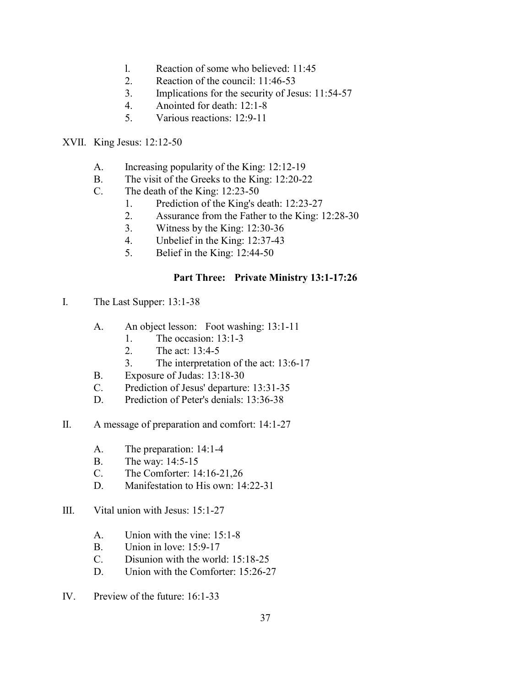- l. Reaction of some who believed: 11:45
- 2. Reaction of the council: 11:46-53
- 3. Implications for the security of Jesus: 11:54-57
- 4. Anointed for death: 12:1-8
- 5. Various reactions: 12:9-11

#### XVII. King Jesus: 12:12-50

- A. Increasing popularity of the King: 12:12-19
- B. The visit of the Greeks to the King: 12:20-22
- C. The death of the King: 12:23-50
	- 1. Prediction of the King's death: 12:23-27
	- 2. Assurance from the Father to the King: 12:28-30
	- 3. Witness by the King: 12:30-36
	- 4. Unbelief in the King: 12:37-43
	- 5. Belief in the King: 12:44-50

#### **Part Three: Private Ministry 13:1-17:26**

- I. The Last Supper: 13:1-38
	- A. An object lesson: Foot washing: 13:1-11
		- 1. The occasion: 13:1-3
		- 2. The act: 13:4-5
		- 3. The interpretation of the act: 13:6-17
	- B. Exposure of Judas: 13:18-30
	- C. Prediction of Jesus' departure: 13:31-35
	- D. Prediction of Peter's denials: 13:36-38
- II. A message of preparation and comfort: 14:1-27
	- A. The preparation: 14:1-4
	- B. The way: 14:5-15
	- C. The Comforter: 14:16-21,26
	- D. Manifestation to His own: 14:22-31
- III. Vital union with Jesus: 15:1-27
	- A. Union with the vine: 15:1-8
	- B. Union in love: 15:9-17
	- C. Disunion with the world: 15:18-25
	- D. Union with the Comforter: 15:26-27
- IV. Preview of the future: 16:1-33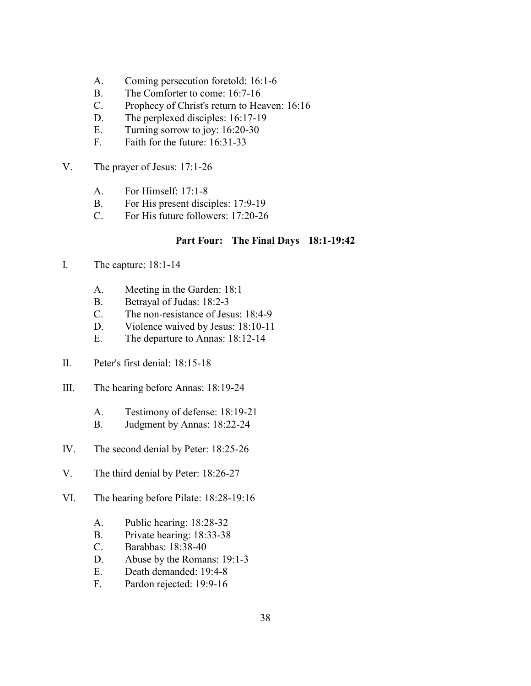- A. Coming persecution foretold: 16:1-6
- B. The Comforter to come: 16:7-16
- C. Prophecy of Christ's return to Heaven: 16:16
- D. The perplexed disciples: 16:17-19
- E. Turning sorrow to joy: 16:20-30
- F. Faith for the future: 16:31-33
- V. The prayer of Jesus: 17:1-26
	- A. For Himself: 17:1-8
	- B. For His present disciples: 17:9-19
	- C. For His future followers: 17:20-26

#### **Part Four: The Final Days 18:1-19:42**

- I. The capture: 18:1-14
	- A. Meeting in the Garden: 18:1
	- B. Betrayal of Judas: 18:2-3
	- C. The non-resistance of Jesus: 18:4-9
	- D. Violence waived by Jesus: 18:10-11
	- E. The departure to Annas: 18:12-14
- II. Peter's first denial: 18:15-18
- III. The hearing before Annas: 18:19-24
	- A. Testimony of defense: 18:19-21
	- B. Judgment by Annas: 18:22-24
- IV. The second denial by Peter: 18:25-26
- V. The third denial by Peter: 18:26-27
- VI. The hearing before Pilate: 18:28-19:16
	- A. Public hearing: 18:28-32
	- B. Private hearing: 18:33-38
	- C. Barabbas: 18:38-40
	- D. Abuse by the Romans: 19:1-3
	- E. Death demanded: 19:4-8
	- F. Pardon rejected: 19:9-16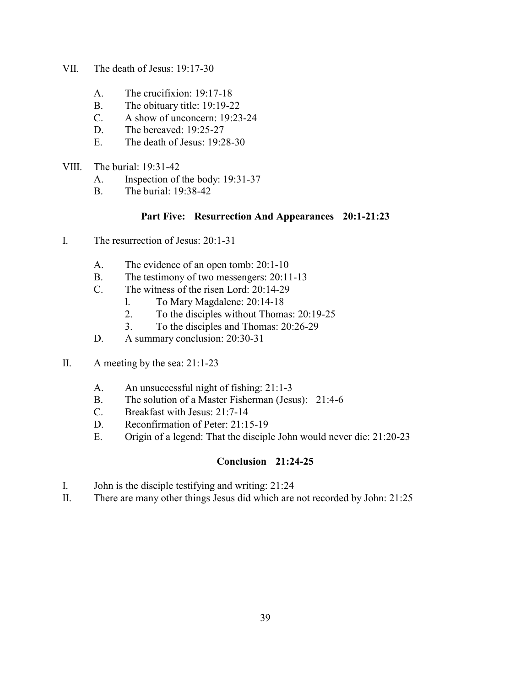- VII. The death of Jesus: 19:17-30
	- A. The crucifixion: 19:17-18
	- B. The obituary title: 19:19-22
	- C. A show of unconcern: 19:23-24
	- D. The bereaved: 19:25-27
	- E. The death of Jesus: 19:28-30
- VIII. The burial: 19:31-42
	- A. Inspection of the body: 19:31-37
	- B. The burial: 19:38-42

#### **Part Five: Resurrection And Appearances 20:1-21:23**

- I. The resurrection of Jesus: 20:1-31
	- A. The evidence of an open tomb: 20:1-10
	- B. The testimony of two messengers: 20:11-13
	- C. The witness of the risen Lord: 20:14-29
		- l. To Mary Magdalene: 20:14-18
		- 2. To the disciples without Thomas: 20:19-25
		- 3. To the disciples and Thomas: 20:26-29
	- D. A summary conclusion: 20:30-31
- II. A meeting by the sea: 21:1-23
	- A. An unsuccessful night of fishing: 21:1-3
	- B. The solution of a Master Fisherman (Jesus): 21:4-6
	- C. Breakfast with Jesus: 21:7-14
	- D. Reconfirmation of Peter: 21:15-19
	- E. Origin of a legend: That the disciple John would never die: 21:20-23

#### **Conclusion 21:24-25**

- I. John is the disciple testifying and writing: 21:24
- II. There are many other things Jesus did which are not recorded by John: 21:25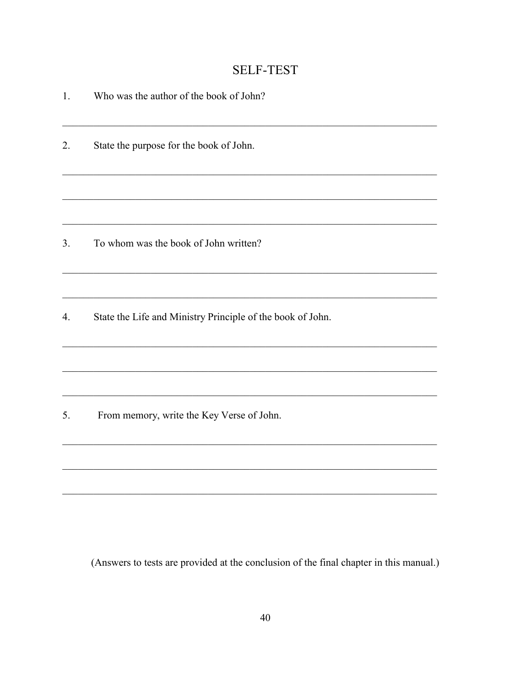### **SELF-TEST**

 $1<sub>1</sub>$ Who was the author of the book of John?

State the purpose for the book of John. 2.

To whom was the book of John written?  $3.$ 

State the Life and Ministry Principle of the book of John.  $4.$ 

From memory, write the Key Verse of John. 5.

(Answers to tests are provided at the conclusion of the final chapter in this manual.)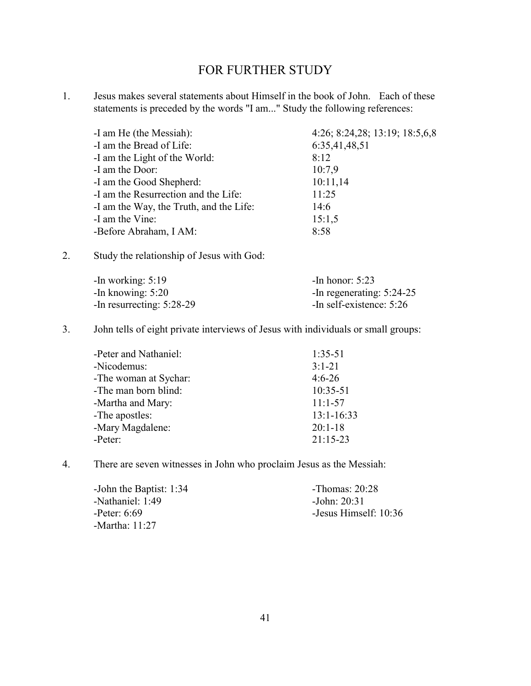## FOR FURTHER STUDY

1. Jesus makes several statements about Himself in the book of John. Each of these statements is preceded by the words "I am..." Study the following references:

| -I am He (the Messiah):                 | 4:26; 8:24,28; 13:19; 18:5,6,8 |
|-----------------------------------------|--------------------------------|
| -I am the Bread of Life:                | 6:35,41,48,51                  |
| -I am the Light of the World:           | 8:12                           |
| -I am the Door:                         | 10:7,9                         |
| -I am the Good Shepherd:                | 10:11,14                       |
| -I am the Resurrection and the Life:    | 11:25                          |
| -I am the Way, the Truth, and the Life: | 14:6                           |
| -I am the Vine:                         | 15:1,5                         |
| -Before Abraham, I AM:                  | 8:58                           |

### 2. Study the relationship of Jesus with God:

| -In working: $5:19$       | -In honor: $5:23$         |
|---------------------------|---------------------------|
| -In knowing: 5:20         | -In regenerating: 5:24-25 |
| -In resurrecting: 5:28-29 | -In self-existence: 5:26  |

3. John tells of eight private interviews of Jesus with individuals or small groups:

| $1:35-51$      |
|----------------|
| $3:1 - 21$     |
| $4:6 - 26$     |
| $10:35-51$     |
| $11:1-57$      |
| $13:1 - 16:33$ |
| $20:1-18$      |
| $21:15-23$     |
|                |

4. There are seven witnesses in John who proclaim Jesus as the Messiah:

| -Thomas: $20:28$      |
|-----------------------|
| -John: 20:31          |
| -Jesus Himself: 10:36 |
|                       |
|                       |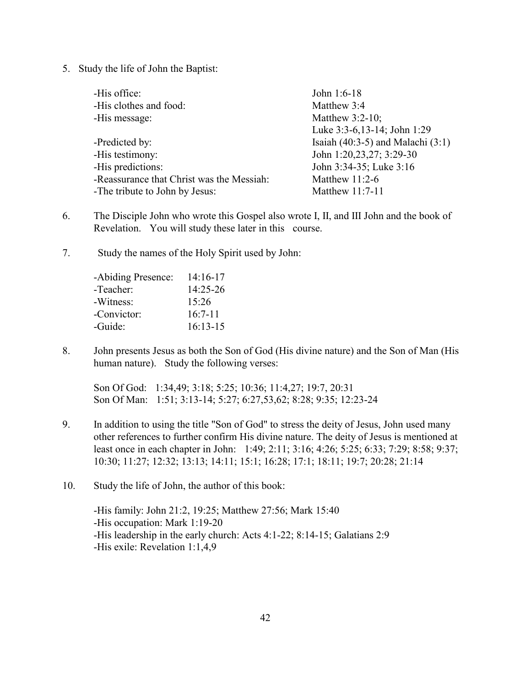5. Study the life of John the Baptist:

| -His office:                              | John 1:6-18                           |
|-------------------------------------------|---------------------------------------|
| -His clothes and food:                    | Matthew 3:4                           |
| -His message:                             | Matthew 3:2-10;                       |
|                                           | Luke 3:3-6,13-14; John 1:29           |
| -Predicted by:                            | Isaiah $(40:3-5)$ and Malachi $(3:1)$ |
| -His testimony:                           | John 1:20,23,27; 3:29-30              |
| -His predictions:                         | John 3:34-35; Luke 3:16               |
| -Reassurance that Christ was the Messiah: | Matthew $11:2-6$                      |
| -The tribute to John by Jesus:            | Matthew 11:7-11                       |
|                                           |                                       |

- 6. The Disciple John who wrote this Gospel also wrote I, II, and III John and the book of Revelation. You will study these later in this course.
- 7. Study the names of the Holy Spirit used by John:

| -Abiding Presence: | 14:16-17   |
|--------------------|------------|
| -Teacher:          | 14:25-26   |
| -Witness:          | 15:26      |
| -Convictor:        | $16:7-11$  |
| -Guide:            | $16:13-15$ |

8. John presents Jesus as both the Son of God (His divine nature) and the Son of Man (His human nature). Study the following verses:

Son Of God: 1:34,49; 3:18; 5:25; 10:36; 11:4,27; 19:7, 20:31 Son Of Man: 1:51; 3:13-14; 5:27; 6:27,53,62; 8:28; 9:35; 12:23-24

- 9. In addition to using the title "Son of God" to stress the deity of Jesus, John used many other references to further confirm His divine nature. The deity of Jesus is mentioned at least once in each chapter in John: 1:49; 2:11; 3:16; 4:26; 5:25; 6:33; 7:29; 8:58; 9:37; 10:30; 11:27; 12:32; 13:13; 14:11; 15:1; 16:28; 17:1; 18:11; 19:7; 20:28; 21:14
- 10. Study the life of John, the author of this book:

-His family: John 21:2, 19:25; Matthew 27:56; Mark 15:40 -His occupation: Mark 1:19-20 -His leadership in the early church: Acts 4:1-22; 8:14-15; Galatians 2:9 -His exile: Revelation 1:1,4,9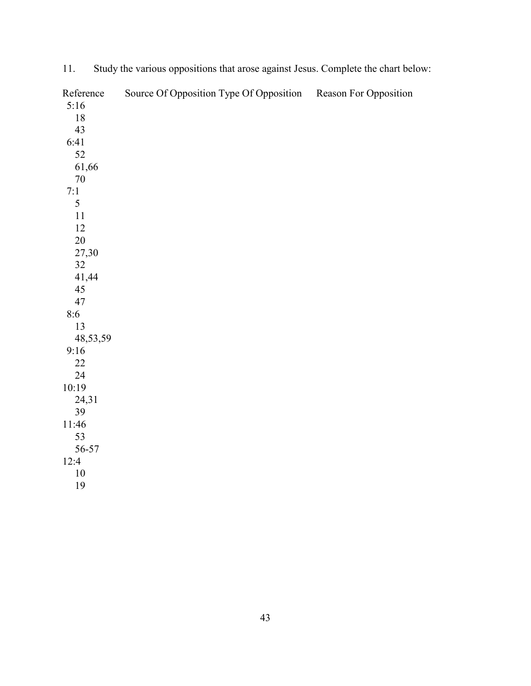| Reference<br>5:16<br>18<br>43<br>6:41 | Source Of Opposition Type Of Opposition Reason For Opposition |  |
|---------------------------------------|---------------------------------------------------------------|--|
| 52                                    |                                                               |  |
| 61,66                                 |                                                               |  |
| $70\,$                                |                                                               |  |
| 7:1                                   |                                                               |  |
| $\mathfrak{S}$                        |                                                               |  |
| 11                                    |                                                               |  |
| 12                                    |                                                               |  |
| 20                                    |                                                               |  |
| 27,30                                 |                                                               |  |
| 32                                    |                                                               |  |
| 41,44                                 |                                                               |  |
| 45                                    |                                                               |  |
| 47                                    |                                                               |  |
| 8:6                                   |                                                               |  |
| 13                                    |                                                               |  |
| 48,53,59                              |                                                               |  |
| 9:16                                  |                                                               |  |
| 22                                    |                                                               |  |
| 24                                    |                                                               |  |
| 10:19                                 |                                                               |  |
| 24,31<br>39                           |                                                               |  |
| 11:46                                 |                                                               |  |
| 53                                    |                                                               |  |
| 56-57                                 |                                                               |  |
| 12:4                                  |                                                               |  |
| 10                                    |                                                               |  |
| 19                                    |                                                               |  |
|                                       |                                                               |  |

11. Study the various oppositions that arose against Jesus. Complete the chart below: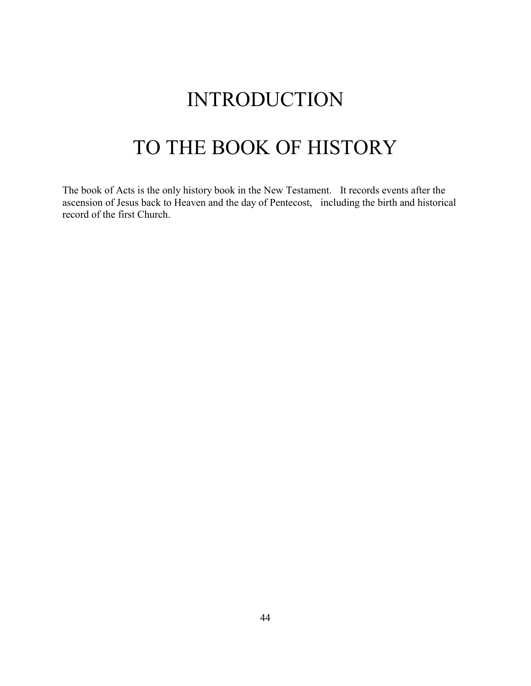# INTRODUCTION

# TO THE BOOK OF HISTORY

The book of Acts is the only history book in the New Testament. It records events after the ascension of Jesus back to Heaven and the day of Pentecost, including the birth and historical record of the first Church.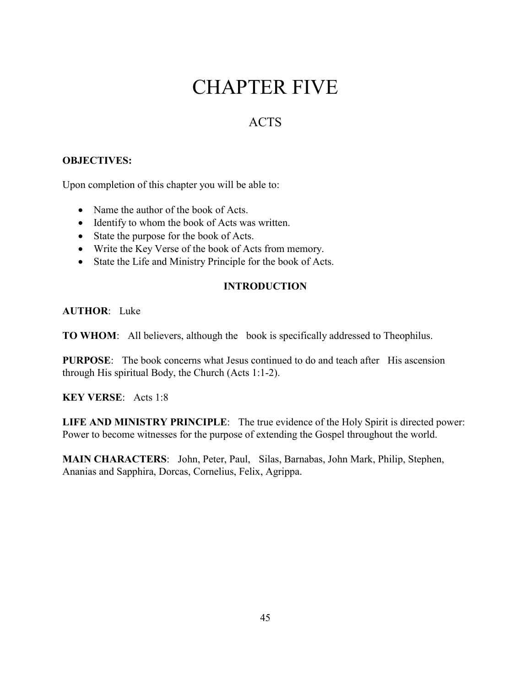# CHAPTER FIVE

# ACTS

#### **OBJECTIVES:**

Upon completion of this chapter you will be able to:

- Name the author of the book of Acts.
- Identify to whom the book of Acts was written.
- State the purpose for the book of Acts.
- Write the Key Verse of the book of Acts from memory.
- State the Life and Ministry Principle for the book of Acts.

#### **INTRODUCTION**

**AUTHOR**: Luke

**TO WHOM**: All believers, although the book is specifically addressed to Theophilus.

**PURPOSE**: The book concerns what Jesus continued to do and teach after His ascension through His spiritual Body, the Church (Acts 1:1-2).

**KEY VERSE**: Acts 1:8

**LIFE AND MINISTRY PRINCIPLE**: The true evidence of the Holy Spirit is directed power: Power to become witnesses for the purpose of extending the Gospel throughout the world.

**MAIN CHARACTERS**: John, Peter, Paul, Silas, Barnabas, John Mark, Philip, Stephen, Ananias and Sapphira, Dorcas, Cornelius, Felix, Agrippa.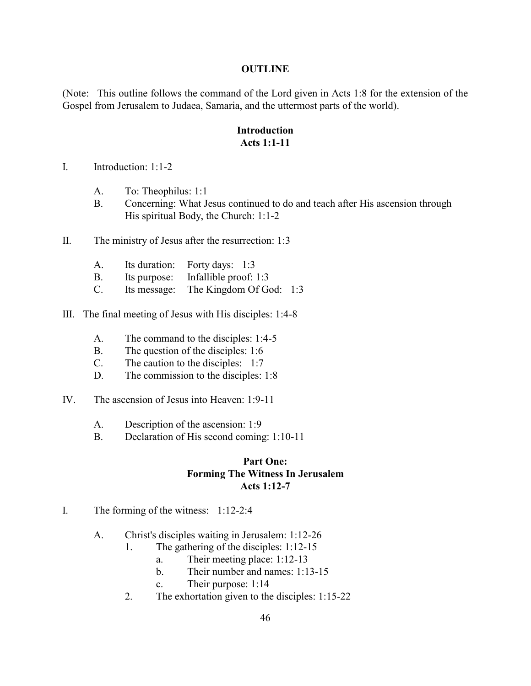#### **OUTLINE**

(Note: This outline follows the command of the Lord given in Acts 1:8 for the extension of the Gospel from Jerusalem to Judaea, Samaria, and the uttermost parts of the world).

#### **Introduction Acts 1:1-11**

I. Introduction: 1:1-2

- A. To: Theophilus: 1:1
- B. Concerning: What Jesus continued to do and teach after His ascension through His spiritual Body, the Church: 1:1-2
- II. The ministry of Jesus after the resurrection: 1:3
	- A. Its duration: Forty days: 1:3
	- B. Its purpose: Infallible proof: 1:3
	- C. Its message: The Kingdom Of God: 1:3

III. The final meeting of Jesus with His disciples: 1:4-8

- A. The command to the disciples: 1:4-5
- B. The question of the disciples: 1:6
- C. The caution to the disciples: 1:7
- D. The commission to the disciples: 1:8
- IV. The ascension of Jesus into Heaven: 1:9-11
	- A. Description of the ascension: 1:9
	- B. Declaration of His second coming: 1:10-11

#### **Part One: Forming The Witness In Jerusalem Acts 1:12-7**

- I. The forming of the witness: 1:12-2:4
	- A. Christ's disciples waiting in Jerusalem: 1:12-26
		- 1. The gathering of the disciples: 1:12-15
			- a. Their meeting place: 1:12-13
			- b. Their number and names: 1:13-15
			- c. Their purpose: 1:14
		- 2. The exhortation given to the disciples: 1:15-22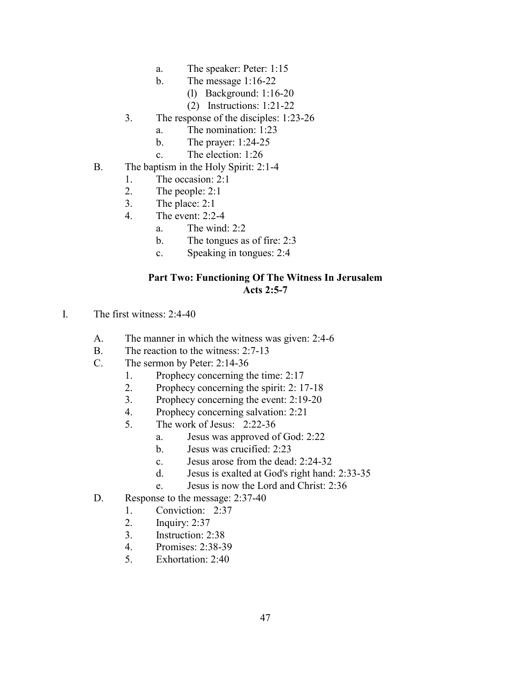- a. The speaker: Peter: 1:15
- b. The message 1:16-22
	- (l) Background: 1:16-20
	- (2) Instructions: 1:21-22
- 3. The response of the disciples: 1:23-26
	- a. The nomination: 1:23
	- b. The prayer: 1:24-25
	- c. The election: 1:26
- B. The baptism in the Holy Spirit: 2:1-4
	- 1. The occasion: 2:1
	- 2. The people: 2:1
	- 3. The place: 2:1
	- 4. The event: 2:2-4
		- a. The wind: 2:2
		- b. The tongues as of fire: 2:3
		- c. Speaking in tongues: 2:4

#### **Part Two: Functioning Of The Witness In Jerusalem Acts 2:5-7**

- I. The first witness: 2:4-40
	- A. The manner in which the witness was given: 2:4-6
	- B. The reaction to the witness: 2:7-13
	- C. The sermon by Peter: 2:14-36
		- 1. Prophecy concerning the time: 2:17
		- 2. Prophecy concerning the spirit: 2: 17-18
		- 3. Prophecy concerning the event: 2:19-20
		- 4. Prophecy concerning salvation: 2:21
		- 5. The work of Jesus: 2:22-36
			- a. Jesus was approved of God: 2:22
			- b. Jesus was crucified: 2:23
			- c. Jesus arose from the dead: 2:24-32
			- d. Jesus is exalted at God's right hand: 2:33-35
			- e. Jesus is now the Lord and Christ: 2:36
	- D. Response to the message: 2:37-40
		- 1. Conviction: 2:37
			- 2. Inquiry: 2:37
			- 3. Instruction: 2:38
			- 4. Promises: 2:38-39
			- 5. Exhortation: 2:40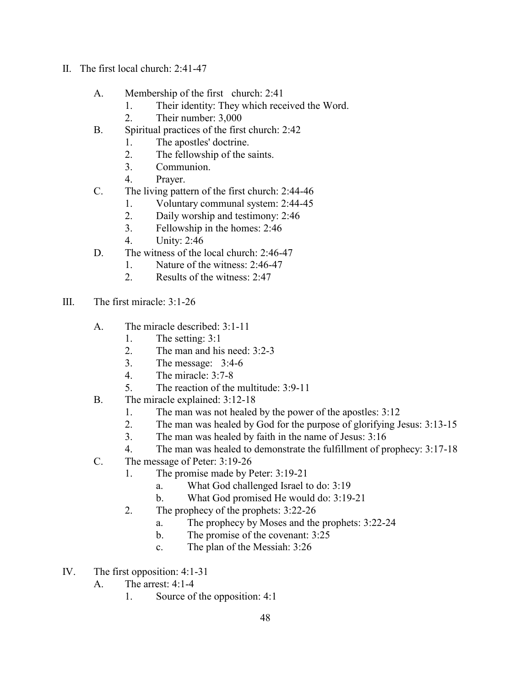- II. The first local church: 2:41-47
	- A. Membership of the first church: 2:41
		- 1. Their identity: They which received the Word.
		- 2. Their number: 3,000
	- B. Spiritual practices of the first church: 2:42
		- 1. The apostles' doctrine.
		- 2. The fellowship of the saints.
		- 3. Communion.
		- 4. Prayer.
	- C. The living pattern of the first church: 2:44-46
		- 1. Voluntary communal system: 2:44-45
		- 2. Daily worship and testimony: 2:46
		- 3. Fellowship in the homes: 2:46
		- 4. Unity: 2:46
	- D. The witness of the local church: 2:46-47
		- 1. Nature of the witness: 2:46-47
		- 2. Results of the witness: 2:47
- III. The first miracle: 3:1-26
	- A. The miracle described: 3:1-11
		- 1. The setting: 3:1
		- 2. The man and his need: 3:2-3
		- 3. The message: 3:4-6
		- 4. The miracle: 3:7-8
		- 5. The reaction of the multitude: 3:9-11
	- B. The miracle explained: 3:12-18
		- 1. The man was not healed by the power of the apostles: 3:12
		- 2. The man was healed by God for the purpose of glorifying Jesus: 3:13-15
		- 3. The man was healed by faith in the name of Jesus: 3:16
		- 4. The man was healed to demonstrate the fulfillment of prophecy: 3:17-18
	- C. The message of Peter: 3:19-26
		- 1. The promise made by Peter: 3:19-21
			- a. What God challenged Israel to do: 3:19
			- b. What God promised He would do: 3:19-21
		- 2. The prophecy of the prophets: 3:22-26
			- a. The prophecy by Moses and the prophets: 3:22-24
			- b. The promise of the covenant: 3:25
			- c. The plan of the Messiah: 3:26
- IV. The first opposition: 4:1-31
	- A. The arrest: 4:1-4
		- 1. Source of the opposition: 4:1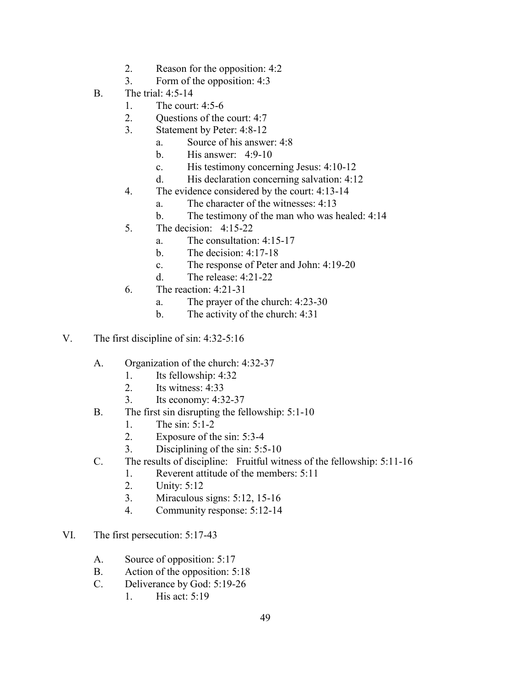- 2. Reason for the opposition: 4:2
- 3. Form of the opposition: 4:3
- B. The trial: 4:5-14
	- 1. The court: 4:5-6
	- 2. Questions of the court: 4:7
	- 3. Statement by Peter: 4:8-12
		- a. Source of his answer: 4:8
		- b. His answer: 4:9-10
		- c. His testimony concerning Jesus: 4:10-12
		- d. His declaration concerning salvation: 4:12
	- 4. The evidence considered by the court: 4:13-14
		- a. The character of the witnesses: 4:13
		- b. The testimony of the man who was healed: 4:14
	- 5. The decision: 4:15-22
		- a. The consultation: 4:15-17
		- b. The decision: 4:17-18
		- c. The response of Peter and John: 4:19-20
		- d. The release: 4:21-22
	- 6. The reaction: 4:21-31
		- a. The prayer of the church: 4:23-30
		- b. The activity of the church: 4:31
- V. The first discipline of sin: 4:32-5:16
	- A. Organization of the church: 4:32-37
		- 1. Its fellowship: 4:32
		- 2. Its witness: 4:33
		- 3. Its economy: 4:32-37
	- B. The first sin disrupting the fellowship: 5:1-10
		- 1. The sin: 5:1-2
		- 2. Exposure of the sin: 5:3-4
		- 3. Disciplining of the sin: 5:5-10
	- C. The results of discipline: Fruitful witness of the fellowship: 5:11-16
		- 1. Reverent attitude of the members: 5:11
		- 2. Unity: 5:12
		- 3. Miraculous signs: 5:12, 15-16
		- 4. Community response: 5:12-14
- VI. The first persecution: 5:17-43
	- A. Source of opposition: 5:17
	- B. Action of the opposition: 5:18
	- C. Deliverance by God: 5:19-26
		- 1. His act: 5:19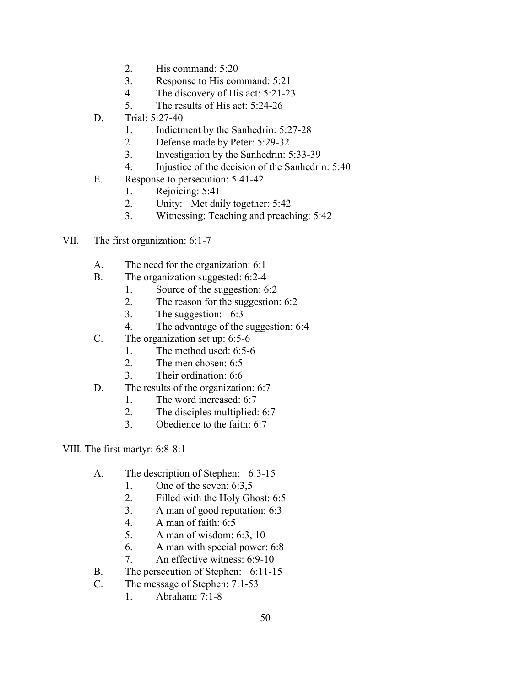- 2. His command: 5:20
- 3. Response to His command: 5:21
- 4. The discovery of His act: 5:21-23
- 5. The results of His act: 5:24-26
- D. Trial: 5:27-40
	- 1. Indictment by the Sanhedrin: 5:27-28
	- 2. Defense made by Peter: 5:29-32
	- 3. Investigation by the Sanhedrin: 5:33-39
	- 4. Injustice of the decision of the Sanhedrin: 5:40
- E. Response to persecution: 5:41-42
	- 1. Rejoicing: 5:41
	- 2. Unity: Met daily together: 5:42
	- 3. Witnessing: Teaching and preaching: 5:42
- VII. The first organization: 6:1-7
	- A. The need for the organization: 6:1
	- B. The organization suggested: 6:2-4
		- 1. Source of the suggestion: 6:2
		- 2. The reason for the suggestion: 6:2
		- 3. The suggestion: 6:3
		- 4. The advantage of the suggestion: 6:4
	- C. The organization set up: 6:5-6
		- 1. The method used: 6:5-6
		- 2. The men chosen: 6:5
		- 3. Their ordination: 6:6
	- D. The results of the organization: 6:7
		- 1. The word increased: 6:7
		- 2. The disciples multiplied: 6:7
		- 3. Obedience to the faith: 6:7

VIII. The first martyr: 6:8-8:1

- A. The description of Stephen: 6:3-15
	- 1. One of the seven: 6:3,5
	- 2. Filled with the Holy Ghost: 6:5
	- 3. A man of good reputation: 6:3
	- 4. A man of faith: 6:5
	- 5. A man of wisdom: 6:3, 10
	- 6. A man with special power: 6:8
	- 7. An effective witness: 6:9-10
- B. The persecution of Stephen: 6:11-15
- C. The message of Stephen: 7:1-53
	- 1. Abraham: 7:1-8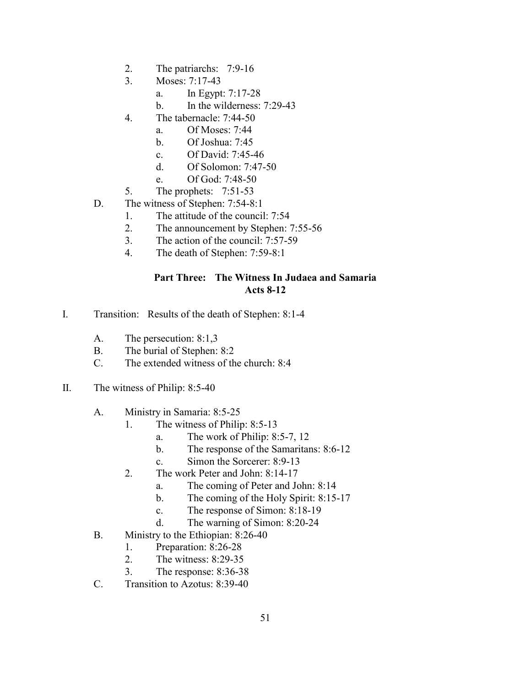- 2. The patriarchs: 7:9-16
- 3. Moses: 7:17-43
	- a. In Egypt: 7:17-28
	- b. In the wilderness: 7:29-43
- 4. The tabernacle: 7:44-50
	- a. Of Moses: 7:44
	- b. Of Joshua: 7:45
	- c. Of David: 7:45-46
	- d. Of Solomon: 7:47-50
	- e. Of God: 7:48-50
- 5. The prophets: 7:51-53
- D. The witness of Stephen: 7:54-8:1
	- 1. The attitude of the council: 7:54
	- 2. The announcement by Stephen: 7:55-56
	- 3. The action of the council: 7:57-59
	- 4. The death of Stephen: 7:59-8:1

#### **Part Three: The Witness In Judaea and Samaria Acts 8-12**

- I. Transition: Results of the death of Stephen: 8:1-4
	- A. The persecution: 8:1,3
	- B. The burial of Stephen: 8:2
	- C. The extended witness of the church: 8:4
- II. The witness of Philip: 8:5-40
	- A. Ministry in Samaria: 8:5-25
		- 1. The witness of Philip: 8:5-13
			- a. The work of Philip: 8:5-7, 12
			- b. The response of the Samaritans: 8:6-12
			- c. Simon the Sorcerer: 8:9-13
		- 2. The work Peter and John: 8:14-17
			- a. The coming of Peter and John: 8:14
			- b. The coming of the Holy Spirit: 8:15-17
			- c. The response of Simon: 8:18-19
			- d. The warning of Simon: 8:20-24
	- B. Ministry to the Ethiopian: 8:26-40
		- 1. Preparation: 8:26-28
		- 2. The witness: 8:29-35
		- 3. The response: 8:36-38
	- C. Transition to Azotus: 8:39-40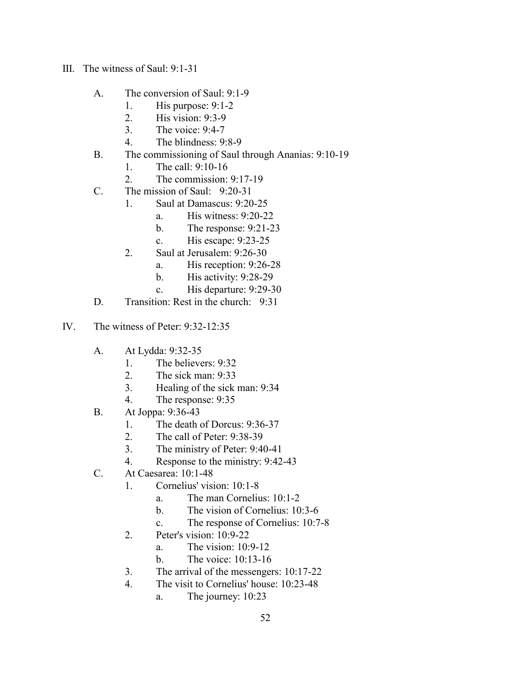- III. The witness of Saul: 9:1-31
	- A. The conversion of Saul: 9:1-9
		- 1. His purpose: 9:1-2
		- 2. His vision: 9:3-9
		- 3. The voice: 9:4-7
		- 4. The blindness: 9:8-9
	- B. The commissioning of Saul through Ananias: 9:10-19
		- 1. The call: 9:10-16
		- 2. The commission: 9:17-19
	- C. The mission of Saul: 9:20-31
		- 1. Saul at Damascus: 9:20-25
			- a. His witness: 9:20-22
			- b. The response: 9:21-23
			- c. His escape: 9:23-25
		- 2. Saul at Jerusalem: 9:26-30
			- a. His reception: 9:26-28
			- b. His activity: 9:28-29
			- c. His departure: 9:29-30
	- D. Transition: Rest in the church: 9:31
- IV. The witness of Peter: 9:32-12:35
	- A. At Lydda: 9:32-35
		- 1. The believers: 9:32
		- 2. The sick man: 9:33
		- 3. Healing of the sick man: 9:34
		- 4. The response: 9:35
	- B. At Joppa: 9:36-43
		- 1. The death of Dorcus: 9:36-37
		- 2. The call of Peter: 9:38-39
		- 3. The ministry of Peter: 9:40-41
		- 4. Response to the ministry: 9:42-43
	- C. At Caesarea: 10:1-48
		- 1. Cornelius' vision: 10:1-8
			- a. The man Cornelius: 10:1-2
			- b. The vision of Cornelius: 10:3-6
			- c. The response of Cornelius: 10:7-8
		- 2. Peter's vision: 10:9-22
			- a. The vision: 10:9-12
			- b. The voice: 10:13-16
		- 3. The arrival of the messengers: 10:17-22
		- 4. The visit to Cornelius' house: 10:23-48
			- a. The journey: 10:23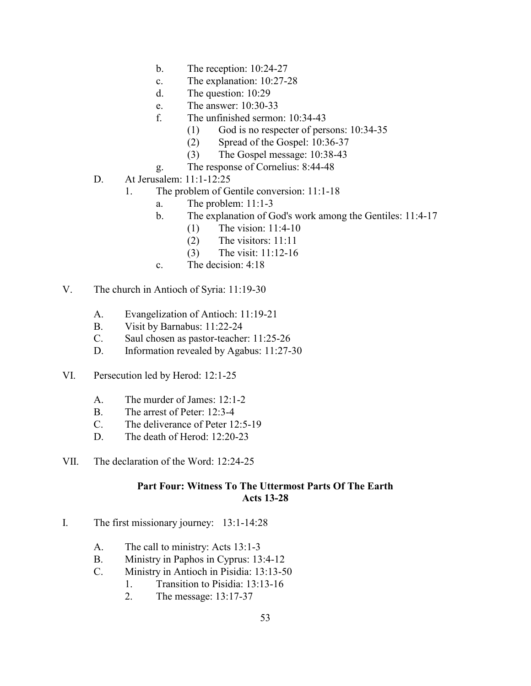- b. The reception: 10:24-27
- c. The explanation: 10:27-28
- d. The question: 10:29
- e. The answer: 10:30-33
- f. The unfinished sermon: 10:34-43
	- (1) God is no respecter of persons: 10:34-35
	- (2) Spread of the Gospel: 10:36-37
	- (3) The Gospel message: 10:38-43
- g. The response of Cornelius: 8:44-48
- D. At Jerusalem: 11:1-12:25
	- 1. The problem of Gentile conversion: 11:1-18
		- a. The problem: 11:1-3
		- b. The explanation of God's work among the Gentiles: 11:4-17
			- (1) The vision: 11:4-10
			- (2) The visitors: 11:11
			- (3) The visit: 11:12-16
		- c. The decision: 4:18
- V. The church in Antioch of Syria: 11:19-30
	- A. Evangelization of Antioch: 11:19-21
	- B. Visit by Barnabus: 11:22-24
	- C. Saul chosen as pastor-teacher: 11:25-26
	- D. Information revealed by Agabus: 11:27-30
- VI. Persecution led by Herod: 12:1-25
	- A. The murder of James: 12:1-2
	- B. The arrest of Peter: 12:3-4
	- C. The deliverance of Peter 12:5-19
	- D. The death of Herod: 12:20-23
- VII. The declaration of the Word: 12:24-25

#### **Part Four: Witness To The Uttermost Parts Of The Earth Acts 13-28**

- I. The first missionary journey: 13:1-14:28
	- A. The call to ministry: Acts 13:1-3
	- B. Ministry in Paphos in Cyprus: 13:4-12
	- C. Ministry in Antioch in Pisidia: 13:13-50
		- 1. Transition to Pisidia: 13:13-16
			- 2. The message: 13:17-37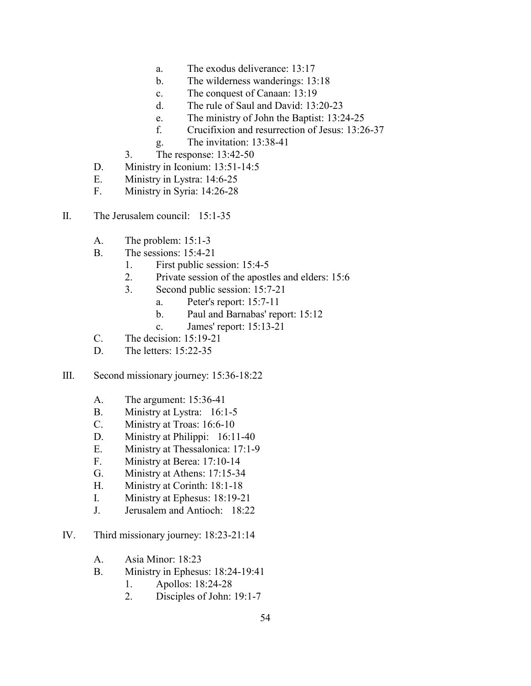- a. The exodus deliverance: 13:17
- b. The wilderness wanderings: 13:18
- c. The conquest of Canaan: 13:19
- d. The rule of Saul and David: 13:20-23
- e. The ministry of John the Baptist: 13:24-25
- f. Crucifixion and resurrection of Jesus: 13:26-37
- g. The invitation: 13:38-41
- 3. The response: 13:42-50
- D. Ministry in Iconium: 13:51-14:5
- E. Ministry in Lystra: 14:6-25
- F. Ministry in Syria: 14:26-28
- II. The Jerusalem council: 15:1-35
	- A. The problem: 15:1-3
	- B. The sessions: 15:4-21
		- 1. First public session: 15:4-5
		- 2. Private session of the apostles and elders: 15:6
		- 3. Second public session: 15:7-21
			- a. Peter's report: 15:7-11
			- b. Paul and Barnabas' report: 15:12
			- c. James' report: 15:13-21
	- C. The decision: 15:19-21
	- D. The letters: 15:22-35
- III. Second missionary journey: 15:36-18:22
	- A. The argument: 15:36-41
	- B. Ministry at Lystra: 16:1-5
	- C. Ministry at Troas: 16:6-10
	- D. Ministry at Philippi: 16:11-40
	- E. Ministry at Thessalonica: 17:1-9
	- F. Ministry at Berea: 17:10-14
	- G. Ministry at Athens: 17:15-34
	- H. Ministry at Corinth: 18:1-18
	- I. Ministry at Ephesus: 18:19-21
	- J. Jerusalem and Antioch: 18:22
- IV. Third missionary journey: 18:23-21:14
	- A. Asia Minor: 18:23
	- B. Ministry in Ephesus: 18:24-19:41
		- 1. Apollos: 18:24-28
		- 2. Disciples of John: 19:1-7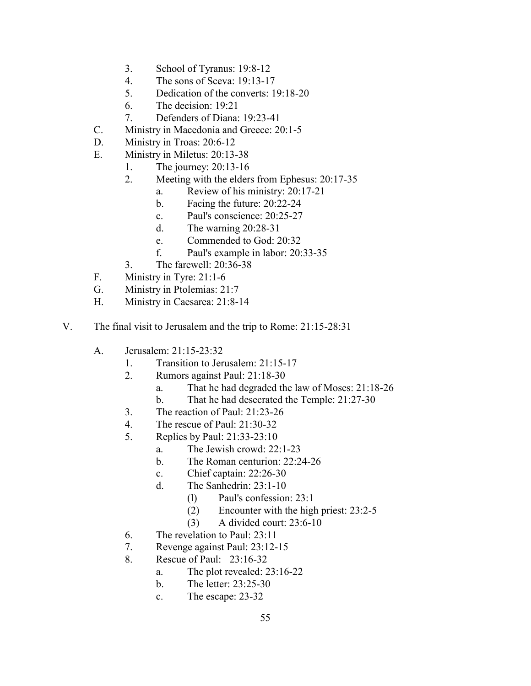- 3. School of Tyranus: 19:8-12
- 4. The sons of Sceva: 19:13-17
- 5. Dedication of the converts: 19:18-20
- 6. The decision: 19:21
- 7. Defenders of Diana: 19:23-41
- C. Ministry in Macedonia and Greece: 20:1-5
- D. Ministry in Troas: 20:6-12
- E. Ministry in Miletus: 20:13-38
	- 1. The journey: 20:13-16
		- 2. Meeting with the elders from Ephesus: 20:17-35
			- a. Review of his ministry: 20:17-21
			- b. Facing the future: 20:22-24
			- c. Paul's conscience: 20:25-27
			- d. The warning 20:28-31
			- e. Commended to God: 20:32
			- f. Paul's example in labor: 20:33-35
		- 3. The farewell: 20:36-38
- F. Ministry in Tyre: 21:1-6
- G. Ministry in Ptolemias: 21:7
- H. Ministry in Caesarea: 21:8-14
- V. The final visit to Jerusalem and the trip to Rome: 21:15-28:31
	- A. Jerusalem: 21:15-23:32
		- 1. Transition to Jerusalem: 21:15-17
		- 2. Rumors against Paul: 21:18-30
			- a. That he had degraded the law of Moses: 21:18-26
			- b. That he had desecrated the Temple: 21:27-30
		- 3. The reaction of Paul: 21:23-26
		- 4. The rescue of Paul: 21:30-32
		- 5. Replies by Paul: 21:33-23:10
			- a. The Jewish crowd: 22:1-23
			- b. The Roman centurion: 22:24-26
			- c. Chief captain: 22:26-30
			- d. The Sanhedrin: 23:1-10
				- (l) Paul's confession: 23:1
				- (2) Encounter with the high priest: 23:2-5
				- (3) A divided court: 23:6-10
		- 6. The revelation to Paul: 23:11
		- 7. Revenge against Paul: 23:12-15
		- 8. Rescue of Paul: 23:16-32
			- a. The plot revealed: 23:16-22
			- b. The letter: 23:25-30
			- c. The escape: 23-32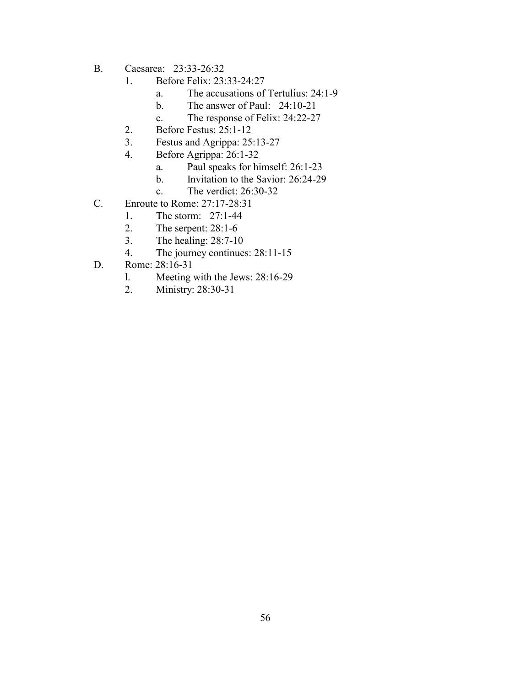- B. Caesarea: 23:33-26:32
	- 1. Before Felix: 23:33-24:27
		- a. The accusations of Tertulius: 24:1-9
		- b. The answer of Paul: 24:10-21
		- c. The response of Felix: 24:22-27
	- 2. Before Festus: 25:1-12
	- 3. Festus and Agrippa: 25:13-27
	- 4. Before Agrippa: 26:1-32
		- a. Paul speaks for himself: 26:1-23
		- b. Invitation to the Savior: 26:24-29
		- c. The verdict: 26:30-32
- C. Enroute to Rome: 27:17-28:31
	- 1. The storm: 27:1-44
	- 2. The serpent: 28:1-6
	- 3. The healing: 28:7-10
	- 4. The journey continues: 28:11-15
- D. Rome: 28:16-31
	- l. Meeting with the Jews: 28:16-29
	- 2. Ministry: 28:30-31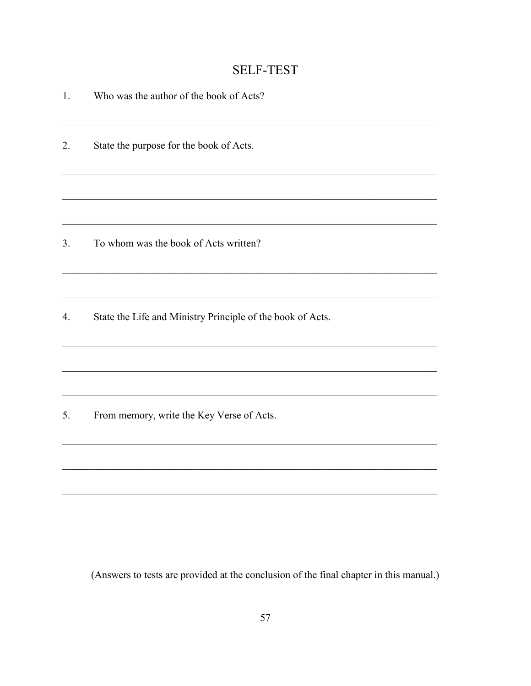### **SELF-TEST**

the contract of the contract of the contract of the contract of the contract of the contract of the contract of

 $1<sub>1</sub>$ Who was the author of the book of Acts?

State the purpose for the book of Acts. 2.

To whom was the book of Acts written?  $3.$ 

State the Life and Ministry Principle of the book of Acts.  $4.$ 

From memory, write the Key Verse of Acts. 5.

(Answers to tests are provided at the conclusion of the final chapter in this manual.)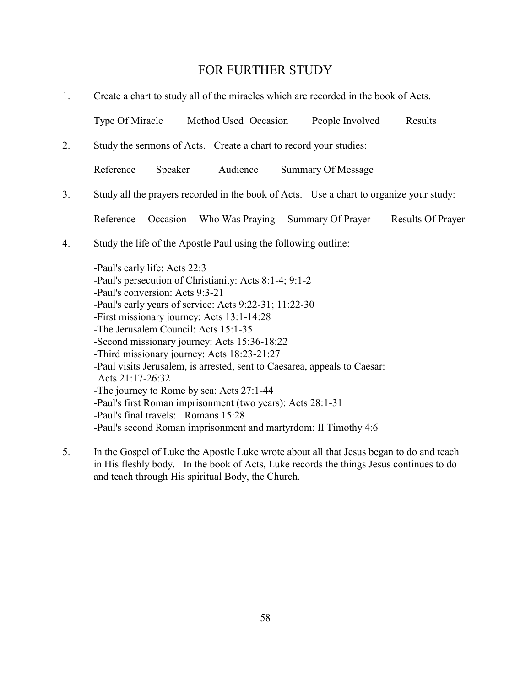### FOR FURTHER STUDY

- 1. Create a chart to study all of the miracles which are recorded in the book of Acts. Type Of Miracle Method Used Occasion People Involved Results 2. Study the sermons of Acts. Create a chart to record your studies: Reference Speaker Audience Summary Of Message 3. Study all the prayers recorded in the book of Acts. Use a chart to organize your study: Reference Occasion Who Was Praying Summary Of Prayer Results Of Prayer 4. Study the life of the Apostle Paul using the following outline: -Paul's early life: Acts 22:3 -Paul's persecution of Christianity: Acts 8:1-4; 9:1-2 -Paul's conversion: Acts 9:3-21 -Paul's early years of service: Acts 9:22-31; 11:22-30 -First missionary journey: Acts 13:1-14:28 -The Jerusalem Council: Acts 15:1-35 -Second missionary journey: Acts 15:36-18:22 -Third missionary journey: Acts 18:23-21:27 -Paul visits Jerusalem, is arrested, sent to Caesarea, appeals to Caesar: Acts 21:17-26:32 -The journey to Rome by sea: Acts 27:1-44 -Paul's first Roman imprisonment (two years): Acts 28:1-31 -Paul's final travels: Romans 15:28 -Paul's second Roman imprisonment and martyrdom: II Timothy 4:6
- 5. In the Gospel of Luke the Apostle Luke wrote about all that Jesus began to do and teach in His fleshly body. In the book of Acts, Luke records the things Jesus continues to do and teach through His spiritual Body, the Church.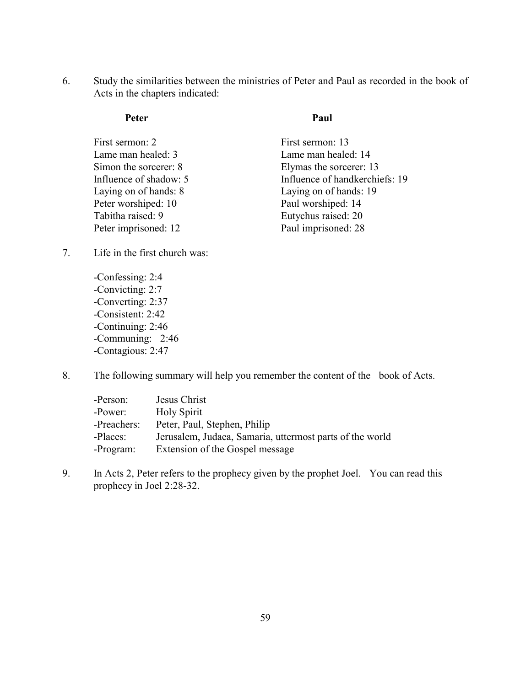6. Study the similarities between the ministries of Peter and Paul as recorded in the book of Acts in the chapters indicated:

#### **Peter Paul**

| First sermon: 2        | First sermon: 13     |
|------------------------|----------------------|
| Lame man healed: 3     | Lame man healed: 14  |
| Simon the sorcerer: 8  | Elymas the sorcerer: |
| Influence of shadow: 5 | Influence of handker |
| Laying on of hands: 8  | Laying on of hands:  |
| Peter worshiped: 10    | Paul worshiped: 14   |
| Tabitha raised: 9      | Eutychus raised: 20  |
| Peter imprisoned: 12   | Paul imprisoned: 28  |
|                        |                      |

rst sermon: 13 me man healed: 14 shimon the sorcerer: 13 fluence of handkerchiefs: 19  $\nu$ iving on of hands: 19 ul worshiped: 14 tychus raised: 20

- 7. Life in the first church was:
	- -Confessing: 2:4 -Convicting: 2:7 -Converting: 2:37 -Consistent: 2:42 -Continuing: 2:46 -Communing: 2:46 -Contagious: 2:47

8. The following summary will help you remember the content of the book of Acts.

| -Person:    | Jesus Christ                                             |
|-------------|----------------------------------------------------------|
| -Power:     | Holy Spirit                                              |
| -Preachers: | Peter, Paul, Stephen, Philip                             |
| -Places:    | Jerusalem, Judaea, Samaria, uttermost parts of the world |
| -Program:   | Extension of the Gospel message                          |

9. In Acts 2, Peter refers to the prophecy given by the prophet Joel. You can read this prophecy in Joel 2:28-32.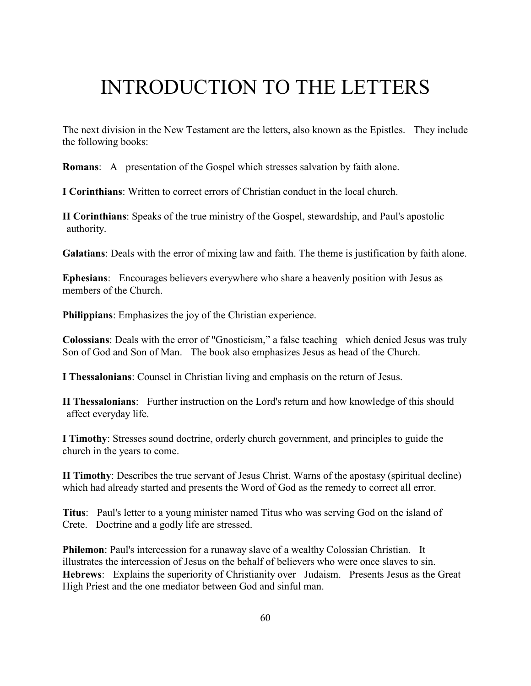# INTRODUCTION TO THE LETTERS

The next division in the New Testament are the letters, also known as the Epistles. They include the following books:

**Romans**: A presentation of the Gospel which stresses salvation by faith alone.

**I Corinthians**: Written to correct errors of Christian conduct in the local church.

**II Corinthians**: Speaks of the true ministry of the Gospel, stewardship, and Paul's apostolic authority.

**Galatians**: Deals with the error of mixing law and faith. The theme is justification by faith alone.

**Ephesians**: Encourages believers everywhere who share a heavenly position with Jesus as members of the Church.

**Philippians**: Emphasizes the joy of the Christian experience.

**Colossians**: Deals with the error of "Gnosticism," a false teaching which denied Jesus was truly Son of God and Son of Man. The book also emphasizes Jesus as head of the Church.

**I Thessalonians**: Counsel in Christian living and emphasis on the return of Jesus.

**II Thessalonians**: Further instruction on the Lord's return and how knowledge of this should affect everyday life.

**I Timothy**: Stresses sound doctrine, orderly church government, and principles to guide the church in the years to come.

**II Timothy**: Describes the true servant of Jesus Christ. Warns of the apostasy (spiritual decline) which had already started and presents the Word of God as the remedy to correct all error.

**Titus**: Paul's letter to a young minister named Titus who was serving God on the island of Crete. Doctrine and a godly life are stressed.

**Philemon**: Paul's intercession for a runaway slave of a wealthy Colossian Christian. It illustrates the intercession of Jesus on the behalf of believers who were once slaves to sin. **Hebrews**: Explains the superiority of Christianity over Judaism. Presents Jesus as the Great High Priest and the one mediator between God and sinful man.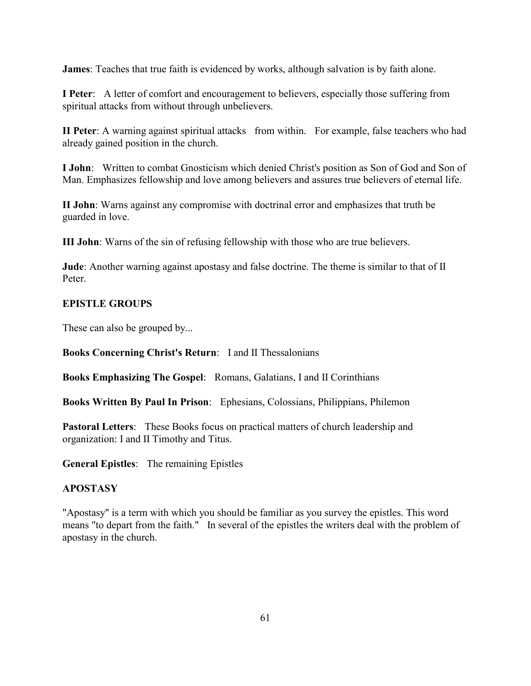**James**: Teaches that true faith is evidenced by works, although salvation is by faith alone.

**I Peter**: A letter of comfort and encouragement to believers, especially those suffering from spiritual attacks from without through unbelievers.

**II Peter**: A warning against spiritual attacks from within. For example, false teachers who had already gained position in the church.

**I John**: Written to combat Gnosticism which denied Christ's position as Son of God and Son of Man. Emphasizes fellowship and love among believers and assures true believers of eternal life.

**II John**: Warns against any compromise with doctrinal error and emphasizes that truth be guarded in love.

**III John**: Warns of the sin of refusing fellowship with those who are true believers.

**Jude**: Another warning against apostasy and false doctrine. The theme is similar to that of II Peter.

#### **EPISTLE GROUPS**

These can also be grouped by...

**Books Concerning Christ's Return**: I and II Thessalonians

**Books Emphasizing The Gospel**: Romans, Galatians, I and II Corinthians

**Books Written By Paul In Prison**: Ephesians, Colossians, Philippians, Philemon

**Pastoral Letters**: These Books focus on practical matters of church leadership and organization: I and II Timothy and Titus.

**General Epistles**: The remaining Epistles

#### **APOSTASY**

"Apostasy" is a term with which you should be familiar as you survey the epistles. This word means "to depart from the faith." In several of the epistles the writers deal with the problem of apostasy in the church.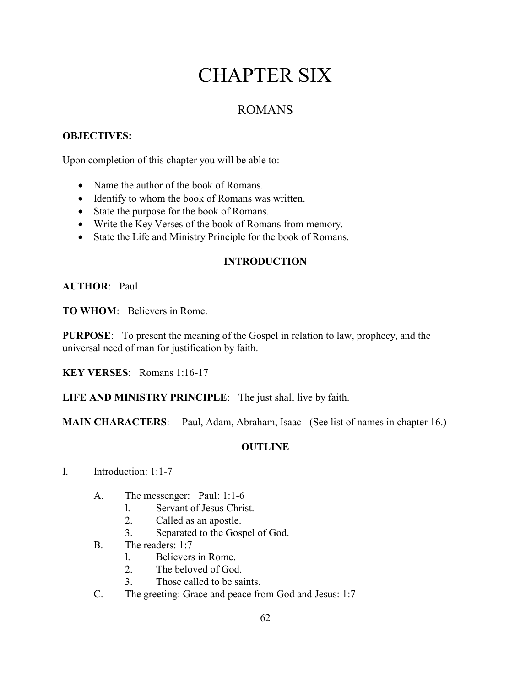# CHAPTER SIX

### ROMANS

#### **OBJECTIVES:**

Upon completion of this chapter you will be able to:

- Name the author of the book of Romans.
- Identify to whom the book of Romans was written.
- State the purpose for the book of Romans.
- Write the Key Verses of the book of Romans from memory.
- State the Life and Ministry Principle for the book of Romans.

#### **INTRODUCTION**

#### **AUTHOR**: Paul

**TO WHOM**: Believers in Rome.

**PURPOSE**: To present the meaning of the Gospel in relation to law, prophecy, and the universal need of man for justification by faith.

**KEY VERSES**: Romans 1:16-17

**LIFE AND MINISTRY PRINCIPLE**: The just shall live by faith.

**MAIN CHARACTERS**: Paul, Adam, Abraham, Isaac (See list of names in chapter 16.)

#### **OUTLINE**

I. Introduction: 1:1-7

- A. The messenger: Paul: 1:1-6
	- l. Servant of Jesus Christ.
	- 2. Called as an apostle.
	- 3. Separated to the Gospel of God.
- B. The readers: 1:7
	- l. Believers in Rome.
	- 2. The beloved of God.
	- 3. Those called to be saints.
- C. The greeting: Grace and peace from God and Jesus: 1:7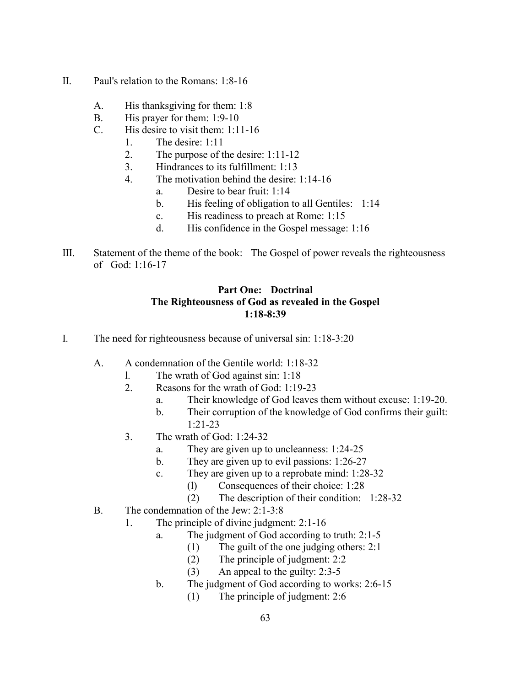- II. Paul's relation to the Romans: 1:8-16
	- A. His thanksgiving for them: 1:8
	- B. His prayer for them: 1:9-10
	- C. His desire to visit them: 1:11-16
		- 1. The desire: 1:11
		- 2. The purpose of the desire: 1:11-12
		- 3. Hindrances to its fulfillment: 1:13
		- 4. The motivation behind the desire: 1:14-16
			- a. Desire to bear fruit: 1:14
			- b. His feeling of obligation to all Gentiles: 1:14
			- c. His readiness to preach at Rome: 1:15
			- d. His confidence in the Gospel message: 1:16
- III. Statement of the theme of the book: The Gospel of power reveals the righteousness of God: 1:16-17

#### **Part One: Doctrinal The Righteousness of God as revealed in the Gospel 1:18-8:39**

- I. The need for righteousness because of universal sin: 1:18-3:20
	- A. A condemnation of the Gentile world: 1:18-32
		- l. The wrath of God against sin: 1:18
		- 2. Reasons for the wrath of God: 1:19-23
			- a. Their knowledge of God leaves them without excuse: 1:19-20.
			- b. Their corruption of the knowledge of God confirms their guilt: 1:21-23
		- 3. The wrath of God: 1:24-32
			- a. They are given up to uncleanness: 1:24-25
			- b. They are given up to evil passions: 1:26-27
			- c. They are given up to a reprobate mind: 1:28-32
				- (l) Consequences of their choice: 1:28
				- (2) The description of their condition: 1:28-32
	- B. The condemnation of the Jew: 2:1-3:8
		- 1. The principle of divine judgment: 2:1-16
			- a. The judgment of God according to truth: 2:1-5
				- (1) The guilt of the one judging others: 2:1
				- (2) The principle of judgment: 2:2
				- (3) An appeal to the guilty: 2:3-5
			- b. The judgment of God according to works: 2:6-15
				- (1) The principle of judgment: 2:6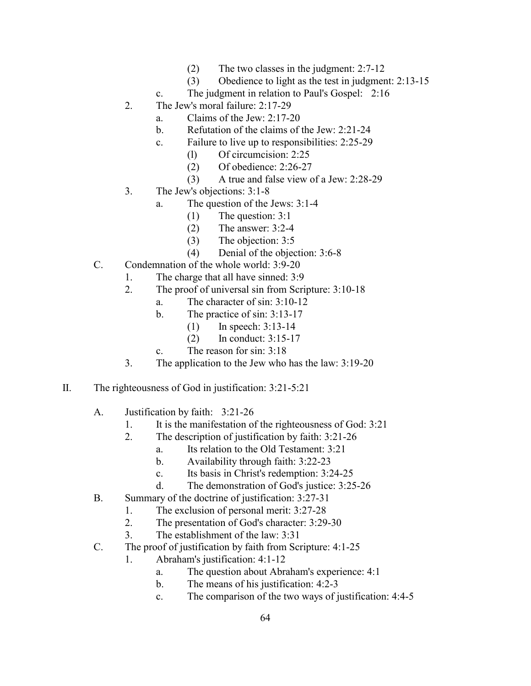- (2) The two classes in the judgment: 2:7-12
- (3) Obedience to light as the test in judgment: 2:13-15
- c. The judgment in relation to Paul's Gospel: 2:16
- 2. The Jew's moral failure: 2:17-29
	- a. Claims of the Jew: 2:17-20
	- b. Refutation of the claims of the Jew: 2:21-24
	- c. Failure to live up to responsibilities: 2:25-29
		- (l) Of circumcision: 2:25
		- (2) Of obedience: 2:26-27
		- (3) A true and false view of a Jew: 2:28-29
- 3. The Jew's objections: 3:1-8
	- a. The question of the Jews: 3:1-4
		- (1) The question: 3:1
		- (2) The answer: 3:2-4
		- (3) The objection: 3:5
		- (4) Denial of the objection: 3:6-8
- C. Condemnation of the whole world: 3:9-20
	- 1. The charge that all have sinned: 3:9
	- 2. The proof of universal sin from Scripture: 3:10-18
		- a. The character of sin: 3:10-12
		- b. The practice of sin: 3:13-17
			- (1) In speech: 3:13-14
			- (2) In conduct: 3:15-17
		- c. The reason for sin: 3:18
	- 3. The application to the Jew who has the law: 3:19-20
- II. The righteousness of God in justification: 3:21-5:21
	- A. Justification by faith: 3:21-26
		- 1. It is the manifestation of the righteousness of God: 3:21
		- 2. The description of justification by faith: 3:21-26
			- a. Its relation to the Old Testament: 3:21
				- b. Availability through faith: 3:22-23
				- c. Its basis in Christ's redemption: 3:24-25
				- d. The demonstration of God's justice: 3:25-26
	- B. Summary of the doctrine of justification: 3:27-31
		- 1. The exclusion of personal merit: 3:27-28
		- 2. The presentation of God's character: 3:29-30
		- 3. The establishment of the law: 3:31
	- C. The proof of justification by faith from Scripture: 4:1-25
		- 1. Abraham's justification: 4:1-12
			- a. The question about Abraham's experience: 4:1
			- b. The means of his justification: 4:2-3
			- c. The comparison of the two ways of justification: 4:4-5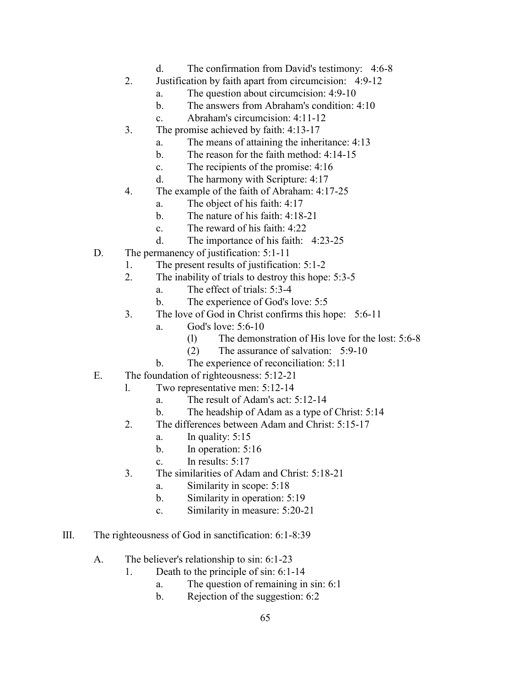- d. The confirmation from David's testimony: 4:6-8
- 2. Justification by faith apart from circumcision: 4:9-12
	- a. The question about circumcision: 4:9-10
	- b. The answers from Abraham's condition: 4:10
	- c. Abraham's circumcision: 4:11-12
- 3. The promise achieved by faith: 4:13-17
	- a. The means of attaining the inheritance: 4:13
	- b. The reason for the faith method: 4:14-15
	- c. The recipients of the promise: 4:16
	- d. The harmony with Scripture: 4:17
- 4. The example of the faith of Abraham: 4:17-25
	- a. The object of his faith: 4:17
	- b. The nature of his faith: 4:18-21
	- c. The reward of his faith: 4:22
	- d. The importance of his faith: 4:23-25
- D. The permanency of justification: 5:1-11
	- 1. The present results of justification: 5:1-2
	- 2. The inability of trials to destroy this hope: 5:3-5
		- a. The effect of trials: 5:3-4
		- b. The experience of God's love: 5:5
	- 3. The love of God in Christ confirms this hope: 5:6-11
		- a. God's love: 5:6-10
			- (l) The demonstration of His love for the lost: 5:6-8
			- (2) The assurance of salvation: 5:9-10
		- b. The experience of reconciliation: 5:11
- E. The foundation of righteousness: 5:12-21
	- l. Two representative men: 5:12-14
		- a. The result of Adam's act: 5:12-14
		- b. The headship of Adam as a type of Christ: 5:14
		- 2. The differences between Adam and Christ: 5:15-17
			- a. In quality: 5:15
			- b. In operation: 5:16
			- c. In results: 5:17
		- 3. The similarities of Adam and Christ: 5:18-21
			- a. Similarity in scope: 5:18
			- b. Similarity in operation: 5:19
			- c. Similarity in measure: 5:20-21
- III. The righteousness of God in sanctification: 6:1-8:39
	- A. The believer's relationship to sin: 6:1-23
		- 1. Death to the principle of sin: 6:1-14
			- a. The question of remaining in sin: 6:1
			- b. Rejection of the suggestion: 6:2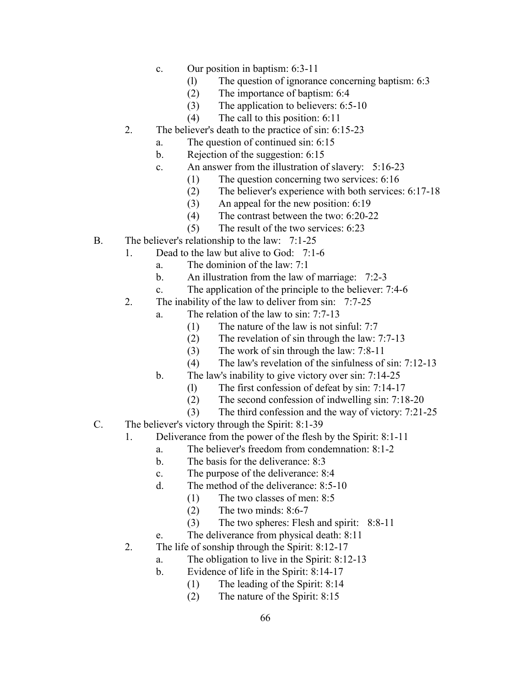- c. Our position in baptism: 6:3-11
	- (l) The question of ignorance concerning baptism: 6:3
	- (2) The importance of baptism: 6:4
	- (3) The application to believers: 6:5-10
	- (4) The call to this position: 6:11
- 2. The believer's death to the practice of sin: 6:15-23
	- a. The question of continued sin: 6:15
	- b. Rejection of the suggestion: 6:15
	- c. An answer from the illustration of slavery: 5:16-23
		- (1) The question concerning two services: 6:16
			- (2) The believer's experience with both services: 6:17-18
			- (3) An appeal for the new position: 6:19
			- (4) The contrast between the two: 6:20-22
			- (5) The result of the two services: 6:23
- B. The believer's relationship to the law: 7:1-25
	- 1. Dead to the law but alive to God: 7:1-6
		- a. The dominion of the law: 7:1
		- b. An illustration from the law of marriage: 7:2-3
		- c. The application of the principle to the believer: 7:4-6
		- 2. The inability of the law to deliver from sin: 7:7-25
			- a. The relation of the law to sin: 7:7-13
				- (1) The nature of the law is not sinful: 7:7
				- (2) The revelation of sin through the law: 7:7-13
				- (3) The work of sin through the law: 7:8-11
				- (4) The law's revelation of the sinfulness of sin: 7:12-13
			- b. The law's inability to give victory over sin: 7:14-25
				- (l) The first confession of defeat by sin: 7:14-17
				- (2) The second confession of indwelling sin: 7:18-20
				- (3) The third confession and the way of victory: 7:21-25
- C. The believer's victory through the Spirit: 8:1-39
	- 1. Deliverance from the power of the flesh by the Spirit: 8:1-11
		- a. The believer's freedom from condemnation: 8:1-2
		- b. The basis for the deliverance: 8:3
		- c. The purpose of the deliverance: 8:4
		- d. The method of the deliverance: 8:5-10
			- (1) The two classes of men: 8:5
				- (2) The two minds: 8:6-7
				- (3) The two spheres: Flesh and spirit: 8:8-11
		- e. The deliverance from physical death: 8:11
	- 2. The life of sonship through the Spirit: 8:12-17
		- a. The obligation to live in the Spirit: 8:12-13
		- b. Evidence of life in the Spirit: 8:14-17
			- (1) The leading of the Spirit: 8:14
				- (2) The nature of the Spirit: 8:15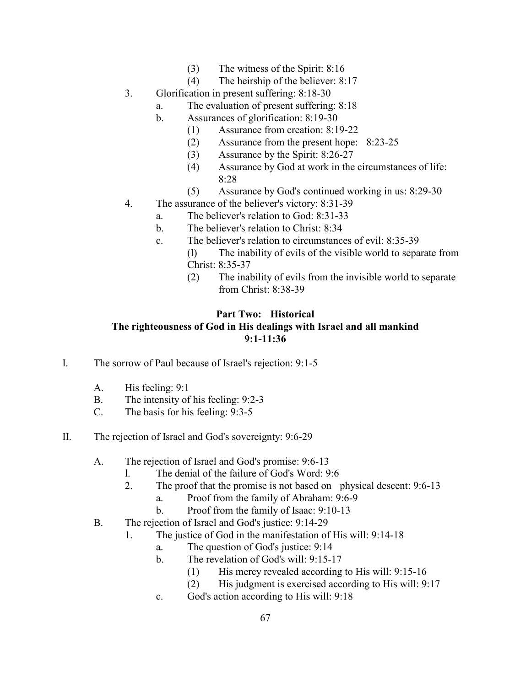- (3) The witness of the Spirit: 8:16
- (4) The heirship of the believer: 8:17
- 3. Glorification in present suffering: 8:18-30
	- a. The evaluation of present suffering: 8:18
	- b. Assurances of glorification: 8:19-30
		- (1) Assurance from creation: 8:19-22
		- (2) Assurance from the present hope: 8:23-25
		- (3) Assurance by the Spirit: 8:26-27
		- (4) Assurance by God at work in the circumstances of life: 8:28
		- (5) Assurance by God's continued working in us: 8:29-30
- 4. The assurance of the believer's victory: 8:31-39
	- a. The believer's relation to God: 8:31-33
	- b. The believer's relation to Christ: 8:34
	- c. The believer's relation to circumstances of evil: 8:35-39
		- (l) The inability of evils of the visible world to separate from Christ: 8:35-37
		- (2) The inability of evils from the invisible world to separate from Christ: 8:38-39

### **Part Two: Historical The righteousness of God in His dealings with Israel and all mankind 9:1-11:36**

- I. The sorrow of Paul because of Israel's rejection: 9:1-5
	- A. His feeling: 9:1
	- B. The intensity of his feeling: 9:2-3
	- C. The basis for his feeling: 9:3-5
- II. The rejection of Israel and God's sovereignty: 9:6-29
	- A. The rejection of Israel and God's promise: 9:6-13
		- l. The denial of the failure of God's Word: 9:6
		- 2. The proof that the promise is not based on physical descent: 9:6-13
			- a. Proof from the family of Abraham: 9:6-9
			- b. Proof from the family of Isaac: 9:10-13
	- B. The rejection of Israel and God's justice: 9:14-29
		- 1. The justice of God in the manifestation of His will: 9:14-18
			- a. The question of God's justice: 9:14
			- b. The revelation of God's will: 9:15-17
				- (1) His mercy revealed according to His will: 9:15-16
				- (2) His judgment is exercised according to His will: 9:17
			- c. God's action according to His will: 9:18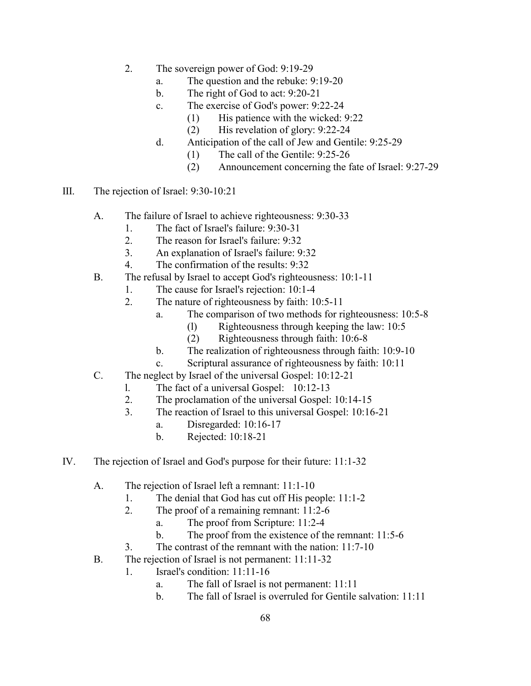- 2. The sovereign power of God: 9:19-29
	- a. The question and the rebuke: 9:19-20
	- b. The right of God to act: 9:20-21
	- c. The exercise of God's power: 9:22-24
		- (1) His patience with the wicked: 9:22
		- (2) His revelation of glory: 9:22-24
	- d. Anticipation of the call of Jew and Gentile: 9:25-29
		- (1) The call of the Gentile: 9:25-26
		- (2) Announcement concerning the fate of Israel: 9:27-29
- III. The rejection of Israel: 9:30-10:21
	- A. The failure of Israel to achieve righteousness: 9:30-33
		- 1. The fact of Israel's failure: 9:30-31
		- 2. The reason for Israel's failure: 9:32
		- 3. An explanation of Israel's failure: 9:32
		- 4. The confirmation of the results: 9:32
	- B. The refusal by Israel to accept God's righteousness: 10:1-11
		- 1. The cause for Israel's rejection: 10:1-4
		- 2. The nature of righteousness by faith: 10:5-11
			- a. The comparison of two methods for righteousness: 10:5-8
				- (l) Righteousness through keeping the law: 10:5
				- (2) Righteousness through faith: 10:6-8
				- b. The realization of righteousness through faith: 10:9-10
				- c. Scriptural assurance of righteousness by faith: 10:11
	- C. The neglect by Israel of the universal Gospel: 10:12-21
		- l. The fact of a universal Gospel: 10:12-13
		- 2. The proclamation of the universal Gospel: 10:14-15
		- 3. The reaction of Israel to this universal Gospel: 10:16-21
			- a. Disregarded: 10:16-17
			- b. Rejected: 10:18-21
- IV. The rejection of Israel and God's purpose for their future: 11:1-32
	- A. The rejection of Israel left a remnant: 11:1-10
		- 1. The denial that God has cut off His people: 11:1-2
		- 2. The proof of a remaining remnant: 11:2-6
			- a. The proof from Scripture: 11:2-4
			- b. The proof from the existence of the remnant: 11:5-6
		- 3. The contrast of the remnant with the nation: 11:7-10
	- B. The rejection of Israel is not permanent: 11:11-32
		- 1. Israel's condition: 11:11-16
			- a. The fall of Israel is not permanent: 11:11
			- b. The fall of Israel is overruled for Gentile salvation: 11:11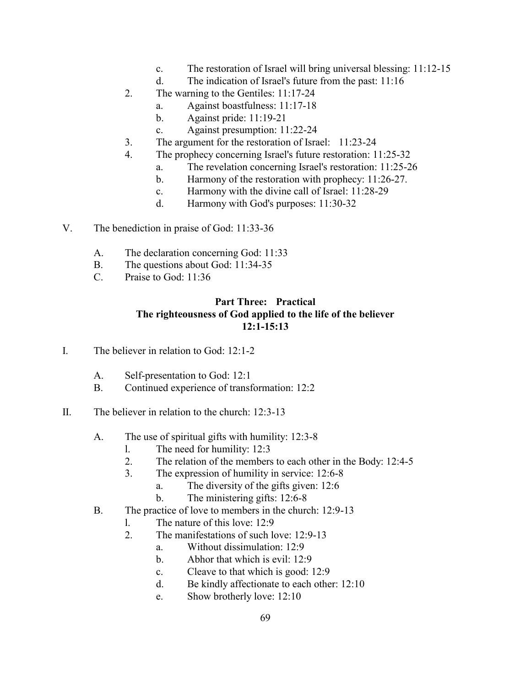- c. The restoration of Israel will bring universal blessing: 11:12-15
- d. The indication of Israel's future from the past: 11:16
- 2. The warning to the Gentiles: 11:17-24
	- a. Against boastfulness: 11:17-18
	- b. Against pride: 11:19-21
	- c. Against presumption: 11:22-24
- 3. The argument for the restoration of Israel: 11:23-24
- 4. The prophecy concerning Israel's future restoration: 11:25-32
	- a. The revelation concerning Israel's restoration: 11:25-26
	- b. Harmony of the restoration with prophecy: 11:26-27.
	- c. Harmony with the divine call of Israel: 11:28-29
	- d. Harmony with God's purposes: 11:30-32
- V. The benediction in praise of God: 11:33-36
	- A. The declaration concerning God: 11:33
	- B. The questions about God: 11:34-35
	- C. Praise to God: 11:36

# **Part Three: Practical The righteousness of God applied to the life of the believer 12:1-15:13**

- I. The believer in relation to God: 12:1-2
	- A. Self-presentation to God: 12:1
	- B. Continued experience of transformation: 12:2
- II. The believer in relation to the church: 12:3-13
	- A. The use of spiritual gifts with humility: 12:3-8
		- l. The need for humility: 12:3
		- 2. The relation of the members to each other in the Body: 12:4-5
		- 3. The expression of humility in service: 12:6-8
			- a. The diversity of the gifts given: 12:6
			- b. The ministering gifts: 12:6-8
	- B. The practice of love to members in the church: 12:9-13
		- l. The nature of this love: 12:9
		- 2. The manifestations of such love: 12:9-13
			- a. Without dissimulation: 12:9
			- b. Abhor that which is evil: 12:9
			- c. Cleave to that which is good: 12:9
			- d. Be kindly affectionate to each other: 12:10
			- e. Show brotherly love: 12:10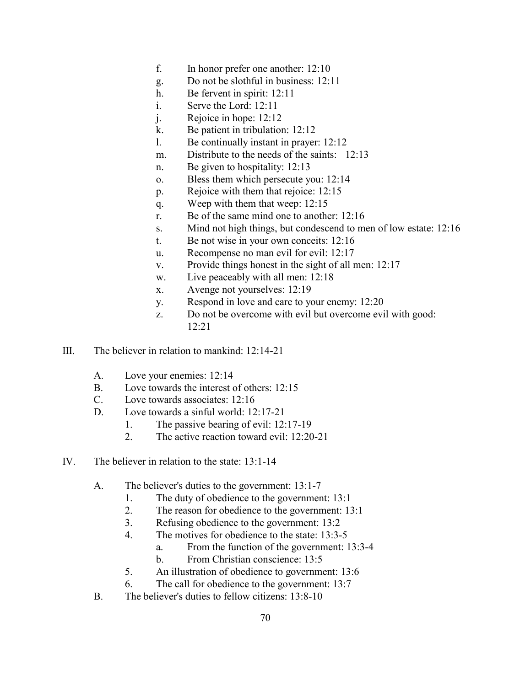- f. In honor prefer one another: 12:10
- g. Do not be slothful in business: 12:11
- h. Be fervent in spirit: 12:11
- i. Serve the Lord: 12:11
- j. Rejoice in hope: 12:12
- k. Be patient in tribulation: 12:12
- l. Be continually instant in prayer: 12:12
- m. Distribute to the needs of the saints: 12:13
- n. Be given to hospitality: 12:13
- o. Bless them which persecute you: 12:14
- p. Rejoice with them that rejoice: 12:15
- q. Weep with them that weep: 12:15
- r. Be of the same mind one to another: 12:16
- s. Mind not high things, but condescend to men of low estate: 12:16
- t. Be not wise in your own conceits: 12:16
- u. Recompense no man evil for evil: 12:17
- v. Provide things honest in the sight of all men: 12:17
- w. Live peaceably with all men: 12:18
- x. Avenge not yourselves: 12:19
- y. Respond in love and care to your enemy: 12:20
- z. Do not be overcome with evil but overcome evil with good: 12:21
- III. The believer in relation to mankind: 12:14-21
	- A. Love your enemies: 12:14
	- B. Love towards the interest of others: 12:15
	- C. Love towards associates: 12:16
	- D. Love towards a sinful world: 12:17-21
		- 1. The passive bearing of evil: 12:17-19
		- 2. The active reaction toward evil: 12:20-21
- IV. The believer in relation to the state: 13:1-14
	- A. The believer's duties to the government: 13:1-7
		- 1. The duty of obedience to the government: 13:1
		- 2. The reason for obedience to the government: 13:1
		- 3. Refusing obedience to the government: 13:2
		- 4. The motives for obedience to the state: 13:3-5
			- a. From the function of the government: 13:3-4
			- b. From Christian conscience: 13:5
		- 5. An illustration of obedience to government: 13:6
		- 6. The call for obedience to the government: 13:7
	- B. The believer's duties to fellow citizens: 13:8-10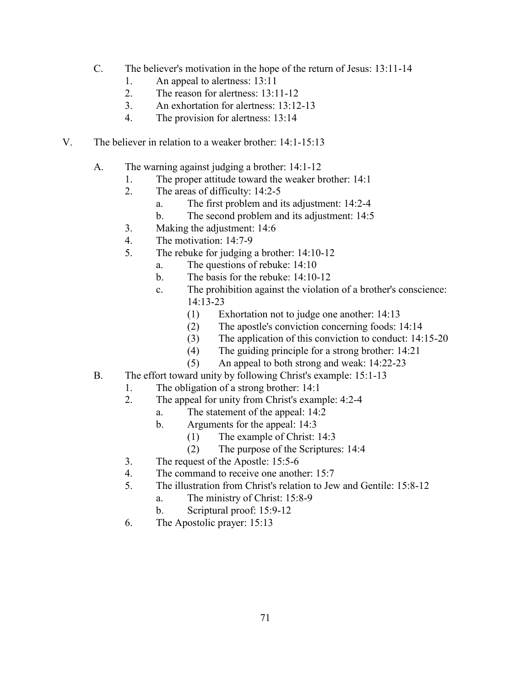- C. The believer's motivation in the hope of the return of Jesus: 13:11-14
	- 1. An appeal to alertness: 13:11
	- 2. The reason for alertness: 13:11-12
	- 3. An exhortation for alertness: 13:12-13
	- 4. The provision for alertness: 13:14
- V. The believer in relation to a weaker brother: 14:1-15:13
	- A. The warning against judging a brother: 14:1-12
		- 1. The proper attitude toward the weaker brother: 14:1
		- 2. The areas of difficulty: 14:2-5
			- a. The first problem and its adjustment: 14:2-4
			- b. The second problem and its adjustment: 14:5
		- 3. Making the adjustment: 14:6
		- 4. The motivation: 14:7-9
		- 5. The rebuke for judging a brother: 14:10-12
			- a. The questions of rebuke: 14:10
			- b. The basis for the rebuke: 14:10-12
			- c. The prohibition against the violation of a brother's conscience: 14:13-23
				- (1) Exhortation not to judge one another: 14:13
				- (2) The apostle's conviction concerning foods: 14:14
				- (3) The application of this conviction to conduct: 14:15-20
				- (4) The guiding principle for a strong brother: 14:21
				- (5) An appeal to both strong and weak: 14:22-23
	- B. The effort toward unity by following Christ's example: 15:1-13
		- 1. The obligation of a strong brother: 14:1
		- 2. The appeal for unity from Christ's example: 4:2-4
			- a. The statement of the appeal: 14:2
			- b. Arguments for the appeal: 14:3
				- (1) The example of Christ: 14:3
				- (2) The purpose of the Scriptures: 14:4
		- 3. The request of the Apostle: 15:5-6
		- 4. The command to receive one another: 15:7
		- 5. The illustration from Christ's relation to Jew and Gentile: 15:8-12
			- a. The ministry of Christ: 15:8-9
			- b. Scriptural proof: 15:9-12
		- 6. The Apostolic prayer: 15:13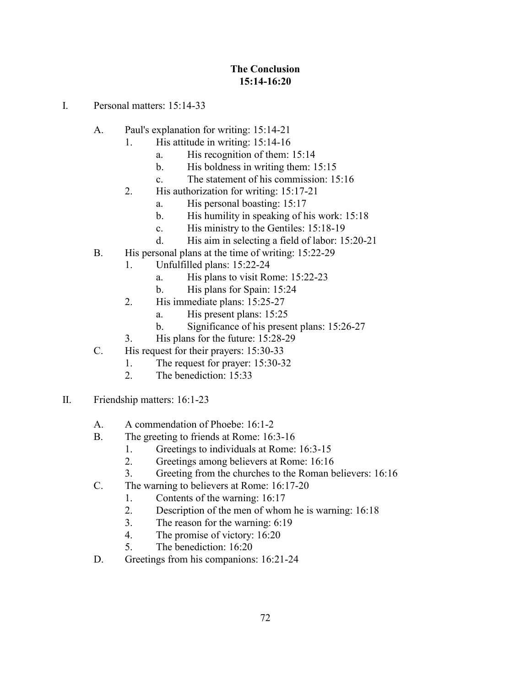## **The Conclusion 15:14-16:20**

- I. Personal matters: 15:14-33
	- A. Paul's explanation for writing: 15:14-21
		- 1. His attitude in writing: 15:14-16
			- a. His recognition of them: 15:14
			- b. His boldness in writing them: 15:15
			- c. The statement of his commission: 15:16
		- 2. His authorization for writing: 15:17-21
			- a. His personal boasting: 15:17
			- b. His humility in speaking of his work: 15:18
			- c. His ministry to the Gentiles: 15:18-19
			- d. His aim in selecting a field of labor: 15:20-21
	- B. His personal plans at the time of writing: 15:22-29
		- 1. Unfulfilled plans: 15:22-24
			- a. His plans to visit Rome: 15:22-23
			- b. His plans for Spain: 15:24
		- 2. His immediate plans: 15:25-27
			- a. His present plans: 15:25
			- b. Significance of his present plans: 15:26-27
		- 3. His plans for the future: 15:28-29
	- C. His request for their prayers: 15:30-33
		- 1. The request for prayer: 15:30-32
		- 2. The benediction: 15:33
- II. Friendship matters: 16:1-23
	- A. A commendation of Phoebe: 16:1-2
	- B. The greeting to friends at Rome: 16:3-16
		- 1. Greetings to individuals at Rome: 16:3-15
		- 2. Greetings among believers at Rome: 16:16
		- 3. Greeting from the churches to the Roman believers: 16:16
	- C. The warning to believers at Rome: 16:17-20
		- 1. Contents of the warning: 16:17
		- 2. Description of the men of whom he is warning: 16:18
		- 3. The reason for the warning: 6:19
		- 4. The promise of victory: 16:20
		- 5. The benediction: 16:20
	- D. Greetings from his companions: 16:21-24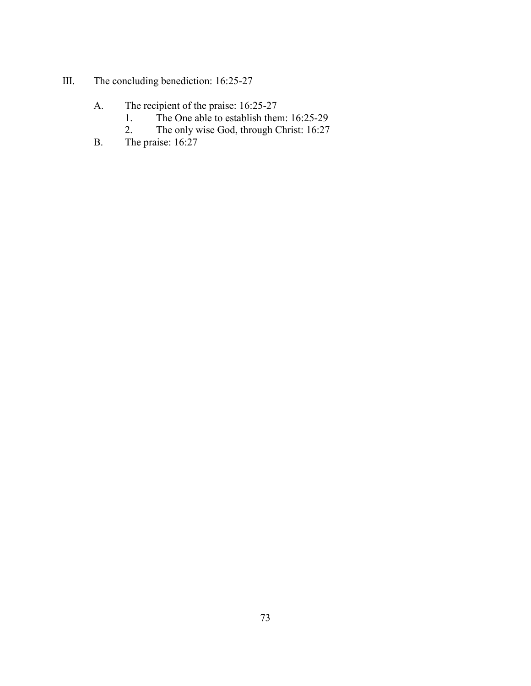- III. The concluding benediction: 16:25-27
	- A. The recipient of the praise: 16:25-27
		- 1. The One able to establish them: 16:25-29
		- 2. The only wise God, through Christ: 16:27
	- B. The praise: 16:27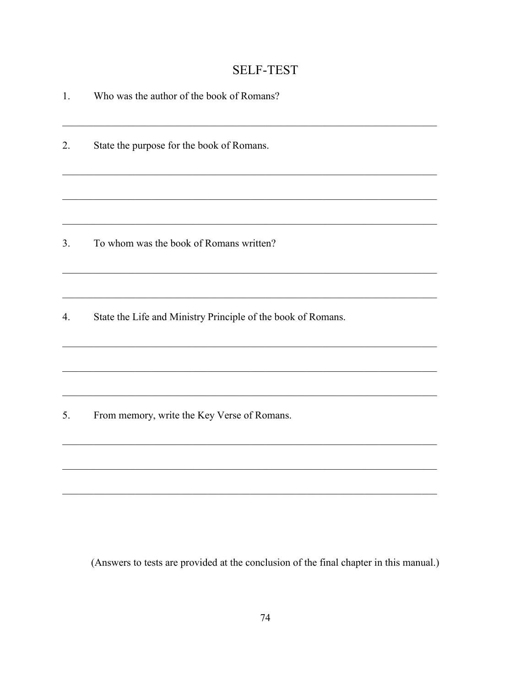# **SELF-TEST**

 $1<sub>1</sub>$ Who was the author of the book of Romans?

State the purpose for the book of Romans. 2.

To whom was the book of Romans written?  $3.$ 

State the Life and Ministry Principle of the book of Romans.  $4.$ 

From memory, write the Key Verse of Romans. 5.

(Answers to tests are provided at the conclusion of the final chapter in this manual.)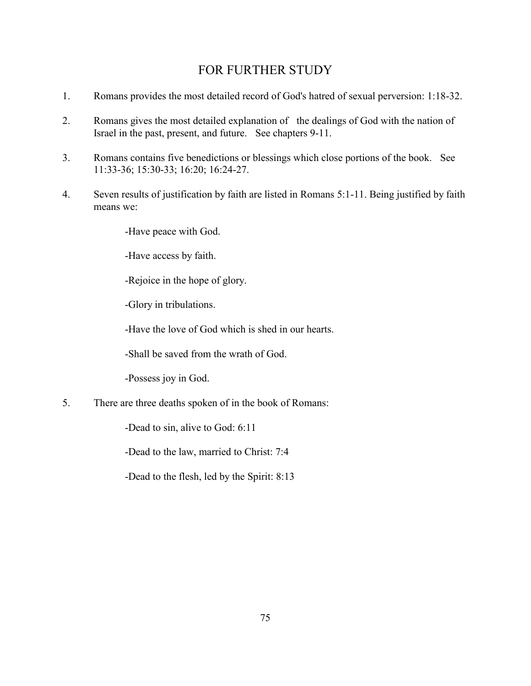# FOR FURTHER STUDY

- 1. Romans provides the most detailed record of God's hatred of sexual perversion: 1:18-32.
- 2. Romans gives the most detailed explanation of the dealings of God with the nation of Israel in the past, present, and future. See chapters 9-11.
- 3. Romans contains five benedictions or blessings which close portions of the book. See 11:33-36; 15:30-33; 16:20; 16:24-27.
- 4. Seven results of justification by faith are listed in Romans 5:1-11. Being justified by faith means we:

-Have peace with God.

-Have access by faith.

-Rejoice in the hope of glory.

-Glory in tribulations.

-Have the love of God which is shed in our hearts.

-Shall be saved from the wrath of God.

-Possess joy in God.

5. There are three deaths spoken of in the book of Romans:

-Dead to sin, alive to God: 6:11

-Dead to the law, married to Christ: 7:4

-Dead to the flesh, led by the Spirit: 8:13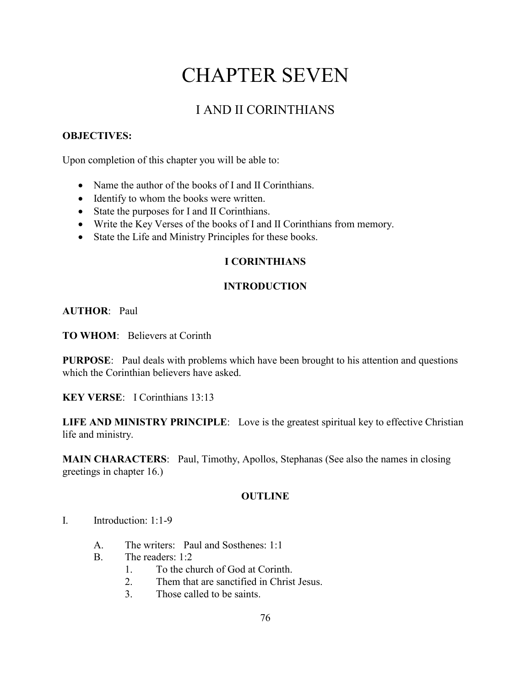# CHAPTER SEVEN

# I AND II CORINTHIANS

#### **OBJECTIVES:**

Upon completion of this chapter you will be able to:

- Name the author of the books of I and II Corinthians.
- Identify to whom the books were written.
- State the purposes for I and II Corinthians.
- Write the Key Verses of the books of I and II Corinthians from memory.
- State the Life and Ministry Principles for these books.

### **I CORINTHIANS**

### **INTRODUCTION**

**AUTHOR**: Paul

**TO WHOM**: Believers at Corinth

**PURPOSE**: Paul deals with problems which have been brought to his attention and questions which the Corinthian believers have asked.

**KEY VERSE**: I Corinthians 13:13

**LIFE AND MINISTRY PRINCIPLE**: Love is the greatest spiritual key to effective Christian life and ministry.

**MAIN CHARACTERS**: Paul, Timothy, Apollos, Stephanas (See also the names in closing greetings in chapter 16.)

### **OUTLINE**

- I. Introduction: 1:1-9
	- A. The writers: Paul and Sosthenes: 1:1
	- B. The readers: 1:2
		- 1. To the church of God at Corinth.
		- 2. Them that are sanctified in Christ Jesus.
		- 3. Those called to be saints.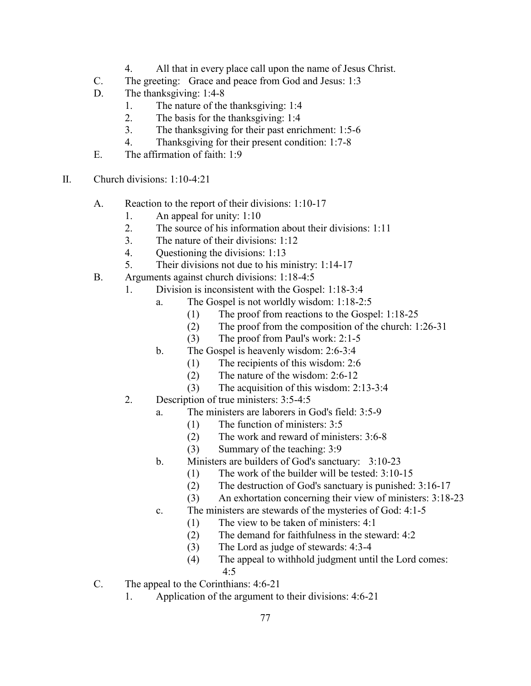- 4. All that in every place call upon the name of Jesus Christ.
- C. The greeting: Grace and peace from God and Jesus: 1:3
- D. The thanksgiving: 1:4-8
	- 1. The nature of the thanksgiving: 1:4
	- 2. The basis for the thanksgiving: 1:4
	- 3. The thanksgiving for their past enrichment: 1:5-6
	- 4. Thanksgiving for their present condition: 1:7-8
- E. The affirmation of faith: 1:9
- II. Church divisions: 1:10-4:21
	- A. Reaction to the report of their divisions: 1:10-17
		- 1. An appeal for unity: 1:10
		- 2. The source of his information about their divisions: 1:11
		- 3. The nature of their divisions: 1:12
		- 4. Questioning the divisions: 1:13
		- 5. Their divisions not due to his ministry: 1:14-17
	- B. Arguments against church divisions: 1:18-4:5
		- 1. Division is inconsistent with the Gospel: 1:18-3:4
			- a. The Gospel is not worldly wisdom: 1:18-2:5
				- (1) The proof from reactions to the Gospel: 1:18-25
				- (2) The proof from the composition of the church: 1:26-31
				- (3) The proof from Paul's work: 2:1-5
				- b. The Gospel is heavenly wisdom: 2:6-3:4
					- (1) The recipients of this wisdom: 2:6
					- (2) The nature of the wisdom: 2:6-12
					- (3) The acquisition of this wisdom: 2:13-3:4
		- 2. Description of true ministers: 3:5-4:5
			- a. The ministers are laborers in God's field: 3:5-9
				- (1) The function of ministers: 3:5
				- (2) The work and reward of ministers: 3:6-8
				- (3) Summary of the teaching: 3:9
			- b. Ministers are builders of God's sanctuary: 3:10-23
				- (1) The work of the builder will be tested: 3:10-15
				- (2) The destruction of God's sanctuary is punished: 3:16-17
				- (3) An exhortation concerning their view of ministers: 3:18-23
			- c. The ministers are stewards of the mysteries of God: 4:1-5
				- (1) The view to be taken of ministers: 4:1
				- (2) The demand for faithfulness in the steward: 4:2
				- (3) The Lord as judge of stewards: 4:3-4
				- (4) The appeal to withhold judgment until the Lord comes: 4:5
	- C. The appeal to the Corinthians: 4:6-21
		- 1. Application of the argument to their divisions: 4:6-21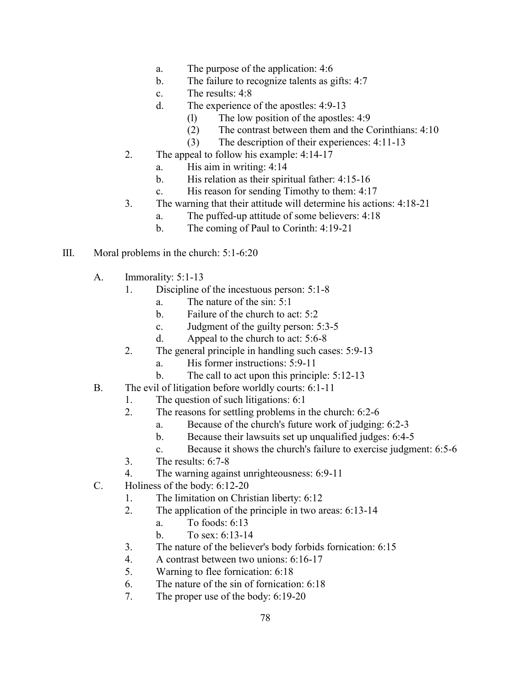- a. The purpose of the application: 4:6
- b. The failure to recognize talents as gifts: 4:7
- c. The results: 4:8
- d. The experience of the apostles: 4:9-13
	- (l) The low position of the apostles: 4:9
	- (2) The contrast between them and the Corinthians: 4:10
	- (3) The description of their experiences: 4:11-13
- 2. The appeal to follow his example: 4:14-17
	- a. His aim in writing: 4:14
	- b. His relation as their spiritual father: 4:15-16
	- c. His reason for sending Timothy to them: 4:17
- 3. The warning that their attitude will determine his actions: 4:18-21
	- a. The puffed-up attitude of some believers: 4:18
	- b. The coming of Paul to Corinth: 4:19-21
- III. Moral problems in the church: 5:1-6:20
	- A. Immorality: 5:1-13
		- 1. Discipline of the incestuous person: 5:1-8
			- a. The nature of the sin: 5:1
			- b. Failure of the church to act: 5:2
			- c. Judgment of the guilty person: 5:3-5
			- d. Appeal to the church to act: 5:6-8
		- 2. The general principle in handling such cases: 5:9-13
			- a. His former instructions: 5:9-11
			- b. The call to act upon this principle: 5:12-13
	- B. The evil of litigation before worldly courts: 6:1-11
		- 1. The question of such litigations: 6:1
		- 2. The reasons for settling problems in the church: 6:2-6
			- a. Because of the church's future work of judging: 6:2-3
			- b. Because their lawsuits set up unqualified judges: 6:4-5
			- c. Because it shows the church's failure to exercise judgment: 6:5-6
		- 3. The results: 6:7-8
		- 4. The warning against unrighteousness: 6:9-11
	- C. Holiness of the body: 6:12-20
		- 1. The limitation on Christian liberty: 6:12
		- 2. The application of the principle in two areas: 6:13-14
			- a. To foods: 6:13
			- b. To sex: 6:13-14
		- 3. The nature of the believer's body forbids fornication: 6:15
		- 4. A contrast between two unions: 6:16-17
		- 5. Warning to flee fornication: 6:18
		- 6. The nature of the sin of fornication: 6:18
		- 7. The proper use of the body: 6:19-20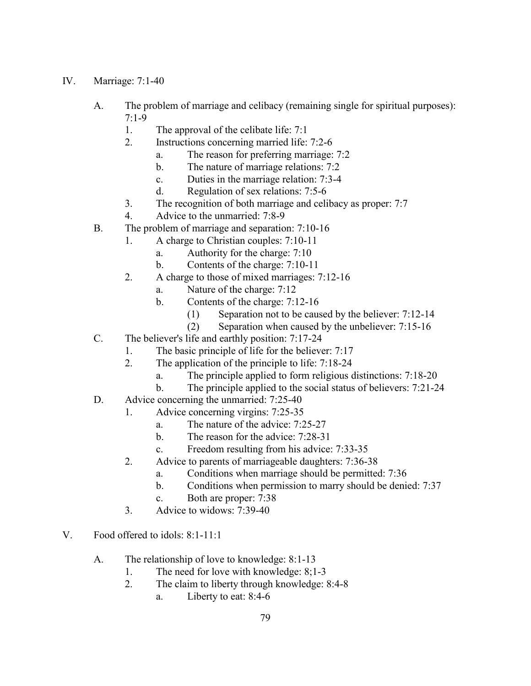- IV. Marriage: 7:1-40
	- A. The problem of marriage and celibacy (remaining single for spiritual purposes): 7:1-9
		- 1. The approval of the celibate life: 7:1
		- 2. Instructions concerning married life: 7:2-6
			- a. The reason for preferring marriage: 7:2
			- b. The nature of marriage relations: 7:2
			- c. Duties in the marriage relation: 7:3-4
			- d. Regulation of sex relations: 7:5-6
		- 3. The recognition of both marriage and celibacy as proper: 7:7
		- 4. Advice to the unmarried: 7:8-9
	- B. The problem of marriage and separation: 7:10-16
		- 1. A charge to Christian couples: 7:10-11
			- a. Authority for the charge: 7:10
			- b. Contents of the charge: 7:10-11
		- 2. A charge to those of mixed marriages: 7:12-16
			- a. Nature of the charge: 7:12
			- b. Contents of the charge: 7:12-16
				- (1) Separation not to be caused by the believer: 7:12-14
				- (2) Separation when caused by the unbeliever: 7:15-16
	- C. The believer's life and earthly position: 7:17-24
		- 1. The basic principle of life for the believer: 7:17
		- 2. The application of the principle to life: 7:18-24
			- a. The principle applied to form religious distinctions: 7:18-20
			- b. The principle applied to the social status of believers: 7:21-24
	- D. Advice concerning the unmarried: 7:25-40
		- 1. Advice concerning virgins: 7:25-35
			- a. The nature of the advice: 7:25-27
			- b. The reason for the advice: 7:28-31
			- c. Freedom resulting from his advice: 7:33-35
		- 2. Advice to parents of marriageable daughters: 7:36-38
			- a. Conditions when marriage should be permitted: 7:36
			- b. Conditions when permission to marry should be denied: 7:37
			- c. Both are proper: 7:38
		- 3. Advice to widows: 7:39-40
- V. Food offered to idols: 8:1-11:1
	- A. The relationship of love to knowledge: 8:1-13
		- 1. The need for love with knowledge: 8;1-3
		- 2. The claim to liberty through knowledge: 8:4-8
			- a. Liberty to eat: 8:4-6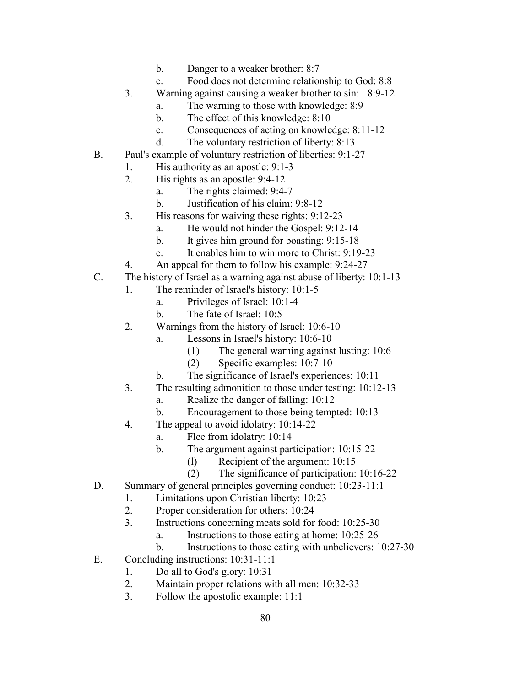- b. Danger to a weaker brother: 8:7
- c. Food does not determine relationship to God: 8:8
- 3. Warning against causing a weaker brother to sin: 8:9-12
	- a. The warning to those with knowledge: 8:9
	- b. The effect of this knowledge: 8:10
	- c. Consequences of acting on knowledge: 8:11-12
	- d. The voluntary restriction of liberty: 8:13
- B. Paul's example of voluntary restriction of liberties: 9:1-27
	- 1. His authority as an apostle: 9:1-3
		- 2. His rights as an apostle: 9:4-12
			- a. The rights claimed: 9:4-7
			- b. Justification of his claim: 9:8-12
		- 3. His reasons for waiving these rights: 9:12-23
			- a. He would not hinder the Gospel: 9:12-14
			- b. It gives him ground for boasting: 9:15-18
			- c. It enables him to win more to Christ: 9:19-23
		- 4. An appeal for them to follow his example: 9:24-27
- C. The history of Israel as a warning against abuse of liberty: 10:1-13
	- 1. The reminder of Israel's history: 10:1-5
		- a. Privileges of Israel: 10:1-4
		- b. The fate of Israel: 10:5
	- 2. Warnings from the history of Israel: 10:6-10
		- a. Lessons in Israel's history: 10:6-10
			- (1) The general warning against lusting: 10:6
			- (2) Specific examples: 10:7-10
		- b. The significance of Israel's experiences: 10:11
	- 3. The resulting admonition to those under testing: 10:12-13
		- a. Realize the danger of falling: 10:12
		- b. Encouragement to those being tempted: 10:13
	- 4. The appeal to avoid idolatry: 10:14-22
		- a. Flee from idolatry: 10:14
		- b. The argument against participation: 10:15-22
			- (l) Recipient of the argument: 10:15
			- (2) The significance of participation: 10:16-22
- D. Summary of general principles governing conduct: 10:23-11:1
	- 1. Limitations upon Christian liberty: 10:23
	- 2. Proper consideration for others: 10:24
	- 3. Instructions concerning meats sold for food: 10:25-30
		- a. Instructions to those eating at home: 10:25-26
		- b. Instructions to those eating with unbelievers: 10:27-30
- E. Concluding instructions: 10:31-11:1
	- 1. Do all to God's glory: 10:31
	- 2. Maintain proper relations with all men: 10:32-33
	- 3. Follow the apostolic example: 11:1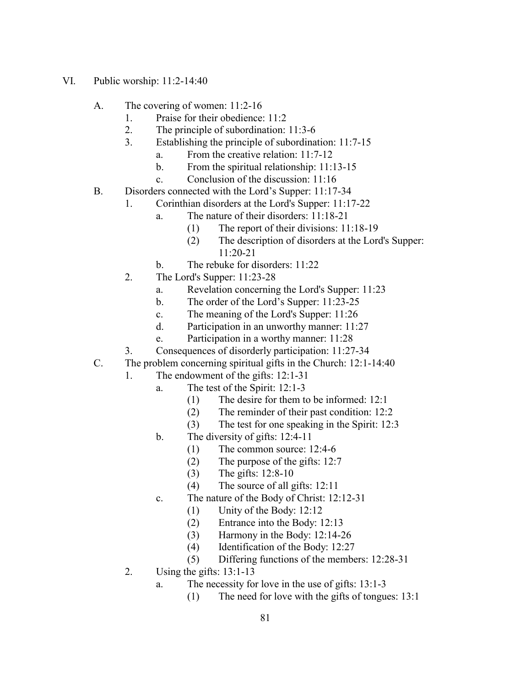- VI. Public worship: 11:2-14:40
	- A. The covering of women: 11:2-16
		- 1. Praise for their obedience: 11:2
			- 2. The principle of subordination: 11:3-6
			- 3. Establishing the principle of subordination: 11:7-15
				- a. From the creative relation: 11:7-12
				- b. From the spiritual relationship: 11:13-15
				- c. Conclusion of the discussion: 11:16
	- B. Disorders connected with the Lord's Supper: 11:17-34
		- 1. Corinthian disorders at the Lord's Supper: 11:17-22
			- a. The nature of their disorders: 11:18-21
				- (1) The report of their divisions: 11:18-19
				- (2) The description of disorders at the Lord's Supper: 11:20-21
			- b. The rebuke for disorders: 11:22
		- 2. The Lord's Supper: 11:23-28
			- a. Revelation concerning the Lord's Supper: 11:23
			- b. The order of the Lord's Supper: 11:23-25
			- c. The meaning of the Lord's Supper: 11:26
			- d. Participation in an unworthy manner: 11:27
			- e. Participation in a worthy manner: 11:28
		- 3. Consequences of disorderly participation: 11:27-34
	- C. The problem concerning spiritual gifts in the Church: 12:1-14:40
		- 1. The endowment of the gifts: 12:1-31
			- a. The test of the Spirit: 12:1-3
				- (1) The desire for them to be informed: 12:1
				- (2) The reminder of their past condition: 12:2
				- (3) The test for one speaking in the Spirit: 12:3
			- b. The diversity of gifts: 12:4-11
				- (1) The common source: 12:4-6
				- (2) The purpose of the gifts: 12:7
				- (3) The gifts: 12:8-10
				- (4) The source of all gifts: 12:11
			- c. The nature of the Body of Christ: 12:12-31
				- (1) Unity of the Body: 12:12
				- (2) Entrance into the Body: 12:13
				- (3) Harmony in the Body: 12:14-26
				- (4) Identification of the Body: 12:27
				- (5) Differing functions of the members: 12:28-31
		- 2. Using the gifts: 13:1-13
			- a. The necessity for love in the use of gifts: 13:1-3
				- (1) The need for love with the gifts of tongues: 13:1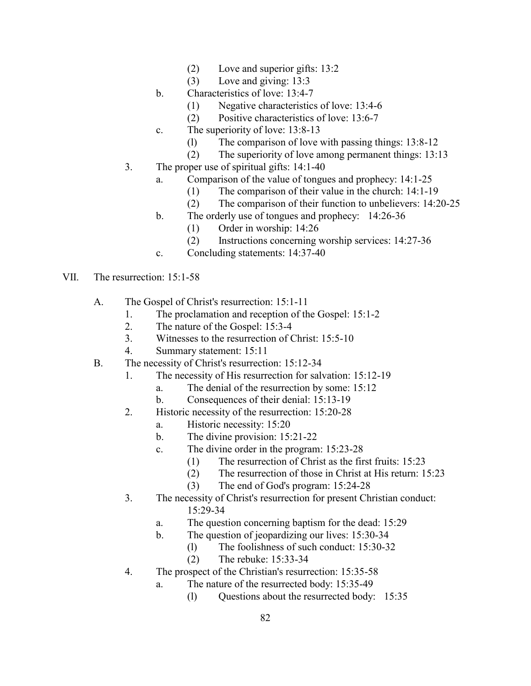- (2) Love and superior gifts: 13:2
- (3) Love and giving: 13:3
- b. Characteristics of love: 13:4-7
	- (1) Negative characteristics of love: 13:4-6
	- (2) Positive characteristics of love: 13:6-7
- c. The superiority of love: 13:8-13
	- (l) The comparison of love with passing things: 13:8-12
	- (2) The superiority of love among permanent things: 13:13
- 3. The proper use of spiritual gifts: 14:1-40
	- a. Comparison of the value of tongues and prophecy: 14:1-25
		- (1) The comparison of their value in the church: 14:1-19
		- (2) The comparison of their function to unbelievers: 14:20-25
		- b. The orderly use of tongues and prophecy: 14:26-36
			- (1) Order in worship: 14:26
			- (2) Instructions concerning worship services: 14:27-36
		- c. Concluding statements: 14:37-40

### VII. The resurrection: 15:1-58

- A. The Gospel of Christ's resurrection: 15:1-11
	- 1. The proclamation and reception of the Gospel: 15:1-2
	- 2. The nature of the Gospel: 15:3-4
	- 3. Witnesses to the resurrection of Christ: 15:5-10
	- 4. Summary statement: 15:11
- B. The necessity of Christ's resurrection: 15:12-34
	- 1. The necessity of His resurrection for salvation: 15:12-19
		- a. The denial of the resurrection by some: 15:12
		- b. Consequences of their denial: 15:13-19
	- 2. Historic necessity of the resurrection: 15:20-28
		- a. Historic necessity: 15:20
		- b. The divine provision: 15:21-22
		- c. The divine order in the program: 15:23-28
			- (1) The resurrection of Christ as the first fruits: 15:23
			- (2) The resurrection of those in Christ at His return: 15:23
			- (3) The end of God's program: 15:24-28
	- 3. The necessity of Christ's resurrection for present Christian conduct: 15:29-34
		- a. The question concerning baptism for the dead: 15:29
		- b. The question of jeopardizing our lives: 15:30-34
			- (l) The foolishness of such conduct: 15:30-32
			- (2) The rebuke: 15:33-34
	- 4. The prospect of the Christian's resurrection: 15:35-58
		- a. The nature of the resurrected body: 15:35-49
			- (l) Questions about the resurrected body: 15:35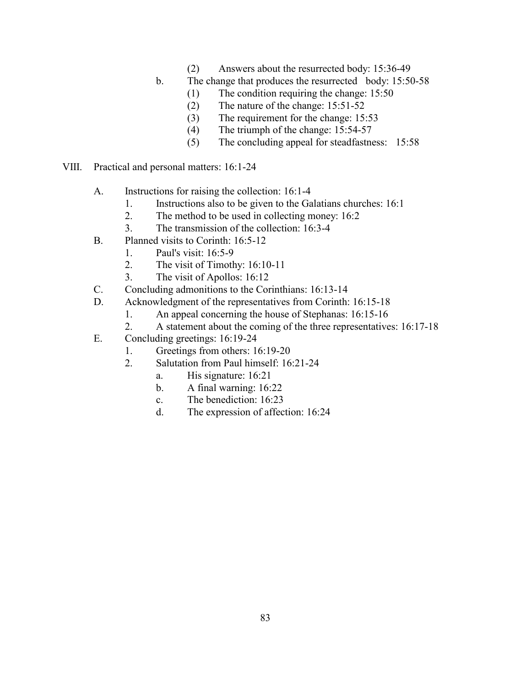- (2) Answers about the resurrected body: 15:36-49
- b. The change that produces the resurrected body: 15:50-58
	- (1) The condition requiring the change: 15:50
	- (2) The nature of the change: 15:51-52
	- (3) The requirement for the change: 15:53
	- (4) The triumph of the change: 15:54-57
	- (5) The concluding appeal for steadfastness: 15:58
- VIII. Practical and personal matters: 16:1-24
	- A. Instructions for raising the collection: 16:1-4
		- 1. Instructions also to be given to the Galatians churches: 16:1
		- 2. The method to be used in collecting money: 16:2
		- 3. The transmission of the collection: 16:3-4
	- B. Planned visits to Corinth: 16:5-12
		- 1. Paul's visit: 16:5-9
		- 2. The visit of Timothy: 16:10-11
		- 3. The visit of Apollos: 16:12
	- C. Concluding admonitions to the Corinthians: 16:13-14
	- D. Acknowledgment of the representatives from Corinth: 16:15-18
		- 1. An appeal concerning the house of Stephanas: 16:15-16
		- 2. A statement about the coming of the three representatives: 16:17-18
	- E. Concluding greetings: 16:19-24
		- 1. Greetings from others: 16:19-20
		- 2. Salutation from Paul himself: 16:21-24
			- a. His signature: 16:21
			- b. A final warning: 16:22
			- c. The benediction: 16:23
			- d. The expression of affection: 16:24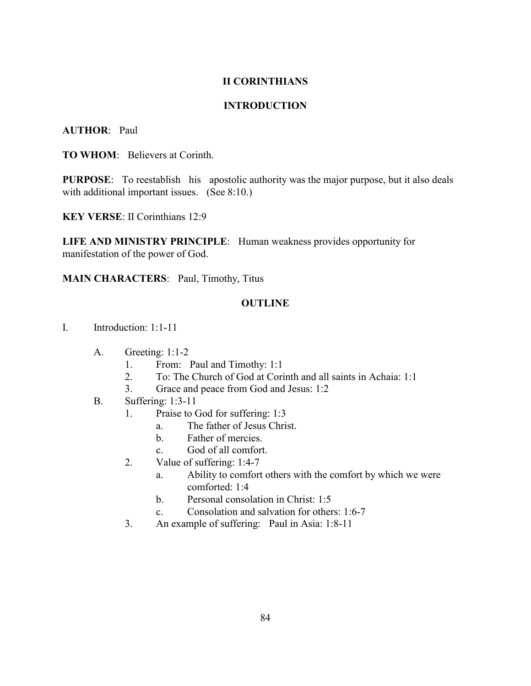### **II CORINTHIANS**

### **INTRODUCTION**

#### **AUTHOR**: Paul

**TO WHOM**: Believers at Corinth.

**PURPOSE**: To reestablish his apostolic authority was the major purpose, but it also deals with additional important issues. (See 8:10.)

**KEY VERSE**: II Corinthians 12:9

**LIFE AND MINISTRY PRINCIPLE**: Human weakness provides opportunity for manifestation of the power of God.

**MAIN CHARACTERS**: Paul, Timothy, Titus

### **OUTLINE**

- I. Introduction: 1:1-11
	- A. Greeting: 1:1-2
		- 1. From: Paul and Timothy: 1:1
		- 2. To: The Church of God at Corinth and all saints in Achaia: 1:1
		- 3. Grace and peace from God and Jesus: 1:2
	- B. Suffering: 1:3-11
		- 1. Praise to God for suffering: 1:3
			- a. The father of Jesus Christ.
			- b. Father of mercies.
			- c. God of all comfort.
		- 2. Value of suffering: 1:4-7
			- a. Ability to comfort others with the comfort by which we were comforted: 1:4
			- b. Personal consolation in Christ: 1:5
			- c. Consolation and salvation for others: 1:6-7
		- 3. An example of suffering: Paul in Asia: 1:8-11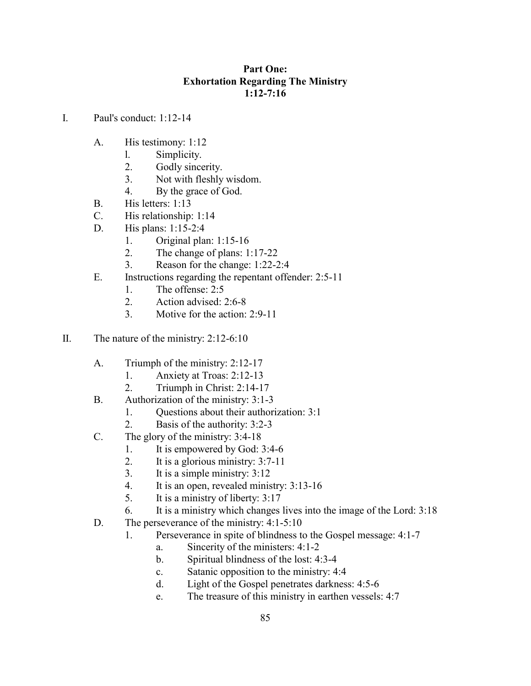## **Part One: Exhortation Regarding The Ministry 1:12-7:16**

- I. Paul's conduct: 1:12-14
	- A. His testimony: 1:12
		- l. Simplicity.
		- 2. Godly sincerity.
		- 3. Not with fleshly wisdom.
		- 4. By the grace of God.
	- B. His letters: 1:13
	- C. His relationship: 1:14
	- D. His plans: 1:15-2:4
		- 1. Original plan: 1:15-16
		- 2. The change of plans: 1:17-22
		- 3. Reason for the change: 1:22-2:4
	- E. Instructions regarding the repentant offender: 2:5-11
		- 1. The offense: 2:5
		- 2. Action advised: 2:6-8
		- 3. Motive for the action: 2:9-11
- II. The nature of the ministry: 2:12-6:10
	- A. Triumph of the ministry: 2:12-17
		- 1. Anxiety at Troas: 2:12-13
		- 2. Triumph in Christ: 2:14-17
	- B. Authorization of the ministry: 3:1-3
		- 1. Questions about their authorization: 3:1
		- 2. Basis of the authority: 3:2-3
	- C. The glory of the ministry: 3:4-18
		- 1. It is empowered by God: 3:4-6
		- 2. It is a glorious ministry: 3:7-11
		- 3. It is a simple ministry: 3:12
		- 4. It is an open, revealed ministry: 3:13-16
		- 5. It is a ministry of liberty: 3:17
		- 6. It is a ministry which changes lives into the image of the Lord: 3:18
	- D. The perseverance of the ministry: 4:1-5:10
		- 1. Perseverance in spite of blindness to the Gospel message: 4:1-7
			- a. Sincerity of the ministers: 4:1-2
			- b. Spiritual blindness of the lost: 4:3-4
			- c. Satanic opposition to the ministry: 4:4
			- d. Light of the Gospel penetrates darkness: 4:5-6
			- e. The treasure of this ministry in earthen vessels: 4:7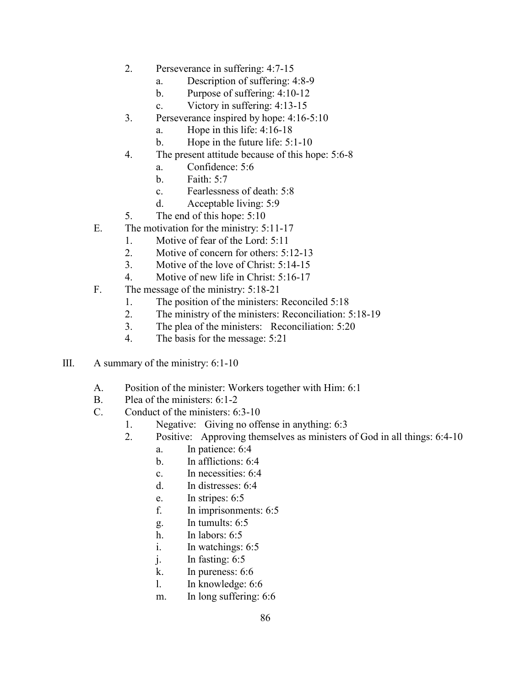- 2. Perseverance in suffering: 4:7-15
	- a. Description of suffering: 4:8-9
	- b. Purpose of suffering: 4:10-12
	- c. Victory in suffering: 4:13-15
- 3. Perseverance inspired by hope: 4:16-5:10
	- a. Hope in this life: 4:16-18
	- b. Hope in the future life: 5:1-10
- 4. The present attitude because of this hope: 5:6-8
	- a. Confidence: 5:6
	- b. Faith: 5:7
	- c. Fearlessness of death: 5:8
	- d. Acceptable living: 5:9
- 5. The end of this hope: 5:10
- E. The motivation for the ministry: 5:11-17
	- 1. Motive of fear of the Lord: 5:11
	- 2. Motive of concern for others: 5:12-13
	- 3. Motive of the love of Christ: 5:14-15
	- 4. Motive of new life in Christ: 5:16-17
- F. The message of the ministry: 5:18-21
	- 1. The position of the ministers: Reconciled 5:18
	- 2. The ministry of the ministers: Reconciliation: 5:18-19
	- 3. The plea of the ministers: Reconciliation: 5:20
	- 4. The basis for the message: 5:21
- III. A summary of the ministry: 6:1-10
	- A. Position of the minister: Workers together with Him: 6:1
	- B. Plea of the ministers: 6:1-2
	- C. Conduct of the ministers: 6:3-10
		- 1. Negative: Giving no offense in anything: 6:3
		- 2. Positive: Approving themselves as ministers of God in all things: 6:4-10
			- a. In patience: 6:4
			- b. In afflictions: 6:4
			- c. In necessities: 6:4
			- d. In distresses: 6:4
			- e. In stripes: 6:5
			- f. In imprisonments: 6:5
			- g. In tumults: 6:5
			- h. In labors: 6:5
			- i. In watchings: 6:5
			- j. In fasting: 6:5
			- k. In pureness: 6:6
			- l. In knowledge: 6:6
			- m. In long suffering: 6:6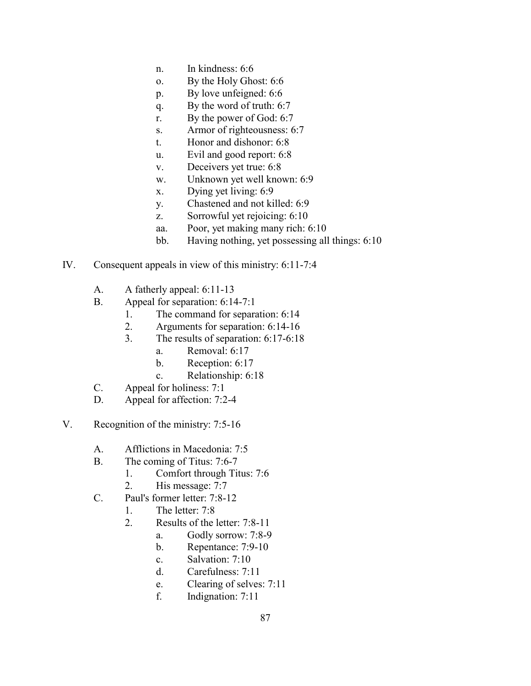- n. In kindness: 6:6
- o. By the Holy Ghost: 6:6
- p. By love unfeigned: 6:6
- q. By the word of truth: 6:7
- r. By the power of God: 6:7
- s. Armor of righteousness: 6:7
- t. Honor and dishonor: 6:8
- u. Evil and good report: 6:8
- v. Deceivers yet true: 6:8
- w. Unknown yet well known: 6:9
- x. Dying yet living: 6:9
- y. Chastened and not killed: 6:9
- z. Sorrowful yet rejoicing: 6:10
- aa. Poor, yet making many rich: 6:10
- bb. Having nothing, yet possessing all things: 6:10
- IV. Consequent appeals in view of this ministry: 6:11-7:4
	- A. A fatherly appeal: 6:11-13
	- B. Appeal for separation: 6:14-7:1
		- 1. The command for separation: 6:14
		- 2. Arguments for separation: 6:14-16
		- 3. The results of separation: 6:17-6:18
			- a. Removal: 6:17
			- b. Reception: 6:17
			- c. Relationship: 6:18
	- C. Appeal for holiness: 7:1
	- D. Appeal for affection: 7:2-4
- V. Recognition of the ministry: 7:5-16
	- A. Afflictions in Macedonia: 7:5
	- B. The coming of Titus: 7:6-7
		- 1. Comfort through Titus: 7:6
		- 2. His message: 7:7
	- C. Paul's former letter: 7:8-12
		- 1. The letter: 7:8
		- 2. Results of the letter: 7:8-11
			- a. Godly sorrow: 7:8-9
			- b. Repentance: 7:9-10
			- c. Salvation: 7:10
			- d. Carefulness: 7:11
			- e. Clearing of selves: 7:11
			- f. Indignation: 7:11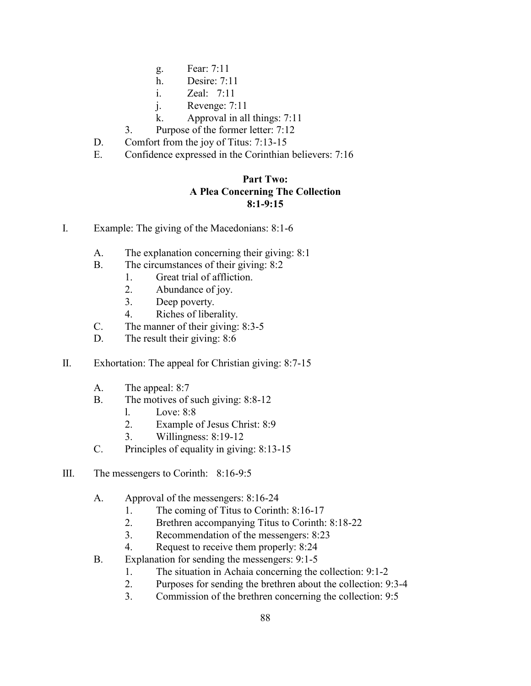- g. Fear: 7:11
- h. Desire: 7:11
- i. Zeal: 7:11
- j. Revenge: 7:11
- k. Approval in all things: 7:11
- 3. Purpose of the former letter: 7:12
- D. Comfort from the joy of Titus: 7:13-15
- E. Confidence expressed in the Corinthian believers: 7:16

## **Part Two: A Plea Concerning The Collection 8:1-9:15**

- I. Example: The giving of the Macedonians: 8:1-6
	- A. The explanation concerning their giving: 8:1
	- B. The circumstances of their giving: 8:2
		- 1. Great trial of affliction.
		- 2. Abundance of joy.
		- 3. Deep poverty.
		- 4. Riches of liberality.
	- C. The manner of their giving: 8:3-5
	- D. The result their giving: 8:6
- II. Exhortation: The appeal for Christian giving: 8:7-15
	- A. The appeal: 8:7
	- B. The motives of such giving: 8:8-12
		- l. Love: 8:8
		- 2. Example of Jesus Christ: 8:9
		- 3. Willingness: 8:19-12
	- C. Principles of equality in giving: 8:13-15
- III. The messengers to Corinth: 8:16-9:5
	- A. Approval of the messengers: 8:16-24
		- 1. The coming of Titus to Corinth: 8:16-17
		- 2. Brethren accompanying Titus to Corinth: 8:18-22
		- 3. Recommendation of the messengers: 8:23
		- 4. Request to receive them properly: 8:24
	- B. Explanation for sending the messengers: 9:1-5
		- 1. The situation in Achaia concerning the collection: 9:1-2
		- 2. Purposes for sending the brethren about the collection: 9:3-4
		- 3. Commission of the brethren concerning the collection: 9:5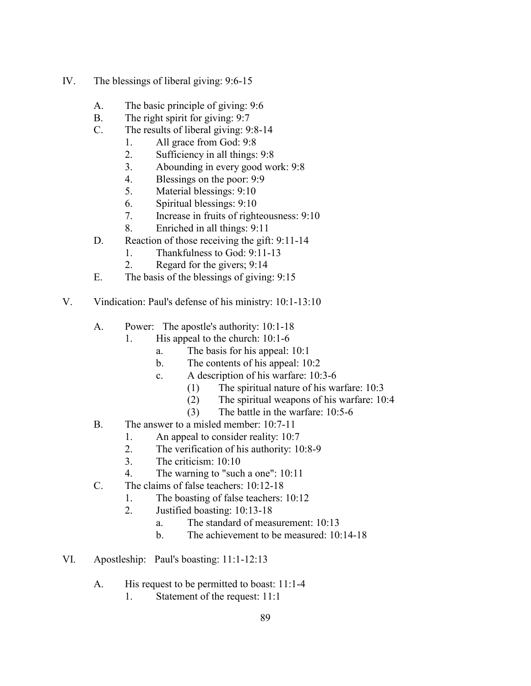- IV. The blessings of liberal giving: 9:6-15
	- A. The basic principle of giving: 9:6
	- B. The right spirit for giving: 9:7
	- C. The results of liberal giving: 9:8-14
		- 1. All grace from God: 9:8
		- 2. Sufficiency in all things: 9:8
		- 3. Abounding in every good work: 9:8
		- 4. Blessings on the poor: 9:9
		- 5. Material blessings: 9:10
		- 6. Spiritual blessings: 9:10
		- 7. Increase in fruits of righteousness: 9:10
		- 8. Enriched in all things: 9:11
	- D. Reaction of those receiving the gift: 9:11-14
		- 1. Thankfulness to God: 9:11-13
		- 2. Regard for the givers; 9:14
	- E. The basis of the blessings of giving: 9:15
- V. Vindication: Paul's defense of his ministry: 10:1-13:10
	- A. Power: The apostle's authority: 10:1-18
		- 1. His appeal to the church: 10:1-6
			- a. The basis for his appeal: 10:1
			- b. The contents of his appeal: 10:2
			- c. A description of his warfare: 10:3-6
				- (1) The spiritual nature of his warfare: 10:3
				- (2) The spiritual weapons of his warfare: 10:4
				- (3) The battle in the warfare: 10:5-6
	- B. The answer to a misled member: 10:7-11
		- 1. An appeal to consider reality: 10:7
		- 2. The verification of his authority: 10:8-9
		- 3. The criticism: 10:10
		- 4. The warning to "such a one": 10:11
	- C. The claims of false teachers: 10:12-18
		- 1. The boasting of false teachers: 10:12
		- 2. Justified boasting: 10:13-18
			- a. The standard of measurement: 10:13
			- b. The achievement to be measured: 10:14-18
- VI. Apostleship: Paul's boasting: 11:1-12:13
	- A. His request to be permitted to boast: 11:1-4
		- 1. Statement of the request: 11:1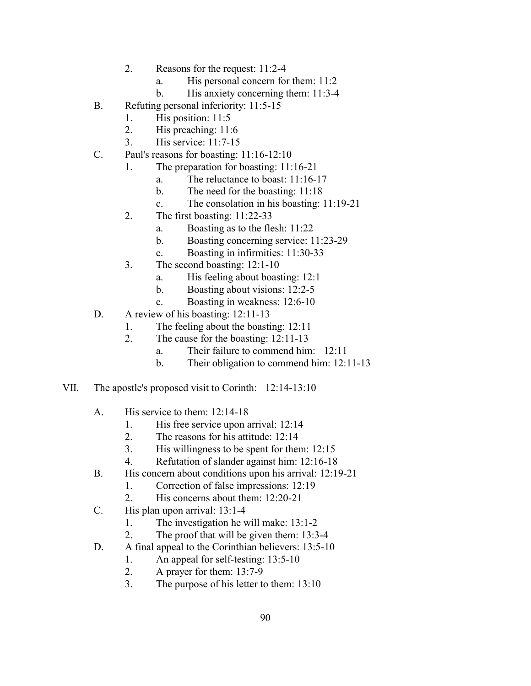- 2. Reasons for the request: 11:2-4
	- a. His personal concern for them: 11:2
	- b. His anxiety concerning them: 11:3-4
- B. Refuting personal inferiority: 11:5-15
	- 1. His position: 11:5
	- 2. His preaching: 11:6
	- 3. His service: 11:7-15
- C. Paul's reasons for boasting: 11:16-12:10
	- 1. The preparation for boasting: 11:16-21
		- a. The reluctance to boast: 11:16-17
		- b. The need for the boasting: 11:18
		- c. The consolation in his boasting: 11:19-21
		- 2. The first boasting: 11:22-33
			- a. Boasting as to the flesh: 11:22
			- b. Boasting concerning service: 11:23-29
			- c. Boasting in infirmities: 11:30-33
		- 3. The second boasting: 12:1-10
			- a. His feeling about boasting: 12:1
			- b. Boasting about visions: 12:2-5
			- c. Boasting in weakness: 12:6-10
- D. A review of his boasting: 12:11-13
	- 1. The feeling about the boasting: 12:11
	- 2. The cause for the boasting: 12:11-13
		- a. Their failure to commend him: 12:11
		- b. Their obligation to commend him: 12:11-13
- VII. The apostle's proposed visit to Corinth: 12:14-13:10
	- A. His service to them: 12:14-18
		- 1. His free service upon arrival: 12:14
		- 2. The reasons for his attitude: 12:14
		- 3. His willingness to be spent for them: 12:15
		- 4. Refutation of slander against him: 12:16-18
	- B. His concern about conditions upon his arrival: 12:19-21
		- 1. Correction of false impressions: 12:19
		- 2. His concerns about them: 12:20-21
	- C. His plan upon arrival: 13:1-4
		- 1. The investigation he will make: 13:1-2
		- 2. The proof that will be given them: 13:3-4
	- D. A final appeal to the Corinthian believers: 13:5-10
		- 1. An appeal for self-testing: 13:5-10
		- 2. A prayer for them: 13:7-9
		- 3. The purpose of his letter to them: 13:10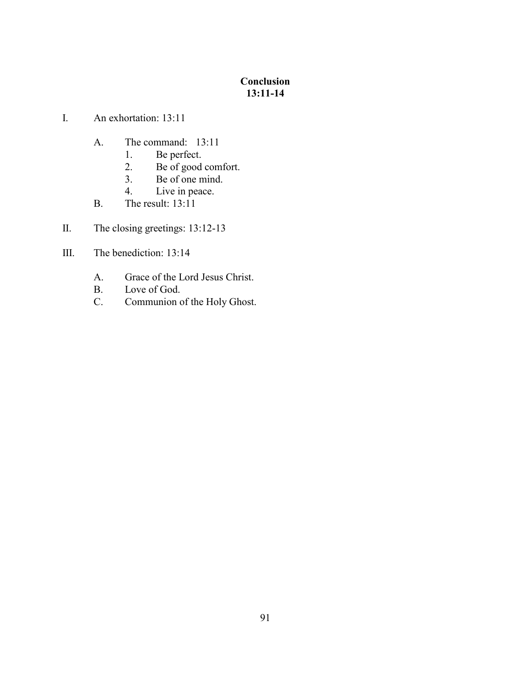# **Conclusion 13:11-14**

- I. An exhortation: 13:11
	- A. The command: 13:11
		- 1. Be perfect.
		- 2. Be of good comfort.<br>3. Be of one mind.
		- Be of one mind.
		- 4. Live in peace.
	- B. The result: 13:11
- II. The closing greetings: 13:12-13
- III. The benediction: 13:14
	- A. Grace of the Lord Jesus Christ.
	- B. Love of God.<br>C. Communion
	- Communion of the Holy Ghost.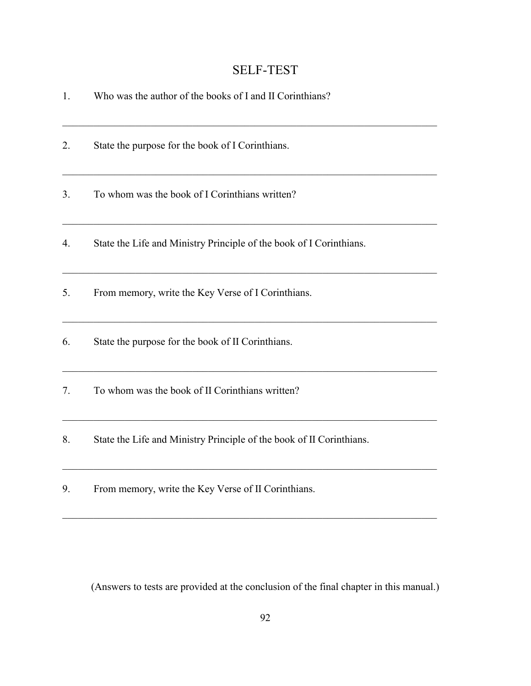# SELF-TEST

1. Who was the author of the books of I and II Corinthians?

2. State the purpose for the book of I Corinthians.

3. To whom was the book of I Corinthians written?

4. State the Life and Ministry Principle of the book of I Corinthians.

5. From memory, write the Key Verse of I Corinthians.

6. State the purpose for the book of II Corinthians.

7. To whom was the book of II Corinthians written?

8. State the Life and Ministry Principle of the book of II Corinthians.

 $\mathcal{L}_\text{max} = \mathcal{L}_\text{max} = \mathcal{L}_\text{max} = \mathcal{L}_\text{max} = \mathcal{L}_\text{max} = \mathcal{L}_\text{max} = \mathcal{L}_\text{max} = \mathcal{L}_\text{max} = \mathcal{L}_\text{max} = \mathcal{L}_\text{max} = \mathcal{L}_\text{max} = \mathcal{L}_\text{max} = \mathcal{L}_\text{max} = \mathcal{L}_\text{max} = \mathcal{L}_\text{max} = \mathcal{L}_\text{max} = \mathcal{L}_\text{max} = \mathcal{L}_\text{max} = \mathcal{$ 

 $\mathcal{L}_\text{max} = \mathcal{L}_\text{max} = \mathcal{L}_\text{max} = \mathcal{L}_\text{max} = \mathcal{L}_\text{max} = \mathcal{L}_\text{max} = \mathcal{L}_\text{max} = \mathcal{L}_\text{max} = \mathcal{L}_\text{max} = \mathcal{L}_\text{max} = \mathcal{L}_\text{max} = \mathcal{L}_\text{max} = \mathcal{L}_\text{max} = \mathcal{L}_\text{max} = \mathcal{L}_\text{max} = \mathcal{L}_\text{max} = \mathcal{L}_\text{max} = \mathcal{L}_\text{max} = \mathcal{$ 

9. From memory, write the Key Verse of II Corinthians.

(Answers to tests are provided at the conclusion of the final chapter in this manual.)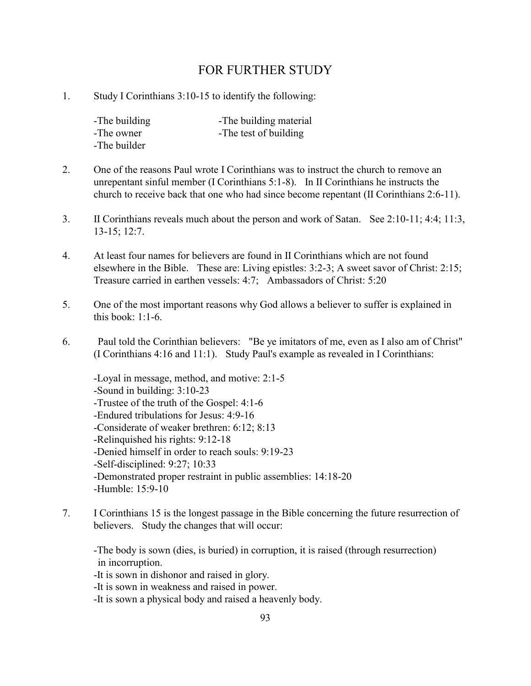# FOR FURTHER STUDY

1. Study I Corinthians 3:10-15 to identify the following:

| -The building | -The building material |
|---------------|------------------------|
| -The owner    | -The test of building  |
| -The builder  |                        |

- 2. One of the reasons Paul wrote I Corinthians was to instruct the church to remove an unrepentant sinful member (I Corinthians 5:1-8). In II Corinthians he instructs the church to receive back that one who had since become repentant (II Corinthians 2:6-11).
- 3. II Corinthians reveals much about the person and work of Satan. See 2:10-11; 4:4; 11:3, 13-15; 12:7.
- 4. At least four names for believers are found in II Corinthians which are not found elsewhere in the Bible. These are: Living epistles: 3:2-3; A sweet savor of Christ: 2:15; Treasure carried in earthen vessels: 4:7; Ambassadors of Christ: 5:20
- 5. One of the most important reasons why God allows a believer to suffer is explained in this book: 1:1-6.
- 6. Paul told the Corinthian believers: "Be ye imitators of me, even as I also am of Christ" (I Corinthians 4:16 and 11:1). Study Paul's example as revealed in I Corinthians:

-Loyal in message, method, and motive: 2:1-5 -Sound in building: 3:10-23 -Trustee of the truth of the Gospel: 4:1-6 -Endured tribulations for Jesus: 4:9-16 -Considerate of weaker brethren: 6:12; 8:13 -Relinquished his rights: 9:12-18 -Denied himself in order to reach souls: 9:19-23 -Self-disciplined: 9:27; 10:33 -Demonstrated proper restraint in public assemblies: 14:18-20 -Humble: 15:9-10

7. I Corinthians 15 is the longest passage in the Bible concerning the future resurrection of believers. Study the changes that will occur:

-The body is sown (dies, is buried) in corruption, it is raised (through resurrection) in incorruption.

-It is sown in dishonor and raised in glory.

-It is sown in weakness and raised in power.

-It is sown a physical body and raised a heavenly body.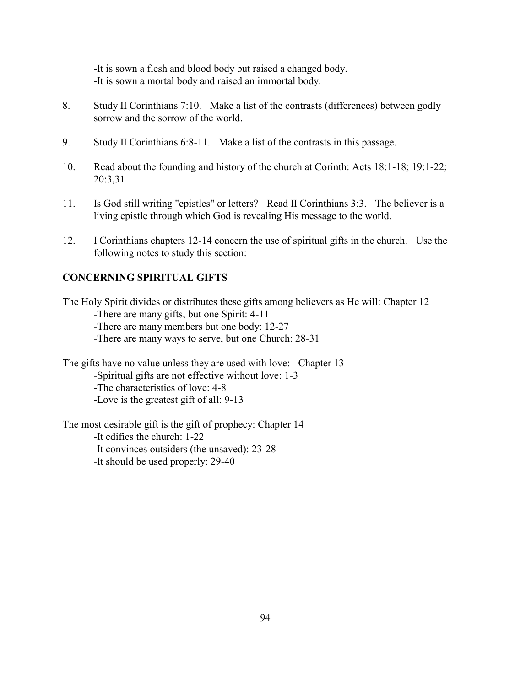-It is sown a flesh and blood body but raised a changed body. -It is sown a mortal body and raised an immortal body.

- 8. Study II Corinthians 7:10. Make a list of the contrasts (differences) between godly sorrow and the sorrow of the world.
- 9. Study II Corinthians 6:8-11. Make a list of the contrasts in this passage.
- 10. Read about the founding and history of the church at Corinth: Acts 18:1-18; 19:1-22; 20:3,31
- 11. Is God still writing "epistles" or letters? Read II Corinthians 3:3. The believer is a living epistle through which God is revealing His message to the world.
- 12. I Corinthians chapters 12-14 concern the use of spiritual gifts in the church. Use the following notes to study this section:

### **CONCERNING SPIRITUAL GIFTS**

The Holy Spirit divides or distributes these gifts among believers as He will: Chapter 12

-There are many gifts, but one Spirit: 4-11

-There are many members but one body: 12-27

-There are many ways to serve, but one Church: 28-31

The gifts have no value unless they are used with love: Chapter 13

-Spiritual gifts are not effective without love: 1-3

-The characteristics of love: 4-8

-Love is the greatest gift of all: 9-13

The most desirable gift is the gift of prophecy: Chapter 14

-It edifies the church: 1-22

-It convinces outsiders (the unsaved): 23-28

-It should be used properly: 29-40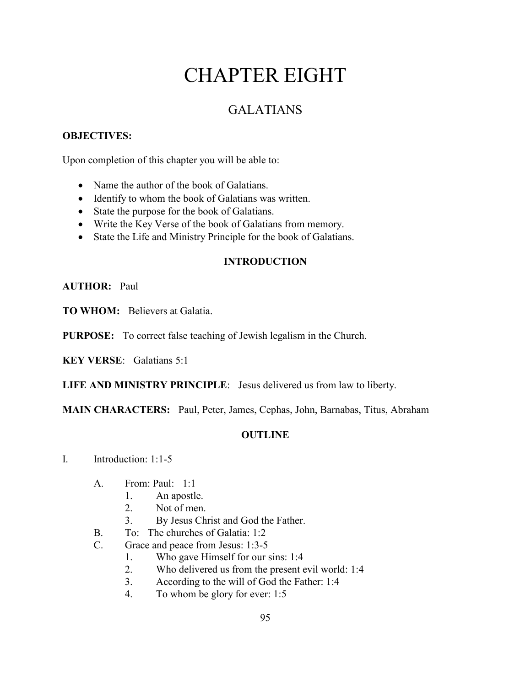# CHAPTER EIGHT

# GALATIANS

# **OBJECTIVES:**

Upon completion of this chapter you will be able to:

- Name the author of the book of Galatians.
- Identify to whom the book of Galatians was written.
- State the purpose for the book of Galatians.
- Write the Key Verse of the book of Galatians from memory.
- State the Life and Ministry Principle for the book of Galatians.

# **INTRODUCTION**

## **AUTHOR:** Paul

**TO WHOM:** Believers at Galatia.

**PURPOSE:** To correct false teaching of Jewish legalism in the Church.

**KEY VERSE**: Galatians 5:1

**LIFE AND MINISTRY PRINCIPLE**: Jesus delivered us from law to liberty.

**MAIN CHARACTERS:** Paul, Peter, James, Cephas, John, Barnabas, Titus, Abraham

# **OUTLINE**

- I. Introduction: 1:1-5
	- A. From: Paul: 1:1
		- 1. An apostle.
		- 2. Not of men.
		- 3. By Jesus Christ and God the Father.
	- B. To: The churches of Galatia: 1:2
	- C. Grace and peace from Jesus: 1:3-5
		- 1. Who gave Himself for our sins: 1:4
		- 2. Who delivered us from the present evil world: 1:4
		- 3. According to the will of God the Father: 1:4
		- 4. To whom be glory for ever: 1:5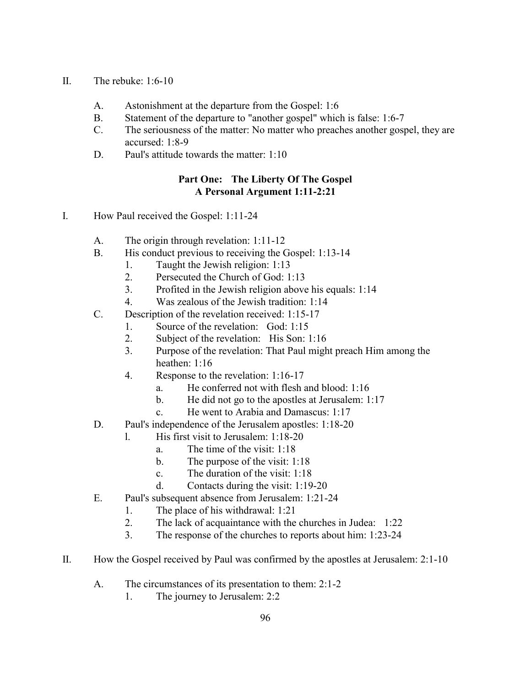- II. The rebuke: 1:6-10
	- A. Astonishment at the departure from the Gospel: 1:6
	- B. Statement of the departure to "another gospel" which is false: 1:6-7
	- C. The seriousness of the matter: No matter who preaches another gospel, they are accursed: 1:8-9
	- D. Paul's attitude towards the matter: 1:10

# **Part One: The Liberty Of The Gospel A Personal Argument 1:11-2:21**

- I. How Paul received the Gospel: 1:11-24
	- A. The origin through revelation: 1:11-12
	- B. His conduct previous to receiving the Gospel: 1:13-14
		- 1. Taught the Jewish religion: 1:13
		- 2. Persecuted the Church of God: 1:13
		- 3. Profited in the Jewish religion above his equals: 1:14
		- 4. Was zealous of the Jewish tradition: 1:14
	- C. Description of the revelation received: 1:15-17
		- 1. Source of the revelation: God: 1:15
		- 2. Subject of the revelation: His Son: 1:16
		- 3. Purpose of the revelation: That Paul might preach Him among the heathen: 1:16
		- 4. Response to the revelation: 1:16-17
			- a. He conferred not with flesh and blood: 1:16
			- b. He did not go to the apostles at Jerusalem: 1:17
			- c. He went to Arabia and Damascus: 1:17
	- D. Paul's independence of the Jerusalem apostles: 1:18-20
		- l. His first visit to Jerusalem: 1:18-20
			- a. The time of the visit: 1:18
			- b. The purpose of the visit: 1:18
			- c. The duration of the visit: 1:18
			- d. Contacts during the visit: 1:19-20
	- E. Paul's subsequent absence from Jerusalem: 1:21-24
		- 1. The place of his withdrawal: 1:21
			- 2. The lack of acquaintance with the churches in Judea: 1:22
			- 3. The response of the churches to reports about him: 1:23-24
- II. How the Gospel received by Paul was confirmed by the apostles at Jerusalem: 2:1-10
	- A. The circumstances of its presentation to them: 2:1-2
		- 1. The journey to Jerusalem: 2:2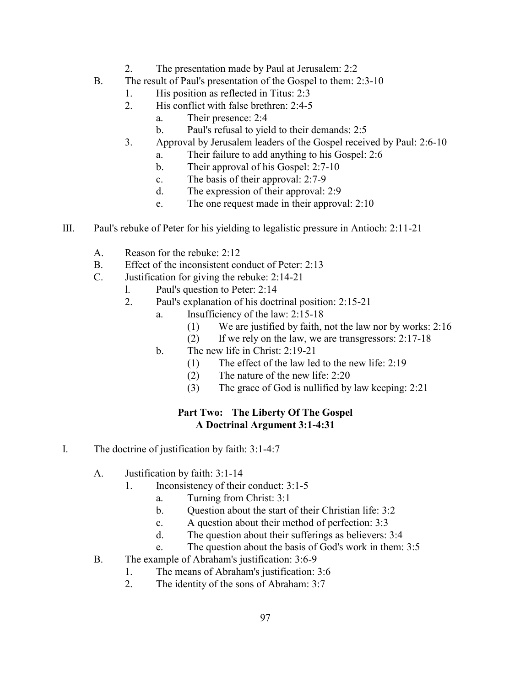- 2. The presentation made by Paul at Jerusalem: 2:2
- B. The result of Paul's presentation of the Gospel to them: 2:3-10
	- 1. His position as reflected in Titus: 2:3
	- 2. His conflict with false brethren: 2:4-5
		- a. Their presence: 2:4
		- b. Paul's refusal to yield to their demands: 2:5
	- 3. Approval by Jerusalem leaders of the Gospel received by Paul: 2:6-10
		- a. Their failure to add anything to his Gospel: 2:6
		- b. Their approval of his Gospel: 2:7-10
		- c. The basis of their approval: 2:7-9
		- d. The expression of their approval: 2:9
		- e. The one request made in their approval: 2:10
- III. Paul's rebuke of Peter for his yielding to legalistic pressure in Antioch: 2:11-21
	- A. Reason for the rebuke: 2:12
	- B. Effect of the inconsistent conduct of Peter: 2:13
	- C. Justification for giving the rebuke: 2:14-21
		- l. Paul's question to Peter: 2:14
		- 2. Paul's explanation of his doctrinal position: 2:15-21
			- a. Insufficiency of the law: 2:15-18
				- (1) We are justified by faith, not the law nor by works: 2:16
				- (2) If we rely on the law, we are transgressors: 2:17-18
				- b. The new life in Christ: 2:19-21
					- (1) The effect of the law led to the new life: 2:19
					- (2) The nature of the new life: 2:20
					- (3) The grace of God is nullified by law keeping: 2:21

# **Part Two: The Liberty Of The Gospel A Doctrinal Argument 3:1-4:31**

- I. The doctrine of justification by faith: 3:1-4:7
	- A. Justification by faith: 3:1-14
		- 1. Inconsistency of their conduct: 3:1-5
			- a. Turning from Christ: 3:1
			- b. Question about the start of their Christian life: 3:2
			- c. A question about their method of perfection: 3:3
			- d. The question about their sufferings as believers: 3:4
			- e. The question about the basis of God's work in them: 3:5
	- B. The example of Abraham's justification: 3:6-9
		- 1. The means of Abraham's justification: 3:6
		- 2. The identity of the sons of Abraham: 3:7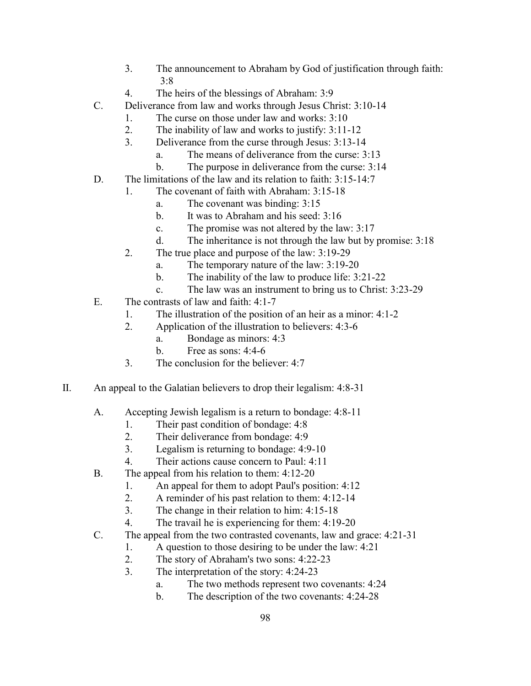- 3. The announcement to Abraham by God of justification through faith: 3:8
- 4. The heirs of the blessings of Abraham: 3:9
- C. Deliverance from law and works through Jesus Christ: 3:10-14
	- 1. The curse on those under law and works: 3:10
	- 2. The inability of law and works to justify: 3:11-12
	- 3. Deliverance from the curse through Jesus: 3:13-14
		- a. The means of deliverance from the curse: 3:13
		- b. The purpose in deliverance from the curse: 3:14
- D. The limitations of the law and its relation to faith: 3:15-14:7
	- 1. The covenant of faith with Abraham: 3:15-18
		- a. The covenant was binding: 3:15
		- b. It was to Abraham and his seed: 3:16
		- c. The promise was not altered by the law: 3:17
		- d. The inheritance is not through the law but by promise: 3:18
	- 2. The true place and purpose of the law: 3:19-29
		- a. The temporary nature of the law: 3:19-20
		- b. The inability of the law to produce life: 3:21-22
		- c. The law was an instrument to bring us to Christ: 3:23-29
- E. The contrasts of law and faith: 4:1-7
	- 1. The illustration of the position of an heir as a minor: 4:1-2
	- 2. Application of the illustration to believers: 4:3-6
		- a. Bondage as minors: 4:3
			- b. Free as sons: 4:4-6
	- 3. The conclusion for the believer: 4:7
- II. An appeal to the Galatian believers to drop their legalism: 4:8-31
	- A. Accepting Jewish legalism is a return to bondage: 4:8-11
		- 1. Their past condition of bondage: 4:8
		- 2. Their deliverance from bondage: 4:9
		- 3. Legalism is returning to bondage: 4:9-10
		- 4. Their actions cause concern to Paul: 4:11
	- B. The appeal from his relation to them: 4:12-20
		- 1. An appeal for them to adopt Paul's position: 4:12
		- 2. A reminder of his past relation to them: 4:12-14
		- 3. The change in their relation to him: 4:15-18
		- 4. The travail he is experiencing for them: 4:19-20
	- C. The appeal from the two contrasted covenants, law and grace: 4:21-31
		- 1. A question to those desiring to be under the law: 4:21
		- 2. The story of Abraham's two sons: 4:22-23
		- 3. The interpretation of the story: 4:24-23
			- a. The two methods represent two covenants: 4:24
			- b. The description of the two covenants: 4:24-28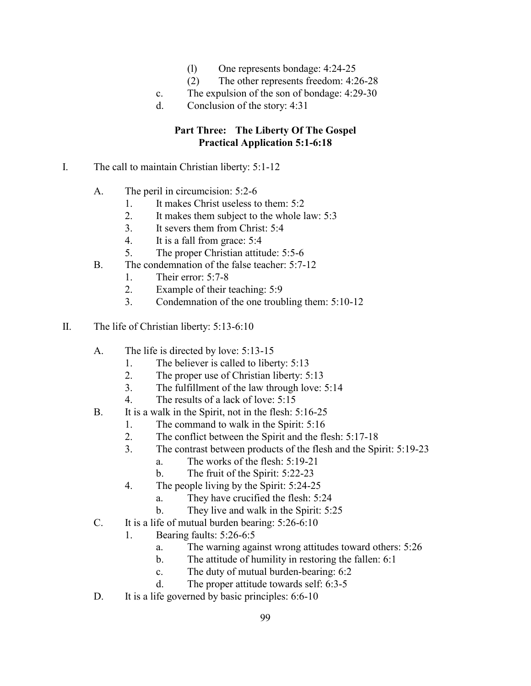- (l) One represents bondage: 4:24-25
- (2) The other represents freedom: 4:26-28
- c. The expulsion of the son of bondage: 4:29-30
- d. Conclusion of the story: 4:31

# **Part Three: The Liberty Of The Gospel Practical Application 5:1-6:18**

- I. The call to maintain Christian liberty: 5:1-12
	- A. The peril in circumcision: 5:2-6
		- 1. It makes Christ useless to them: 5:2
		- 2. It makes them subject to the whole law: 5:3
		- 3. It severs them from Christ: 5:4
		- 4. It is a fall from grace: 5:4
		- 5. The proper Christian attitude: 5:5-6
	- B. The condemnation of the false teacher: 5:7-12
		- 1. Their error: 5:7-8
		- 2. Example of their teaching: 5:9
		- 3. Condemnation of the one troubling them: 5:10-12
- II. The life of Christian liberty: 5:13-6:10
	- A. The life is directed by love: 5:13-15
		- 1. The believer is called to liberty: 5:13
		- 2. The proper use of Christian liberty: 5:13
		- 3. The fulfillment of the law through love: 5:14
		- 4. The results of a lack of love: 5:15
	- B. It is a walk in the Spirit, not in the flesh: 5:16-25
		- 1. The command to walk in the Spirit: 5:16
		- 2. The conflict between the Spirit and the flesh: 5:17-18
		- 3. The contrast between products of the flesh and the Spirit: 5:19-23
			- a. The works of the flesh: 5:19-21
			- b. The fruit of the Spirit: 5:22-23
		- 4. The people living by the Spirit: 5:24-25
			- a. They have crucified the flesh: 5:24
			- b. They live and walk in the Spirit: 5:25
	- C. It is a life of mutual burden bearing: 5:26-6:10
		- 1. Bearing faults: 5:26-6:5
			- a. The warning against wrong attitudes toward others: 5:26
			- b. The attitude of humility in restoring the fallen: 6:1
			- c. The duty of mutual burden-bearing: 6:2
			- d. The proper attitude towards self: 6:3-5
	- D. It is a life governed by basic principles: 6:6-10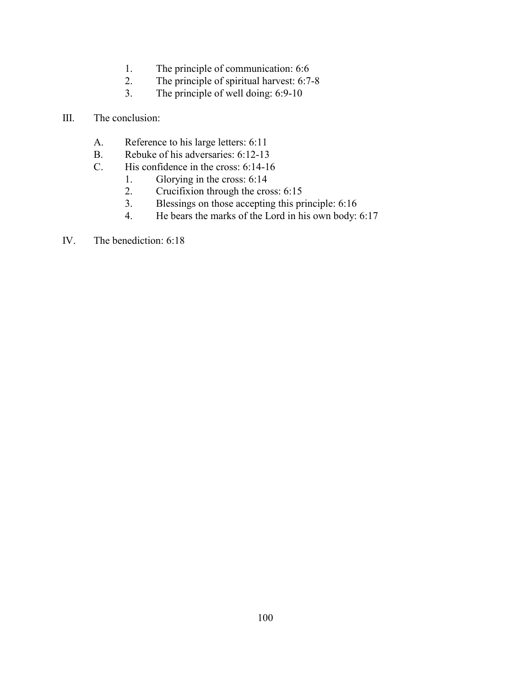- 1. The principle of communication: 6:6
- 2. The principle of spiritual harvest: 6:7-8
- 3. The principle of well doing: 6:9-10

### III. The conclusion:

- A. Reference to his large letters: 6:11
- B. Rebuke of his adversaries: 6:12-13
- C. His confidence in the cross: 6:14-16
	- 1. Glorying in the cross: 6:14
		- 2. Crucifixion through the cross: 6:15
		- 3. Blessings on those accepting this principle: 6:16
		- 4. He bears the marks of the Lord in his own body: 6:17
- IV. The benediction: 6:18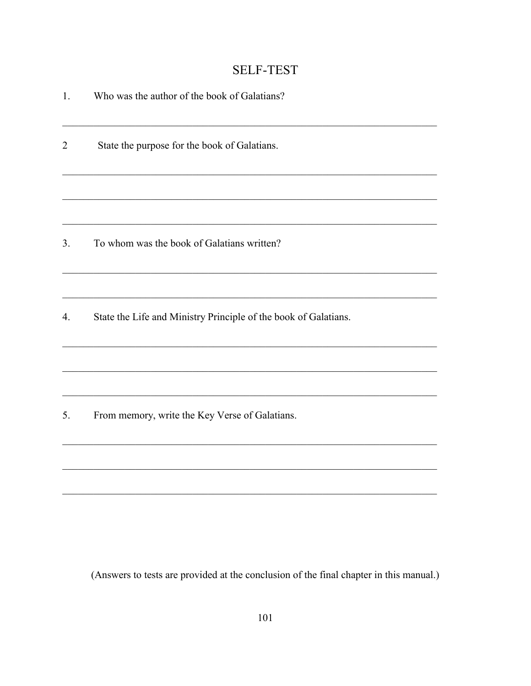# **SELF-TEST**

 $1<sub>1</sub>$ Who was the author of the book of Galatians?

State the purpose for the book of Galatians.  $\overline{2}$ 

To whom was the book of Galatians written?  $3.$ 

State the Life and Ministry Principle of the book of Galatians.  $4.$ 

From memory, write the Key Verse of Galatians. 5.

(Answers to tests are provided at the conclusion of the final chapter in this manual.)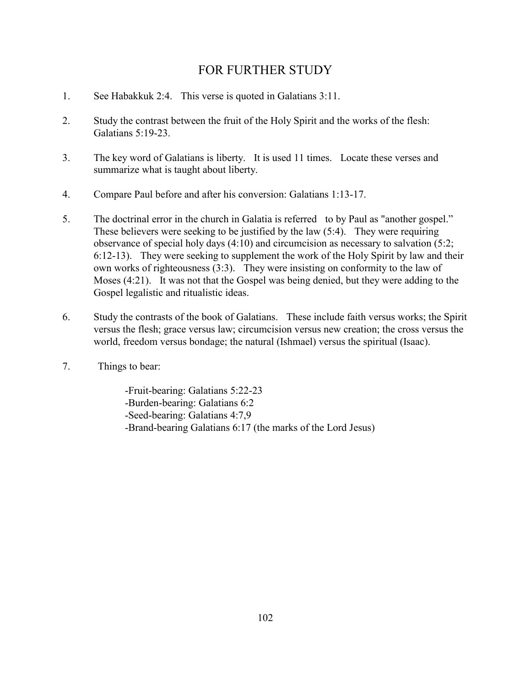# FOR FURTHER STUDY

- 1. See Habakkuk 2:4. This verse is quoted in Galatians 3:11.
- 2. Study the contrast between the fruit of the Holy Spirit and the works of the flesh: Galatians 5:19-23.
- 3. The key word of Galatians is liberty. It is used 11 times. Locate these verses and summarize what is taught about liberty.
- 4. Compare Paul before and after his conversion: Galatians 1:13-17.
- 5. The doctrinal error in the church in Galatia is referred to by Paul as "another gospel." These believers were seeking to be justified by the law (5:4). They were requiring observance of special holy days (4:10) and circumcision as necessary to salvation (5:2; 6:12-13). They were seeking to supplement the work of the Holy Spirit by law and their own works of righteousness (3:3). They were insisting on conformity to the law of Moses (4:21). It was not that the Gospel was being denied, but they were adding to the Gospel legalistic and ritualistic ideas.
- 6. Study the contrasts of the book of Galatians. These include faith versus works; the Spirit versus the flesh; grace versus law; circumcision versus new creation; the cross versus the world, freedom versus bondage; the natural (Ishmael) versus the spiritual (Isaac).
- 7. Things to bear:

-Fruit-bearing: Galatians 5:22-23 -Burden-bearing: Galatians 6:2 -Seed-bearing: Galatians 4:7,9 -Brand-bearing Galatians 6:17 (the marks of the Lord Jesus)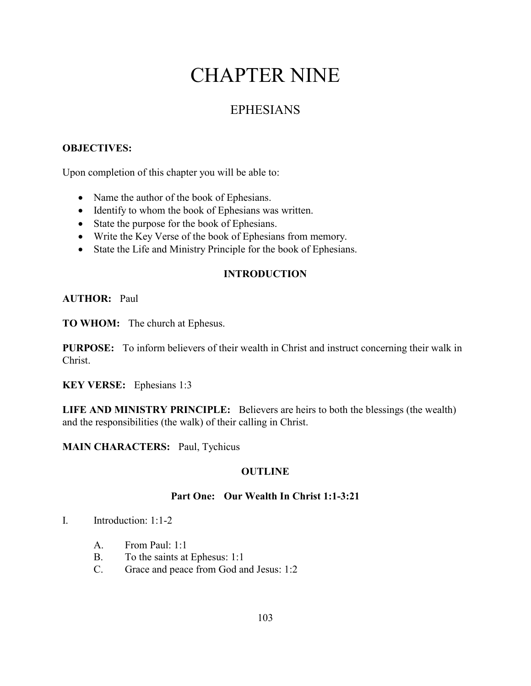# CHAPTER NINE

# EPHESIANS

## **OBJECTIVES:**

Upon completion of this chapter you will be able to:

- Name the author of the book of Ephesians.
- Identify to whom the book of Ephesians was written.
- State the purpose for the book of Ephesians.
- Write the Key Verse of the book of Ephesians from memory.
- State the Life and Ministry Principle for the book of Ephesians.

## **INTRODUCTION**

**AUTHOR:** Paul

**TO WHOM:** The church at Ephesus.

**PURPOSE:** To inform believers of their wealth in Christ and instruct concerning their walk in Christ.

**KEY VERSE:** Ephesians 1:3

**LIFE AND MINISTRY PRINCIPLE:** Believers are heirs to both the blessings (the wealth) and the responsibilities (the walk) of their calling in Christ.

**MAIN CHARACTERS:** Paul, Tychicus

# **OUTLINE**

## **Part One: Our Wealth In Christ 1:1-3:21**

- I. Introduction: 1:1-2
	- A. From Paul: 1:1
	- B. To the saints at Ephesus: 1:1
	- C. Grace and peace from God and Jesus: 1:2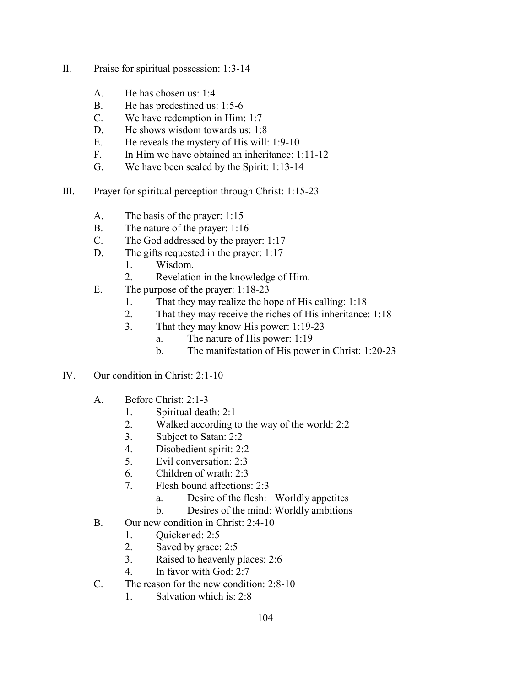- II. Praise for spiritual possession: 1:3-14
	- A. He has chosen us: 1:4
	- B. He has predestined us: 1:5-6
	- C. We have redemption in Him: 1:7
	- D. He shows wisdom towards us: 1:8
	- E. He reveals the mystery of His will: 1:9-10
	- F. In Him we have obtained an inheritance: 1:11-12
	- G. We have been sealed by the Spirit: 1:13-14
- III. Prayer for spiritual perception through Christ: 1:15-23
	- A. The basis of the prayer: 1:15
	- B. The nature of the prayer: 1:16
	- C. The God addressed by the prayer: 1:17
	- D. The gifts requested in the prayer: 1:17
		- 1. Wisdom.
		- 2. Revelation in the knowledge of Him.
	- E. The purpose of the prayer: 1:18-23
		- 1. That they may realize the hope of His calling: 1:18
		- 2. That they may receive the riches of His inheritance: 1:18
		- 3. That they may know His power: 1:19-23
			- a. The nature of His power: 1:19
			- b. The manifestation of His power in Christ: 1:20-23
- IV. Our condition in Christ: 2:1-10
	- A. Before Christ: 2:1-3
		- 1. Spiritual death: 2:1
		- 2. Walked according to the way of the world: 2:2
		- 3. Subject to Satan: 2:2
		- 4. Disobedient spirit: 2:2
		- 5. Evil conversation: 2:3
		- 6. Children of wrath: 2:3
		- 7. Flesh bound affections: 2:3
			- a. Desire of the flesh: Worldly appetites
			- b. Desires of the mind: Worldly ambitions
	- B. Our new condition in Christ: 2:4-10
		- 1. Quickened: 2:5
		- 2. Saved by grace: 2:5
		- 3. Raised to heavenly places: 2:6
		- 4. In favor with God: 2:7
	- C. The reason for the new condition: 2:8-10
		- 1. Salvation which is: 2:8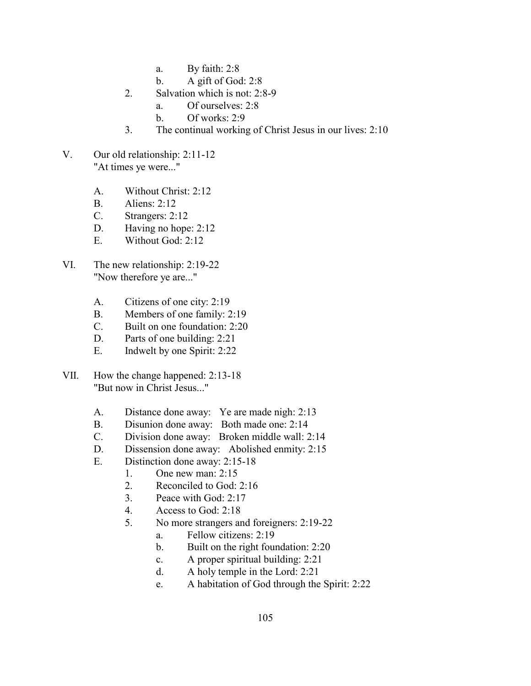- a. By faith: 2:8
- b. A gift of God: 2:8
- 2. Salvation which is not: 2:8-9
	- a. Of ourselves: 2:8
	- b. Of works: 2:9
- 3. The continual working of Christ Jesus in our lives: 2:10
- V. Our old relationship: 2:11-12 "At times ye were..."
	- A. Without Christ: 2:12
	- B. Aliens: 2:12
	- C. Strangers: 2:12
	- D. Having no hope: 2:12
	- E. Without God: 2:12
- VI. The new relationship: 2:19-22 "Now therefore ye are..."
	- A. Citizens of one city: 2:19
	- B. Members of one family: 2:19
	- C. Built on one foundation: 2:20
	- D. Parts of one building: 2:21
	- E. Indwelt by one Spirit: 2:22
- VII. How the change happened: 2:13-18 "But now in Christ Jesus..."
	- A. Distance done away: Ye are made nigh: 2:13
	- B. Disunion done away: Both made one: 2:14
	- C. Division done away: Broken middle wall: 2:14
	- D. Dissension done away: Abolished enmity: 2:15
	- E. Distinction done away: 2:15-18
		- 1. One new man: 2:15
		- 2. Reconciled to God: 2:16
		- 3. Peace with God: 2:17
		- 4. Access to God: 2:18
		- 5. No more strangers and foreigners: 2:19-22
			- a. Fellow citizens: 2:19
			- b. Built on the right foundation: 2:20
			- c. A proper spiritual building: 2:21
			- d. A holy temple in the Lord: 2:21
			- e. A habitation of God through the Spirit: 2:22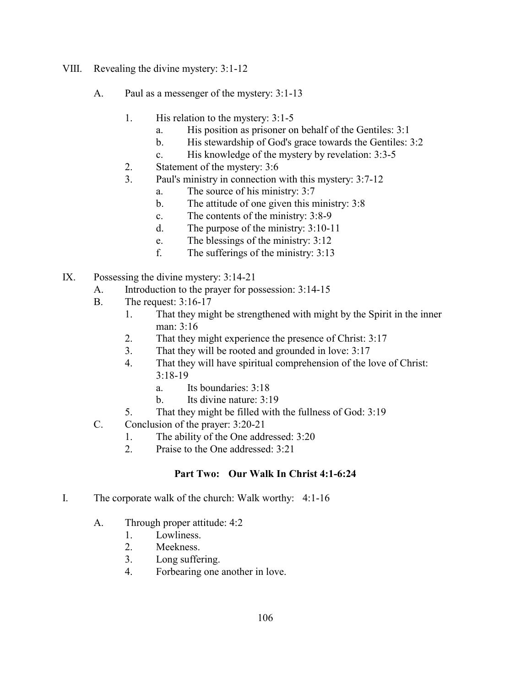- VIII. Revealing the divine mystery: 3:1-12
	- A. Paul as a messenger of the mystery: 3:1-13
		- 1. His relation to the mystery: 3:1-5
			- a. His position as prisoner on behalf of the Gentiles: 3:1
			- b. His stewardship of God's grace towards the Gentiles: 3:2
			- c. His knowledge of the mystery by revelation: 3:3-5
		- 2. Statement of the mystery: 3:6
		- 3. Paul's ministry in connection with this mystery: 3:7-12
			- a. The source of his ministry: 3:7
			- b. The attitude of one given this ministry: 3:8
			- c. The contents of the ministry: 3:8-9
			- d. The purpose of the ministry: 3:10-11
			- e. The blessings of the ministry: 3:12
			- f. The sufferings of the ministry: 3:13
- IX. Possessing the divine mystery: 3:14-21
	- A. Introduction to the prayer for possession: 3:14-15
	- B. The request: 3:16-17
		- 1. That they might be strengthened with might by the Spirit in the inner man: 3:16
		- 2. That they might experience the presence of Christ: 3:17
		- 3. That they will be rooted and grounded in love: 3:17
		- 4. That they will have spiritual comprehension of the love of Christ: 3:18-19
			- a. Its boundaries: 3:18
			- b. Its divine nature: 3:19
		- 5. That they might be filled with the fullness of God: 3:19
	- C. Conclusion of the prayer: 3:20-21
		- 1. The ability of the One addressed: 3:20
		- 2. Praise to the One addressed: 3:21

### **Part Two: Our Walk In Christ 4:1-6:24**

- I. The corporate walk of the church: Walk worthy: 4:1-16
	- A. Through proper attitude: 4:2
		- 1. Lowliness.
		- 2. Meekness.
		- 3. Long suffering.
		- 4. Forbearing one another in love.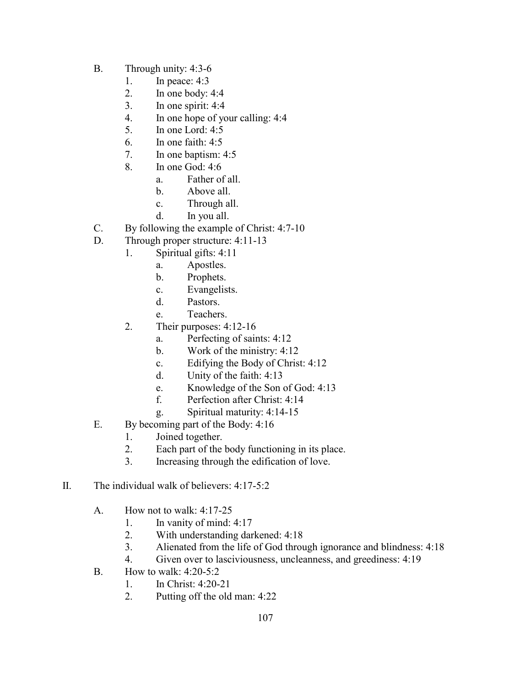- B. Through unity: 4:3-6
	- 1. In peace: 4:3
	- 2. In one body: 4:4
	- 3. In one spirit: 4:4
	- 4. In one hope of your calling: 4:4
	- 5. In one Lord: 4:5
	- 6. In one faith: 4:5
	- 7. In one baptism: 4:5
	- 8. In one God: 4:6
		- a. Father of all.
		- b. Above all.
		- c. Through all.
		- d. In you all.
- C. By following the example of Christ: 4:7-10
- D. Through proper structure: 4:11-13
	- 1. Spiritual gifts: 4:11
		- a. Apostles.
		- b. Prophets.
		- c. Evangelists.
		- d. Pastors.
		- e. Teachers.
		- 2. Their purposes: 4:12-16
			- a. Perfecting of saints: 4:12
			- b. Work of the ministry: 4:12
			- c. Edifying the Body of Christ: 4:12
			- d. Unity of the faith: 4:13
			- e. Knowledge of the Son of God: 4:13
			- f. Perfection after Christ: 4:14
			- g. Spiritual maturity: 4:14-15
- E. By becoming part of the Body: 4:16
	- 1. Joined together.
	- 2. Each part of the body functioning in its place.
	- 3. Increasing through the edification of love.
- II. The individual walk of believers: 4:17-5:2
	- A. How not to walk: 4:17-25
		- 1. In vanity of mind: 4:17
		- 2. With understanding darkened: 4:18
		- 3. Alienated from the life of God through ignorance and blindness: 4:18
		- 4. Given over to lasciviousness, uncleanness, and greediness: 4:19
	- B. How to walk: 4:20-5:2
		- 1. In Christ: 4:20-21
		- 2. Putting off the old man: 4:22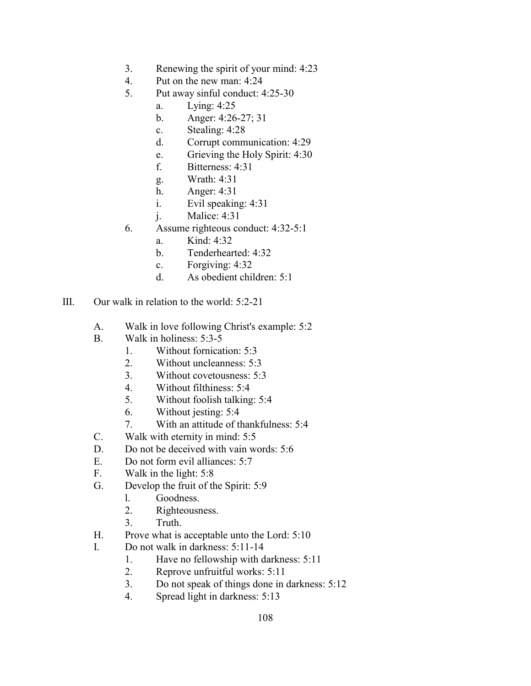- 3. Renewing the spirit of your mind: 4:23
- 4. Put on the new man: 4:24
- 5. Put away sinful conduct: 4:25-30
	- a. Lying: 4:25
	- b. Anger: 4:26-27; 31
	- c. Stealing: 4:28
	- d. Corrupt communication: 4:29
	- e. Grieving the Holy Spirit: 4:30
	- f. Bitterness: 4:31
	- g. Wrath: 4:31
	- h. Anger: 4:31
	- i. Evil speaking: 4:31
	- j. Malice: 4:31
- 6. Assume righteous conduct: 4:32-5:1
	- a. Kind: 4:32
	- b. Tenderhearted: 4:32
	- c. Forgiving: 4:32
	- d. As obedient children: 5:1
- III. Our walk in relation to the world: 5:2-21
	- A. Walk in love following Christ's example: 5:2
	- B. Walk in holiness: 5:3-5
		- 1. Without fornication: 5:3
		- 2. Without uncleanness: 5:3
		- 3. Without covetousness: 5:3
		- 4. Without filthiness: 5:4
		- 5. Without foolish talking: 5:4
		- 6. Without jesting: 5:4
		- 7. With an attitude of thankfulness: 5:4
	- C. Walk with eternity in mind: 5:5
	- D. Do not be deceived with vain words: 5:6
	- E. Do not form evil alliances: 5:7
	- F. Walk in the light: 5:8
	- G. Develop the fruit of the Spirit: 5:9
		- l. Goodness.
		- 2. Righteousness.
		- 3. Truth.
	- H. Prove what is acceptable unto the Lord: 5:10
	- I. Do not walk in darkness: 5:11-14
		- 1. Have no fellowship with darkness: 5:11
		- 2. Reprove unfruitful works: 5:11
		- 3. Do not speak of things done in darkness: 5:12
		- 4. Spread light in darkness: 5:13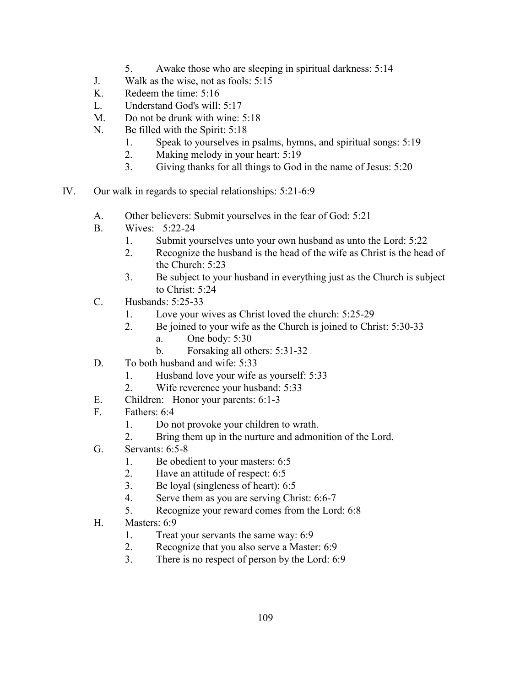- 5. Awake those who are sleeping in spiritual darkness: 5:14
- J. Walk as the wise, not as fools: 5:15
- K. Redeem the time: 5:16
- L. Understand God's will: 5:17
- M. Do not be drunk with wine: 5:18
- N. Be filled with the Spirit: 5:18
	- 1. Speak to yourselves in psalms, hymns, and spiritual songs: 5:19
	- 2. Making melody in your heart: 5:19
	- 3. Giving thanks for all things to God in the name of Jesus: 5:20
- IV. Our walk in regards to special relationships: 5:21-6:9
	- A. Other believers: Submit yourselves in the fear of God: 5:21
	- B. Wives: 5:22-24
		- 1. Submit yourselves unto your own husband as unto the Lord: 5:22
		- 2. Recognize the husband is the head of the wife as Christ is the head of the Church: 5:23
		- 3. Be subject to your husband in everything just as the Church is subject to Christ: 5:24
	- C. Husbands: 5:25-33
		- 1. Love your wives as Christ loved the church: 5:25-29
		- 2. Be joined to your wife as the Church is joined to Christ: 5:30-33
			- a. One body: 5:30
				- b. Forsaking all others: 5:31-32
	- D. To both husband and wife: 5:33
		- 1. Husband love your wife as yourself: 5:33
		- 2. Wife reverence your husband: 5:33
	- E. Children: Honor your parents: 6:1-3
	- F. Fathers: 6:4
		- 1. Do not provoke your children to wrath.
		- 2. Bring them up in the nurture and admonition of the Lord.
	- G. Servants: 6:5-8
		- 1. Be obedient to your masters: 6:5
		- 2. Have an attitude of respect: 6:5
		- 3. Be loyal (singleness of heart): 6:5
		- 4. Serve them as you are serving Christ: 6:6-7
		- 5. Recognize your reward comes from the Lord: 6:8
	- H. Masters: 6:9
		- 1. Treat your servants the same way: 6:9
		- 2. Recognize that you also serve a Master: 6:9
		- 3. There is no respect of person by the Lord: 6:9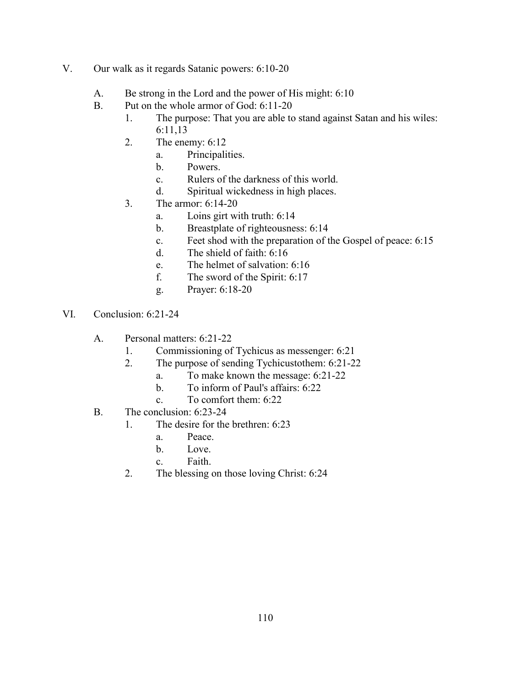- V. Our walk as it regards Satanic powers: 6:10-20
	- A. Be strong in the Lord and the power of His might: 6:10
	- B. Put on the whole armor of God: 6:11-20
		- 1. The purpose: That you are able to stand against Satan and his wiles: 6:11,13
		- 2. The enemy: 6:12
			- a. Principalities.
			- b. Powers.
			- c. Rulers of the darkness of this world.
			- d. Spiritual wickedness in high places.
		- 3. The armor: 6:14-20
			- a. Loins girt with truth: 6:14
			- b. Breastplate of righteousness: 6:14
			- c. Feet shod with the preparation of the Gospel of peace: 6:15
			- d. The shield of faith: 6:16
			- e. The helmet of salvation: 6:16
			- f. The sword of the Spirit: 6:17
			- g. Prayer: 6:18-20
- VI. Conclusion: 6:21-24
	- A. Personal matters: 6:21-22
		- 1. Commissioning of Tychicus as messenger: 6:21
		- 2. The purpose of sending Tychicustothem: 6:21-22
			- a. To make known the message: 6:21-22
			- b. To inform of Paul's affairs: 6:22
			- c. To comfort them: 6:22
	- B. The conclusion: 6:23-24
		- 1. The desire for the brethren: 6:23
			- a. Peace.
			- b. Love.
			- c. Faith.
		- 2. The blessing on those loving Christ: 6:24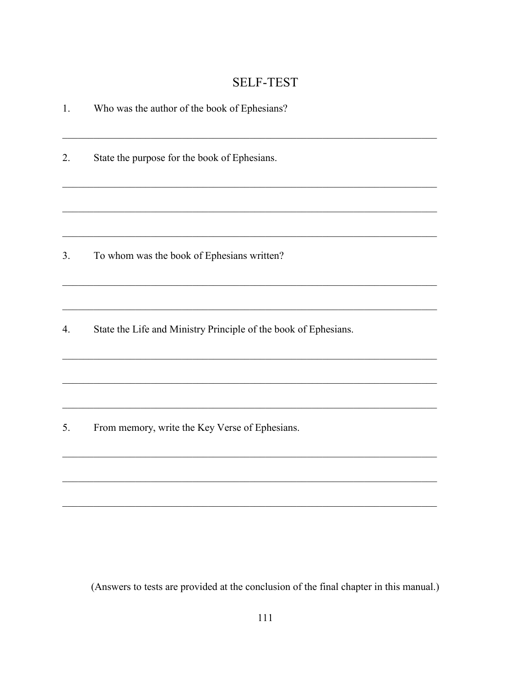### SELF-TEST

| 1.               | Who was the author of the book of Ephesians?                    |
|------------------|-----------------------------------------------------------------|
| 2.               | State the purpose for the book of Ephesians.                    |
|                  |                                                                 |
| 3.               | To whom was the book of Ephesians written?                      |
| $\overline{4}$ . | State the Life and Ministry Principle of the book of Ephesians. |
|                  |                                                                 |
| 5.               | From memory, write the Key Verse of Ephesians.                  |
|                  |                                                                 |
|                  |                                                                 |

(Answers to tests are provided at the conclusion of the final chapter in this manual.)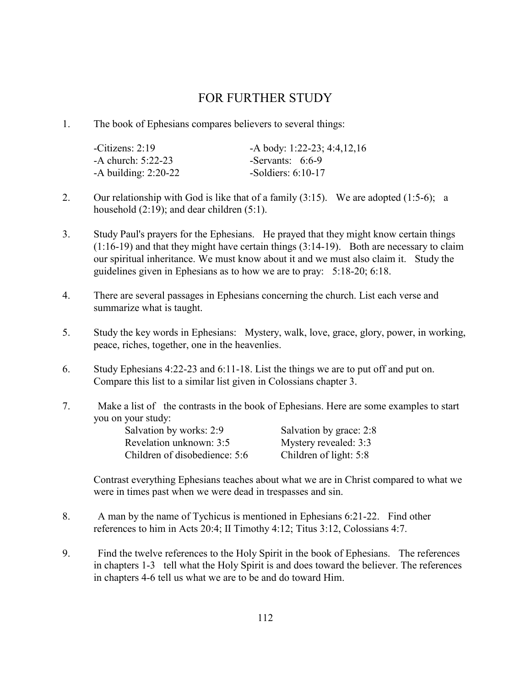1. The book of Ephesians compares believers to several things:

| -Citizens: $2:19$      | -A body: 1:22-23; 4:4, 12, 16 |
|------------------------|-------------------------------|
| $-A$ church: 5:22-23   | -Servants: $6:6-9$            |
| -A building: $2:20-22$ | -Soldiers: $6:10-17$          |

- 2. Our relationship with God is like that of a family (3:15). We are adopted (1:5-6); a household (2:19); and dear children (5:1).
- 3. Study Paul's prayers for the Ephesians. He prayed that they might know certain things (1:16-19) and that they might have certain things (3:14-19). Both are necessary to claim our spiritual inheritance. We must know about it and we must also claim it. Study the guidelines given in Ephesians as to how we are to pray: 5:18-20; 6:18.
- 4. There are several passages in Ephesians concerning the church. List each verse and summarize what is taught.
- 5. Study the key words in Ephesians: Mystery, walk, love, grace, glory, power, in working, peace, riches, together, one in the heavenlies.
- 6. Study Ephesians 4:22-23 and 6:11-18. List the things we are to put off and put on. Compare this list to a similar list given in Colossians chapter 3.
- 7. Make a list of the contrasts in the book of Ephesians. Here are some examples to start you on your study:

| Salvation by works: 2:9       | Salvation by grace: 2:8 |
|-------------------------------|-------------------------|
| Revelation unknown: 3:5       | Mystery revealed: 3:3   |
| Children of disobedience: 5:6 | Children of light: 5:8  |

Contrast everything Ephesians teaches about what we are in Christ compared to what we were in times past when we were dead in trespasses and sin.

- 8. A man by the name of Tychicus is mentioned in Ephesians 6:21-22. Find other references to him in Acts 20:4; II Timothy 4:12; Titus 3:12, Colossians 4:7.
- 9. Find the twelve references to the Holy Spirit in the book of Ephesians. The references in chapters 1-3 tell what the Holy Spirit is and does toward the believer. The references in chapters 4-6 tell us what we are to be and do toward Him.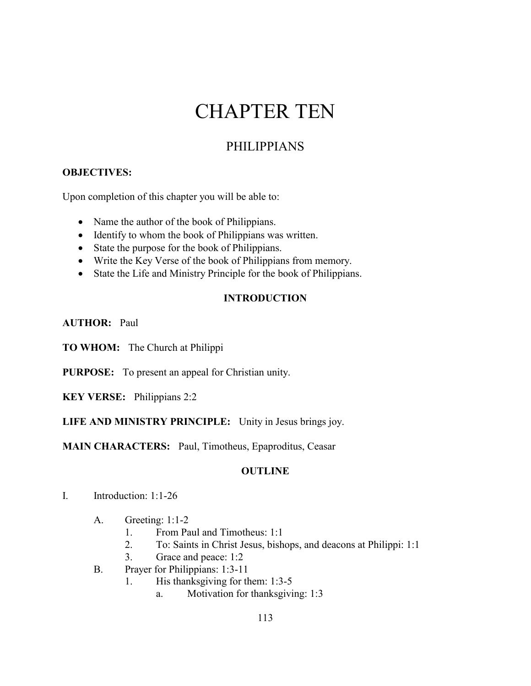## CHAPTER TEN

### PHILIPPIANS

### **OBJECTIVES:**

Upon completion of this chapter you will be able to:

- Name the author of the book of Philippians.
- Identify to whom the book of Philippians was written.
- State the purpose for the book of Philippians.
- Write the Key Verse of the book of Philippians from memory.
- State the Life and Ministry Principle for the book of Philippians.

### **INTRODUCTION**

**AUTHOR:** Paul

**TO WHOM:** The Church at Philippi

**PURPOSE:** To present an appeal for Christian unity.

**KEY VERSE:** Philippians 2:2

**LIFE AND MINISTRY PRINCIPLE:** Unity in Jesus brings joy.

**MAIN CHARACTERS:** Paul, Timotheus, Epaproditus, Ceasar

- I. Introduction: 1:1-26
	- A. Greeting: 1:1-2
		- 1. From Paul and Timotheus: 1:1
		- 2. To: Saints in Christ Jesus, bishops, and deacons at Philippi: 1:1
		- 3. Grace and peace: 1:2
	- B. Prayer for Philippians: 1:3-11
		- 1. His thanksgiving for them: 1:3-5
			- a. Motivation for thanksgiving: 1:3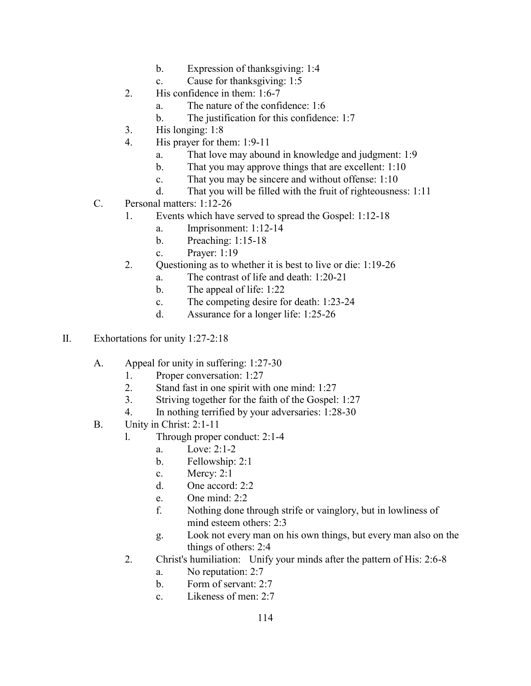- b. Expression of thanksgiving: 1:4
- c. Cause for thanksgiving: 1:5
- 2. His confidence in them: 1:6-7
	- a. The nature of the confidence: 1:6
	- b. The justification for this confidence: 1:7
- 3. His longing: 1:8
- 4. His prayer for them: 1:9-11
	- a. That love may abound in knowledge and judgment: 1:9
	- b. That you may approve things that are excellent: 1:10
	- c. That you may be sincere and without offense: 1:10
	- d. That you will be filled with the fruit of righteousness: 1:11
- C. Personal matters: 1:12-26
	- 1. Events which have served to spread the Gospel: 1:12-18
		- a. Imprisonment: 1:12-14
		- b. Preaching: 1:15-18
		- c. Prayer: 1:19
	- 2. Questioning as to whether it is best to live or die: 1:19-26
		- a. The contrast of life and death: 1:20-21
		- b. The appeal of life: 1:22
		- c. The competing desire for death: 1:23-24
		- d. Assurance for a longer life: 1:25-26
- II. Exhortations for unity 1:27-2:18
	- A. Appeal for unity in suffering: 1:27-30
		- 1. Proper conversation: 1:27
		- 2. Stand fast in one spirit with one mind: 1:27
		- 3. Striving together for the faith of the Gospel: 1:27
		- 4. In nothing terrified by your adversaries: 1:28-30
	- B. Unity in Christ: 2:1-11
		- l. Through proper conduct: 2:1-4
			- a. Love: 2:1-2
			- b. Fellowship: 2:1
			- c. Mercy: 2:1
			- d. One accord: 2:2
			- e. One mind: 2:2
			- f. Nothing done through strife or vainglory, but in lowliness of mind esteem others: 2:3
			- g. Look not every man on his own things, but every man also on the things of others: 2:4
		- 2. Christ's humiliation: Unify your minds after the pattern of His: 2:6-8
			- a. No reputation: 2:7
			- b. Form of servant: 2:7
			- c. Likeness of men: 2:7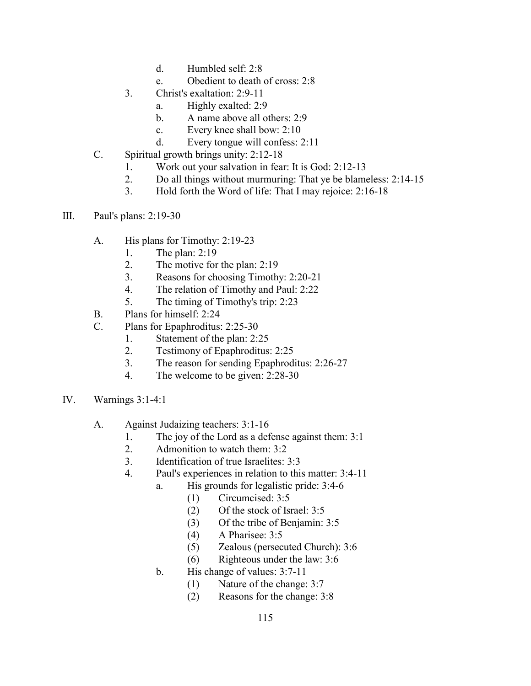- d. Humbled self: 2:8
- e. Obedient to death of cross: 2:8
- 3. Christ's exaltation: 2:9-11
	- a. Highly exalted: 2:9
	- b. A name above all others: 2:9
	- c. Every knee shall bow: 2:10
	- d. Every tongue will confess: 2:11
- C. Spiritual growth brings unity: 2:12-18
	- 1. Work out your salvation in fear: It is God: 2:12-13
	- 2. Do all things without murmuring: That ye be blameless: 2:14-15
	- 3. Hold forth the Word of life: That I may rejoice: 2:16-18
- III. Paul's plans: 2:19-30
	- A. His plans for Timothy: 2:19-23
		- 1. The plan: 2:19
		- 2. The motive for the plan: 2:19
		- 3. Reasons for choosing Timothy: 2:20-21
		- 4. The relation of Timothy and Paul: 2:22
		- 5. The timing of Timothy's trip: 2:23
	- B. Plans for himself: 2:24
	- C. Plans for Epaphroditus: 2:25-30
		- 1. Statement of the plan: 2:25
		- 2. Testimony of Epaphroditus: 2:25
		- 3. The reason for sending Epaphroditus: 2:26-27
		- 4. The welcome to be given: 2:28-30
- IV. Warnings 3:1-4:1
	- A. Against Judaizing teachers: 3:1-16
		- 1. The joy of the Lord as a defense against them: 3:1
		- 2. Admonition to watch them: 3:2
		- 3. Identification of true Israelites: 3:3
		- 4. Paul's experiences in relation to this matter: 3:4-11
			- a. His grounds for legalistic pride: 3:4-6
				- (1) Circumcised: 3:5
				- (2) Of the stock of Israel: 3:5
				- (3) Of the tribe of Benjamin: 3:5
				- (4) A Pharisee: 3:5
				- (5) Zealous (persecuted Church): 3:6
				- (6) Righteous under the law: 3:6
			- b. His change of values: 3:7-11
				- (1) Nature of the change: 3:7
				- (2) Reasons for the change: 3:8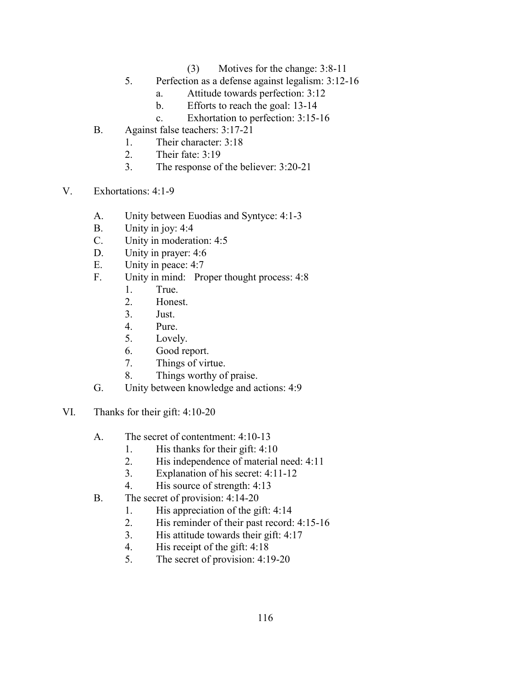- (3) Motives for the change: 3:8-11
- 5. Perfection as a defense against legalism: 3:12-16
	- a. Attitude towards perfection: 3:12
	- b. Efforts to reach the goal: 13-14
	- c. Exhortation to perfection: 3:15-16
- B. Against false teachers: 3:17-21
	- 1. Their character: 3:18
	- 2. Their fate: 3:19
	- 3. The response of the believer: 3:20-21
- V. Exhortations: 4:1-9
	- A. Unity between Euodias and Syntyce: 4:1-3
	- B. Unity in joy: 4:4
	- C. Unity in moderation: 4:5
	- D. Unity in prayer: 4:6
	- E. Unity in peace: 4:7
	- F. Unity in mind: Proper thought process: 4:8
		- 1. True.
		- 2. Honest.
		- 3. Just.
		- 4. Pure.
		- 5. Lovely.
		- 6. Good report.
		- 7. Things of virtue.
		- 8. Things worthy of praise.
	- G. Unity between knowledge and actions: 4:9
- VI. Thanks for their gift: 4:10-20
	- A. The secret of contentment: 4:10-13
		- 1. His thanks for their gift: 4:10
		- 2. His independence of material need: 4:11
		- 3. Explanation of his secret: 4:11-12
		- 4. His source of strength: 4:13
	- B. The secret of provision: 4:14-20
		- 1. His appreciation of the gift: 4:14
		- 2. His reminder of their past record: 4:15-16
		- 3. His attitude towards their gift: 4:17
		- 4. His receipt of the gift: 4:18
		- 5. The secret of provision: 4:19-20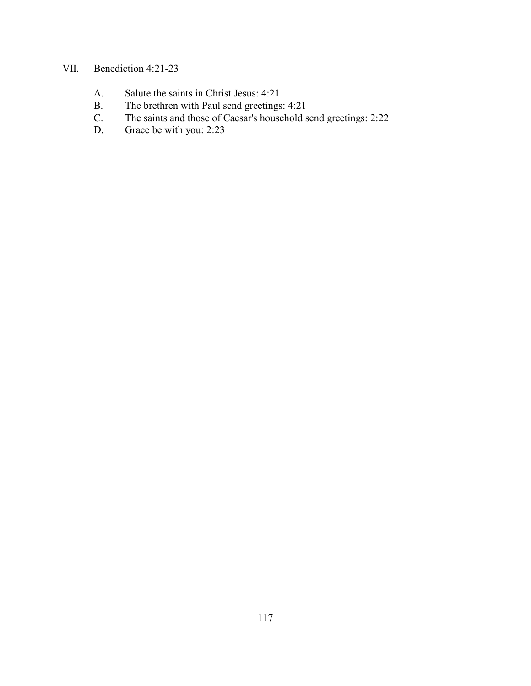### VII. Benediction 4:21-23

- A. Salute the saints in Christ Jesus: 4:21
- B. The brethren with Paul send greetings: 4:21
- C. The saints and those of Caesar's household send greetings: 2:22
- D. Grace be with you: 2:23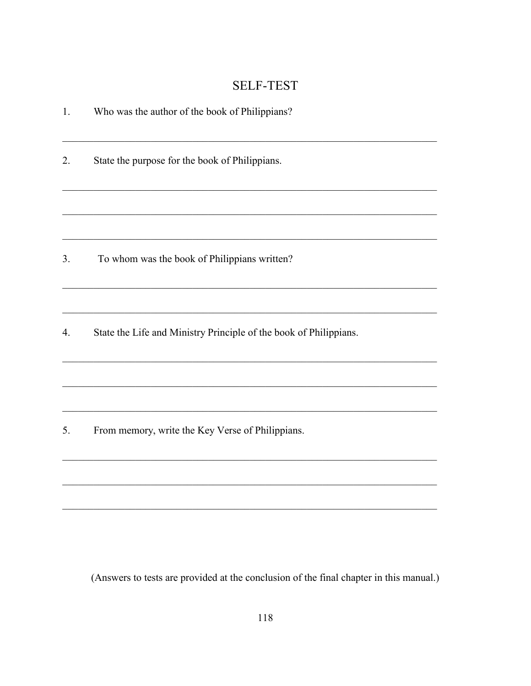### **SELF-TEST**

| 1. | Who was the author of the book of Philippians?                    |
|----|-------------------------------------------------------------------|
| 2. | State the purpose for the book of Philippians.                    |
|    |                                                                   |
| 3. | To whom was the book of Philippians written?                      |
| 4. | State the Life and Ministry Principle of the book of Philippians. |

From memory, write the Key Verse of Philippians. 5.

(Answers to tests are provided at the conclusion of the final chapter in this manual.)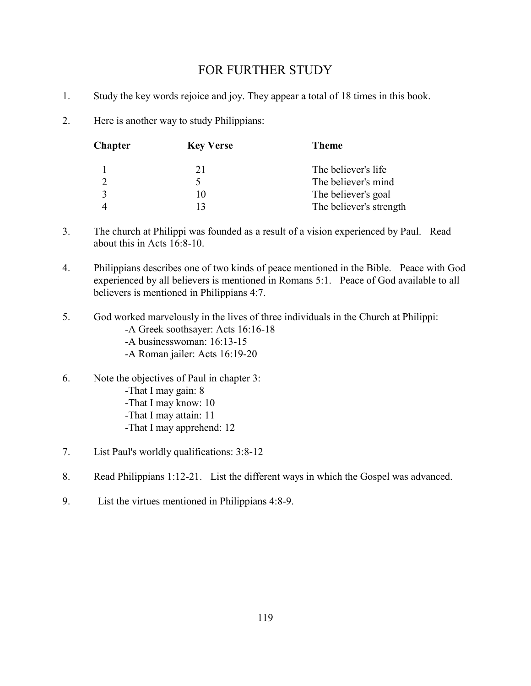- 1. Study the key words rejoice and joy. They appear a total of 18 times in this book.
- 2. Here is another way to study Philippians:

| <b>Chapter</b> | <b>Key Verse</b> | <b>Theme</b>            |
|----------------|------------------|-------------------------|
|                | 21               | The believer's life     |
|                |                  | The believer's mind     |
| $\mathbf{c}$   |                  | The believer's goal     |
|                |                  | The believer's strength |

- 3. The church at Philippi was founded as a result of a vision experienced by Paul. Read about this in Acts 16:8-10.
- 4. Philippians describes one of two kinds of peace mentioned in the Bible. Peace with God experienced by all believers is mentioned in Romans 5:1. Peace of God available to all believers is mentioned in Philippians 4:7.
- 5. God worked marvelously in the lives of three individuals in the Church at Philippi: -A Greek soothsayer: Acts 16:16-18 -A businesswoman: 16:13-15 -A Roman jailer: Acts 16:19-20
- 6. Note the objectives of Paul in chapter 3: -That I may gain: 8 -That I may know: 10 -That I may attain: 11 -That I may apprehend: 12
- 7. List Paul's worldly qualifications: 3:8-12
- 8. Read Philippians 1:12-21. List the different ways in which the Gospel was advanced.
- 9. List the virtues mentioned in Philippians 4:8-9.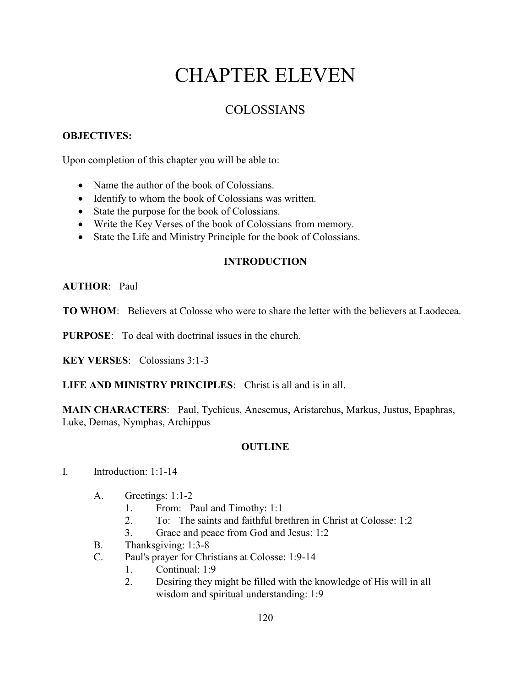# CHAPTER ELEVEN

### COLOSSIANS

### **OBJECTIVES:**

Upon completion of this chapter you will be able to:

- Name the author of the book of Colossians.
- Identify to whom the book of Colossians was written.
- State the purpose for the book of Colossians.
- Write the Key Verses of the book of Colossians from memory.
- State the Life and Ministry Principle for the book of Colossians.

### **INTRODUCTION**

#### **AUTHOR**: Paul

**TO WHOM**: Believers at Colosse who were to share the letter with the believers at Laodecea.

**PURPOSE**: To deal with doctrinal issues in the church.

**KEY VERSES**: Colossians 3:1-3

**LIFE AND MINISTRY PRINCIPLES**: Christ is all and is in all.

**MAIN CHARACTERS**: Paul, Tychicus, Anesemus, Aristarchus, Markus, Justus, Epaphras, Luke, Demas, Nymphas, Archippus

- I. Introduction: 1:1-14
	- A. Greetings: 1:1-2
		- 1. From: Paul and Timothy: 1:1
		- 2. To: The saints and faithful brethren in Christ at Colosse: 1:2
		- 3. Grace and peace from God and Jesus: 1:2
	- B. Thanksgiving: 1:3-8
	- C. Paul's prayer for Christians at Colosse: 1:9-14
		- 1. Continual: 1:9
		- 2. Desiring they might be filled with the knowledge of His will in all wisdom and spiritual understanding: 1:9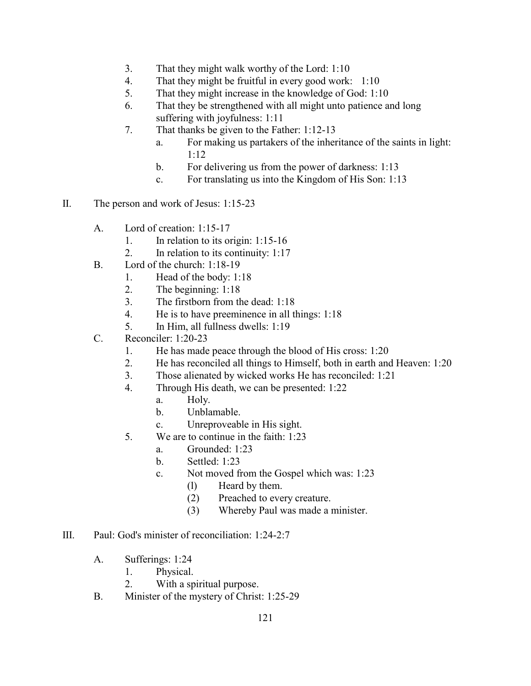- 3. That they might walk worthy of the Lord: 1:10
- 4. That they might be fruitful in every good work: 1:10
- 5. That they might increase in the knowledge of God: 1:10
- 6. That they be strengthened with all might unto patience and long suffering with joyfulness: 1:11
- 7. That thanks be given to the Father: 1:12-13
	- a. For making us partakers of the inheritance of the saints in light: 1:12
	- b. For delivering us from the power of darkness: 1:13
	- c. For translating us into the Kingdom of His Son: 1:13
- II. The person and work of Jesus: 1:15-23
	- A. Lord of creation: 1:15-17
		- 1. In relation to its origin: 1:15-16
		- 2. In relation to its continuity: 1:17
	- B. Lord of the church: 1:18-19
		- 1. Head of the body: 1:18
		- 2. The beginning: 1:18
		- 3. The firstborn from the dead: 1:18
		- 4. He is to have preeminence in all things: 1:18
		- 5. In Him, all fullness dwells: 1:19
	- C. Reconciler: 1:20-23
		- 1. He has made peace through the blood of His cross: 1:20
		- 2. He has reconciled all things to Himself, both in earth and Heaven: 1:20
		- 3. Those alienated by wicked works He has reconciled: 1:21
		- 4. Through His death, we can be presented: 1:22
			- a. Holy.
			- b. Unblamable.
			- c. Unreproveable in His sight.
		- 5. We are to continue in the faith: 1:23
			- a. Grounded: 1:23
			- b. Settled: 1:23
			- c. Not moved from the Gospel which was: 1:23
				- (l) Heard by them.
				- (2) Preached to every creature.
				- (3) Whereby Paul was made a minister.
- III. Paul: God's minister of reconciliation: 1:24-2:7
	- A. Sufferings: 1:24
		- 1. Physical.
		- 2. With a spiritual purpose.
	- B. Minister of the mystery of Christ: 1:25-29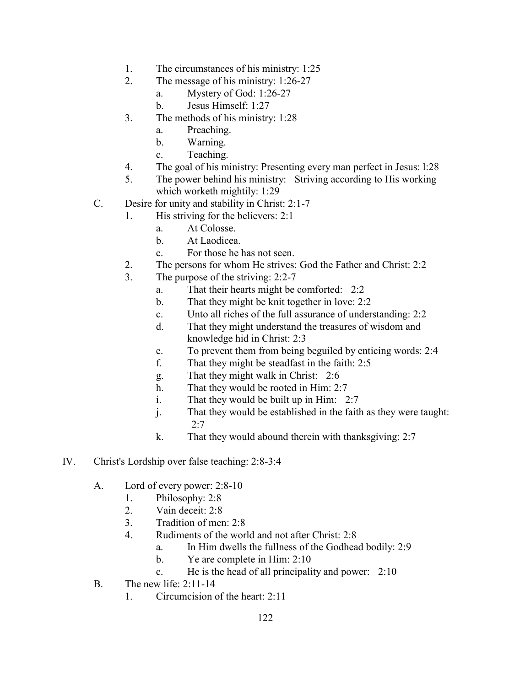- 1. The circumstances of his ministry: 1:25
- 2. The message of his ministry: 1:26-27
	- a. Mystery of God: 1:26-27
	- b. Jesus Himself: 1:27
- 3. The methods of his ministry: 1:28
	- a. Preaching.
	- b. Warning.
	- c. Teaching.
- 4. The goal of his ministry: Presenting every man perfect in Jesus: l:28
- 5. The power behind his ministry: Striving according to His working which worketh mightily: 1:29
- C. Desire for unity and stability in Christ: 2:1-7
	- 1. His striving for the believers: 2:1
		- a. At Colosse.
		- b. At Laodicea.
		- c. For those he has not seen.
	- 2. The persons for whom He strives: God the Father and Christ: 2:2
	- 3. The purpose of the striving: 2:2-7
		- a. That their hearts might be comforted: 2:2
		- b. That they might be knit together in love: 2:2
		- c. Unto all riches of the full assurance of understanding: 2:2
		- d. That they might understand the treasures of wisdom and knowledge hid in Christ: 2:3
		- e. To prevent them from being beguiled by enticing words: 2:4
		- f. That they might be steadfast in the faith: 2:5
		- g. That they might walk in Christ: 2:6
		- h. That they would be rooted in Him: 2:7
		- i. That they would be built up in Him: 2:7
		- j. That they would be established in the faith as they were taught: 2:7
		- k. That they would abound therein with thanksgiving: 2:7
- IV. Christ's Lordship over false teaching: 2:8-3:4
	- A. Lord of every power: 2:8-10
		- 1. Philosophy: 2:8
		- 2. Vain deceit: 2:8
		- 3. Tradition of men: 2:8
		- 4. Rudiments of the world and not after Christ: 2:8
			- a. In Him dwells the fullness of the Godhead bodily: 2:9
			- b. Ye are complete in Him: 2:10
			- c. He is the head of all principality and power: 2:10
	- B. The new life: 2:11-14
		- 1. Circumcision of the heart: 2:11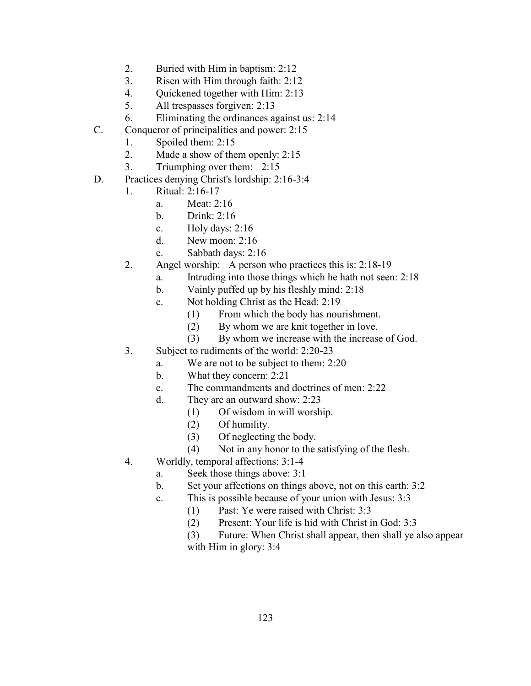- 2. Buried with Him in baptism: 2:12
- 3. Risen with Him through faith: 2:12
- 4. Quickened together with Him: 2:13
- 5. All trespasses forgiven: 2:13
- 6. Eliminating the ordinances against us: 2:14
- C. Conqueror of principalities and power: 2:15
	- 1. Spoiled them: 2:15
	- 2. Made a show of them openly: 2:15
	- 3. Triumphing over them: 2:15
- D. Practices denying Christ's lordship: 2:16-3:4
	- 1. Ritual: 2:16-17
		- a. Meat: 2:16
		- b. Drink: 2:16
		- c. Holy days: 2:16
		- d. New moon: 2:16
		- e. Sabbath days: 2:16
	- 2. Angel worship: A person who practices this is: 2:18-19
		- a. Intruding into those things which he hath not seen: 2:18
		- b. Vainly puffed up by his fleshly mind: 2:18
		- c. Not holding Christ as the Head: 2:19
			- (1) From which the body has nourishment.
			- (2) By whom we are knit together in love.
			- (3) By whom we increase with the increase of God.
	- 3. Subject to rudiments of the world: 2:20-23
		- a. We are not to be subject to them: 2:20
		- b. What they concern: 2:21
		- c. The commandments and doctrines of men: 2:22
		- d. They are an outward show: 2:23
			- (1) Of wisdom in will worship.
			- (2) Of humility.
			- (3) Of neglecting the body.
			- (4) Not in any honor to the satisfying of the flesh.
	- 4. Worldly, temporal affections: 3:1-4
		- a. Seek those things above: 3:1
		- b. Set your affections on things above, not on this earth: 3:2
		- c. This is possible because of your union with Jesus: 3:3
			- (1) Past: Ye were raised with Christ: 3:3
				- (2) Present: Your life is hid with Christ in God: 3:3

(3) Future: When Christ shall appear, then shall ye also appear with Him in glory: 3:4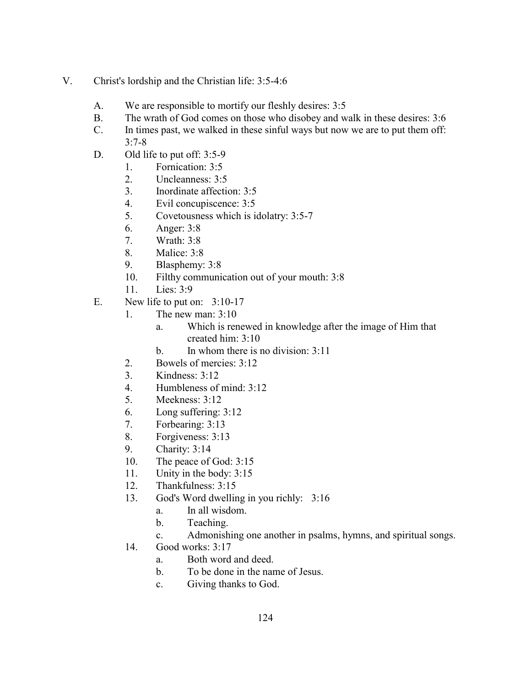- V. Christ's lordship and the Christian life: 3:5-4:6
	- A. We are responsible to mortify our fleshly desires: 3:5
	- B. The wrath of God comes on those who disobey and walk in these desires: 3:6
	- C. In times past, we walked in these sinful ways but now we are to put them off: 3:7-8
	- D. Old life to put off: 3:5-9
		- 1. Fornication: 3:5
		- 2. Uncleanness: 3:5
		- 3. Inordinate affection: 3:5
		- 4. Evil concupiscence: 3:5
		- 5. Covetousness which is idolatry: 3:5-7
		- 6. Anger: 3:8
		- 7. Wrath: 3:8
		- 8. Malice: 3:8
		- 9. Blasphemy: 3:8
		- 10. Filthy communication out of your mouth: 3:8
		- 11. Lies: 3:9
	- E. New life to put on: 3:10-17
		- 1. The new man: 3:10
			- a. Which is renewed in knowledge after the image of Him that created him: 3:10
			- b. In whom there is no division: 3:11
		- 2. Bowels of mercies: 3:12
		- 3. Kindness: 3:12
		- 4. Humbleness of mind: 3:12
		- 5. Meekness: 3:12
		- 6. Long suffering: 3:12
		- 7. Forbearing: 3:13
		- 8. Forgiveness: 3:13
		- 9. Charity: 3:14
		- 10. The peace of God: 3:15
		- 11. Unity in the body: 3:15
		- 12. Thankfulness: 3:15
		- 13. God's Word dwelling in you richly: 3:16
			- a. In all wisdom.
				- b. Teaching.
				- c. Admonishing one another in psalms, hymns, and spiritual songs.
		- 14. Good works: 3:17
			- a. Both word and deed.
			- b. To be done in the name of Jesus.
			- c. Giving thanks to God.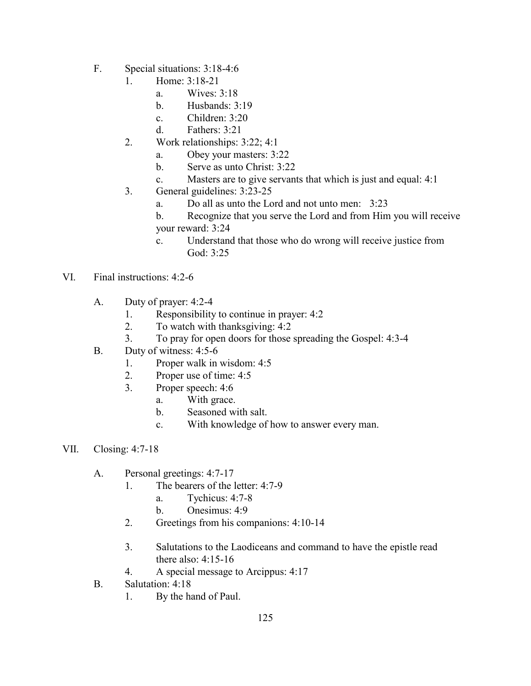- F. Special situations: 3:18-4:6
	- 1. Home: 3:18-21
		- a. Wives: 3:18
		- b. Husbands: 3:19
		- c. Children: 3:20
		- d. Fathers: 3:21
	- 2. Work relationships: 3:22; 4:1
		- a. Obey your masters: 3:22
		- b. Serve as unto Christ: 3:22
		- c. Masters are to give servants that which is just and equal: 4:1
	- 3. General guidelines: 3:23-25
		- a. Do all as unto the Lord and not unto men: 3:23
		- b. Recognize that you serve the Lord and from Him you will receive your reward: 3:24
		- c. Understand that those who do wrong will receive justice from God: 3:25
- VI. Final instructions: 4:2-6
	- A. Duty of prayer: 4:2-4
		- 1. Responsibility to continue in prayer: 4:2
		- 2. To watch with thanksgiving: 4:2
		- 3. To pray for open doors for those spreading the Gospel: 4:3-4
	- B. Duty of witness: 4:5-6
		- 1. Proper walk in wisdom: 4:5
		- 2. Proper use of time: 4:5
		- 3. Proper speech: 4:6
			- a. With grace.
			- b. Seasoned with salt.
			- c. With knowledge of how to answer every man.
- VII. Closing: 4:7-18
	- A. Personal greetings: 4:7-17
		- 1. The bearers of the letter: 4:7-9
			- a. Tychicus: 4:7-8
			- b. Onesimus: 4:9
		- 2. Greetings from his companions: 4:10-14
		- 3. Salutations to the Laodiceans and command to have the epistle read there also: 4:15-16
		- 4. A special message to Arcippus: 4:17
	- B. Salutation: 4:18
		- 1. By the hand of Paul.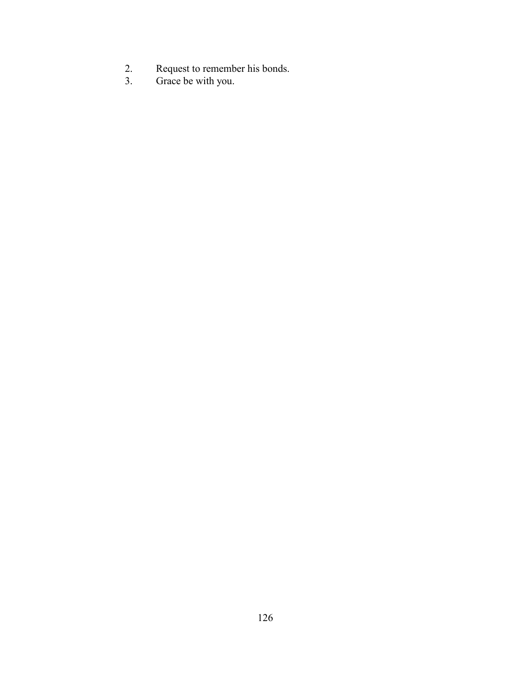- 2. Request to remember his bonds.
- 3. Grace be with you.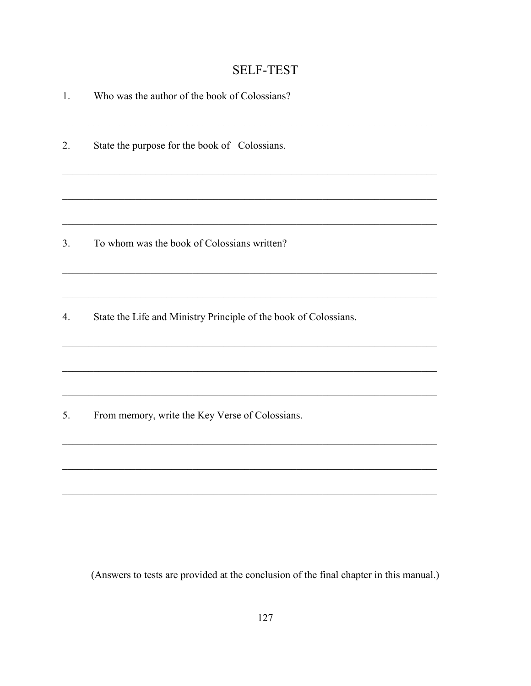### **SELF-TEST**

 $1<sub>1</sub>$ Who was the author of the book of Colossians?

State the purpose for the book of Colossians. 2.

To whom was the book of Colossians written?  $3.$ 

State the Life and Ministry Principle of the book of Colossians.  $4.$ 

From memory, write the Key Verse of Colossians. 5.

(Answers to tests are provided at the conclusion of the final chapter in this manual.)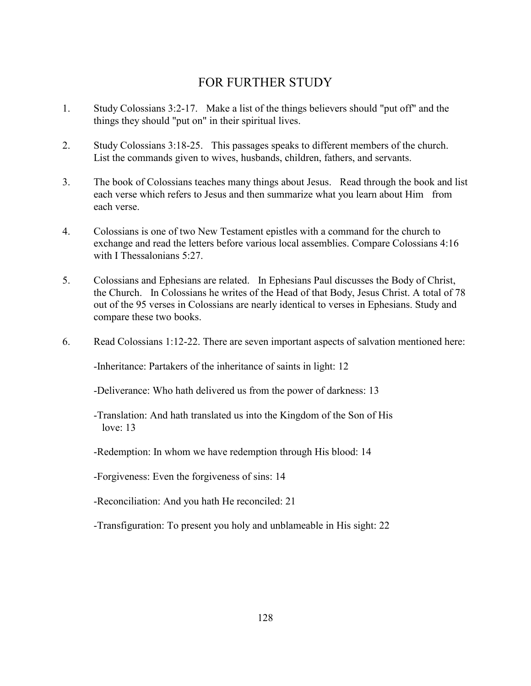- 1. Study Colossians 3:2-17. Make a list of the things believers should "put off" and the things they should "put on" in their spiritual lives.
- 2. Study Colossians 3:18-25. This passages speaks to different members of the church. List the commands given to wives, husbands, children, fathers, and servants.
- 3. The book of Colossians teaches many things about Jesus. Read through the book and list each verse which refers to Jesus and then summarize what you learn about Him from each verse.
- 4. Colossians is one of two New Testament epistles with a command for the church to exchange and read the letters before various local assemblies. Compare Colossians 4:16 with I Thessalonians 5:27.
- 5. Colossians and Ephesians are related. In Ephesians Paul discusses the Body of Christ, the Church. In Colossians he writes of the Head of that Body, Jesus Christ. A total of 78 out of the 95 verses in Colossians are nearly identical to verses in Ephesians. Study and compare these two books.
- 6. Read Colossians 1:12-22. There are seven important aspects of salvation mentioned here:

-Inheritance: Partakers of the inheritance of saints in light: 12

-Deliverance: Who hath delivered us from the power of darkness: 13

- -Translation: And hath translated us into the Kingdom of the Son of His love: 13
- -Redemption: In whom we have redemption through His blood: 14
- -Forgiveness: Even the forgiveness of sins: 14
- -Reconciliation: And you hath He reconciled: 21
- -Transfiguration: To present you holy and unblameable in His sight: 22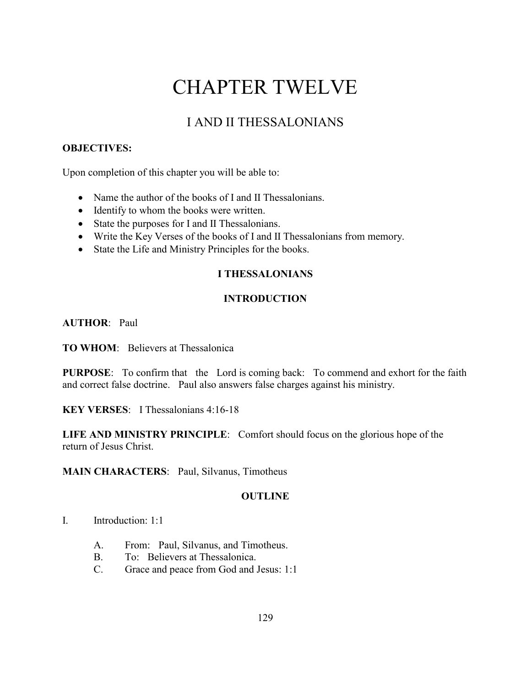## CHAPTER TWELVE

### I AND II THESSALONIANS

### **OBJECTIVES:**

Upon completion of this chapter you will be able to:

- Name the author of the books of I and II Thessalonians.
- Identify to whom the books were written.
- State the purposes for I and II Thessalonians.
- Write the Key Verses of the books of I and II Thessalonians from memory.
- State the Life and Ministry Principles for the books.

### **I THESSALONIANS**

### **INTRODUCTION**

**AUTHOR**: Paul

**TO WHOM**: Believers at Thessalonica

**PURPOSE**: To confirm that the Lord is coming back: To commend and exhort for the faith and correct false doctrine. Paul also answers false charges against his ministry.

**KEY VERSES**: I Thessalonians 4:16-18

**LIFE AND MINISTRY PRINCIPLE**: Comfort should focus on the glorious hope of the return of Jesus Christ.

**MAIN CHARACTERS**: Paul, Silvanus, Timotheus

- I. Introduction: 1:1
	- A. From: Paul, Silvanus, and Timotheus.
	- B. To: Believers at Thessalonica.
	- C. Grace and peace from God and Jesus: 1:1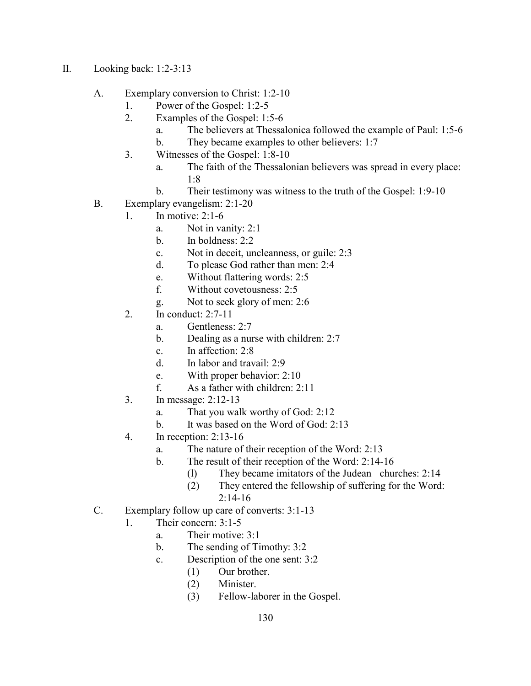- II. Looking back: 1:2-3:13
	- A. Exemplary conversion to Christ: 1:2-10
		- 1. Power of the Gospel: 1:2-5
		- 2. Examples of the Gospel: 1:5-6
			- a. The believers at Thessalonica followed the example of Paul: 1:5-6
			- b. They became examples to other believers: 1:7
		- 3. Witnesses of the Gospel: 1:8-10
			- a. The faith of the Thessalonian believers was spread in every place: 1:8
			- b. Their testimony was witness to the truth of the Gospel: 1:9-10
	- B. Exemplary evangelism: 2:1-20
		- 1. In motive: 2:1-6
			- a. Not in vanity: 2:1
			- b. In boldness: 2:2
			- c. Not in deceit, uncleanness, or guile: 2:3
			- d. To please God rather than men: 2:4
			- e. Without flattering words: 2:5
			- f. Without covetousness: 2:5
			- g. Not to seek glory of men: 2:6
		- 2. In conduct: 2:7-11
			- a. Gentleness: 2:7
			- b. Dealing as a nurse with children: 2:7
			- c. In affection: 2:8
			- d. In labor and travail: 2:9
			- e. With proper behavior: 2:10
			- f. As a father with children: 2:11
		- 3. In message: 2:12-13
			- a. That you walk worthy of God: 2:12
			- b. It was based on the Word of God: 2:13
		- 4. In reception: 2:13-16
			- a. The nature of their reception of the Word: 2:13
			- b. The result of their reception of the Word: 2:14-16
				- (l) They became imitators of the Judean churches: 2:14
				- (2) They entered the fellowship of suffering for the Word: 2:14-16
	- C. Exemplary follow up care of converts: 3:1-13
		- 1. Their concern: 3:1-5
			- a. Their motive: 3:1
			- b. The sending of Timothy: 3:2
			- c. Description of the one sent: 3:2
				- (1) Our brother.
				- (2) Minister.
				- (3) Fellow-laborer in the Gospel.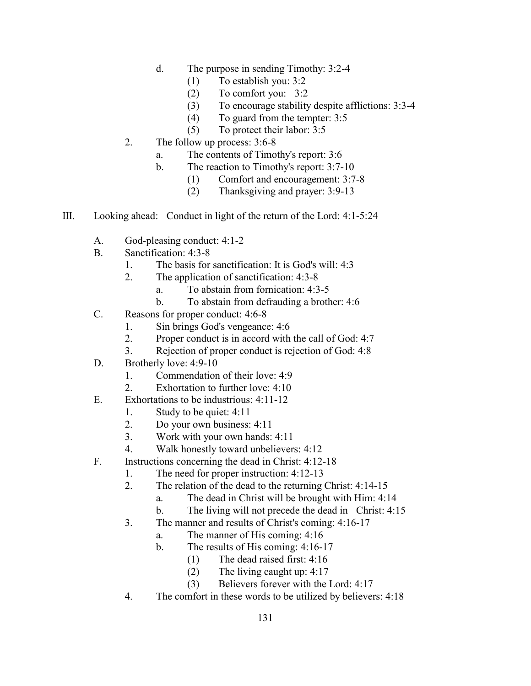- d. The purpose in sending Timothy: 3:2-4
	- (1) To establish you: 3:2
	- (2) To comfort you: 3:2
	- (3) To encourage stability despite afflictions: 3:3-4
	- (4) To guard from the tempter: 3:5
	- (5) To protect their labor: 3:5
- 2. The follow up process: 3:6-8
	- a. The contents of Timothy's report: 3:6
	- b. The reaction to Timothy's report: 3:7-10
		- (1) Comfort and encouragement: 3:7-8
		- (2) Thanksgiving and prayer: 3:9-13
- III. Looking ahead: Conduct in light of the return of the Lord: 4:1-5:24
	- A. God-pleasing conduct: 4:1-2
	- B. Sanctification: 4:3-8
		- 1. The basis for sanctification: It is God's will: 4:3
		- 2. The application of sanctification: 4:3-8
			- a. To abstain from fornication: 4:3-5
			- b. To abstain from defrauding a brother: 4:6
	- C. Reasons for proper conduct: 4:6-8
		- 1. Sin brings God's vengeance: 4:6
		- 2. Proper conduct is in accord with the call of God: 4:7
		- 3. Rejection of proper conduct is rejection of God: 4:8
	- D. Brotherly love: 4:9-10
		- 1. Commendation of their love: 4:9
		- 2. Exhortation to further love: 4:10
	- E. Exhortations to be industrious: 4:11-12
		- 1. Study to be quiet: 4:11
		- 2. Do your own business: 4:11
		- 3. Work with your own hands: 4:11
		- 4. Walk honestly toward unbelievers: 4:12
	- F. Instructions concerning the dead in Christ: 4:12-18
		- 1. The need for proper instruction: 4:12-13
		- 2. The relation of the dead to the returning Christ: 4:14-15
			- a. The dead in Christ will be brought with Him: 4:14
			- b. The living will not precede the dead in Christ: 4:15
		- 3. The manner and results of Christ's coming: 4:16-17
			- a. The manner of His coming: 4:16
			- b. The results of His coming: 4:16-17
				- (1) The dead raised first: 4:16
				- (2) The living caught up: 4:17
				- (3) Believers forever with the Lord: 4:17
		- 4. The comfort in these words to be utilized by believers: 4:18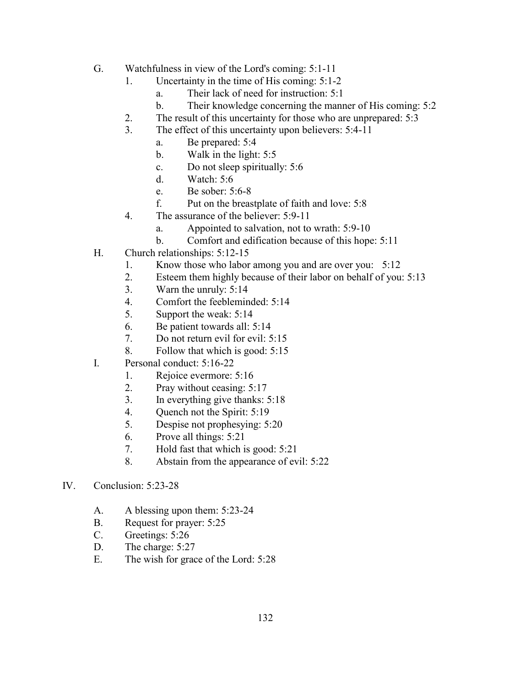- G. Watchfulness in view of the Lord's coming: 5:1-11
	- 1. Uncertainty in the time of His coming: 5:1-2
		- a. Their lack of need for instruction: 5:1
		- b. Their knowledge concerning the manner of His coming: 5:2
	- 2. The result of this uncertainty for those who are unprepared: 5:3
	- 3. The effect of this uncertainty upon believers: 5:4-11
		- a. Be prepared: 5:4
		- b. Walk in the light: 5:5
		- c. Do not sleep spiritually: 5:6
		- d. Watch: 5:6
		- e. Be sober: 5:6-8
		- f. Put on the breastplate of faith and love: 5:8
	- 4. The assurance of the believer: 5:9-11
		- a. Appointed to salvation, not to wrath: 5:9-10
		- b. Comfort and edification because of this hope: 5:11
- H. Church relationships: 5:12-15
	- 1. Know those who labor among you and are over you: 5:12
	- 2. Esteem them highly because of their labor on behalf of you: 5:13
	- 3. Warn the unruly: 5:14
	- 4. Comfort the feebleminded: 5:14
	- 5. Support the weak: 5:14
	- 6. Be patient towards all: 5:14
	- 7. Do not return evil for evil: 5:15
	- 8. Follow that which is good: 5:15
- I. Personal conduct: 5:16-22
	- 1. Rejoice evermore: 5:16
	- 2. Pray without ceasing: 5:17
	- 3. In everything give thanks: 5:18
	- 4. Quench not the Spirit: 5:19
	- 5. Despise not prophesying: 5:20
	- 6. Prove all things: 5:21
	- 7. Hold fast that which is good: 5:21
	- 8. Abstain from the appearance of evil: 5:22
- IV. Conclusion: 5:23-28
	- A. A blessing upon them: 5:23-24
	- B. Request for prayer: 5:25
	- C. Greetings: 5:26
	- D. The charge: 5:27
	- E. The wish for grace of the Lord: 5:28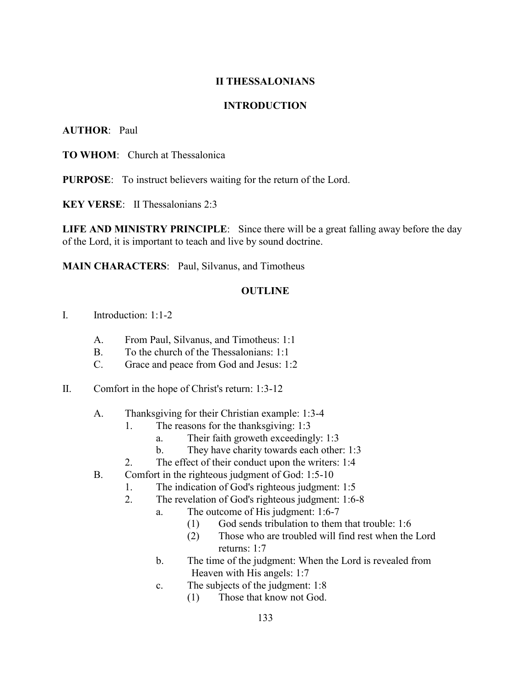#### **II THESSALONIANS**

#### **INTRODUCTION**

#### **AUTHOR**: Paul

**TO WHOM**: Church at Thessalonica

**PURPOSE**: To instruct believers waiting for the return of the Lord.

**KEY VERSE:** II Thessalonians 2:3

**LIFE AND MINISTRY PRINCIPLE:** Since there will be a great falling away before the day of the Lord, it is important to teach and live by sound doctrine.

**MAIN CHARACTERS**: Paul, Silvanus, and Timotheus

- I. Introduction: 1:1-2
	- A. From Paul, Silvanus, and Timotheus: 1:1
	- B. To the church of the Thessalonians: 1:1
	- C. Grace and peace from God and Jesus: 1:2
- II. Comfort in the hope of Christ's return: 1:3-12
	- A. Thanksgiving for their Christian example: 1:3-4
		- 1. The reasons for the thanksgiving: 1:3
			- a. Their faith groweth exceedingly: 1:3
			- b. They have charity towards each other: 1:3
		- 2. The effect of their conduct upon the writers: 1:4
	- B. Comfort in the righteous judgment of God: 1:5-10
		- 1. The indication of God's righteous judgment: 1:5
		- 2. The revelation of God's righteous judgment: 1:6-8
			- a. The outcome of His judgment: 1:6-7
				- (1) God sends tribulation to them that trouble: 1:6
				- (2) Those who are troubled will find rest when the Lord returns: 1:7
			- b. The time of the judgment: When the Lord is revealed from Heaven with His angels: 1:7
			- c. The subjects of the judgment: 1:8
				- (1) Those that know not God.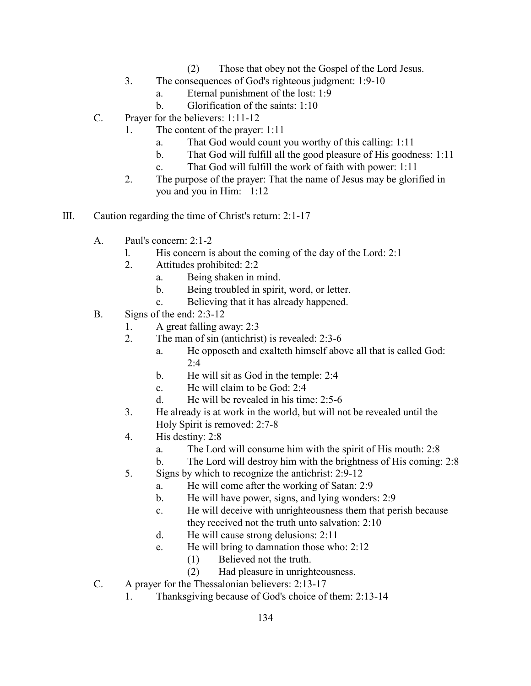- (2) Those that obey not the Gospel of the Lord Jesus.
- 3. The consequences of God's righteous judgment: 1:9-10
	- a. Eternal punishment of the lost: 1:9
	- b. Glorification of the saints: 1:10
- C. Prayer for the believers: 1:11-12
	- 1. The content of the prayer: 1:11
		- a. That God would count you worthy of this calling: 1:11
		- b. That God will fulfill all the good pleasure of His goodness: 1:11
		- c. That God will fulfill the work of faith with power: 1:11
		- 2. The purpose of the prayer: That the name of Jesus may be glorified in you and you in Him: 1:12
- III. Caution regarding the time of Christ's return: 2:1-17
	- A. Paul's concern: 2:1-2
		- l. His concern is about the coming of the day of the Lord: 2:1
		- 2. Attitudes prohibited: 2:2
			- a. Being shaken in mind.
			- b. Being troubled in spirit, word, or letter.
			- c. Believing that it has already happened.
	- B. Signs of the end: 2:3-12
		- 1. A great falling away: 2:3
		- 2. The man of sin (antichrist) is revealed: 2:3-6
			- a. He opposeth and exalteth himself above all that is called God:  $2:4$
			- b. He will sit as God in the temple: 2:4
			- c. He will claim to be God: 2:4
			- d. He will be revealed in his time: 2:5-6
		- 3. He already is at work in the world, but will not be revealed until the Holy Spirit is removed: 2:7-8
		- 4. His destiny: 2:8
			- a. The Lord will consume him with the spirit of His mouth: 2:8
			- b. The Lord will destroy him with the brightness of His coming: 2:8
		- 5. Signs by which to recognize the antichrist: 2:9-12
			- a. He will come after the working of Satan: 2:9
			- b. He will have power, signs, and lying wonders: 2:9
			- c. He will deceive with unrighteousness them that perish because they received not the truth unto salvation: 2:10
			- d. He will cause strong delusions: 2:11
			- e. He will bring to damnation those who: 2:12
				- (1) Believed not the truth.
				- (2) Had pleasure in unrighteousness.
	- C. A prayer for the Thessalonian believers: 2:13-17
		- 1. Thanksgiving because of God's choice of them: 2:13-14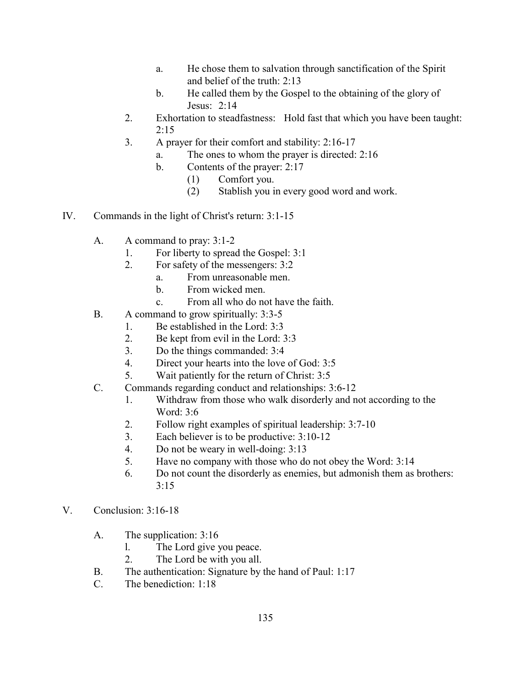- a. He chose them to salvation through sanctification of the Spirit and belief of the truth: 2:13
- b. He called them by the Gospel to the obtaining of the glory of Jesus: 2:14
- 2. Exhortation to steadfastness: Hold fast that which you have been taught:  $2:15$
- 3. A prayer for their comfort and stability: 2:16-17
	- a. The ones to whom the prayer is directed: 2:16
	- b. Contents of the prayer: 2:17
		- (1) Comfort you.
		- (2) Stablish you in every good word and work.
- IV. Commands in the light of Christ's return: 3:1-15
	- A. A command to pray: 3:1-2
		- 1. For liberty to spread the Gospel: 3:1
		- 2. For safety of the messengers: 3:2
			- a. From unreasonable men.
			- b. From wicked men.
			- c. From all who do not have the faith.
	- B. A command to grow spiritually: 3:3-5
		- 1. Be established in the Lord: 3:3
		- 2. Be kept from evil in the Lord: 3:3
		- 3. Do the things commanded: 3:4
		- 4. Direct your hearts into the love of God: 3:5
		- 5. Wait patiently for the return of Christ: 3:5
	- C. Commands regarding conduct and relationships: 3:6-12
		- 1. Withdraw from those who walk disorderly and not according to the Word: 3:6
		- 2. Follow right examples of spiritual leadership: 3:7-10
		- 3. Each believer is to be productive: 3:10-12
		- 4. Do not be weary in well-doing: 3:13
		- 5. Have no company with those who do not obey the Word: 3:14
		- 6. Do not count the disorderly as enemies, but admonish them as brothers: 3:15
- V. Conclusion: 3:16-18
	- A. The supplication: 3:16
		- l. The Lord give you peace.
		- 2. The Lord be with you all.
	- B. The authentication: Signature by the hand of Paul: 1:17
	- C. The benediction: 1:18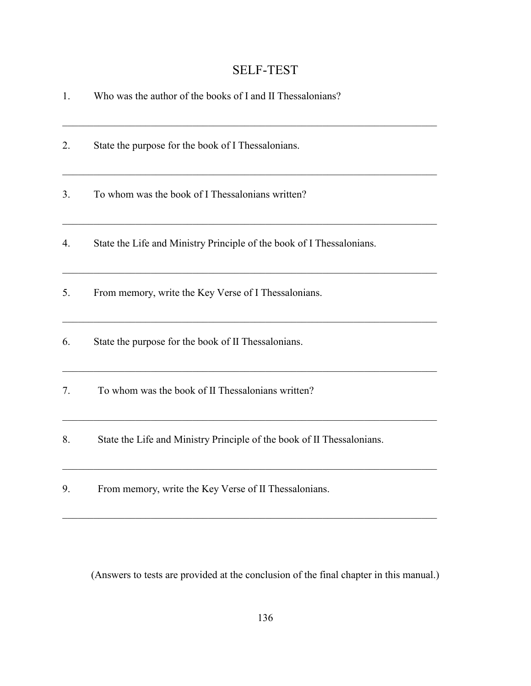|    | <b>SELF-TEST</b>                                                       |
|----|------------------------------------------------------------------------|
| 1. | Who was the author of the books of I and II Thessalonians?             |
| 2. | State the purpose for the book of I Thessalonians.                     |
| 3. | To whom was the book of I Thessalonians written?                       |
| 4. | State the Life and Ministry Principle of the book of I Thessalonians.  |
| 5. | From memory, write the Key Verse of I Thessalonians.                   |
| 6. | State the purpose for the book of II Thessalonians.                    |
| 7. | To whom was the book of II Thessalonians written?                      |
| 8. | State the Life and Ministry Principle of the book of II Thessalonians. |
|    |                                                                        |

9. From memory, write the Key Verse of II Thessalonians.

(Answers to tests are provided at the conclusion of the final chapter in this manual.)

 $\mathcal{L}_\text{max} = \mathcal{L}_\text{max} = \mathcal{L}_\text{max} = \mathcal{L}_\text{max} = \mathcal{L}_\text{max} = \mathcal{L}_\text{max} = \mathcal{L}_\text{max} = \mathcal{L}_\text{max} = \mathcal{L}_\text{max} = \mathcal{L}_\text{max} = \mathcal{L}_\text{max} = \mathcal{L}_\text{max} = \mathcal{L}_\text{max} = \mathcal{L}_\text{max} = \mathcal{L}_\text{max} = \mathcal{L}_\text{max} = \mathcal{L}_\text{max} = \mathcal{L}_\text{max} = \mathcal{$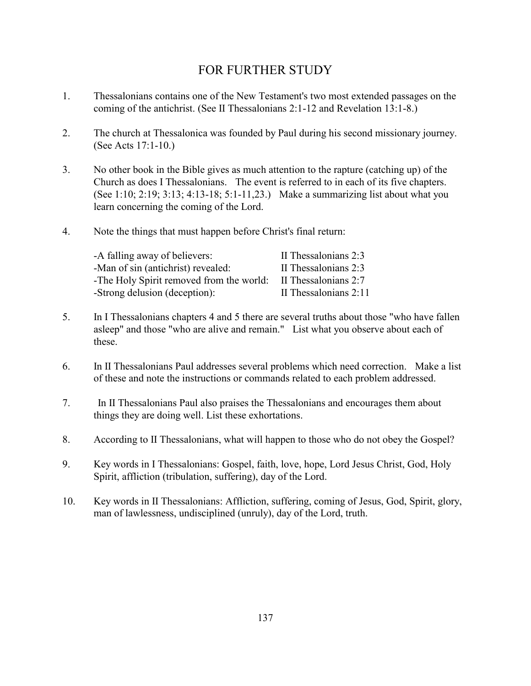- 1. Thessalonians contains one of the New Testament's two most extended passages on the coming of the antichrist. (See II Thessalonians 2:1-12 and Revelation 13:1-8.)
- 2. The church at Thessalonica was founded by Paul during his second missionary journey. (See Acts 17:1-10.)
- 3. No other book in the Bible gives as much attention to the rapture (catching up) of the Church as does I Thessalonians. The event is referred to in each of its five chapters. (See 1:10; 2:19; 3:13; 4:13-18; 5:1-11,23.) Make a summarizing list about what you learn concerning the coming of the Lord.
- 4. Note the things that must happen before Christ's final return:

| -A falling away of believers:            | II Thessalonians 2:3    |
|------------------------------------------|-------------------------|
| -Man of sin (antichrist) revealed:       | II Thessalonians 2:3    |
| -The Holy Spirit removed from the world: | II Thessalonians 2:7    |
| -Strong delusion (deception):            | II Thessalonians $2:11$ |

- 5. In I Thessalonians chapters 4 and 5 there are several truths about those "who have fallen asleep" and those "who are alive and remain." List what you observe about each of these.
- 6. In II Thessalonians Paul addresses several problems which need correction. Make a list of these and note the instructions or commands related to each problem addressed.
- 7. In II Thessalonians Paul also praises the Thessalonians and encourages them about things they are doing well. List these exhortations.
- 8. According to II Thessalonians, what will happen to those who do not obey the Gospel?
- 9. Key words in I Thessalonians: Gospel, faith, love, hope, Lord Jesus Christ, God, Holy Spirit, affliction (tribulation, suffering), day of the Lord.
- 10. Key words in II Thessalonians: Affliction, suffering, coming of Jesus, God, Spirit, glory, man of lawlessness, undisciplined (unruly), day of the Lord, truth.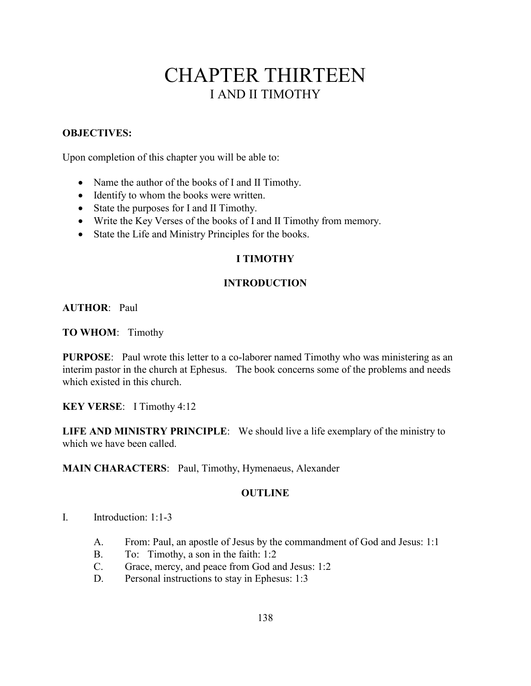## CHAPTER THIRTEEN I AND II TIMOTHY

### **OBJECTIVES:**

Upon completion of this chapter you will be able to:

- Name the author of the books of I and II Timothy.
- Identify to whom the books were written.
- State the purposes for I and II Timothy.
- Write the Key Verses of the books of I and II Timothy from memory.
- State the Life and Ministry Principles for the books.

### **I TIMOTHY**

### **INTRODUCTION**

**AUTHOR**: Paul

**TO WHOM**: Timothy

**PURPOSE**: Paul wrote this letter to a co-laborer named Timothy who was ministering as an interim pastor in the church at Ephesus. The book concerns some of the problems and needs which existed in this church.

#### **KEY VERSE**: I Timothy 4:12

**LIFE AND MINISTRY PRINCIPLE**: We should live a life exemplary of the ministry to which we have been called.

**MAIN CHARACTERS**: Paul, Timothy, Hymenaeus, Alexander

- I. Introduction: 1:1-3
	- A. From: Paul, an apostle of Jesus by the commandment of God and Jesus: 1:1
	- B. To: Timothy, a son in the faith: 1:2
	- C. Grace, mercy, and peace from God and Jesus: 1:2
	- D. Personal instructions to stay in Ephesus: 1:3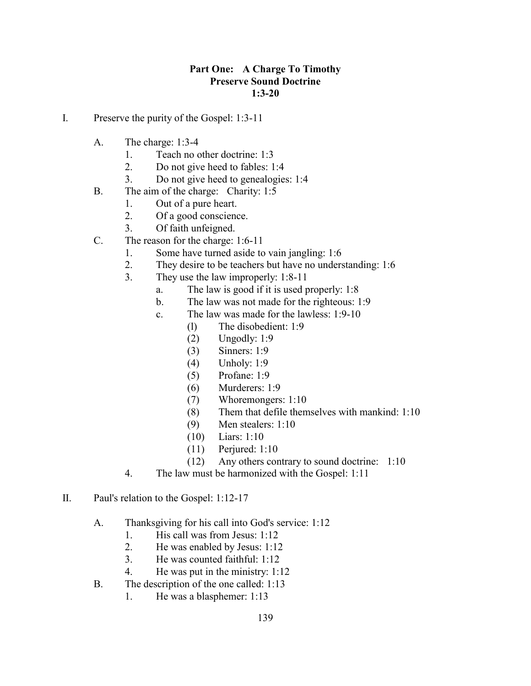### **Part One: A Charge To Timothy Preserve Sound Doctrine 1:3-20**

- I. Preserve the purity of the Gospel: 1:3-11
	- A. The charge: 1:3-4
		- 1. Teach no other doctrine: 1:3
		- 2. Do not give heed to fables: 1:4
		- 3. Do not give heed to genealogies: 1:4
	- B. The aim of the charge: Charity: 1:5
		- 1. Out of a pure heart.
		- 2. Of a good conscience.
		- 3. Of faith unfeigned.
	- C. The reason for the charge: 1:6-11
		- 1. Some have turned aside to vain jangling: 1:6
		- 2. They desire to be teachers but have no understanding: 1:6
		- 3. They use the law improperly: 1:8-11
			- a. The law is good if it is used properly: 1:8
			- b. The law was not made for the righteous: 1:9
			- c. The law was made for the lawless: 1:9-10
				- (l) The disobedient: 1:9
				- (2) Ungodly: 1:9
				- (3) Sinners: 1:9
				- (4) Unholy: 1:9
				- (5) Profane: 1:9
				- (6) Murderers: 1:9
				- (7) Whoremongers: 1:10
				- (8) Them that defile themselves with mankind: 1:10
				- (9) Men stealers: 1:10
				- (10) Liars: 1:10
				- (11) Perjured: 1:10
				- (12) Any others contrary to sound doctrine: 1:10
		- 4. The law must be harmonized with the Gospel: 1:11
- II. Paul's relation to the Gospel: 1:12-17
	- A. Thanksgiving for his call into God's service: 1:12
		- 1. His call was from Jesus: 1:12
		- 2. He was enabled by Jesus: 1:12
		- 3. He was counted faithful: 1:12
		- 4. He was put in the ministry: 1:12
	- B. The description of the one called: 1:13
		- 1. He was a blasphemer: 1:13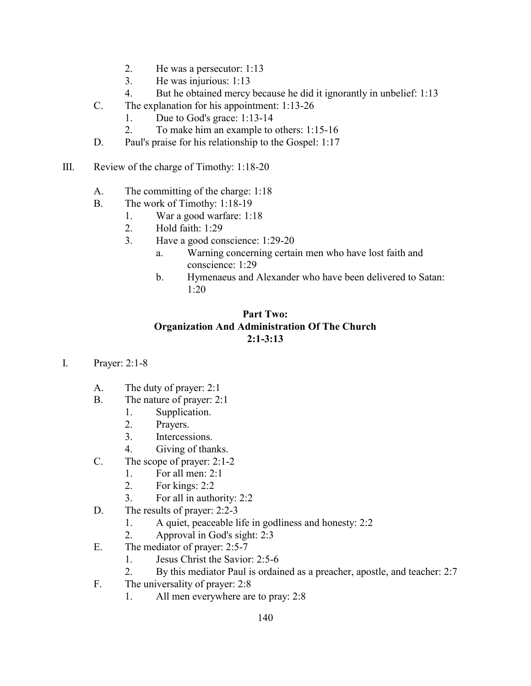- 2. He was a persecutor: 1:13
- 3. He was injurious: 1:13
- 4. But he obtained mercy because he did it ignorantly in unbelief: 1:13
- C. The explanation for his appointment: 1:13-26
	- 1. Due to God's grace: 1:13-14
	- 2. To make him an example to others: 1:15-16
- D. Paul's praise for his relationship to the Gospel: 1:17
- III. Review of the charge of Timothy: 1:18-20
	- A. The committing of the charge: 1:18
	- B. The work of Timothy: 1:18-19
		- 1. War a good warfare: 1:18
		- 2. Hold faith: 1:29
		- 3. Have a good conscience: 1:29-20
			- a. Warning concerning certain men who have lost faith and conscience: 1:29
			- b. Hymenaeus and Alexander who have been delivered to Satan: 1:20

## **Part Two: Organization And Administration Of The Church 2:1-3:13**

- I. Prayer: 2:1-8
	- A. The duty of prayer: 2:1
	- B. The nature of prayer: 2:1
		- 1. Supplication.
		- 2. Prayers.
		- 3. Intercessions.
		- 4. Giving of thanks.
	- C. The scope of prayer: 2:1-2
		- 1. For all men: 2:1
		- 2. For kings: 2:2
		- 3. For all in authority: 2:2
	- D. The results of prayer: 2:2-3
		- 1. A quiet, peaceable life in godliness and honesty: 2:2
		- 2. Approval in God's sight: 2:3
	- E. The mediator of prayer: 2:5-7
		- 1. Jesus Christ the Savior: 2:5-6
		- 2. By this mediator Paul is ordained as a preacher, apostle, and teacher: 2:7
	- F. The universality of prayer: 2:8
		- 1. All men everywhere are to pray: 2:8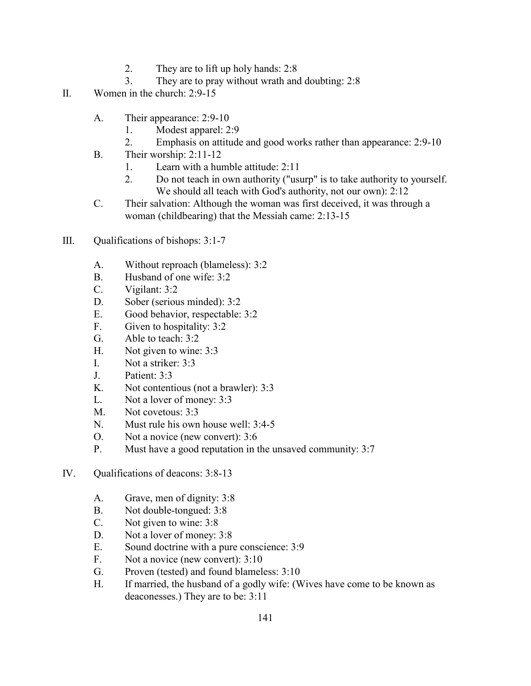- 2. They are to lift up holy hands: 2:8
- 3. They are to pray without wrath and doubting: 2:8
- II. Women in the church: 2:9-15
	- A. Their appearance: 2:9-10
		- 1. Modest apparel: 2:9
		- 2. Emphasis on attitude and good works rather than appearance: 2:9-10
	- B. Their worship: 2:11-12
		- 1. Learn with a humble attitude: 2:11
		- 2. Do not teach in own authority ("usurp" is to take authority to yourself. We should all teach with God's authority, not our own): 2:12
	- C. Their salvation: Although the woman was first deceived, it was through a woman (childbearing) that the Messiah came: 2:13-15
- III. Qualifications of bishops: 3:1-7
	- A. Without reproach (blameless): 3:2
	- B. Husband of one wife: 3:2
	- C. Vigilant: 3:2
	- D. Sober (serious minded): 3:2
	- E. Good behavior, respectable: 3:2
	- F. Given to hospitality: 3:2
	- G. Able to teach: 3:2
	- H. Not given to wine: 3:3
	- I. Not a striker: 3:3
	- J. Patient: 3:3
	- K. Not contentious (not a brawler): 3:3
	- L. Not a lover of money: 3:3
	- M. Not covetous: 3:3
	- N. Must rule his own house well: 3:4-5
	- O. Not a novice (new convert): 3:6
	- P. Must have a good reputation in the unsaved community: 3:7
- IV. Qualifications of deacons: 3:8-13
	- A. Grave, men of dignity: 3:8
	- B. Not double-tongued: 3:8
	- C. Not given to wine: 3:8
	- D. Not a lover of money: 3:8
	- E. Sound doctrine with a pure conscience: 3:9
	- F. Not a novice (new convert): 3:10
	- G. Proven (tested) and found blameless: 3:10
	- H. If married, the husband of a godly wife: (Wives have come to be known as deaconesses.) They are to be: 3:11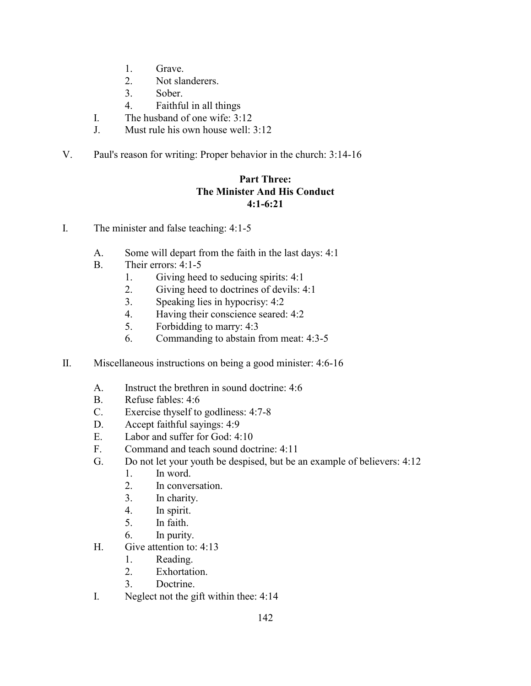- 1. Grave.
- 2. Not slanderers.
- 3. Sober.
- 4. Faithful in all things
- I. The husband of one wife: 3:12
- J. Must rule his own house well: 3:12
- V. Paul's reason for writing: Proper behavior in the church: 3:14-16

## **Part Three: The Minister And His Conduct 4:1-6:21**

- I. The minister and false teaching: 4:1-5
	- A. Some will depart from the faith in the last days: 4:1
	- B. Their errors: 4:1-5
		- 1. Giving heed to seducing spirits: 4:1
		- 2. Giving heed to doctrines of devils: 4:1
		- 3. Speaking lies in hypocrisy: 4:2
		- 4. Having their conscience seared: 4:2
		- 5. Forbidding to marry: 4:3
		- 6. Commanding to abstain from meat: 4:3-5
- II. Miscellaneous instructions on being a good minister: 4:6-16
	- A. Instruct the brethren in sound doctrine: 4:6
	- B. Refuse fables: 4:6
	- C. Exercise thyself to godliness: 4:7-8
	- D. Accept faithful sayings: 4:9
	- E. Labor and suffer for God: 4:10
	- F. Command and teach sound doctrine: 4:11
	- G. Do not let your youth be despised, but be an example of believers: 4:12
		- 1. In word.
		- 2. In conversation.
		- 3. In charity.
		- 4. In spirit.
		- 5. In faith.
		- 6. In purity.
	- H. Give attention to: 4:13
		- 1. Reading.
		- 2. Exhortation.
		- 3. Doctrine.
	- I. Neglect not the gift within thee: 4:14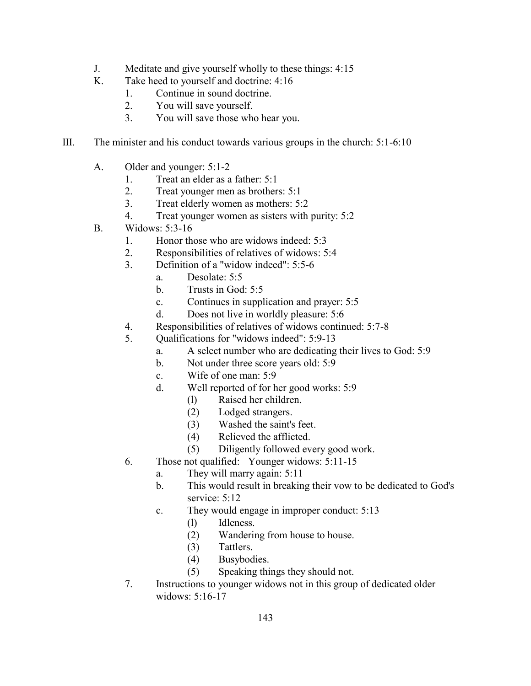- J. Meditate and give yourself wholly to these things: 4:15
- K. Take heed to yourself and doctrine: 4:16
	- 1. Continue in sound doctrine.
	- 2. You will save yourself.
	- 3. You will save those who hear you.
- III. The minister and his conduct towards various groups in the church: 5:1-6:10
	- A. Older and younger: 5:1-2
		- 1. Treat an elder as a father: 5:1
		- 2. Treat younger men as brothers: 5:1
		- 3. Treat elderly women as mothers: 5:2
		- 4. Treat younger women as sisters with purity: 5:2
	- B. Widows: 5:3-16
		- 1. Honor those who are widows indeed: 5:3
		- 2. Responsibilities of relatives of widows: 5:4
		- 3. Definition of a "widow indeed": 5:5-6
			- a. Desolate: 5:5
			- b. Trusts in God: 5:5
			- c. Continues in supplication and prayer: 5:5
			- d. Does not live in worldly pleasure: 5:6
		- 4. Responsibilities of relatives of widows continued: 5:7-8
		- 5. Qualifications for "widows indeed": 5:9-13
			- a. A select number who are dedicating their lives to God: 5:9
			- b. Not under three score years old: 5:9
			- c. Wife of one man: 5:9
			- d. Well reported of for her good works: 5:9
				- (l) Raised her children.
				- (2) Lodged strangers.
				- (3) Washed the saint's feet.
				- (4) Relieved the afflicted.
				- (5) Diligently followed every good work.
		- 6. Those not qualified: Younger widows: 5:11-15
			- a. They will marry again: 5:11
			- b. This would result in breaking their vow to be dedicated to God's service: 5:12
			- c. They would engage in improper conduct: 5:13
				- (l) Idleness.
				- (2) Wandering from house to house.
				- (3) Tattlers.
				- (4) Busybodies.
				- (5) Speaking things they should not.
		- 7. Instructions to younger widows not in this group of dedicated older widows: 5:16-17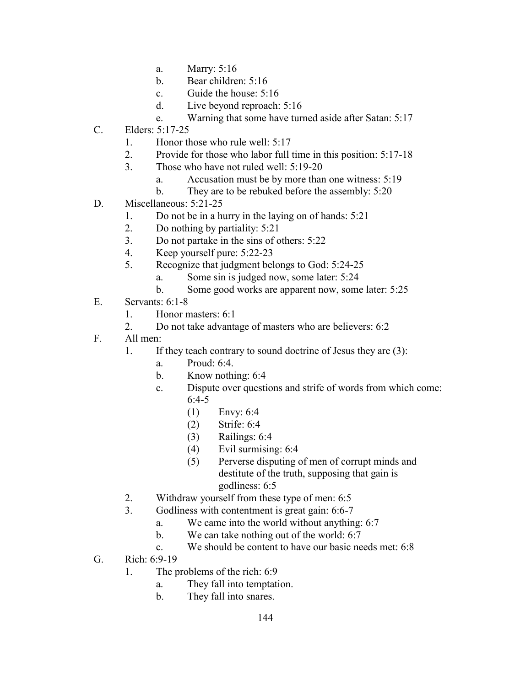- a. Marry: 5:16
- b. Bear children: 5:16
- c. Guide the house: 5:16
- d. Live beyond reproach: 5:16
- e. Warning that some have turned aside after Satan: 5:17
- C. Elders: 5:17-25
	- 1. Honor those who rule well: 5:17
	- 2. Provide for those who labor full time in this position: 5:17-18
	- 3. Those who have not ruled well: 5:19-20
		- a. Accusation must be by more than one witness: 5:19
		- b. They are to be rebuked before the assembly: 5:20
- D. Miscellaneous: 5:21-25
	- 1. Do not be in a hurry in the laying on of hands: 5:21
	- 2. Do nothing by partiality: 5:21
	- 3. Do not partake in the sins of others: 5:22
	- 4. Keep yourself pure: 5:22-23
	- 5. Recognize that judgment belongs to God: 5:24-25
		- a. Some sin is judged now, some later: 5:24
		- b. Some good works are apparent now, some later: 5:25
- E. Servants: 6:1-8
	- 1. Honor masters: 6:1
	- 2. Do not take advantage of masters who are believers: 6:2
- F. All men:
	- 1. If they teach contrary to sound doctrine of Jesus they are (3):
		- a. Proud: 6:4.
		- b. Know nothing: 6:4
		- c. Dispute over questions and strife of words from which come: 6:4-5
			- (1) Envy: 6:4
			- (2) Strife: 6:4
			- (3) Railings: 6:4
			- (4) Evil surmising: 6:4
			- (5) Perverse disputing of men of corrupt minds and destitute of the truth, supposing that gain is godliness: 6:5
	- 2. Withdraw yourself from these type of men: 6:5
	- 3. Godliness with contentment is great gain: 6:6-7
		- a. We came into the world without anything: 6:7
		- b. We can take nothing out of the world: 6:7
		- c. We should be content to have our basic needs met: 6:8
- G. Rich: 6:9-19
	- 1. The problems of the rich: 6:9
		- a. They fall into temptation.
		- b. They fall into snares.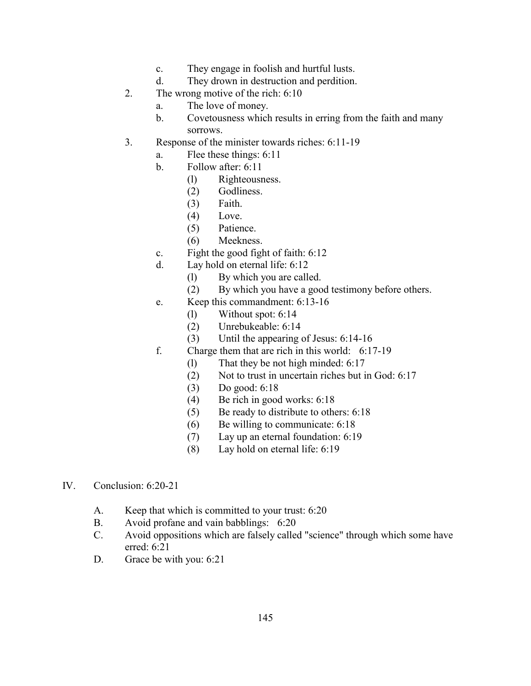- c. They engage in foolish and hurtful lusts.
- d. They drown in destruction and perdition.
- 2. The wrong motive of the rich: 6:10
	- a. The love of money.
	- b. Covetousness which results in erring from the faith and many sorrows.
- 3. Response of the minister towards riches: 6:11-19
	- a. Flee these things: 6:11
	- b. Follow after: 6:11
		- (l) Righteousness.
		- (2) Godliness.
		- (3) Faith.
		- (4) Love.
		- (5) Patience.
		- (6) Meekness.
	- c. Fight the good fight of faith: 6:12
	- d. Lay hold on eternal life: 6:12
		- (l) By which you are called.
		- (2) By which you have a good testimony before others.
	- e. Keep this commandment: 6:13-16
		- (l) Without spot: 6:14
		- (2) Unrebukeable: 6:14
		- (3) Until the appearing of Jesus: 6:14-16
	- f. Charge them that are rich in this world: 6:17-19
		- (l) That they be not high minded: 6:17
		- (2) Not to trust in uncertain riches but in God: 6:17
		- (3) Do good: 6:18
		- (4) Be rich in good works: 6:18
		- (5) Be ready to distribute to others: 6:18
		- (6) Be willing to communicate: 6:18
		- (7) Lay up an eternal foundation: 6:19
		- (8) Lay hold on eternal life: 6:19
- IV. Conclusion: 6:20-21
	- A. Keep that which is committed to your trust: 6:20
	- B. Avoid profane and vain babblings: 6:20
	- C. Avoid oppositions which are falsely called "science" through which some have erred: 6:21
	- D. Grace be with you: 6:21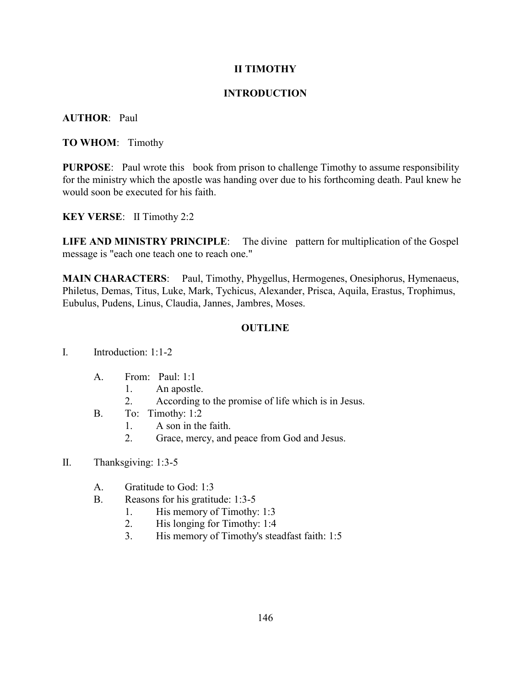#### **II TIMOTHY**

#### **INTRODUCTION**

#### **AUTHOR**: Paul

#### **TO WHOM**: Timothy

**PURPOSE**: Paul wrote this book from prison to challenge Timothy to assume responsibility for the ministry which the apostle was handing over due to his forthcoming death. Paul knew he would soon be executed for his faith.

**KEY VERSE**: II Timothy 2:2

**LIFE AND MINISTRY PRINCIPLE**: The divine pattern for multiplication of the Gospel message is "each one teach one to reach one."

**MAIN CHARACTERS**: Paul, Timothy, Phygellus, Hermogenes, Onesiphorus, Hymenaeus, Philetus, Demas, Titus, Luke, Mark, Tychicus, Alexander, Prisca, Aquila, Erastus, Trophimus, Eubulus, Pudens, Linus, Claudia, Jannes, Jambres, Moses.

#### **OUTLINE**

- I. Introduction: 1:1-2
	- A. From: Paul: 1:1
		- 1. An apostle.
		- 2. According to the promise of life which is in Jesus.
	- B. To: Timothy: 1:2
		- 1. A son in the faith.
		- 2. Grace, mercy, and peace from God and Jesus.
- II. Thanksgiving: 1:3-5
	- A. Gratitude to God: 1:3
	- B. Reasons for his gratitude: 1:3-5
		- 1. His memory of Timothy: 1:3
			- 2. His longing for Timothy: 1:4
			- 3. His memory of Timothy's steadfast faith: 1:5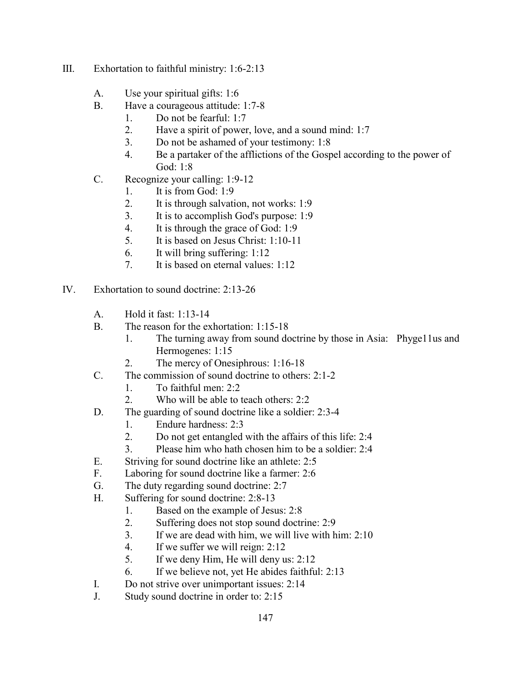- III. Exhortation to faithful ministry: 1:6-2:13
	- A. Use your spiritual gifts: 1:6
	- B. Have a courageous attitude: 1:7-8
		- 1. Do not be fearful: 1:7
		- 2. Have a spirit of power, love, and a sound mind: 1:7
		- 3. Do not be ashamed of your testimony: 1:8
		- 4. Be a partaker of the afflictions of the Gospel according to the power of God: 1:8
	- C. Recognize your calling: 1:9-12
		- 1. It is from God: 1:9
		- 2. It is through salvation, not works: 1:9
		- 3. It is to accomplish God's purpose: 1:9
		- 4. It is through the grace of God: 1:9
		- 5. It is based on Jesus Christ: 1:10-11
		- 6. It will bring suffering: 1:12
		- 7. It is based on eternal values: 1:12
- IV. Exhortation to sound doctrine: 2:13-26
	- A. Hold it fast: 1:13-14
	- B. The reason for the exhortation: 1:15-18
		- 1. The turning away from sound doctrine by those in Asia: Phyge11us and Hermogenes: 1:15
			- 2. The mercy of Onesiphrous: 1:16-18
	- C. The commission of sound doctrine to others: 2:1-2
		- 1. To faithful men: 2:2
		- 2. Who will be able to teach others: 2:2
	- D. The guarding of sound doctrine like a soldier: 2:3-4
		- 1. Endure hardness: 2:3
		- 2. Do not get entangled with the affairs of this life: 2:4
		- 3. Please him who hath chosen him to be a soldier: 2:4
	- E. Striving for sound doctrine like an athlete: 2:5
	- F. Laboring for sound doctrine like a farmer: 2:6
	- G. The duty regarding sound doctrine: 2:7
	- H. Suffering for sound doctrine: 2:8-13
		- 1. Based on the example of Jesus: 2:8
		- 2. Suffering does not stop sound doctrine: 2:9
		- 3. If we are dead with him, we will live with him: 2:10
		- 4. If we suffer we will reign: 2:12
		- 5. If we deny Him, He will deny us: 2:12
		- 6. If we believe not, yet He abides faithful: 2:13
	- I. Do not strive over unimportant issues: 2:14
	- J. Study sound doctrine in order to: 2:15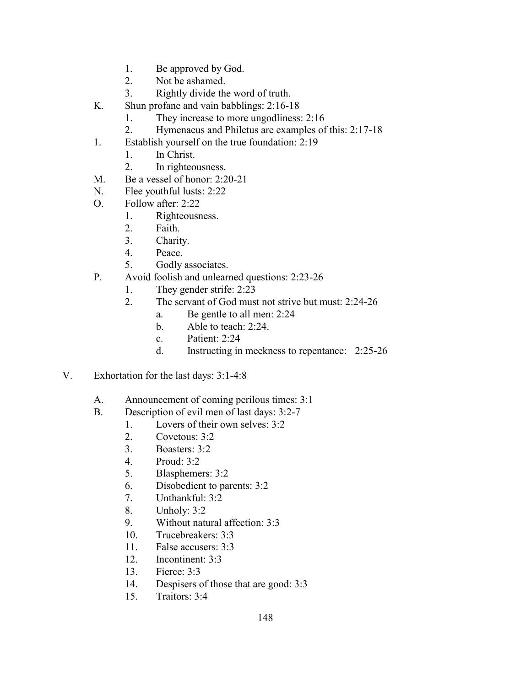- 1. Be approved by God.
- 2. Not be ashamed.
- 3. Rightly divide the word of truth.
- K. Shun profane and vain babblings: 2:16-18
	- 1. They increase to more ungodliness: 2:16
	- 2. Hymenaeus and Philetus are examples of this: 2:17-18
- 1. Establish yourself on the true foundation: 2:19
	- 1. In Christ.
	- 2. In righteousness.
- M. Be a vessel of honor: 2:20-21
- N. Flee youthful lusts: 2:22
- O. Follow after: 2:22
	- 1. Righteousness.
	- 2. Faith.
	- 3. Charity.
	- 4. Peace.
	- 5. Godly associates.
- P. Avoid foolish and unlearned questions: 2:23-26
	- 1. They gender strife: 2:23
	- 2. The servant of God must not strive but must: 2:24-26
		- a. Be gentle to all men: 2:24
		- b. Able to teach: 2:24.
		- c. Patient: 2:24
		- d. Instructing in meekness to repentance: 2:25-26
- V. Exhortation for the last days: 3:1-4:8
	- A. Announcement of coming perilous times: 3:1
	- B. Description of evil men of last days: 3:2-7
		- 1. Lovers of their own selves: 3:2
			- 2. Covetous: 3:2
			- 3. Boasters: 3:2
			- 4. Proud: 3:2
			- 5. Blasphemers: 3:2
			- 6. Disobedient to parents: 3:2
			- 7. Unthankful: 3:2
			- 8. Unholy: 3:2
			- 9. Without natural affection: 3:3
			- 10. Trucebreakers: 3:3
			- 11. False accusers: 3:3
			- 12. Incontinent: 3:3
			- 13. Fierce: 3:3
			- 14. Despisers of those that are good: 3:3
			- 15. Traitors: 3:4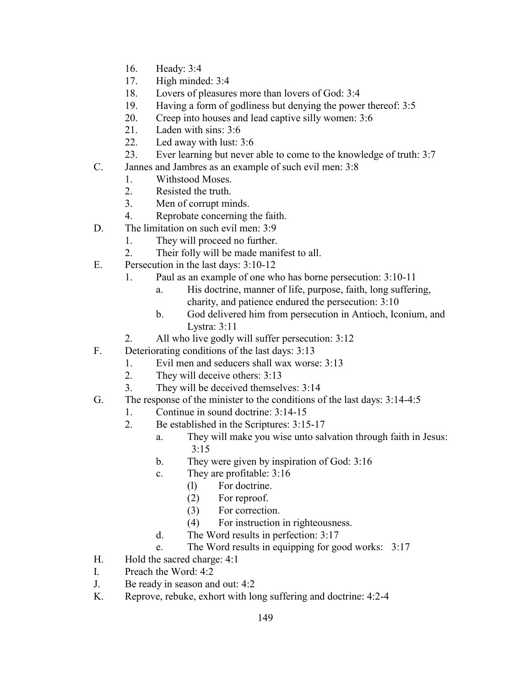- 16. Heady: 3:4
- 17. High minded: 3:4
- 18. Lovers of pleasures more than lovers of God: 3:4
- 19. Having a form of godliness but denying the power thereof: 3:5
- 20. Creep into houses and lead captive silly women: 3:6
- 21. Laden with sins: 3:6
- 22. Led away with lust: 3:6
- 23. Ever learning but never able to come to the knowledge of truth: 3:7
- C. Jannes and Jambres as an example of such evil men: 3:8
	- 1. Withstood Moses.
	- 2. Resisted the truth.
	- 3. Men of corrupt minds.
	- 4. Reprobate concerning the faith.
- D. The limitation on such evil men: 3:9
	- 1. They will proceed no further.
	- 2. Their folly will be made manifest to all.
- E. Persecution in the last days: 3:10-12
	- 1. Paul as an example of one who has borne persecution: 3:10-11
		- a. His doctrine, manner of life, purpose, faith, long suffering, charity, and patience endured the persecution: 3:10
		- b. God delivered him from persecution in Antioch, Iconium, and Lystra: 3:11
	- 2. All who live godly will suffer persecution: 3:12
- F. Deteriorating conditions of the last days: 3:13
	- 1. Evil men and seducers shall wax worse: 3:13
	- 2. They will deceive others: 3:13
	- 3. They will be deceived themselves: 3:14
- G. The response of the minister to the conditions of the last days: 3:14-4:5
	- 1. Continue in sound doctrine: 3:14-15
	- 2. Be established in the Scriptures: 3:15-17
		- a. They will make you wise unto salvation through faith in Jesus: 3:15
		- b. They were given by inspiration of God: 3:16
		- c. They are profitable: 3:16
			- (l) For doctrine.
			- (2) For reproof.
			- (3) For correction.
			- (4) For instruction in righteousness.
		- d. The Word results in perfection: 3:17
		- e. The Word results in equipping for good works: 3:17
- H. Hold the sacred charge: 4:1
- I. Preach the Word: 4:2
- J. Be ready in season and out: 4:2
- K. Reprove, rebuke, exhort with long suffering and doctrine: 4:2-4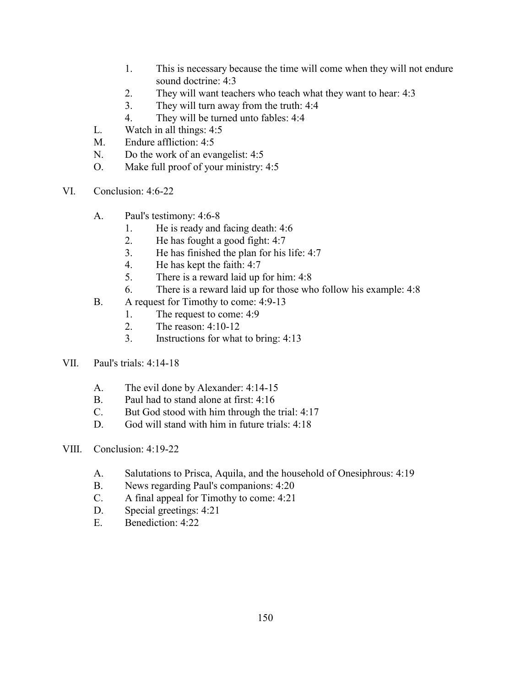- 1. This is necessary because the time will come when they will not endure sound doctrine: 4:3
- 2. They will want teachers who teach what they want to hear: 4:3
- 3. They will turn away from the truth: 4:4
- 4. They will be turned unto fables: 4:4
- L. Watch in all things: 4:5
- M. Endure affliction: 4:5
- N. Do the work of an evangelist: 4:5
- O. Make full proof of your ministry: 4:5
- VI. Conclusion: 4:6-22
	- A. Paul's testimony: 4:6-8
		- 1. He is ready and facing death: 4:6
		- 2. He has fought a good fight: 4:7
		- 3. He has finished the plan for his life: 4:7
		- 4. He has kept the faith: 4:7
		- 5. There is a reward laid up for him: 4:8
		- 6. There is a reward laid up for those who follow his example: 4:8
	- B. A request for Timothy to come: 4:9-13
		- 1. The request to come: 4:9
		- 2. The reason: 4:10-12
		- 3. Instructions for what to bring: 4:13
- VII. Paul's trials: 4:14-18
	- A. The evil done by Alexander: 4:14-15
	- B. Paul had to stand alone at first: 4:16
	- C. But God stood with him through the trial: 4:17
	- D. God will stand with him in future trials: 4:18
- VIII. Conclusion: 4:19-22
	- A. Salutations to Prisca, Aquila, and the household of Onesiphrous: 4:19
	- B. News regarding Paul's companions: 4:20
	- C. A final appeal for Timothy to come: 4:21
	- D. Special greetings: 4:21
	- E. Benediction: 4:22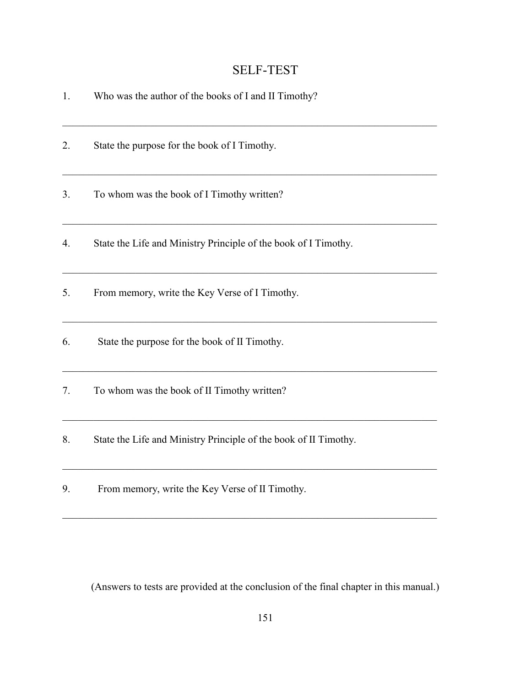1. Who was the author of the books of I and II Timothy?

2. State the purpose for the book of I Timothy.

3. To whom was the book of I Timothy written?

4. State the Life and Ministry Principle of the book of I Timothy.

5. From memory, write the Key Verse of I Timothy.

6. State the purpose for the book of II Timothy.

7. To whom was the book of II Timothy written?

8. State the Life and Ministry Principle of the book of II Timothy.

 $\mathcal{L}_\text{max} = \mathcal{L}_\text{max} = \mathcal{L}_\text{max} = \mathcal{L}_\text{max} = \mathcal{L}_\text{max} = \mathcal{L}_\text{max} = \mathcal{L}_\text{max} = \mathcal{L}_\text{max} = \mathcal{L}_\text{max} = \mathcal{L}_\text{max} = \mathcal{L}_\text{max} = \mathcal{L}_\text{max} = \mathcal{L}_\text{max} = \mathcal{L}_\text{max} = \mathcal{L}_\text{max} = \mathcal{L}_\text{max} = \mathcal{L}_\text{max} = \mathcal{L}_\text{max} = \mathcal{$ 

 $\mathcal{L}_\text{max} = \mathcal{L}_\text{max} = \mathcal{L}_\text{max} = \mathcal{L}_\text{max} = \mathcal{L}_\text{max} = \mathcal{L}_\text{max} = \mathcal{L}_\text{max} = \mathcal{L}_\text{max} = \mathcal{L}_\text{max} = \mathcal{L}_\text{max} = \mathcal{L}_\text{max} = \mathcal{L}_\text{max} = \mathcal{L}_\text{max} = \mathcal{L}_\text{max} = \mathcal{L}_\text{max} = \mathcal{L}_\text{max} = \mathcal{L}_\text{max} = \mathcal{L}_\text{max} = \mathcal{$ 

9. From memory, write the Key Verse of II Timothy.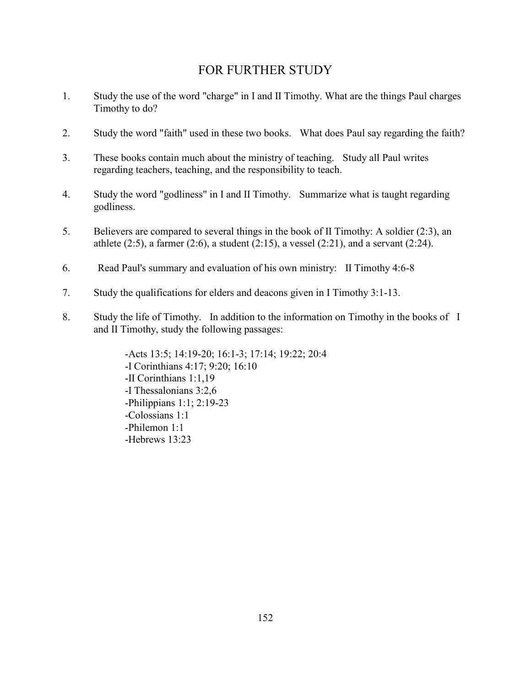- 1. Study the use of the word "charge" in I and II Timothy. What are the things Paul charges Timothy to do?
- 2. Study the word "faith" used in these two books. What does Paul say regarding the faith?
- 3. These books contain much about the ministry of teaching. Study all Paul writes regarding teachers, teaching, and the responsibility to teach.
- 4. Study the word "godliness" in I and II Timothy. Summarize what is taught regarding godliness.
- 5. Believers are compared to several things in the book of II Timothy: A soldier (2:3), an athlete  $(2:5)$ , a farmer  $(2:6)$ , a student  $(2:15)$ , a vessel  $(2:21)$ , and a servant  $(2:24)$ .
- 6. Read Paul's summary and evaluation of his own ministry: II Timothy 4:6-8
- 7. Study the qualifications for elders and deacons given in I Timothy 3:1-13.
- 8. Study the life of Timothy. In addition to the information on Timothy in the books of I and II Timothy, study the following passages:

-Acts 13:5; 14:19-20; 16:1-3; 17:14; 19:22; 20:4 -I Corinthians 4:17; 9:20; 16:10 -II Corinthians 1:1,19 -I Thessalonians 3:2,6 -Philippians 1:1; 2:19-23 -Colossians 1:1 -Philemon 1:1 -Hebrews 13:23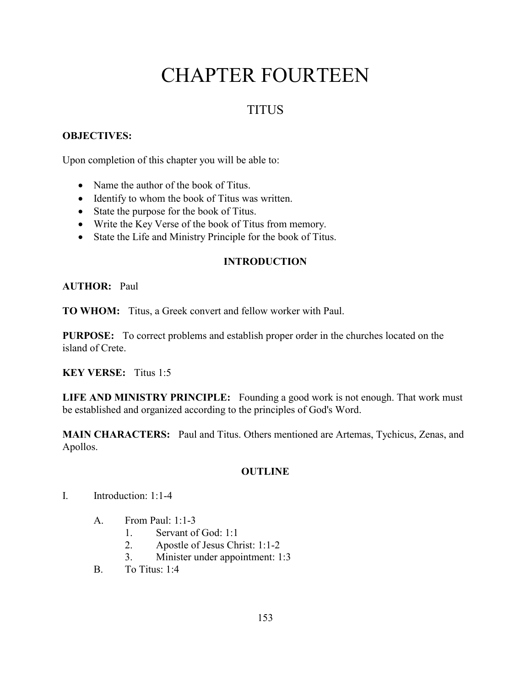# CHAPTER FOURTEEN

# TITUS

## **OBJECTIVES:**

Upon completion of this chapter you will be able to:

- Name the author of the book of Titus.
- Identify to whom the book of Titus was written.
- State the purpose for the book of Titus.
- Write the Key Verse of the book of Titus from memory.
- State the Life and Ministry Principle for the book of Titus.

## **INTRODUCTION**

**AUTHOR:** Paul

**TO WHOM:** Titus, a Greek convert and fellow worker with Paul.

**PURPOSE:** To correct problems and establish proper order in the churches located on the island of Crete.

**KEY VERSE:** Titus 1:5

**LIFE AND MINISTRY PRINCIPLE:** Founding a good work is not enough. That work must be established and organized according to the principles of God's Word.

**MAIN CHARACTERS:** Paul and Titus. Others mentioned are Artemas, Tychicus, Zenas, and Apollos.

## **OUTLINE**

I. Introduction: 1:1-4

- A. From Paul: 1:1-3
	- 1. Servant of God: 1:1
	- 2. Apostle of Jesus Christ: 1:1-2
	- 3. Minister under appointment: 1:3
- B. To Titus: 1:4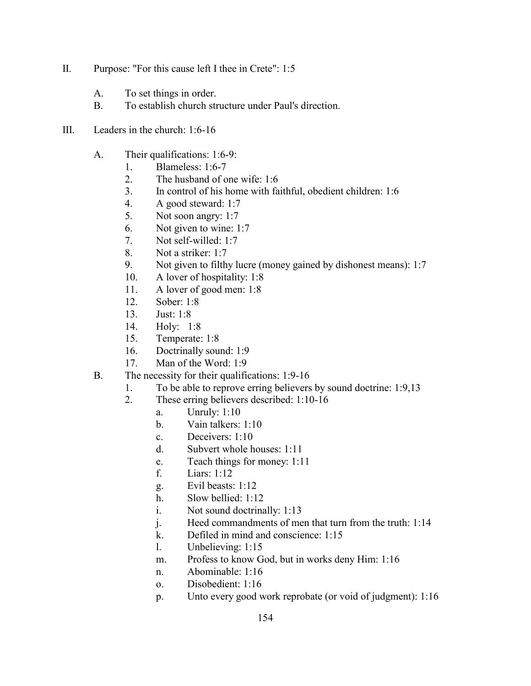- II. Purpose: "For this cause left I thee in Crete": 1:5
	- A. To set things in order.
	- B. To establish church structure under Paul's direction.
- III. Leaders in the church: 1:6-16
	- A. Their qualifications: 1:6-9:
		- 1. Blameless: 1:6-7
		- 2. The husband of one wife: 1:6
		- 3. In control of his home with faithful, obedient children: 1:6
		- 4. A good steward: 1:7
		- 5. Not soon angry: 1:7
		- 6. Not given to wine: 1:7
		- 7. Not self-willed: 1:7
		- 8. Not a striker: 1:7
		- 9. Not given to filthy lucre (money gained by dishonest means): 1:7
		- 10. A lover of hospitality: 1:8
		- 11. A lover of good men: 1:8
		- 12. Sober: 1:8
		- 13. Just: 1:8
		- 14. Holy: 1:8
		- 15. Temperate: 1:8
		- 16. Doctrinally sound: 1:9
		- 17. Man of the Word: 1:9
	- B. The necessity for their qualifications: 1:9-16
		- 1. To be able to reprove erring believers by sound doctrine: 1:9,13
		- 2. These erring believers described: 1:10-16
			- a. Unruly: 1:10
			- b. Vain talkers: 1:10
			- c. Deceivers: 1:10
			- d. Subvert whole houses: 1:11
			- e. Teach things for money: 1:11
			- f. Liars: 1:12
			- g. Evil beasts: 1:12
			- h. Slow bellied: 1:12
			- i. Not sound doctrinally: 1:13
			- j. Heed commandments of men that turn from the truth: 1:14
			- k. Defiled in mind and conscience: 1:15
			- l. Unbelieving: 1:15
			- m. Profess to know God, but in works deny Him: 1:16
			- n. Abominable: 1:16
			- o. Disobedient: 1:16
			- p. Unto every good work reprobate (or void of judgment): 1:16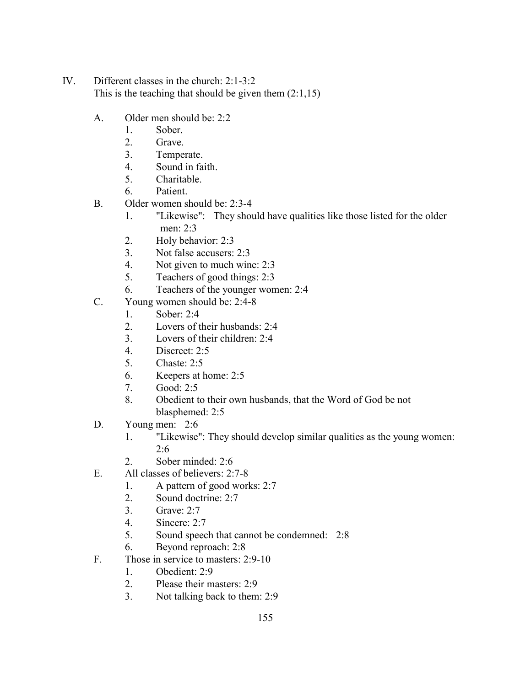- IV. Different classes in the church: 2:1-3:2 This is the teaching that should be given them  $(2:1,15)$ 
	- A. Older men should be: 2:2
		- 1. Sober.
		- 2. Grave.
		- 3. Temperate.
		- 4. Sound in faith.
		- 5. Charitable.
		- 6. Patient.
	- B. Older women should be: 2:3-4
		- 1. "Likewise": They should have qualities like those listed for the older men: 2:3
		- 2. Holy behavior: 2:3
		- 3. Not false accusers: 2:3
		- 4. Not given to much wine: 2:3
		- 5. Teachers of good things: 2:3
		- 6. Teachers of the younger women: 2:4
	- C. Young women should be: 2:4-8
		- 1. Sober: 2:4
		- 2. Lovers of their husbands: 2:4
		- 3. Lovers of their children: 2:4
		- 4. Discreet: 2:5
		- 5. Chaste: 2:5
		- 6. Keepers at home: 2:5
		- 7. Good: 2:5
		- 8. Obedient to their own husbands, that the Word of God be not blasphemed: 2:5
	- D. Young men: 2:6
		- 1. "Likewise": They should develop similar qualities as the young women: 2:6
		- 2. Sober minded: 2:6
	- E. All classes of believers: 2:7-8
		- 1. A pattern of good works: 2:7
		- 2. Sound doctrine: 2:7
		- 3. Grave: 2:7
		- 4. Sincere: 2:7
		- 5. Sound speech that cannot be condemned: 2:8
		- 6. Beyond reproach: 2:8
	- F. Those in service to masters: 2:9-10
		- 1. Obedient: 2:9
		- 2. Please their masters: 2:9
		- 3. Not talking back to them: 2:9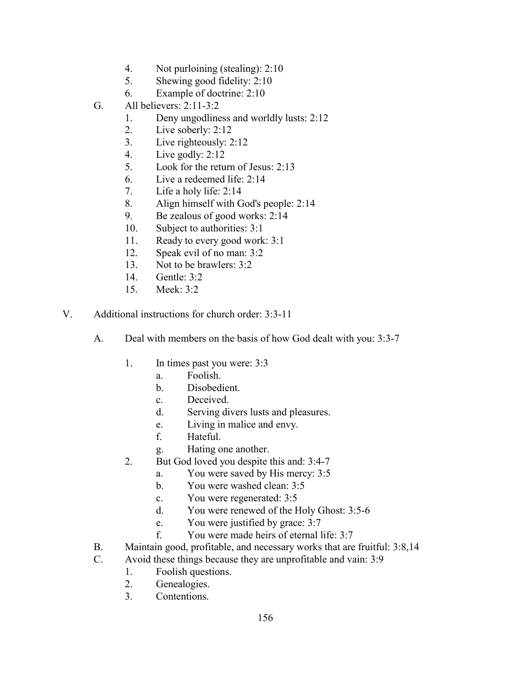- 4. Not purloining (stealing): 2:10
- 5. Shewing good fidelity: 2:10
- 6. Example of doctrine: 2:10
- G. All believers: 2:11-3:2
	- 1. Deny ungodliness and worldly lusts: 2:12
	- 2. Live soberly: 2:12
	- 3. Live righteously: 2:12
	- 4. Live godly: 2:12
	- 5. Look for the return of Jesus: 2:13
	- 6. Live a redeemed life: 2:14
	- 7. Life a holy life: 2:14
	- 8. Align himself with God's people: 2:14
	- 9. Be zealous of good works: 2:14
	- 10. Subject to authorities: 3:1
	- 11. Ready to every good work: 3:1
	- 12. Speak evil of no man: 3:2
	- 13. Not to be brawlers: 3:2
	- 14. Gentle: 3:2
	- 15. Meek: 3:2
- V. Additional instructions for church order: 3:3-11
	- A. Deal with members on the basis of how God dealt with you: 3:3-7
		- 1. In times past you were: 3:3
			- a. Foolish.
			- b. Disobedient.
			- c. Deceived.
			- d. Serving divers lusts and pleasures.
			- e. Living in malice and envy.
			- f. Hateful.
			- g. Hating one another.
		- 2. But God loved you despite this and: 3:4-7
			- a. You were saved by His mercy: 3:5
			- b. You were washed clean: 3:5
			- c. You were regenerated: 3:5
			- d. You were renewed of the Holy Ghost: 3:5-6
			- e. You were justified by grace: 3:7
			- f. You were made heirs of eternal life: 3:7
	- B. Maintain good, profitable, and necessary works that are fruitful: 3:8,14
	- C. Avoid these things because they are unprofitable and vain: 3:9
		- 1. Foolish questions.
		- 2. Genealogies.
		- 3. Contentions.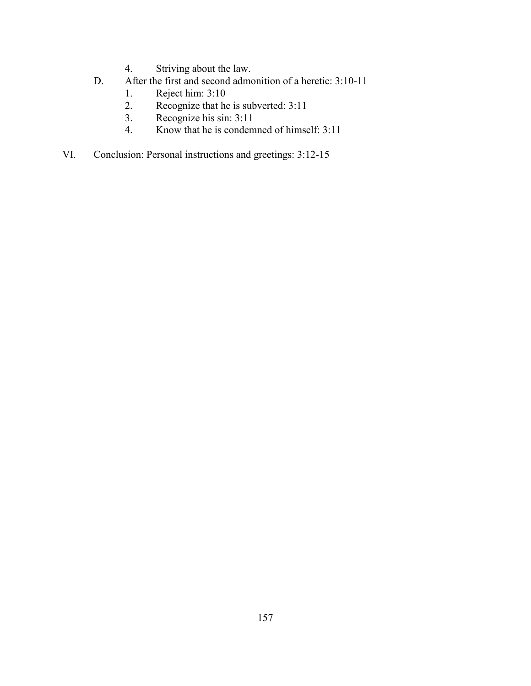- 4. Striving about the law.
- D. After the first and second admonition of a heretic: 3:10-11
	- 1. Reject him: 3:10<br>2. Recognize that he
	- Recognize that he is subverted: 3:11
	- 3. Recognize his sin: 3:11
	- 4. Know that he is condemned of himself: 3:11
- VI. Conclusion: Personal instructions and greetings: 3:12-15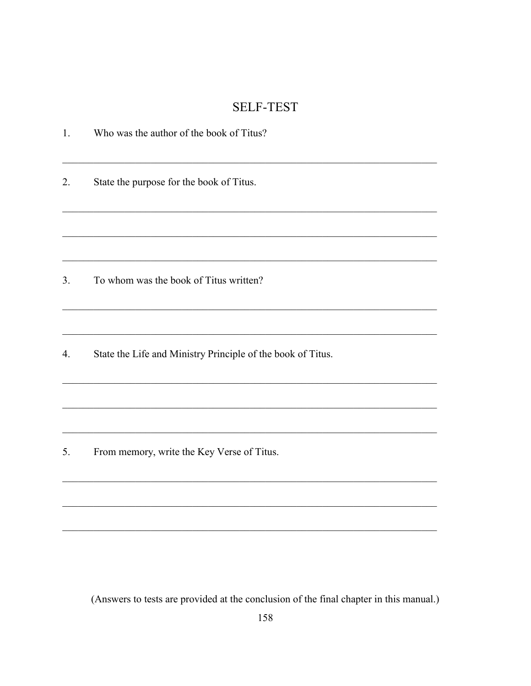| 1.               | Who was the author of the book of Titus?                    |
|------------------|-------------------------------------------------------------|
| 2.               | State the purpose for the book of Titus.                    |
|                  |                                                             |
| 3.               | To whom was the book of Titus written?                      |
| $\overline{4}$ . | State the Life and Ministry Principle of the book of Titus. |
| 5.               | From memory, write the Key Verse of Titus.                  |
|                  |                                                             |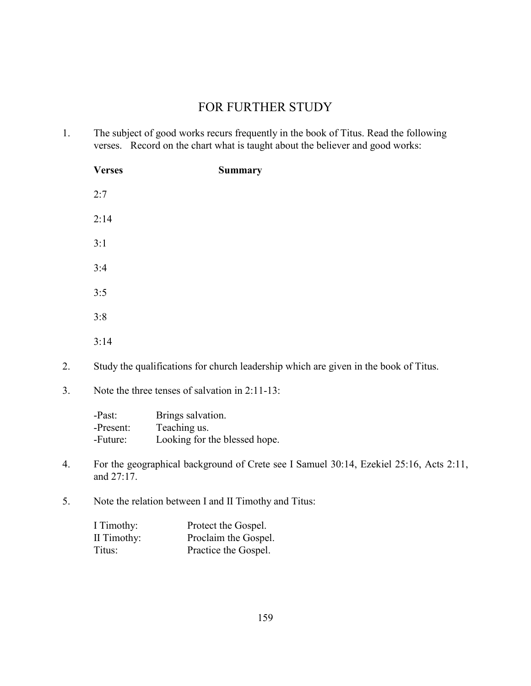1. The subject of good works recurs frequently in the book of Titus. Read the following verses. Record on the chart what is taught about the believer and good works:

|    | <b>Verses</b> | <b>Summary</b>                                                                       |
|----|---------------|--------------------------------------------------------------------------------------|
|    | 2:7           |                                                                                      |
|    | 2:14          |                                                                                      |
|    | 3:1           |                                                                                      |
|    | 3:4           |                                                                                      |
|    | 3:5           |                                                                                      |
|    | 3:8           |                                                                                      |
|    | 3:14          |                                                                                      |
| 2. |               | Study the qualifications for church leadership which are given in the book of Titus. |

3. Note the three tenses of salvation in 2:11-13:

| -Past:    | Brings salvation.             |
|-----------|-------------------------------|
| -Present: | Teaching us.                  |
| -Future:  | Looking for the blessed hope. |

- 4. For the geographical background of Crete see I Samuel 30:14, Ezekiel 25:16, Acts 2:11, and 27:17.
- 5. Note the relation between I and II Timothy and Titus:

| I Timothy:  | Protect the Gospel.  |
|-------------|----------------------|
| II Timothy: | Proclaim the Gospel. |
| Titus:      | Practice the Gospel. |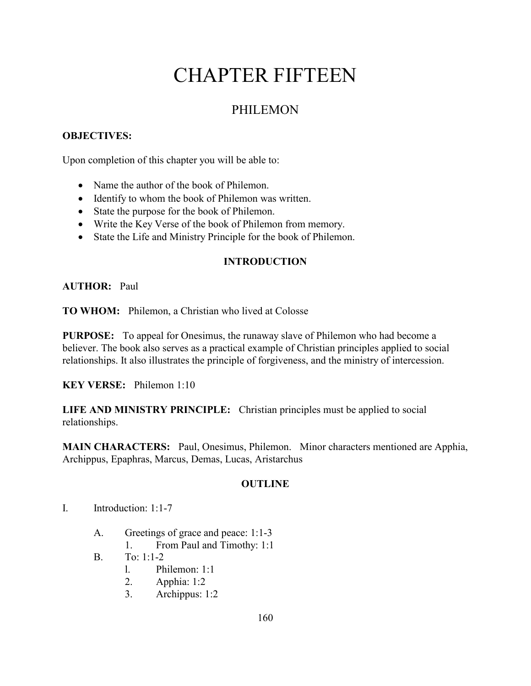# CHAPTER FIFTEEN

# PHILEMON

## **OBJECTIVES:**

Upon completion of this chapter you will be able to:

- Name the author of the book of Philemon.
- Identify to whom the book of Philemon was written.
- State the purpose for the book of Philemon.
- Write the Key Verse of the book of Philemon from memory.
- State the Life and Ministry Principle for the book of Philemon.

## **INTRODUCTION**

**AUTHOR:** Paul

**TO WHOM:** Philemon, a Christian who lived at Colosse

**PURPOSE:** To appeal for Onesimus, the runaway slave of Philemon who had become a believer. The book also serves as a practical example of Christian principles applied to social relationships. It also illustrates the principle of forgiveness, and the ministry of intercession.

**KEY VERSE:** Philemon 1:10

**LIFE AND MINISTRY PRINCIPLE:** Christian principles must be applied to social relationships.

**MAIN CHARACTERS:** Paul, Onesimus, Philemon. Minor characters mentioned are Apphia, Archippus, Epaphras, Marcus, Demas, Lucas, Aristarchus

## **OUTLINE**

- I. Introduction: 1:1-7
	- A. Greetings of grace and peace: 1:1-3
		- 1. From Paul and Timothy: 1:1
	- B. To: 1:1-2
		- l. Philemon: 1:1
		- 2. Apphia: 1:2
		- 3. Archippus: 1:2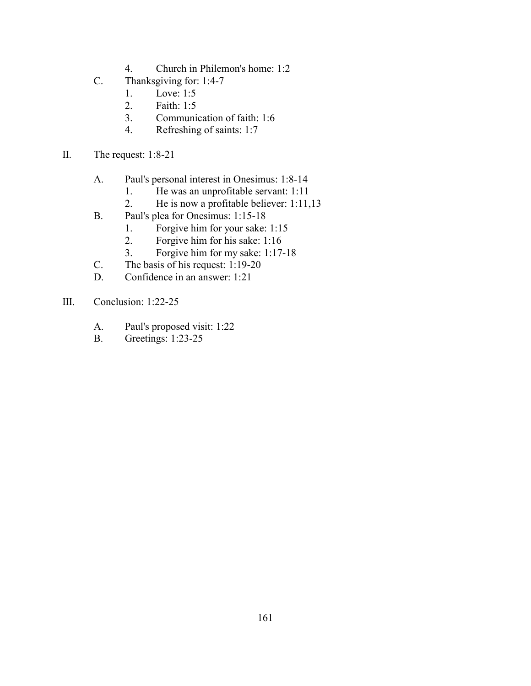- 4. Church in Philemon's home: 1:2
- C. Thanksgiving for: 1:4-7
	- 1. Love: 1:5
	- 2. Faith: 1:5
	- 3. Communication of faith: 1:6
	- 4. Refreshing of saints: 1:7
- II. The request: 1:8-21
	- A. Paul's personal interest in Onesimus: 1:8-14
		- 1. He was an unprofitable servant: 1:11
		- 2. He is now a profitable believer: 1:11,13
	- B. Paul's plea for Onesimus: 1:15-18
		- 1. Forgive him for your sake: 1:15
		- 2. Forgive him for his sake: 1:16
		- 3. Forgive him for my sake: 1:17-18
	- C. The basis of his request: 1:19-20
	- D. Confidence in an answer: 1:21
- III. Conclusion: 1:22-25
	- A. Paul's proposed visit: 1:22
	- B. Greetings: 1:23-25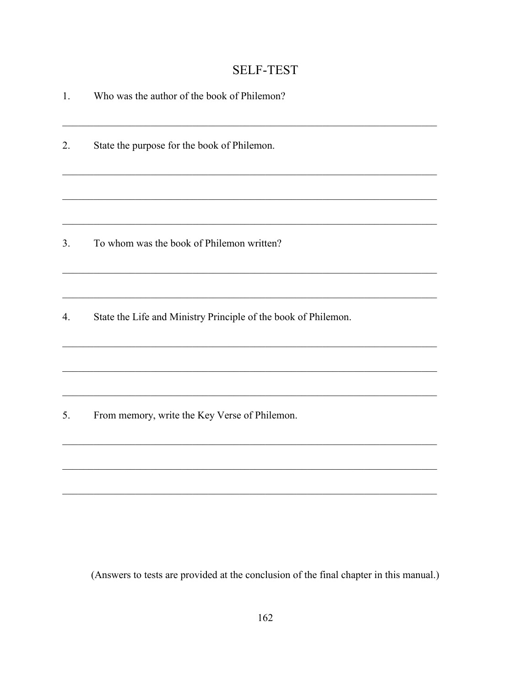$1<sub>1</sub>$ Who was the author of the book of Philemon?

State the purpose for the book of Philemon. 2.

To whom was the book of Philemon written?  $3.$ 

State the Life and Ministry Principle of the book of Philemon.  $4.$ 

From memory, write the Key Verse of Philemon. 5.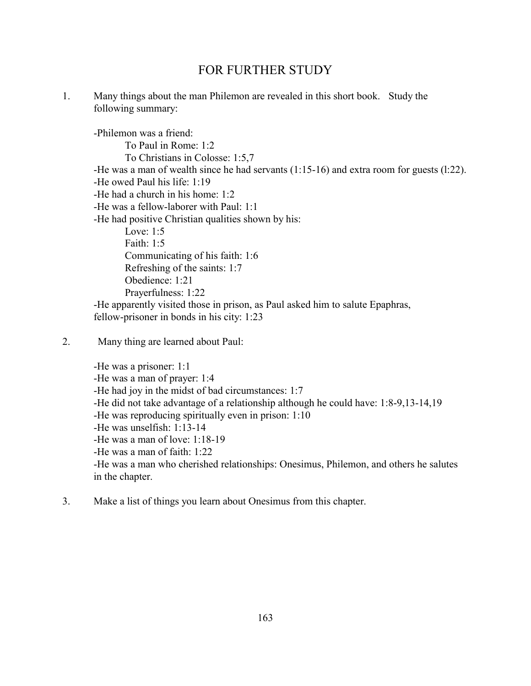1. Many things about the man Philemon are revealed in this short book. Study the following summary:

-Philemon was a friend: To Paul in Rome: 1:2 To Christians in Colosse: 1:5,7 -He was a man of wealth since he had servants (1:15-16) and extra room for guests (l:22). -He owed Paul his life: 1:19 -He had a church in his home: 1:2 -He was a fellow-laborer with Paul: 1:1 -He had positive Christian qualities shown by his: Love: 1:5 Faith: 1:5 Communicating of his faith: 1:6 Refreshing of the saints: 1:7 Obedience: 1:21 Prayerfulness: 1:22 -He apparently visited those in prison, as Paul asked him to salute Epaphras, fellow-prisoner in bonds in his city: 1:23

2. Many thing are learned about Paul:

-He was a prisoner: 1:1 -He was a man of prayer: 1:4 -He had joy in the midst of bad circumstances: 1:7 -He did not take advantage of a relationship although he could have: 1:8-9,13-14,19 -He was reproducing spiritually even in prison: 1:10 -He was unselfish: 1:13-14 -He was a man of love: 1:18-19 -He was a man of faith: 1:22 -He was a man who cherished relationships: Onesimus, Philemon, and others he salutes in the chapter.

3. Make a list of things you learn about Onesimus from this chapter.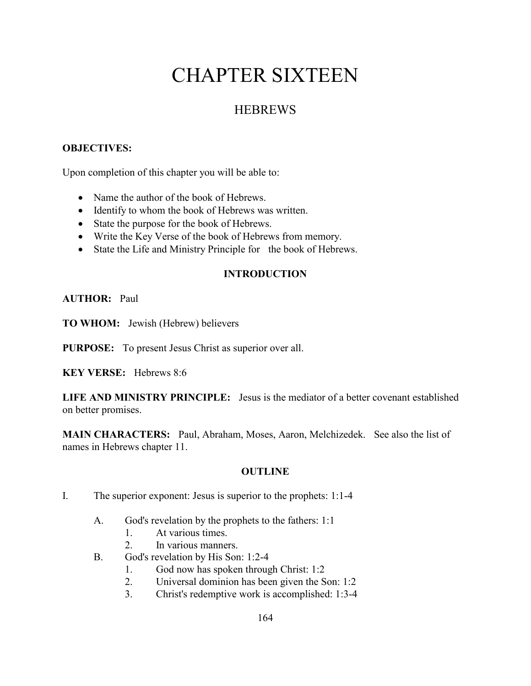# CHAPTER SIXTEEN

# **HEBREWS**

## **OBJECTIVES:**

Upon completion of this chapter you will be able to:

- Name the author of the book of Hebrews.
- Identify to whom the book of Hebrews was written.
- State the purpose for the book of Hebrews.
- Write the Key Verse of the book of Hebrews from memory.
- State the Life and Ministry Principle for the book of Hebrews.

#### **INTRODUCTION**

**AUTHOR:** Paul

**TO WHOM:** Jewish (Hebrew) believers

**PURPOSE:** To present Jesus Christ as superior over all.

**KEY VERSE:** Hebrews 8:6

**LIFE AND MINISTRY PRINCIPLE:** Jesus is the mediator of a better covenant established on better promises.

**MAIN CHARACTERS:** Paul, Abraham, Moses, Aaron, Melchizedek. See also the list of names in Hebrews chapter 11.

## **OUTLINE**

- I. The superior exponent: Jesus is superior to the prophets: 1:1-4
	- A. God's revelation by the prophets to the fathers: 1:1
		- 1. At various times.
		- 2. In various manners.
	- B. God's revelation by His Son: 1:2-4
		- 1. God now has spoken through Christ: 1:2
		- 2. Universal dominion has been given the Son: 1:2
		- 3. Christ's redemptive work is accomplished: 1:3-4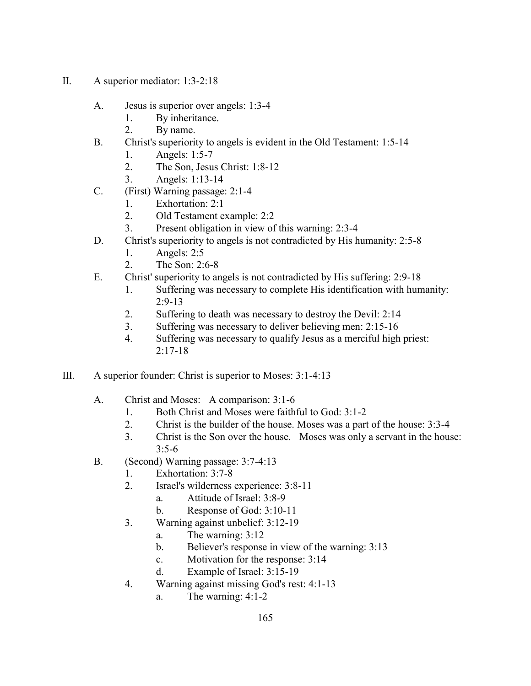- II. A superior mediator: 1:3-2:18
	- A. Jesus is superior over angels: 1:3-4
		- 1. By inheritance.
		- 2. By name.
	- B. Christ's superiority to angels is evident in the Old Testament: 1:5-14
		- 1. Angels: 1:5-7
		- 2. The Son, Jesus Christ: 1:8-12
		- 3. Angels: 1:13-14
	- C. (First) Warning passage: 2:1-4
		- 1. Exhortation: 2:1
		- 2. Old Testament example: 2:2
		- 3. Present obligation in view of this warning: 2:3-4
	- D. Christ's superiority to angels is not contradicted by His humanity: 2:5-8
		- 1. Angels: 2:5
			- 2. The Son: 2:6-8
	- E. Christ' superiority to angels is not contradicted by His suffering: 2:9-18
		- 1. Suffering was necessary to complete His identification with humanity: 2:9-13
		- 2. Suffering to death was necessary to destroy the Devil: 2:14
		- 3. Suffering was necessary to deliver believing men: 2:15-16
		- 4. Suffering was necessary to qualify Jesus as a merciful high priest: 2:17-18
- III. A superior founder: Christ is superior to Moses: 3:1-4:13
	- A. Christ and Moses: A comparison: 3:1-6
		- 1. Both Christ and Moses were faithful to God: 3:1-2
		- 2. Christ is the builder of the house. Moses was a part of the house: 3:3-4
		- 3. Christ is the Son over the house. Moses was only a servant in the house: 3:5-6
	- B. (Second) Warning passage: 3:7-4:13
		- 1. Exhortation: 3:7-8
		- 2. Israel's wilderness experience: 3:8-11
			- a. Attitude of Israel: 3:8-9
			- b. Response of God: 3:10-11
		- 3. Warning against unbelief: 3:12-19
			- a. The warning: 3:12
			- b. Believer's response in view of the warning: 3:13
			- c. Motivation for the response: 3:14
			- d. Example of Israel: 3:15-19
		- 4. Warning against missing God's rest: 4:1-13
			- a. The warning: 4:1-2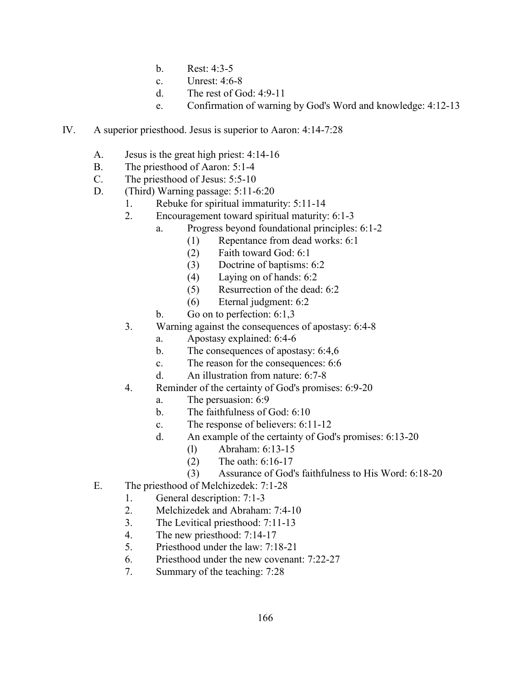- b. Rest: 4:3-5
- c. Unrest: 4:6-8
- d. The rest of God: 4:9-11
- e. Confirmation of warning by God's Word and knowledge: 4:12-13
- IV. A superior priesthood. Jesus is superior to Aaron: 4:14-7:28
	- A. Jesus is the great high priest: 4:14-16
	- B. The priesthood of Aaron: 5:1-4
	- C. The priesthood of Jesus: 5:5-10
	- D. (Third) Warning passage: 5:11-6:20
		- 1. Rebuke for spiritual immaturity: 5:11-14
		- 2. Encouragement toward spiritual maturity: 6:1-3
			- a. Progress beyond foundational principles: 6:1-2
				- (1) Repentance from dead works: 6:1
				- (2) Faith toward God: 6:1
				- (3) Doctrine of baptisms: 6:2
				- (4) Laying on of hands: 6:2
				- (5) Resurrection of the dead: 6:2
				- (6) Eternal judgment: 6:2
				- b. Go on to perfection: 6:1,3
		- 3. Warning against the consequences of apostasy: 6:4-8
			- a. Apostasy explained: 6:4-6
			- b. The consequences of apostasy: 6:4,6
			- c. The reason for the consequences: 6:6
			- d. An illustration from nature: 6:7-8
		- 4. Reminder of the certainty of God's promises: 6:9-20
			- a. The persuasion: 6:9
			- b. The faithfulness of God: 6:10
			- c. The response of believers: 6:11-12
			- d. An example of the certainty of God's promises: 6:13-20
				- (l) Abraham: 6:13-15
				- (2) The oath: 6:16-17
				- (3) Assurance of God's faithfulness to His Word: 6:18-20
	- E. The priesthood of Melchizedek: 7:1-28
		- 1. General description: 7:1-3
		- 2. Melchizedek and Abraham: 7:4-10
		- 3. The Levitical priesthood: 7:11-13
		- 4. The new priesthood: 7:14-17
		- 5. Priesthood under the law: 7:18-21
		- 6. Priesthood under the new covenant: 7:22-27
		- 7. Summary of the teaching: 7:28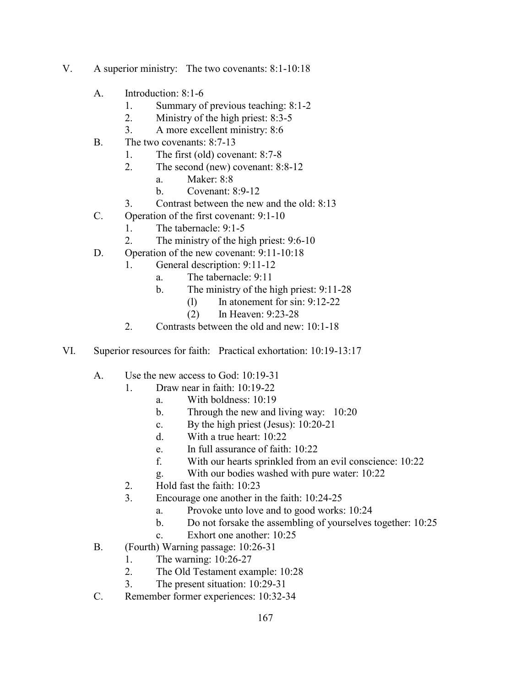- V. A superior ministry: The two covenants: 8:1-10:18
	- A. Introduction: 8:1-6
		- 1. Summary of previous teaching: 8:1-2
		- 2. Ministry of the high priest: 8:3-5
		- 3. A more excellent ministry: 8:6
	- B. The two covenants: 8:7-13
		- 1. The first (old) covenant: 8:7-8
		- 2. The second (new) covenant: 8:8-12
			- a. Maker: 8:8
			- b. Covenant: 8:9-12
		- 3. Contrast between the new and the old: 8:13
	- C. Operation of the first covenant: 9:1-10
		- 1. The tabernacle: 9:1-5
		- 2. The ministry of the high priest: 9:6-10
	- D. Operation of the new covenant: 9:11-10:18
		- 1. General description: 9:11-12
			- a. The tabernacle: 9:11
			- b. The ministry of the high priest: 9:11-28
				- (l) In atonement for sin: 9:12-22
				- (2) In Heaven: 9:23-28
		- 2. Contrasts between the old and new: 10:1-18
- VI. Superior resources for faith: Practical exhortation: 10:19-13:17
	- A. Use the new access to God: 10:19-31
		- 1. Draw near in faith: 10:19-22
			- a. With boldness: 10:19
			- b. Through the new and living way: 10:20
			- c. By the high priest (Jesus): 10:20-21
			- d. With a true heart: 10:22
			- e. In full assurance of faith: 10:22
			- f. With our hearts sprinkled from an evil conscience: 10:22
			- g. With our bodies washed with pure water: 10:22
		- 2. Hold fast the faith: 10:23
		- 3. Encourage one another in the faith: 10:24-25
			- a. Provoke unto love and to good works: 10:24
			- b. Do not forsake the assembling of yourselves together: 10:25
			- c. Exhort one another: 10:25
	- B. (Fourth) Warning passage: 10:26-31
		- 1. The warning: 10:26-27
		- 2. The Old Testament example: 10:28
		- 3. The present situation: 10:29-31
	- C. Remember former experiences: 10:32-34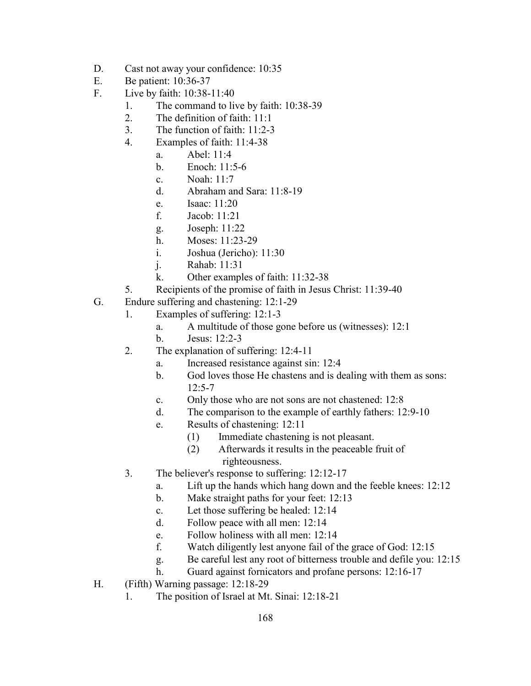- D. Cast not away your confidence: 10:35
- E. Be patient: 10:36-37
- F. Live by faith: 10:38-11:40
	- 1. The command to live by faith: 10:38-39
	- 2. The definition of faith: 11:1
	- 3. The function of faith: 11:2-3
	- 4. Examples of faith: 11:4-38
		- a. Abel: 11:4
		- b. Enoch: 11:5-6
		- c. Noah: 11:7
		- d. Abraham and Sara: 11:8-19
		- e. Isaac: 11:20
		- f. Jacob: 11:21
		- g. Joseph: 11:22
		- h. Moses: 11:23-29
		- i. Joshua (Jericho): 11:30
		- j. Rahab: 11:31
		- k. Other examples of faith: 11:32-38
	- 5. Recipients of the promise of faith in Jesus Christ: 11:39-40
- G. Endure suffering and chastening: 12:1-29
	- 1. Examples of suffering: 12:1-3
		- a. A multitude of those gone before us (witnesses): 12:1
		- b. Jesus: 12:2-3
	- 2. The explanation of suffering: 12:4-11
		- a. Increased resistance against sin: 12:4
		- b. God loves those He chastens and is dealing with them as sons: 12:5-7
		- c. Only those who are not sons are not chastened: 12:8
		- d. The comparison to the example of earthly fathers: 12:9-10
		- e. Results of chastening: 12:11
			- (1) Immediate chastening is not pleasant.
			- (2) Afterwards it results in the peaceable fruit of righteousness.
	- 3. The believer's response to suffering: 12:12-17
		- a. Lift up the hands which hang down and the feeble knees: 12:12
		- b. Make straight paths for your feet: 12:13
		- c. Let those suffering be healed: 12:14
		- d. Follow peace with all men: 12:14
		- e. Follow holiness with all men: 12:14
		- f. Watch diligently lest anyone fail of the grace of God: 12:15
		- g. Be careful lest any root of bitterness trouble and defile you: 12:15
		- h. Guard against fornicators and profane persons: 12:16-17
- H. (Fifth) Warning passage: 12:18-29
	- 1. The position of Israel at Mt. Sinai: 12:18-21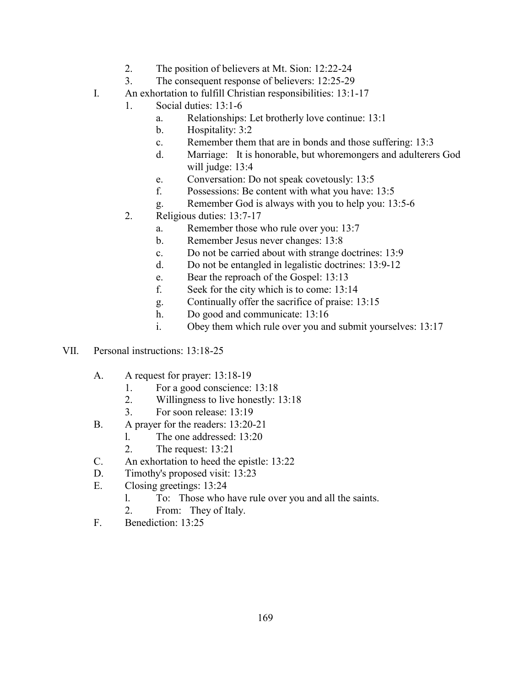- 2. The position of believers at Mt. Sion: 12:22-24
- 3. The consequent response of believers: 12:25-29
- I. An exhortation to fulfill Christian responsibilities: 13:1-17
	- 1. Social duties: 13:1-6
		- a. Relationships: Let brotherly love continue: 13:1
		- b. Hospitality: 3:2
		- c. Remember them that are in bonds and those suffering: 13:3
		- d. Marriage: It is honorable, but whoremongers and adulterers God will judge: 13:4
		- e. Conversation: Do not speak covetously: 13:5
		- f. Possessions: Be content with what you have: 13:5
		- g. Remember God is always with you to help you: 13:5-6
	- 2. Religious duties: 13:7-17
		- a. Remember those who rule over you: 13:7
		- b. Remember Jesus never changes: 13:8
		- c. Do not be carried about with strange doctrines: 13:9
		- d. Do not be entangled in legalistic doctrines: 13:9-12
		- e. Bear the reproach of the Gospel: 13:13
		- f. Seek for the city which is to come: 13:14
		- g. Continually offer the sacrifice of praise: 13:15
		- h. Do good and communicate: 13:16
		- i. Obey them which rule over you and submit yourselves: 13:17
- VII. Personal instructions: 13:18-25
	- A. A request for prayer: 13:18-19
		- 1. For a good conscience: 13:18
		- 2. Willingness to live honestly: 13:18
		- 3. For soon release: 13:19
	- B. A prayer for the readers: 13:20-21
		- l. The one addressed: 13:20
		- 2. The request: 13:21
	- C. An exhortation to heed the epistle: 13:22
	- D. Timothy's proposed visit: 13:23
	- E. Closing greetings: 13:24
		- l. To: Those who have rule over you and all the saints.
		- 2. From: They of Italy.
	- F. Benediction: 13:25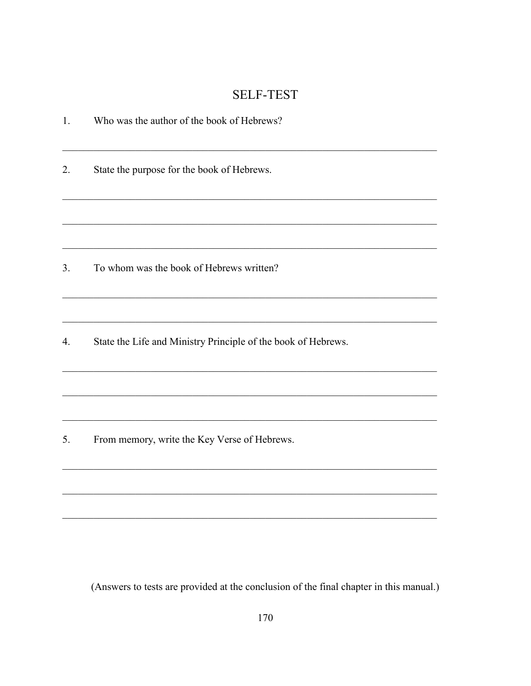$\overline{\phantom{0}}$ 

 $\overline{\phantom{a}}$ 

| 1. | Who was the author of the book of Hebrews?                    |
|----|---------------------------------------------------------------|
| 2. | State the purpose for the book of Hebrews.                    |
|    |                                                               |
| 3. | To whom was the book of Hebrews written?                      |
| 4. | State the Life and Ministry Principle of the book of Hebrews. |
|    |                                                               |
| 5. | From memory, write the Key Verse of Hebrews.                  |
|    |                                                               |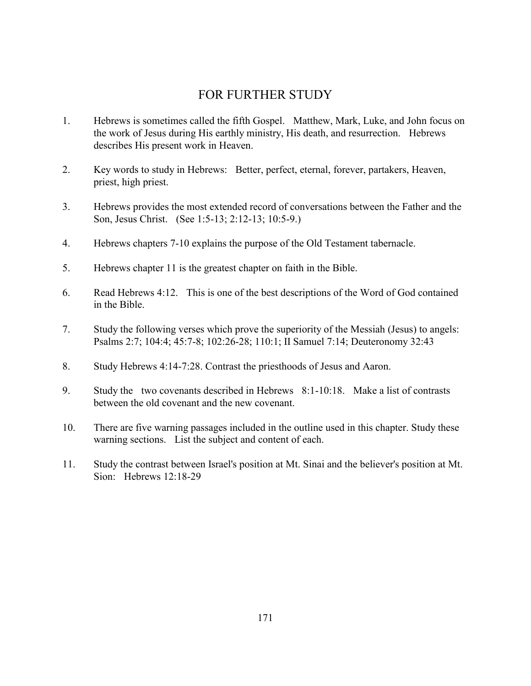- 1. Hebrews is sometimes called the fifth Gospel. Matthew, Mark, Luke, and John focus on the work of Jesus during His earthly ministry, His death, and resurrection. Hebrews describes His present work in Heaven.
- 2. Key words to study in Hebrews: Better, perfect, eternal, forever, partakers, Heaven, priest, high priest.
- 3. Hebrews provides the most extended record of conversations between the Father and the Son, Jesus Christ. (See 1:5-13; 2:12-13; 10:5-9.)
- 4. Hebrews chapters 7-10 explains the purpose of the Old Testament tabernacle.
- 5. Hebrews chapter 11 is the greatest chapter on faith in the Bible.
- 6. Read Hebrews 4:12. This is one of the best descriptions of the Word of God contained in the Bible.
- 7. Study the following verses which prove the superiority of the Messiah (Jesus) to angels: Psalms 2:7; 104:4; 45:7-8; 102:26-28; 110:1; II Samuel 7:14; Deuteronomy 32:43
- 8. Study Hebrews 4:14-7:28. Contrast the priesthoods of Jesus and Aaron.
- 9. Study the two covenants described in Hebrews 8:1-10:18. Make a list of contrasts between the old covenant and the new covenant.
- 10. There are five warning passages included in the outline used in this chapter. Study these warning sections. List the subject and content of each.
- 11. Study the contrast between Israel's position at Mt. Sinai and the believer's position at Mt. Sion: Hebrews 12:18-29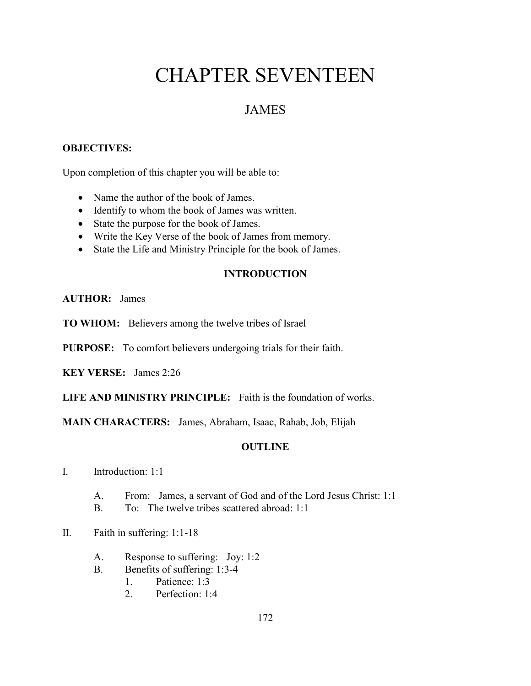# CHAPTER SEVENTEEN

## JAMES

#### **OBJECTIVES:**

Upon completion of this chapter you will be able to:

- Name the author of the book of James.
- Identify to whom the book of James was written.
- State the purpose for the book of James.
- Write the Key Verse of the book of James from memory.
- State the Life and Ministry Principle for the book of James.

#### **INTRODUCTION**

**AUTHOR:** James

**TO WHOM:** Believers among the twelve tribes of Israel

**PURPOSE:** To comfort believers undergoing trials for their faith.

**KEY VERSE:** James 2:26

**LIFE AND MINISTRY PRINCIPLE:** Faith is the foundation of works.

**MAIN CHARACTERS:** James, Abraham, Isaac, Rahab, Job, Elijah

#### **OUTLINE**

- I. Introduction: 1:1
	- A. From: James, a servant of God and of the Lord Jesus Christ: 1:1
	- B. To: The twelve tribes scattered abroad: 1:1

#### II. Faith in suffering: 1:1-18

- A. Response to suffering: Joy: 1:2
- B. Benefits of suffering: 1:3-4
	- 1. Patience: 1:3
		- 2. Perfection: 1:4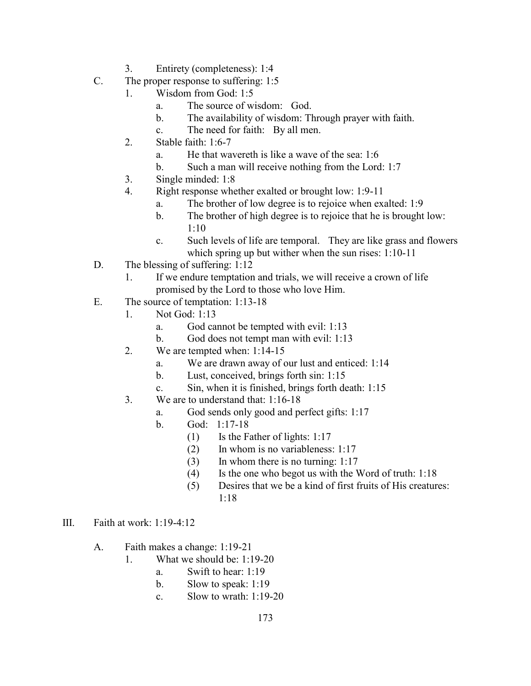- 3. Entirety (completeness): 1:4
- C. The proper response to suffering: 1:5
	- 1. Wisdom from God: 1:5
		- a. The source of wisdom: God.
		- b. The availability of wisdom: Through prayer with faith.
		- c. The need for faith: By all men.
	- 2. Stable faith: 1:6-7
		- a. He that wavereth is like a wave of the sea: 1:6
		- b. Such a man will receive nothing from the Lord: 1:7
	- 3. Single minded: 1:8
	- 4. Right response whether exalted or brought low: 1:9-11
		- a. The brother of low degree is to rejoice when exalted: 1:9
		- b. The brother of high degree is to rejoice that he is brought low: 1:10
		- c. Such levels of life are temporal. They are like grass and flowers which spring up but wither when the sun rises: 1:10-11
- D. The blessing of suffering: 1:12
	- 1. If we endure temptation and trials, we will receive a crown of life promised by the Lord to those who love Him.
- E. The source of temptation: 1:13-18
	- 1. Not God: 1:13
		- a. God cannot be tempted with evil: 1:13
		- b. God does not tempt man with evil: 1:13
	- 2. We are tempted when: 1:14-15
		- a. We are drawn away of our lust and enticed: 1:14
		- b. Lust, conceived, brings forth sin: 1:15
		- c. Sin, when it is finished, brings forth death: 1:15
	- 3. We are to understand that: 1:16-18
		- a. God sends only good and perfect gifts: 1:17
		- b. God: 1:17-18
			- (1) Is the Father of lights: 1:17
			- (2) In whom is no variableness: 1:17
			- (3) In whom there is no turning: 1:17
			- (4) Is the one who begot us with the Word of truth: 1:18
			- (5) Desires that we be a kind of first fruits of His creatures: 1:18

#### III. Faith at work: 1:19-4:12

- A. Faith makes a change: 1:19-21
	- 1. What we should be: 1:19-20
		- a. Swift to hear: 1:19
		- b. Slow to speak: 1:19
		- c. Slow to wrath: 1:19-20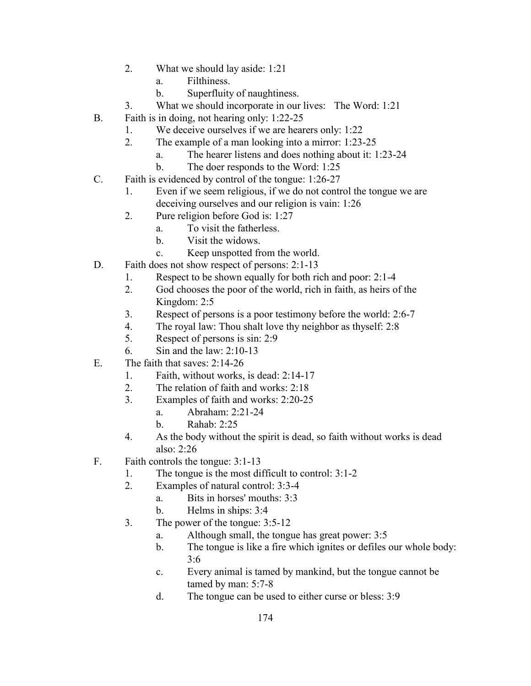- 2. What we should lay aside: 1:21
	- a. Filthiness.
	- b. Superfluity of naughtiness.
- 3. What we should incorporate in our lives: The Word: 1:21
- B. Faith is in doing, not hearing only: 1:22-25
	- 1. We deceive ourselves if we are hearers only: 1:22
	- 2. The example of a man looking into a mirror: 1:23-25
		- a. The hearer listens and does nothing about it: 1:23-24
		- b. The doer responds to the Word: 1:25
- C. Faith is evidenced by control of the tongue: 1:26-27
	- 1. Even if we seem religious, if we do not control the tongue we are deceiving ourselves and our religion is vain: 1:26
	- 2. Pure religion before God is: 1:27
		- a. To visit the fatherless.
		- b. Visit the widows.
		- c. Keep unspotted from the world.
- D. Faith does not show respect of persons: 2:1-13
	- 1. Respect to be shown equally for both rich and poor: 2:1-4
	- 2. God chooses the poor of the world, rich in faith, as heirs of the Kingdom: 2:5
	- 3. Respect of persons is a poor testimony before the world: 2:6-7
	- 4. The royal law: Thou shalt love thy neighbor as thyself: 2:8
	- 5. Respect of persons is sin: 2:9
	- 6. Sin and the law: 2:10-13
- E. The faith that saves: 2:14-26
	- 1. Faith, without works, is dead: 2:14-17
	- 2. The relation of faith and works: 2:18
	- 3. Examples of faith and works: 2:20-25
		- a. Abraham: 2:21-24
		- b. Rahab: 2:25
	- 4. As the body without the spirit is dead, so faith without works is dead also: 2:26
- F. Faith controls the tongue: 3:1-13
	- 1. The tongue is the most difficult to control: 3:1-2
	- 2. Examples of natural control: 3:3-4
		- a. Bits in horses' mouths: 3:3
		- b. Helms in ships: 3:4
	- 3. The power of the tongue: 3:5-12
		- a. Although small, the tongue has great power: 3:5
		- b. The tongue is like a fire which ignites or defiles our whole body: 3:6
		- c. Every animal is tamed by mankind, but the tongue cannot be tamed by man: 5:7-8
		- d. The tongue can be used to either curse or bless: 3:9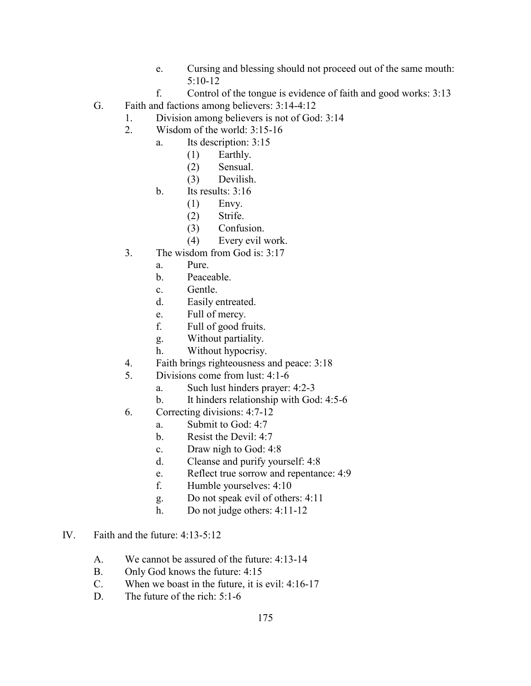- e. Cursing and blessing should not proceed out of the same mouth: 5:10-12
- f. Control of the tongue is evidence of faith and good works: 3:13
- G. Faith and factions among believers: 3:14-4:12
	- 1. Division among believers is not of God: 3:14
	- 2. Wisdom of the world: 3:15-16
		- a. Its description: 3:15
			- (1) Earthly.
			- (2) Sensual.
			- (3) Devilish.
			- b. Its results: 3:16
				- (1) Envy.
				- (2) Strife.
				- (3) Confusion.
				- (4) Every evil work.
	- 3. The wisdom from God is: 3:17
		- a. Pure.
		- b. Peaceable.
		- c. Gentle.
		- d. Easily entreated.
		- e. Full of mercy.
		- f. Full of good fruits.
		- g. Without partiality.
		- h. Without hypocrisy.
	- 4. Faith brings righteousness and peace: 3:18
	- 5. Divisions come from lust: 4:1-6
		- a. Such lust hinders prayer: 4:2-3
		- b. It hinders relationship with God: 4:5-6
	- 6. Correcting divisions: 4:7-12
		- a. Submit to God: 4:7
		- b. Resist the Devil: 4:7
		- c. Draw nigh to God: 4:8
		- d. Cleanse and purify yourself: 4:8
		- e. Reflect true sorrow and repentance: 4:9
		- f. Humble yourselves: 4:10
		- g. Do not speak evil of others: 4:11
		- h. Do not judge others: 4:11-12
- IV. Faith and the future: 4:13-5:12
	- A. We cannot be assured of the future: 4:13-14
	- B. Only God knows the future: 4:15
	- C. When we boast in the future, it is evil: 4:16-17
	- D. The future of the rich: 5:1-6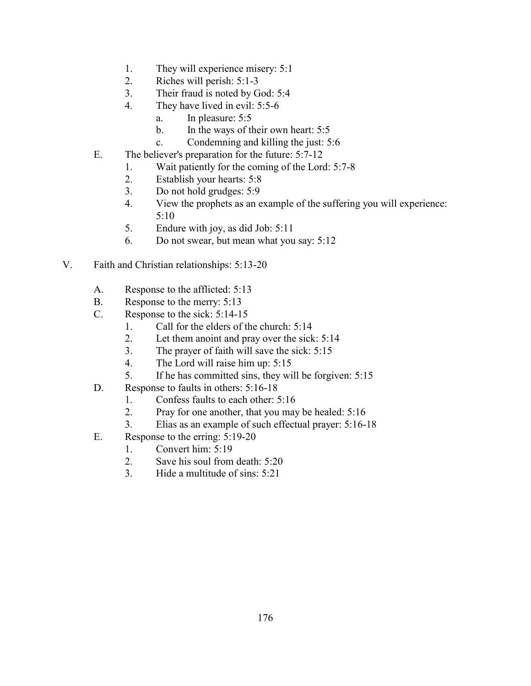- 1. They will experience misery: 5:1
- 2. Riches will perish: 5:1-3
- 3. Their fraud is noted by God: 5:4
- 4. They have lived in evil: 5:5-6
	- a. In pleasure: 5:5
	- b. In the ways of their own heart: 5:5
	- c. Condemning and killing the just: 5:6
- E. The believer's preparation for the future: 5:7-12
	- 1. Wait patiently for the coming of the Lord: 5:7-8
	- 2. Establish your hearts: 5:8
	- 3. Do not hold grudges: 5:9
	- 4. View the prophets as an example of the suffering you will experience: 5:10
	- 5. Endure with joy, as did Job: 5:11
	- 6. Do not swear, but mean what you say: 5:12
- V. Faith and Christian relationships: 5:13-20
	- A. Response to the afflicted: 5:13
	- B. Response to the merry: 5:13
	- C. Response to the sick: 5:14-15
		- 1. Call for the elders of the church: 5:14
		- 2. Let them anoint and pray over the sick: 5:14
		- 3. The prayer of faith will save the sick: 5:15
		- 4. The Lord will raise him up: 5:15
		- 5. If he has committed sins, they will be forgiven: 5:15
	- D. Response to faults in others: 5:16-18
		- 1. Confess faults to each other: 5:16
		- 2. Pray for one another, that you may be healed: 5:16
		- 3. Elias as an example of such effectual prayer: 5:16-18
	- E. Response to the erring: 5:19-20
		- 1. Convert him: 5:19
		- 2. Save his soul from death: 5:20
		- 3. Hide a multitude of sins: 5:21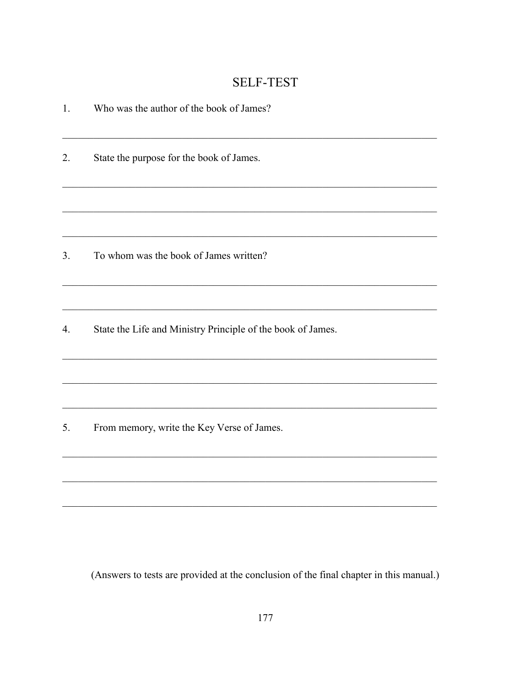| 1. | Who was the author of the book of James?                    |
|----|-------------------------------------------------------------|
| 2. | State the purpose for the book of James.                    |
|    |                                                             |
| 3. | To whom was the book of James written?                      |
| 4. | State the Life and Ministry Principle of the book of James. |
|    |                                                             |
|    |                                                             |
| 5. | From memory, write the Key Verse of James.                  |
|    |                                                             |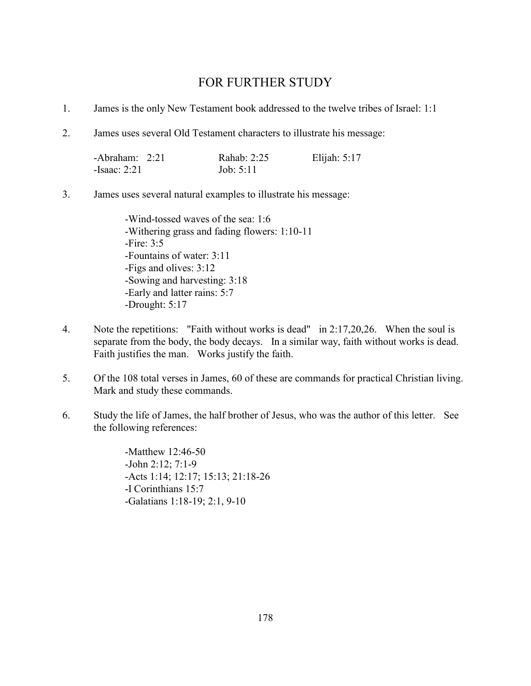1. James is the only New Testament book addressed to the twelve tribes of Israel: 1:1

2. James uses several Old Testament characters to illustrate his message:

| -Abraham: 2:21 | Rahab: 2:25 | Elijah: $5:17$ |
|----------------|-------------|----------------|
| -Isaac: $2:21$ | Job: $5:11$ |                |

3. James uses several natural examples to illustrate his message:

-Wind-tossed waves of the sea: 1:6 -Withering grass and fading flowers: 1:10-11 -Fire: 3:5 -Fountains of water: 3:11 -Figs and olives: 3:12 -Sowing and harvesting: 3:18 -Early and latter rains: 5:7 -Drought: 5:17

- 4. Note the repetitions: "Faith without works is dead" in 2:17,20,26. When the soul is separate from the body, the body decays. In a similar way, faith without works is dead. Faith justifies the man. Works justify the faith.
- 5. Of the 108 total verses in James, 60 of these are commands for practical Christian living. Mark and study these commands.
- 6. Study the life of James, the half brother of Jesus, who was the author of this letter. See the following references:

-Matthew 12:46-50 -John 2:12; 7:1-9 -Acts 1:14; 12:17; 15:13; 21:18-26 -I Corinthians 15:7 -Galatians 1:18-19; 2:1, 9-10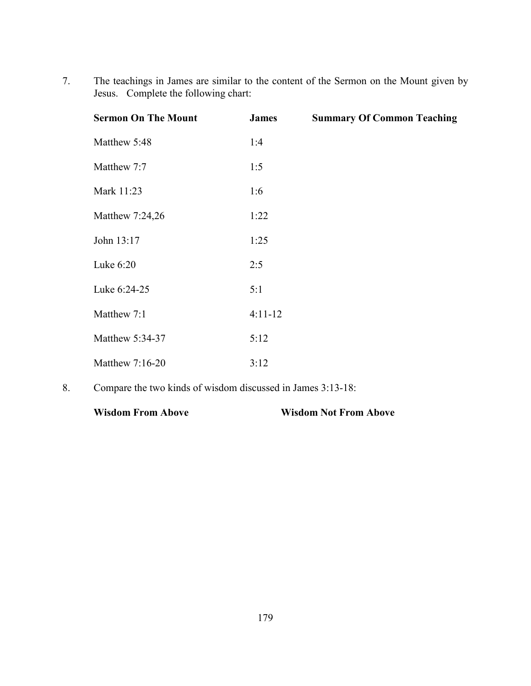7. The teachings in James are similar to the content of the Sermon on the Mount given by Jesus. Complete the following chart:

| <b>Sermon On The Mount</b> | <b>James</b> | <b>Summary Of Common Teaching</b> |
|----------------------------|--------------|-----------------------------------|
| Matthew 5:48               | 1:4          |                                   |
| Matthew 7:7                | 1:5          |                                   |
| Mark 11:23                 | 1:6          |                                   |
| Matthew 7:24,26            | 1:22         |                                   |
| John 13:17                 | 1:25         |                                   |
| Luke 6:20                  | 2:5          |                                   |
| Luke 6:24-25               | 5:1          |                                   |
| Matthew 7:1                | $4:11-12$    |                                   |
| Matthew 5:34-37            | 5:12         |                                   |
| Matthew 7:16-20            | 3:12         |                                   |

8. Compare the two kinds of wisdom discussed in James 3:13-18:

**Wisdom From Above Wisdom Not From Above**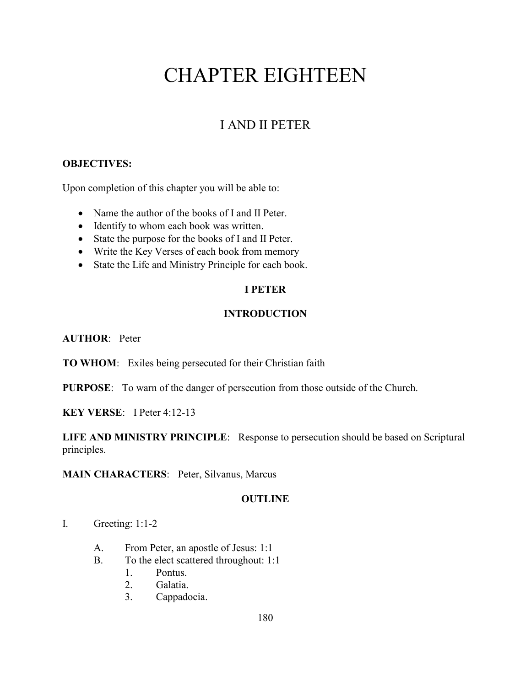# CHAPTER EIGHTEEN

# I AND II PETER

#### **OBJECTIVES:**

Upon completion of this chapter you will be able to:

- Name the author of the books of I and II Peter.
- Identify to whom each book was written.
- State the purpose for the books of I and II Peter.
- Write the Key Verses of each book from memory
- State the Life and Ministry Principle for each book.

### **I PETER**

### **INTRODUCTION**

**AUTHOR**: Peter

**TO WHOM**: Exiles being persecuted for their Christian faith

**PURPOSE**: To warn of the danger of persecution from those outside of the Church.

**KEY VERSE**: I Peter 4:12-13

**LIFE AND MINISTRY PRINCIPLE**: Response to persecution should be based on Scriptural principles.

**MAIN CHARACTERS**: Peter, Silvanus, Marcus

#### **OUTLINE**

- I. Greeting: 1:1-2
	- A. From Peter, an apostle of Jesus: 1:1
	- B. To the elect scattered throughout: 1:1
		- 1. Pontus.
		- 2. Galatia.
		- 3. Cappadocia.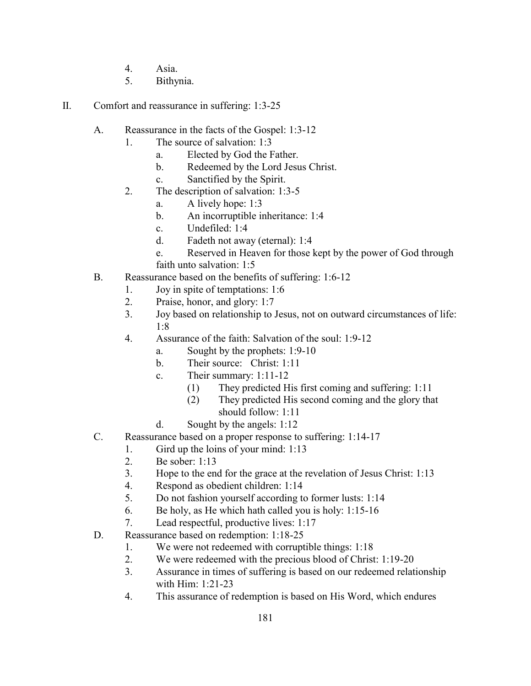- 4. Asia.
- 5. Bithynia.
- II. Comfort and reassurance in suffering: 1:3-25
	- A. Reassurance in the facts of the Gospel: 1:3-12
		- 1. The source of salvation: 1:3
			- a. Elected by God the Father.
			- b. Redeemed by the Lord Jesus Christ.
			- c. Sanctified by the Spirit.
		- 2. The description of salvation: 1:3-5
			- a. A lively hope: 1:3
			- b. An incorruptible inheritance: 1:4
			- c. Undefiled: 1:4
			- d. Fadeth not away (eternal): 1:4
			- e. Reserved in Heaven for those kept by the power of God through faith unto salvation: 1:5
	- B. Reassurance based on the benefits of suffering: 1:6-12
		- 1. Joy in spite of temptations: 1:6
		- 2. Praise, honor, and glory: 1:7
		- 3. Joy based on relationship to Jesus, not on outward circumstances of life: 1:8
		- 4. Assurance of the faith: Salvation of the soul: 1:9-12
			- a. Sought by the prophets: 1:9-10
			- b. Their source: Christ: 1:11
			- c. Their summary: 1:11-12
				- (1) They predicted His first coming and suffering: 1:11
				- (2) They predicted His second coming and the glory that should follow: 1:11
			- d. Sought by the angels: 1:12
	- C. Reassurance based on a proper response to suffering: 1:14-17
		- 1. Gird up the loins of your mind: 1:13
		- 2. Be sober: 1:13
		- 3. Hope to the end for the grace at the revelation of Jesus Christ: 1:13
		- 4. Respond as obedient children: 1:14
		- 5. Do not fashion yourself according to former lusts: 1:14
		- 6. Be holy, as He which hath called you is holy: 1:15-16
		- 7. Lead respectful, productive lives: 1:17
	- D. Reassurance based on redemption: 1:18-25
		- 1. We were not redeemed with corruptible things: 1:18
		- 2. We were redeemed with the precious blood of Christ: 1:19-20
		- 3. Assurance in times of suffering is based on our redeemed relationship with Him: 1:21-23
		- 4. This assurance of redemption is based on His Word, which endures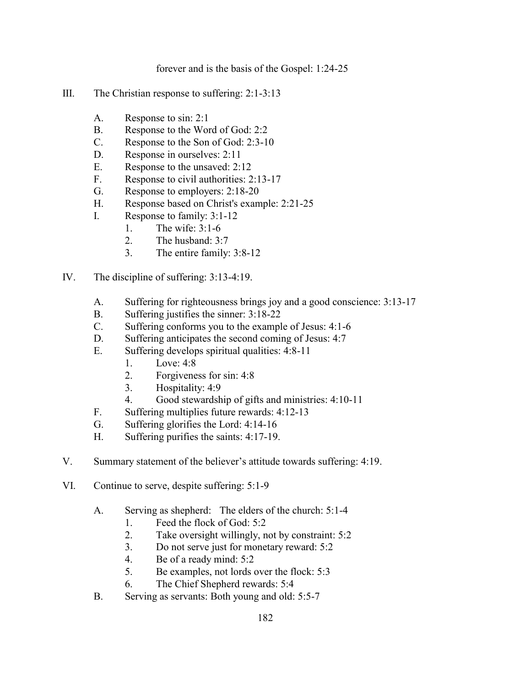#### forever and is the basis of the Gospel: 1:24-25

- III. The Christian response to suffering: 2:1-3:13
	- A. Response to sin: 2:1
	- B. Response to the Word of God: 2:2
	- C. Response to the Son of God: 2:3-10
	- D. Response in ourselves: 2:11
	- E. Response to the unsaved: 2:12
	- F. Response to civil authorities: 2:13-17
	- G. Response to employers: 2:18-20
	- H. Response based on Christ's example: 2:21-25
	- I. Response to family: 3:1-12
		- 1. The wife: 3:1-6
		- 2. The husband: 3:7
		- 3. The entire family: 3:8-12
- IV. The discipline of suffering: 3:13-4:19.
	- A. Suffering for righteousness brings joy and a good conscience: 3:13-17
	- B. Suffering justifies the sinner: 3:18-22
	- C. Suffering conforms you to the example of Jesus: 4:1-6
	- D. Suffering anticipates the second coming of Jesus: 4:7
	- E. Suffering develops spiritual qualities: 4:8-11
		- 1. Love: 4:8
		- 2. Forgiveness for sin: 4:8
		- 3. Hospitality: 4:9
		- 4. Good stewardship of gifts and ministries: 4:10-11
	- F. Suffering multiplies future rewards: 4:12-13
	- G. Suffering glorifies the Lord: 4:14-16
	- H. Suffering purifies the saints: 4:17-19.
- V. Summary statement of the believer's attitude towards suffering: 4:19.
- VI. Continue to serve, despite suffering: 5:1-9
	- A. Serving as shepherd: The elders of the church: 5:1-4
		- 1. Feed the flock of God: 5:2
		- 2. Take oversight willingly, not by constraint: 5:2
		- 3. Do not serve just for monetary reward: 5:2
		- 4. Be of a ready mind: 5:2
		- 5. Be examples, not lords over the flock: 5:3
		- 6. The Chief Shepherd rewards: 5:4
	- B. Serving as servants: Both young and old: 5:5-7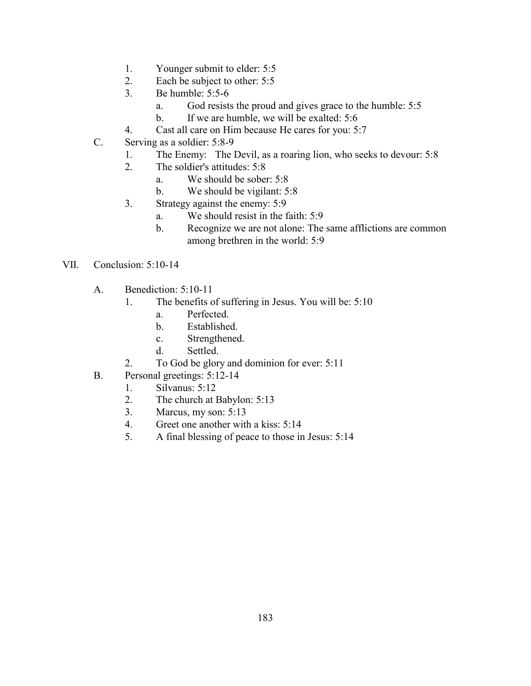- 1. Younger submit to elder: 5:5
- 2. Each be subject to other: 5:5
- 3. Be humble: 5:5-6
	- a. God resists the proud and gives grace to the humble: 5:5
	- b. If we are humble, we will be exalted: 5:6
- 4. Cast all care on Him because He cares for you: 5:7
- C. Serving as a soldier: 5:8-9
	- 1. The Enemy: The Devil, as a roaring lion, who seeks to devour: 5:8
	- 2. The soldier's attitudes: 5:8
		- a. We should be sober: 5:8
		- b. We should be vigilant: 5:8
	- 3. Strategy against the enemy: 5:9
		- a. We should resist in the faith: 5:9
		- b. Recognize we are not alone: The same afflictions are common among brethren in the world: 5:9
- VII. Conclusion: 5:10-14
	- A. Benediction: 5:10-11
		- 1. The benefits of suffering in Jesus. You will be: 5:10
			- a. Perfected.
			- b. Established.
			- c. Strengthened.
			- d. Settled.
		- 2. To God be glory and dominion for ever: 5:11
	- B. Personal greetings: 5:12-14
		- 1. Silvanus: 5:12
		- 2. The church at Babylon: 5:13
		- 3. Marcus, my son: 5:13
		- 4. Greet one another with a kiss: 5:14
		- 5. A final blessing of peace to those in Jesus: 5:14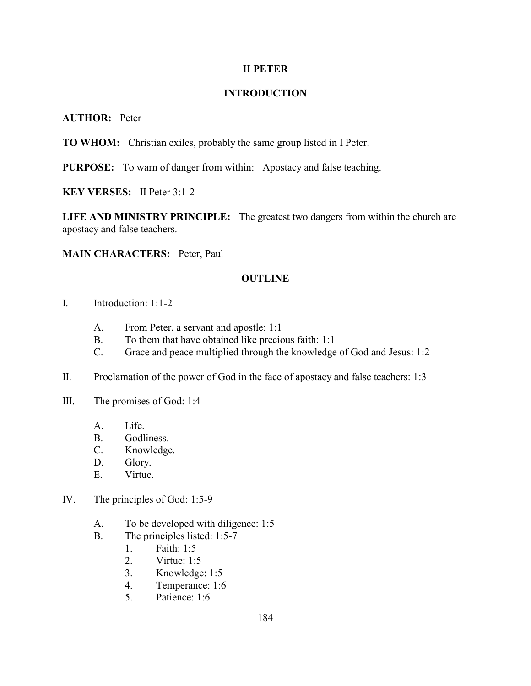#### **II PETER**

#### **INTRODUCTION**

#### **AUTHOR:** Peter

**TO WHOM:** Christian exiles, probably the same group listed in I Peter.

**PURPOSE:** To warn of danger from within: Apostacy and false teaching.

**KEY VERSES:** II Peter 3:1-2

**LIFE AND MINISTRY PRINCIPLE:** The greatest two dangers from within the church are apostacy and false teachers.

#### **MAIN CHARACTERS:** Peter, Paul

#### **OUTLINE**

- I. Introduction: 1:1-2
	- A. From Peter, a servant and apostle: 1:1
	- B. To them that have obtained like precious faith: 1:1
	- C. Grace and peace multiplied through the knowledge of God and Jesus: 1:2
- II. Proclamation of the power of God in the face of apostacy and false teachers: 1:3
- III. The promises of God: 1:4
	- A. Life.
	- B. Godliness.
	- C. Knowledge.
	- D. Glory.
	- E. Virtue.
- IV. The principles of God: 1:5-9
	- A. To be developed with diligence: 1:5
	- B. The principles listed: 1:5-7
		- 1. Faith: 1:5
		- 2. Virtue: 1:5
		- 3. Knowledge: 1:5
		- 4. Temperance: 1:6
		- 5. Patience: 1:6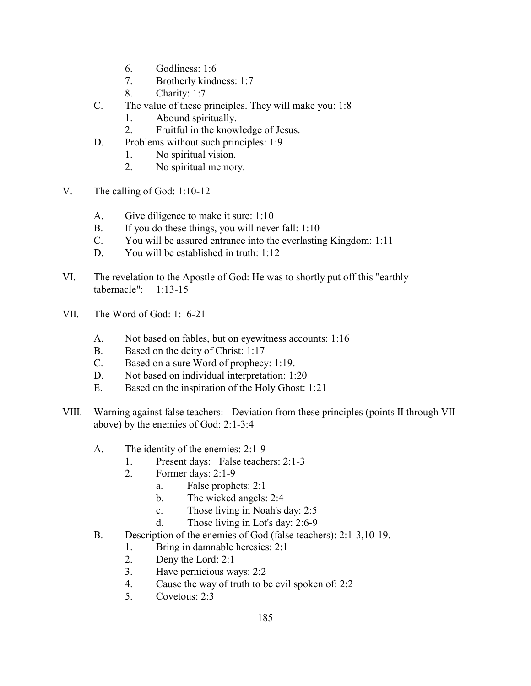- 6. Godliness: 1:6
- 7. Brotherly kindness: 1:7
- 8. Charity: 1:7
- C. The value of these principles. They will make you: 1:8
	- 1. Abound spiritually.
	- 2. Fruitful in the knowledge of Jesus.
- D. Problems without such principles: 1:9
	- 1. No spiritual vision.
	- 2. No spiritual memory.
- V. The calling of God: 1:10-12
	- A. Give diligence to make it sure: 1:10
	- B. If you do these things, you will never fall: 1:10
	- C. You will be assured entrance into the everlasting Kingdom: 1:11
	- D. You will be established in truth: 1:12
- VI. The revelation to the Apostle of God: He was to shortly put off this "earthly tabernacle": 1:13-15
- VII. The Word of God: 1:16-21
	- A. Not based on fables, but on eyewitness accounts: 1:16
	- B. Based on the deity of Christ: 1:17
	- C. Based on a sure Word of prophecy: 1:19.
	- D. Not based on individual interpretation: 1:20
	- E. Based on the inspiration of the Holy Ghost: 1:21
- VIII. Warning against false teachers: Deviation from these principles (points II through VII above) by the enemies of God: 2:1-3:4
	- A. The identity of the enemies: 2:1-9
		- 1. Present days: False teachers: 2:1-3
		- 2. Former days: 2:1-9
			- a. False prophets: 2:1
			- b. The wicked angels: 2:4
			- c. Those living in Noah's day: 2:5
			- d. Those living in Lot's day: 2:6-9
	- B. Description of the enemies of God (false teachers): 2:1-3,10-19.
		- 1. Bring in damnable heresies: 2:1
		- 2. Deny the Lord: 2:1
		- 3. Have pernicious ways: 2:2
		- 4. Cause the way of truth to be evil spoken of: 2:2
		- 5. Covetous: 2:3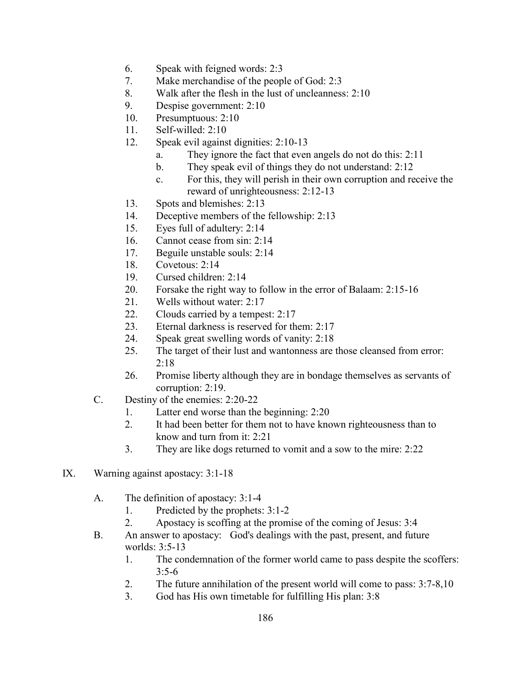- 6. Speak with feigned words: 2:3
- 7. Make merchandise of the people of God: 2:3
- 8. Walk after the flesh in the lust of uncleanness: 2:10
- 9. Despise government: 2:10
- 10. Presumptuous: 2:10
- 11. Self-willed: 2:10
- 12. Speak evil against dignities: 2:10-13
	- a. They ignore the fact that even angels do not do this: 2:11
	- b. They speak evil of things they do not understand: 2:12
	- c. For this, they will perish in their own corruption and receive the reward of unrighteousness: 2:12-13
- 13. Spots and blemishes: 2:13
- 14. Deceptive members of the fellowship: 2:13
- 15. Eyes full of adultery: 2:14
- 16. Cannot cease from sin: 2:14
- 17. Beguile unstable souls: 2:14
- 18. Covetous: 2:14
- 19. Cursed children: 2:14
- 20. Forsake the right way to follow in the error of Balaam: 2:15-16
- 21. Wells without water: 2:17
- 22. Clouds carried by a tempest: 2:17
- 23. Eternal darkness is reserved for them: 2:17
- 24. Speak great swelling words of vanity: 2:18
- 25. The target of their lust and wantonness are those cleansed from error: 2:18
- 26. Promise liberty although they are in bondage themselves as servants of corruption: 2:19.
- C. Destiny of the enemies: 2:20-22
	- 1. Latter end worse than the beginning: 2:20
	- 2. It had been better for them not to have known righteousness than to know and turn from it: 2:21
	- 3. They are like dogs returned to vomit and a sow to the mire: 2:22
- IX. Warning against apostacy: 3:1-18
	- A. The definition of apostacy: 3:1-4
		- 1. Predicted by the prophets: 3:1-2
		- 2. Apostacy is scoffing at the promise of the coming of Jesus: 3:4
	- B. An answer to apostacy: God's dealings with the past, present, and future worlds: 3:5-13
		- 1. The condemnation of the former world came to pass despite the scoffers: 3:5-6
		- 2. The future annihilation of the present world will come to pass: 3:7-8,10
		- 3. God has His own timetable for fulfilling His plan: 3:8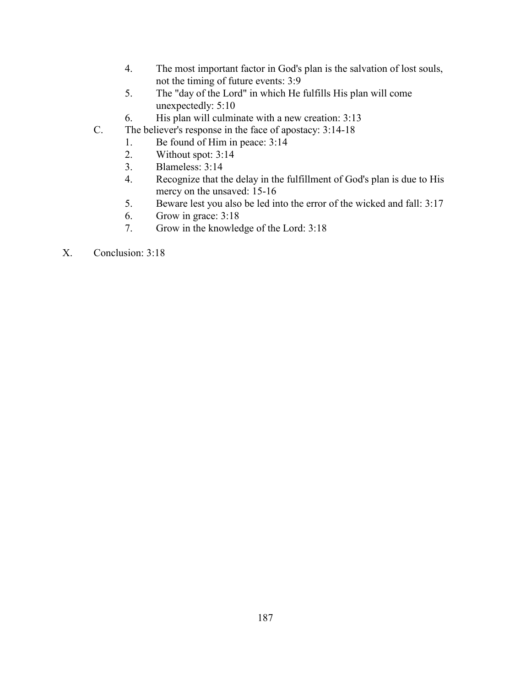- 4. The most important factor in God's plan is the salvation of lost souls, not the timing of future events: 3:9
- 5. The "day of the Lord" in which He fulfills His plan will come unexpectedly: 5:10
- 6. His plan will culminate with a new creation: 3:13
- C. The believer's response in the face of apostacy: 3:14-18
	- 1. Be found of Him in peace: 3:14
	- 2. Without spot: 3:14
	- 3. Blameless: 3:14
	- 4. Recognize that the delay in the fulfillment of God's plan is due to His mercy on the unsaved: 15-16
	- 5. Beware lest you also be led into the error of the wicked and fall: 3:17
	- 6. Grow in grace: 3:18
	- 7. Grow in the knowledge of the Lord: 3:18
- X. Conclusion: 3:18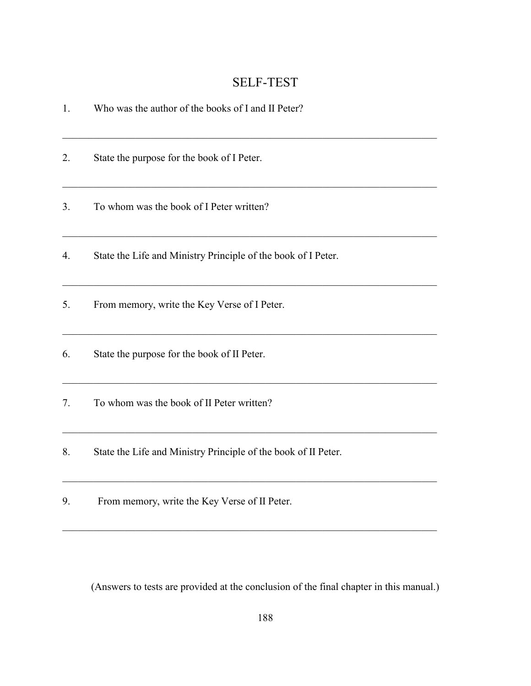| 1. | Who was the author of the books of I and II Peter?             |
|----|----------------------------------------------------------------|
| 2. | State the purpose for the book of I Peter.                     |
| 3. | To whom was the book of I Peter written?                       |
| 4. | State the Life and Ministry Principle of the book of I Peter.  |
| 5. | From memory, write the Key Verse of I Peter.                   |
| 6. | State the purpose for the book of II Peter.                    |
| 7. | To whom was the book of II Peter written?                      |
| 8. | State the Life and Ministry Principle of the book of II Peter. |
|    |                                                                |

9. From memory, write the Key Verse of II Peter.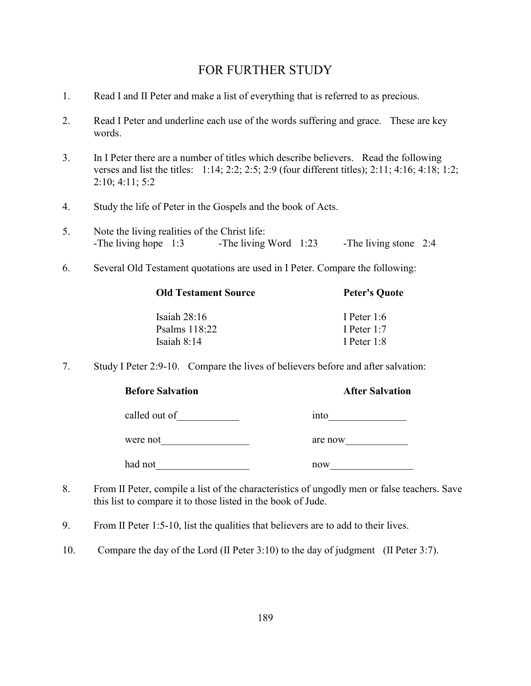1. Read I and II Peter and make a list of everything that is referred to as precious. 2. Read I Peter and underline each use of the words suffering and grace. These are key words. 3. In I Peter there are a number of titles which describe believers. Read the following verses and list the titles: 1:14; 2:2; 2:5; 2:9 (four different titles); 2:11; 4:16; 4:18; 1:2; 2:10; 4:11; 5:2 4. Study the life of Peter in the Gospels and the book of Acts. 5. Note the living realities of the Christ life: -The living hope 1:3 -The living Word 1:23 -The living stone 2:4 6. Several Old Testament quotations are used in I Peter. Compare the following: **Old Testament Source Peter's Quote** 

| <b>Old Testament Source</b> | <b>Peter's Quote</b> |  |
|-----------------------------|----------------------|--|
| Isaiah $28:16$              | I Peter 1:6          |  |
| Psalms $118:22$             | I Peter $1:7$        |  |
| Isaiah 8:14                 | I Peter 1:8          |  |

7. Study I Peter 2:9-10. Compare the lives of believers before and after salvation:

| <b>Before Salvation</b> | <b>After Salvation</b> |
|-------------------------|------------------------|
| called out of           | into                   |
| were not                | are now                |
| had not                 | now                    |

- 8. From II Peter, compile a list of the characteristics of ungodly men or false teachers. Save this list to compare it to those listed in the book of Jude.
- 9. From II Peter 1:5-10, list the qualities that believers are to add to their lives.
- 10. Compare the day of the Lord (II Peter 3:10) to the day of judgment (II Peter 3:7).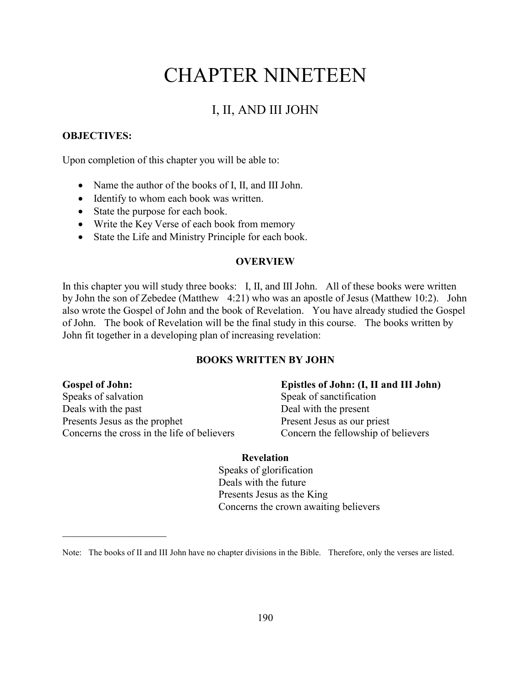# CHAPTER NINETEEN

# I, II, AND III JOHN

#### **OBJECTIVES:**

Upon completion of this chapter you will be able to:

- Name the author of the books of I, II, and III John.
- Identify to whom each book was written.
- State the purpose for each book.
- Write the Key Verse of each book from memory
- State the Life and Ministry Principle for each book.

#### **OVERVIEW**

In this chapter you will study three books: I, II, and III John. All of these books were written by John the son of Zebedee (Matthew 4:21) who was an apostle of Jesus (Matthew 10:2). John also wrote the Gospel of John and the book of Revelation. You have already studied the Gospel of John. The book of Revelation will be the final study in this course. The books written by John fit together in a developing plan of increasing revelation:

#### **BOOKS WRITTEN BY JOHN**

Speaks of salvation Speak of sanctification Deals with the past Deal with the present Presents Jesus as the prophet Present Jesus as our priest Concerns the cross in the life of believers Concern the fellowship of believers

#### **Gospel of John: Epistles of John: (I, II and III John)**

#### **Revelation**

Speaks of glorification Deals with the future Presents Jesus as the King Concerns the crown awaiting believers

Note: The books of II and III John have no chapter divisions in the Bible. Therefore, only the verses are listed.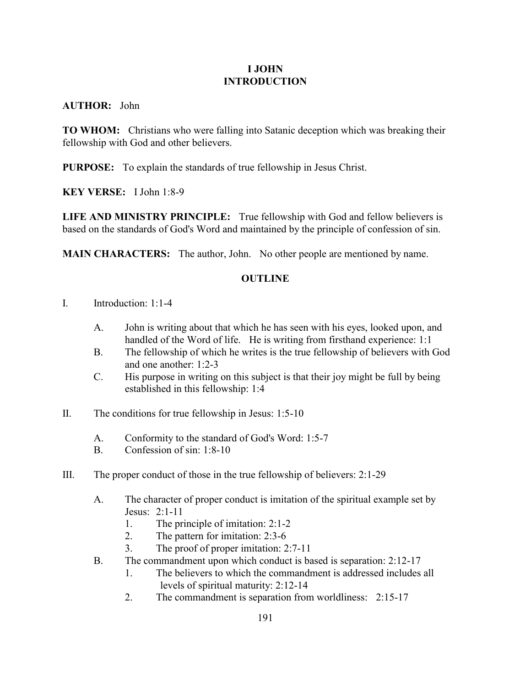#### **I JOHN INTRODUCTION**

#### **AUTHOR:** John

**TO WHOM:** Christians who were falling into Satanic deception which was breaking their fellowship with God and other believers.

**PURPOSE:** To explain the standards of true fellowship in Jesus Christ.

**KEY VERSE:** I John 1:8-9

**LIFE AND MINISTRY PRINCIPLE:** True fellowship with God and fellow believers is based on the standards of God's Word and maintained by the principle of confession of sin.

**MAIN CHARACTERS:** The author, John. No other people are mentioned by name.

#### **OUTLINE**

- I. Introduction: 1:1-4
	- A. John is writing about that which he has seen with his eyes, looked upon, and handled of the Word of life. He is writing from firsthand experience: 1:1
	- B. The fellowship of which he writes is the true fellowship of believers with God and one another: 1:2-3
	- C. His purpose in writing on this subject is that their joy might be full by being established in this fellowship: 1:4
- II. The conditions for true fellowship in Jesus: 1:5-10
	- A. Conformity to the standard of God's Word: 1:5-7
	- B. Confession of sin: 1:8-10
- III. The proper conduct of those in the true fellowship of believers: 2:1-29
	- A. The character of proper conduct is imitation of the spiritual example set by Jesus: 2:1-11
		- 1. The principle of imitation: 2:1-2
		- 2. The pattern for imitation: 2:3-6
		- 3. The proof of proper imitation: 2:7-11
	- B. The commandment upon which conduct is based is separation: 2:12-17
		- 1. The believers to which the commandment is addressed includes all levels of spiritual maturity: 2:12-14
		- 2. The commandment is separation from worldliness: 2:15-17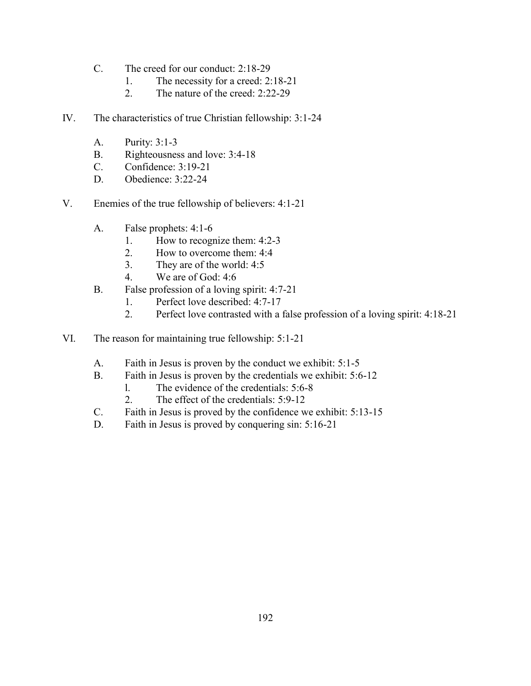- C. The creed for our conduct: 2:18-29
	- 1. The necessity for a creed: 2:18-21
	- 2. The nature of the creed: 2:22-29
- IV. The characteristics of true Christian fellowship: 3:1-24
	- A. Purity: 3:1-3
	- B. Righteousness and love: 3:4-18
	- C. Confidence: 3:19-21
	- D. Obedience: 3:22-24
- V. Enemies of the true fellowship of believers: 4:1-21
	- A. False prophets: 4:1-6
		- 1. How to recognize them: 4:2-3
		- 2. How to overcome them: 4:4
		- 3. They are of the world: 4:5
		- 4. We are of God: 4:6
	- B. False profession of a loving spirit: 4:7-21
		- 1. Perfect love described: 4:7-17
		- 2. Perfect love contrasted with a false profession of a loving spirit: 4:18-21
- VI. The reason for maintaining true fellowship: 5:1-21
	- A. Faith in Jesus is proven by the conduct we exhibit: 5:1-5
	- B. Faith in Jesus is proven by the credentials we exhibit: 5:6-12
		- l. The evidence of the credentials: 5:6-8
		- 2. The effect of the credentials: 5:9-12
	- C. Faith in Jesus is proved by the confidence we exhibit: 5:13-15
	- D. Faith in Jesus is proved by conquering sin: 5:16-21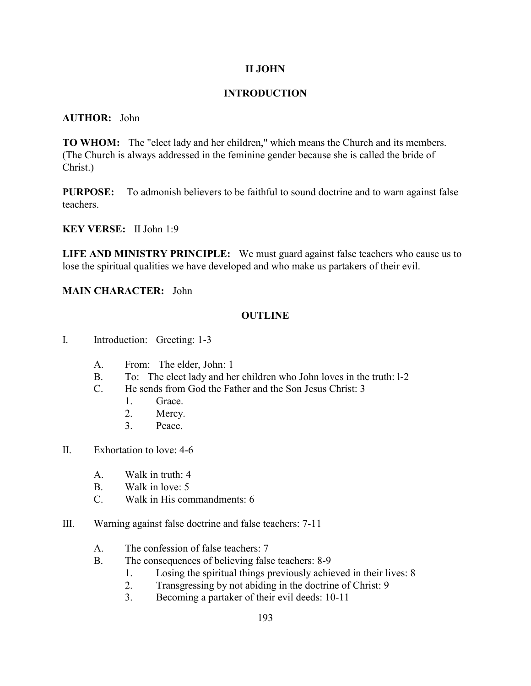#### **II JOHN**

#### **INTRODUCTION**

#### **AUTHOR:** John

**TO WHOM:** The "elect lady and her children," which means the Church and its members. (The Church is always addressed in the feminine gender because she is called the bride of Christ.)

**PURPOSE:** To admonish believers to be faithful to sound doctrine and to warn against false teachers.

**KEY VERSE:** II John 1:9

**LIFE AND MINISTRY PRINCIPLE:** We must guard against false teachers who cause us to lose the spiritual qualities we have developed and who make us partakers of their evil.

#### **MAIN CHARACTER:** John

#### **OUTLINE**

I. Introduction: Greeting: 1-3

- A. From: The elder, John: 1
- B. To: The elect lady and her children who John loves in the truth: l-2
- C. He sends from God the Father and the Son Jesus Christ: 3
	- 1. Grace.
	- 2. Mercy.
	- 3. Peace.
- II. Exhortation to love: 4-6
	- A. Walk in truth: 4
	- B. Walk in love: 5
	- C. Walk in His commandments: 6
- III. Warning against false doctrine and false teachers: 7-11
	- A. The confession of false teachers: 7
	- B. The consequences of believing false teachers: 8-9
		- 1. Losing the spiritual things previously achieved in their lives: 8
		- 2. Transgressing by not abiding in the doctrine of Christ: 9
		- 3. Becoming a partaker of their evil deeds: 10-11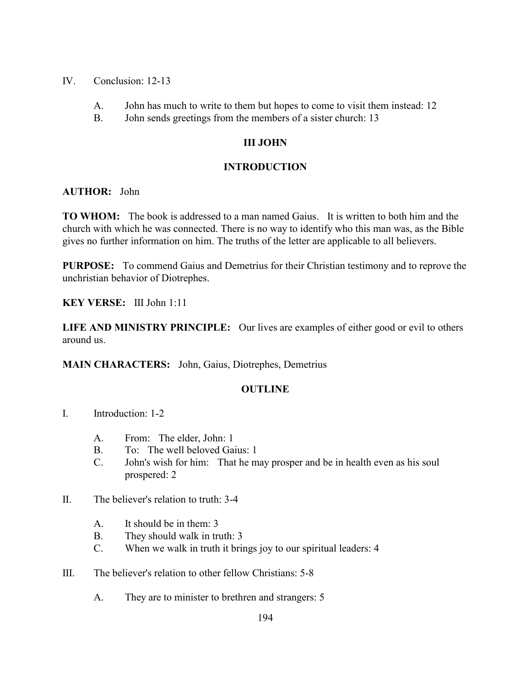- IV. Conclusion: 12-13
	- A. John has much to write to them but hopes to come to visit them instead: 12
	- B. John sends greetings from the members of a sister church: 13

#### **III JOHN**

#### **INTRODUCTION**

#### **AUTHOR:** John

**TO WHOM:** The book is addressed to a man named Gaius. It is written to both him and the church with which he was connected. There is no way to identify who this man was, as the Bible gives no further information on him. The truths of the letter are applicable to all believers.

**PURPOSE:** To commend Gaius and Demetrius for their Christian testimony and to reprove the unchristian behavior of Diotrephes.

**KEY VERSE:** III John 1:11

**LIFE AND MINISTRY PRINCIPLE:** Our lives are examples of either good or evil to others around us.

**MAIN CHARACTERS:** John, Gaius, Diotrephes, Demetrius

#### **OUTLINE**

- I. Introduction: 1-2
	- A. From: The elder, John: 1
	- B. To: The well beloved Gaius: 1
	- C. John's wish for him: That he may prosper and be in health even as his soul prospered: 2
- II. The believer's relation to truth: 3-4
	- A. It should be in them: 3
	- B. They should walk in truth: 3
	- C. When we walk in truth it brings joy to our spiritual leaders: 4
- III. The believer's relation to other fellow Christians: 5-8
	- A. They are to minister to brethren and strangers: 5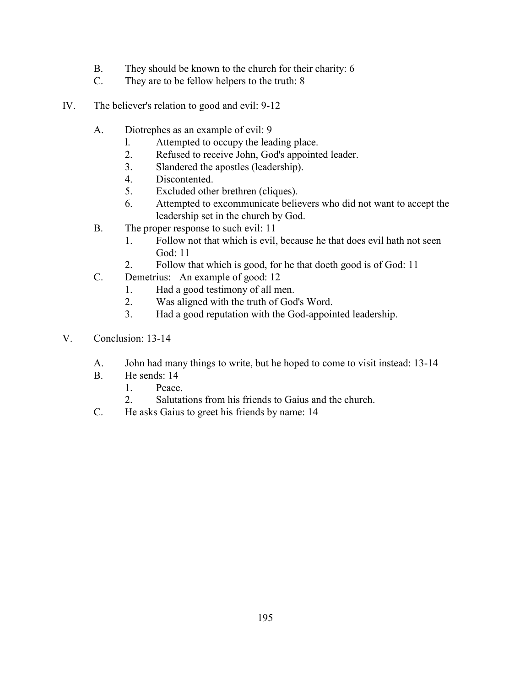- B. They should be known to the church for their charity: 6
- C. They are to be fellow helpers to the truth: 8
- IV. The believer's relation to good and evil: 9-12
	- A. Diotrephes as an example of evil: 9
		- l. Attempted to occupy the leading place.
		- 2. Refused to receive John, God's appointed leader.
		- 3. Slandered the apostles (leadership).
		- 4. Discontented.
		- 5. Excluded other brethren (cliques).
		- 6. Attempted to excommunicate believers who did not want to accept the leadership set in the church by God.
	- B. The proper response to such evil: 11
		- 1. Follow not that which is evil, because he that does evil hath not seen God: 11
		- 2. Follow that which is good, for he that doeth good is of God: 11
	- C. Demetrius: An example of good: 12
		- 1. Had a good testimony of all men.
		- 2. Was aligned with the truth of God's Word.
		- 3. Had a good reputation with the God-appointed leadership.
- V. Conclusion: 13-14
	- A. John had many things to write, but he hoped to come to visit instead: 13-14
	- B. He sends: 14
		- 1. Peace.
		- 2. Salutations from his friends to Gaius and the church.
	- C. He asks Gaius to greet his friends by name: 14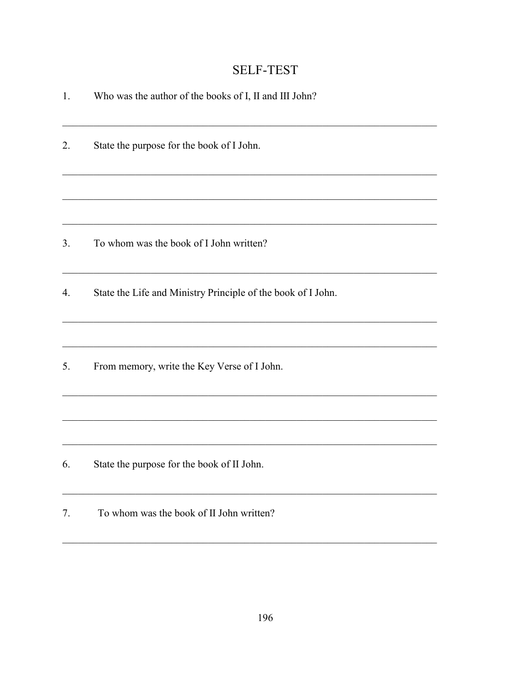| 1.                              | Who was the author of the books of I, II and III John?       |
|---------------------------------|--------------------------------------------------------------|
| 2.                              | State the purpose for the book of I John.                    |
|                                 |                                                              |
| 3.                              | To whom was the book of I John written?                      |
| 4.                              | State the Life and Ministry Principle of the book of I John. |
|                                 |                                                              |
| 5.                              | From memory, write the Key Verse of I John.                  |
|                                 |                                                              |
| 6.                              | State the purpose for the book of II John.                   |
| $7_{\scriptscriptstyle{\circ}}$ | To whom was the book of II John written?                     |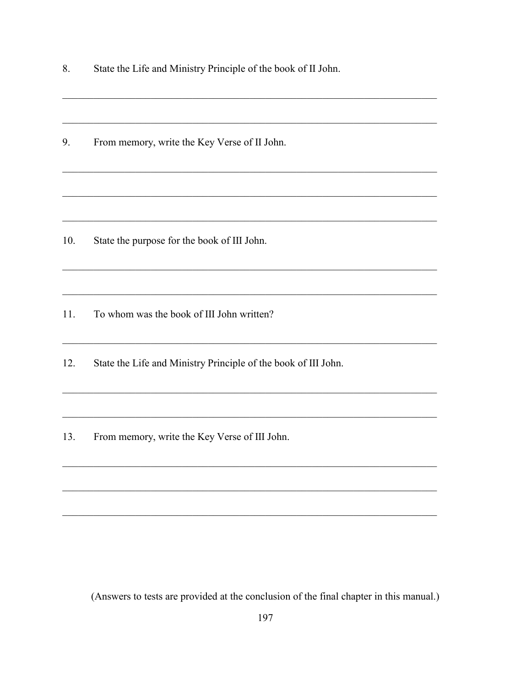State the Life and Ministry Principle of the book of II John. 8.

9. From memory, write the Key Verse of II John.

10. State the purpose for the book of III John.

11. To whom was the book of III John written?

State the Life and Ministry Principle of the book of III John.  $12.$ 

From memory, write the Key Verse of III John. 13.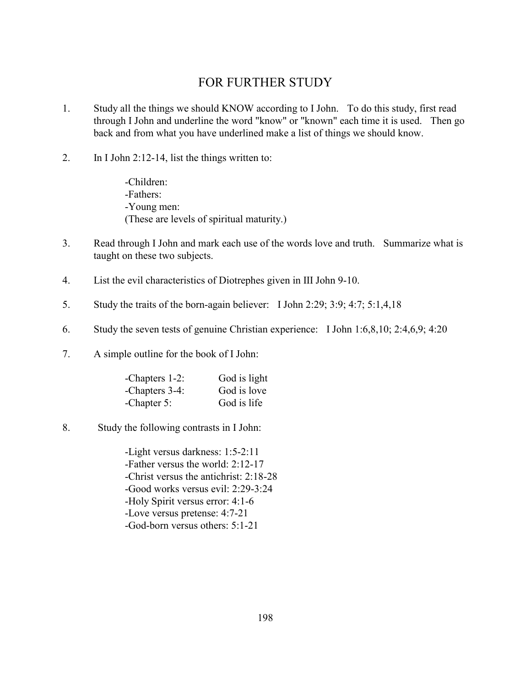- 1. Study all the things we should KNOW according to I John. To do this study, first read through I John and underline the word "know" or "known" each time it is used. Then go back and from what you have underlined make a list of things we should know.
- 2. In I John 2:12-14, list the things written to:

-Children: -Fathers: -Young men: (These are levels of spiritual maturity.)

- 3. Read through I John and mark each use of the words love and truth. Summarize what is taught on these two subjects.
- 4. List the evil characteristics of Diotrephes given in III John 9-10.
- 5. Study the traits of the born-again believer: I John 2:29; 3:9; 4:7; 5:1,4,18
- 6. Study the seven tests of genuine Christian experience: I John 1:6,8,10; 2:4,6,9; 4:20
- 7. A simple outline for the book of I John:

| -Chapters 1-2: | God is light |
|----------------|--------------|
| -Chapters 3-4: | God is love  |
| -Chapter 5:    | God is life  |

8. Study the following contrasts in I John:

-Light versus darkness: 1:5-2:11 -Father versus the world: 2:12-17 -Christ versus the antichrist: 2:18-28 -Good works versus evil: 2:29-3:24 -Holy Spirit versus error: 4:1-6 -Love versus pretense: 4:7-21 -God-born versus others: 5:1-21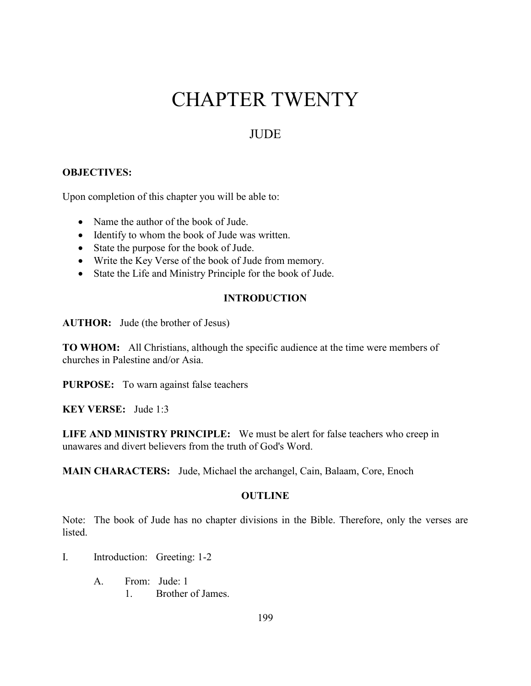# CHAPTER TWENTY

# **JUDE**

### **OBJECTIVES:**

Upon completion of this chapter you will be able to:

- Name the author of the book of Jude.
- Identify to whom the book of Jude was written.
- State the purpose for the book of Jude.
- Write the Key Verse of the book of Jude from memory.
- State the Life and Ministry Principle for the book of Jude.

### **INTRODUCTION**

**AUTHOR:** Jude (the brother of Jesus)

**TO WHOM:** All Christians, although the specific audience at the time were members of churches in Palestine and/or Asia.

**PURPOSE:** To warn against false teachers

**KEY VERSE:** Jude 1:3

**LIFE AND MINISTRY PRINCIPLE:** We must be alert for false teachers who creep in unawares and divert believers from the truth of God's Word.

**MAIN CHARACTERS:** Jude, Michael the archangel, Cain, Balaam, Core, Enoch

#### **OUTLINE**

Note: The book of Jude has no chapter divisions in the Bible. Therefore, only the verses are listed.

- I. Introduction: Greeting: 1-2
	- A. From: Jude: 1 1. Brother of James.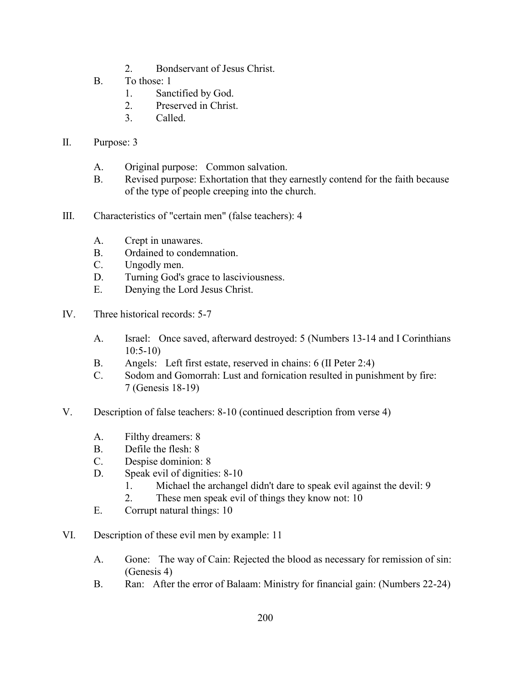- 2. Bondservant of Jesus Christ.
- B. To those: 1
	- 1. Sanctified by God.
	- 2. Preserved in Christ.
	- 3. Called.

#### II. Purpose: 3

- A. Original purpose: Common salvation.
- B. Revised purpose: Exhortation that they earnestly contend for the faith because of the type of people creeping into the church.
- III. Characteristics of "certain men" (false teachers): 4
	- A. Crept in unawares.
	- B. Ordained to condemnation.
	- C. Ungodly men.
	- D. Turning God's grace to lasciviousness.
	- E. Denying the Lord Jesus Christ.
- IV. Three historical records: 5-7
	- A. Israel: Once saved, afterward destroyed: 5 (Numbers 13-14 and I Corinthians 10:5-10)
	- B. Angels: Left first estate, reserved in chains: 6 (II Peter 2:4)
	- C. Sodom and Gomorrah: Lust and fornication resulted in punishment by fire: 7 (Genesis 18-19)
- V. Description of false teachers: 8-10 (continued description from verse 4)
	- A. Filthy dreamers: 8
	- B. Defile the flesh: 8
	- C. Despise dominion: 8
	- D. Speak evil of dignities: 8-10
		- 1. Michael the archangel didn't dare to speak evil against the devil: 9
		- 2. These men speak evil of things they know not: 10
	- E. Corrupt natural things: 10
- VI. Description of these evil men by example: 11
	- A. Gone: The way of Cain: Rejected the blood as necessary for remission of sin: (Genesis 4)
	- B. Ran: After the error of Balaam: Ministry for financial gain: (Numbers 22-24)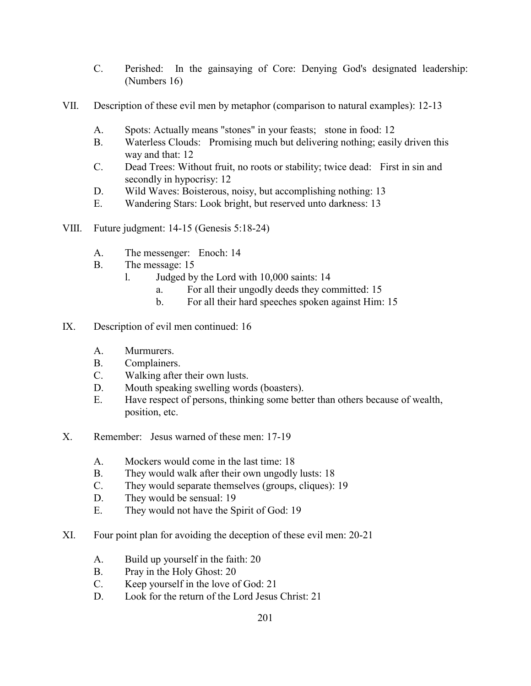- C. Perished: In the gainsaying of Core: Denying God's designated leadership: (Numbers 16)
- VII. Description of these evil men by metaphor (comparison to natural examples): 12-13
	- A. Spots: Actually means "stones" in your feasts; stone in food: 12
	- B. Waterless Clouds: Promising much but delivering nothing; easily driven this way and that: 12
	- C. Dead Trees: Without fruit, no roots or stability; twice dead: First in sin and secondly in hypocrisy: 12
	- D. Wild Waves: Boisterous, noisy, but accomplishing nothing: 13
	- E. Wandering Stars: Look bright, but reserved unto darkness: 13
- VIII. Future judgment: 14-15 (Genesis 5:18-24)
	- A. The messenger: Enoch: 14
	- B. The message: 15
		- l. Judged by the Lord with 10,000 saints: 14
			- a. For all their ungodly deeds they committed: 15
			- b. For all their hard speeches spoken against Him: 15
- IX. Description of evil men continued: 16
	- A. Murmurers.
	- B. Complainers.
	- C. Walking after their own lusts.
	- D. Mouth speaking swelling words (boasters).
	- E. Have respect of persons, thinking some better than others because of wealth, position, etc.
- X. Remember: Jesus warned of these men: 17-19
	- A. Mockers would come in the last time: 18
	- B. They would walk after their own ungodly lusts: 18
	- C. They would separate themselves (groups, cliques): 19
	- D. They would be sensual: 19
	- E. They would not have the Spirit of God: 19
- XI. Four point plan for avoiding the deception of these evil men: 20-21
	- A. Build up yourself in the faith: 20
	- B. Pray in the Holy Ghost: 20
	- C. Keep yourself in the love of God: 21
	- D. Look for the return of the Lord Jesus Christ: 21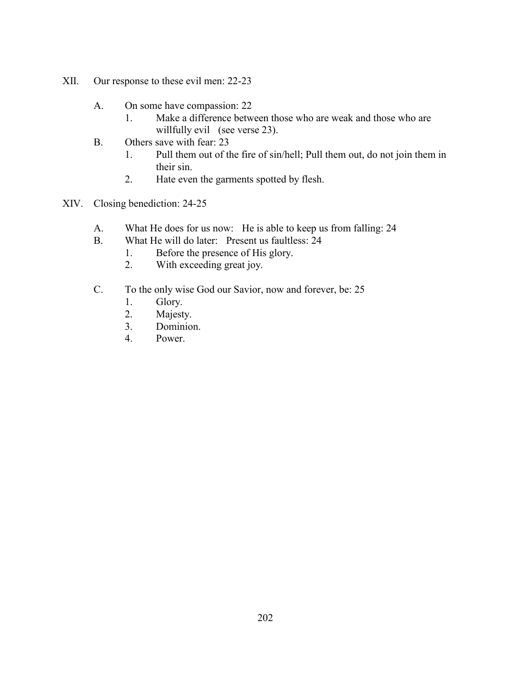- XII. Our response to these evil men: 22-23
	- A. On some have compassion: 22
		- 1. Make a difference between those who are weak and those who are willfully evil (see verse 23).
	- B. Others save with fear: 23
		- 1. Pull them out of the fire of sin/hell; Pull them out, do not join them in their sin.
		- 2. Hate even the garments spotted by flesh.
- XIV. Closing benediction: 24-25
	- A. What He does for us now: He is able to keep us from falling: 24
	- B. What He will do later: Present us faultless: 24
		- 1. Before the presence of His glory.
		- 2. With exceeding great joy.
	- C. To the only wise God our Savior, now and forever, be: 25
		- 1. Glory.
		- 2. Majesty.
		- 3. Dominion.
		- 4. Power.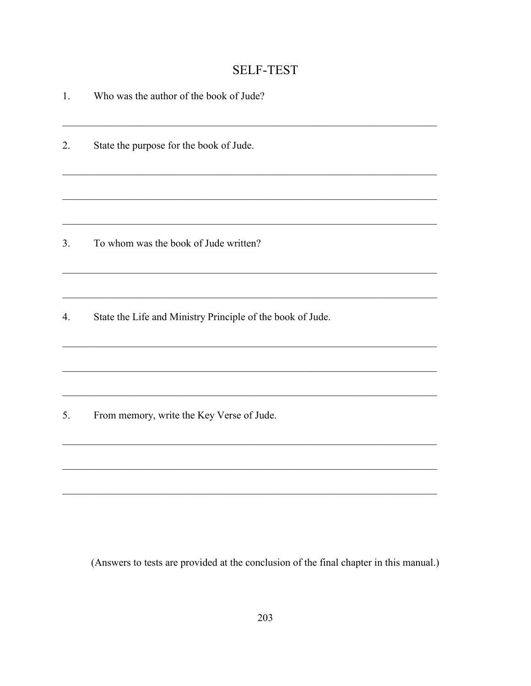$1<sub>1</sub>$ Who was the author of the book of Jude?

State the purpose for the book of Jude. 2.

To whom was the book of Jude written?  $3.$ 

State the Life and Ministry Principle of the book of Jude.  $4.$ 

From memory, write the Key Verse of Jude. 5.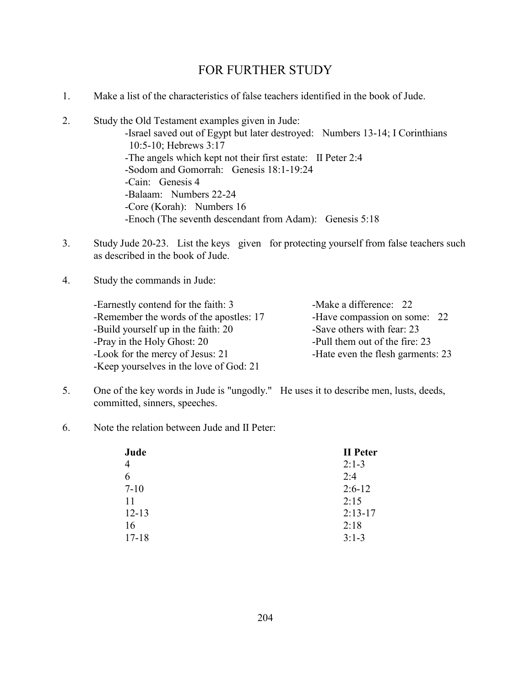- 1. Make a list of the characteristics of false teachers identified in the book of Jude.
- 2. Study the Old Testament examples given in Jude: -Israel saved out of Egypt but later destroyed: Numbers 13-14; I Corinthians 10:5-10; Hebrews 3:17 -The angels which kept not their first estate: II Peter 2:4 -Sodom and Gomorrah: Genesis 18:1-19:24 -Cain: Genesis 4 -Balaam: Numbers 22-24 -Core (Korah): Numbers 16 -Enoch (The seventh descendant from Adam): Genesis 5:18
- 3. Study Jude 20-23. List the keys given for protecting yourself from false teachers such as described in the book of Jude.
- 4. Study the commands in Jude:

| -Earnestly contend for the faith: 3     | -Make a difference: 22            |
|-----------------------------------------|-----------------------------------|
| -Remember the words of the apostles: 17 | -Have compassion on some: 22      |
| -Build yourself up in the faith: 20     | -Save others with fear: 23        |
| -Pray in the Holy Ghost: 20             | -Pull them out of the fire: 23    |
| -Look for the mercy of Jesus: 21        | -Hate even the flesh garments: 23 |
| -Keep yourselves in the love of God: 21 |                                   |

- 5. One of the key words in Jude is "ungodly." He uses it to describe men, lusts, deeds, committed, sinners, speeches.
- 6. Note the relation between Jude and II Peter:

| Jude           | <b>II</b> Peter |
|----------------|-----------------|
| $\overline{4}$ | $2:1-3$         |
| 6              | 2:4             |
| $7 - 10$       | $2:6-12$        |
| 11             | 2:15            |
| $12 - 13$      | $2:13-17$       |
| 16             | 2:18            |
| $17 - 18$      | $3:1-3$         |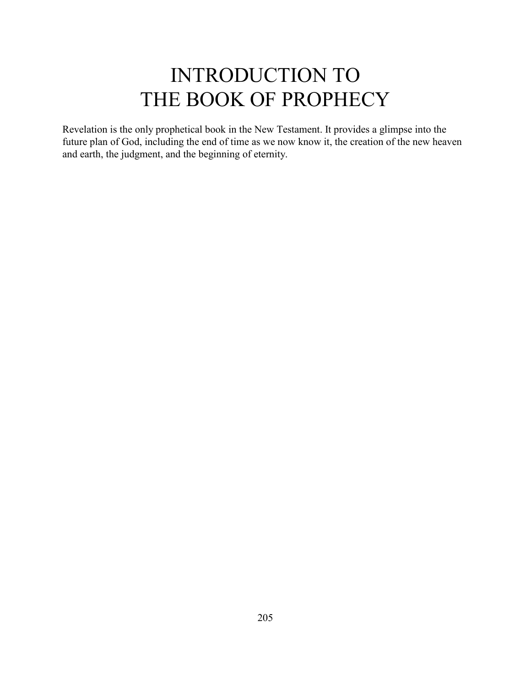# INTRODUCTION TO THE BOOK OF PROPHECY

Revelation is the only prophetical book in the New Testament. It provides a glimpse into the future plan of God, including the end of time as we now know it, the creation of the new heaven and earth, the judgment, and the beginning of eternity.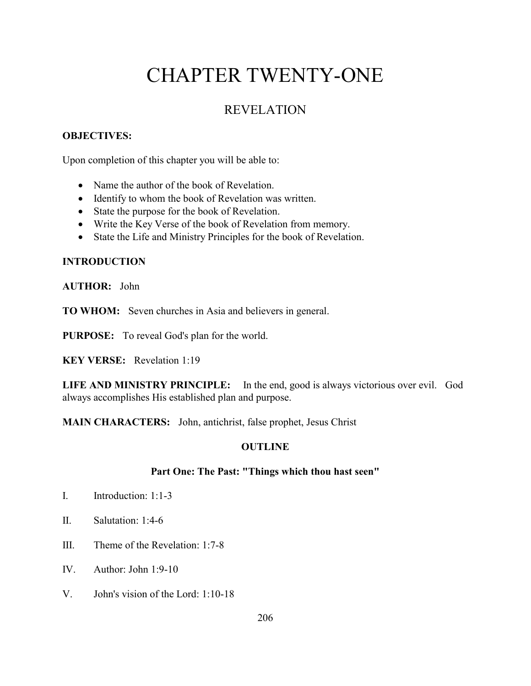# CHAPTER TWENTY-ONE

# REVELATION

#### **OBJECTIVES:**

Upon completion of this chapter you will be able to:

- Name the author of the book of Revelation.
- Identify to whom the book of Revelation was written.
- State the purpose for the book of Revelation.
- Write the Key Verse of the book of Revelation from memory.
- State the Life and Ministry Principles for the book of Revelation.

#### **INTRODUCTION**

**AUTHOR:** John

**TO WHOM:** Seven churches in Asia and believers in general.

**PURPOSE:** To reveal God's plan for the world.

**KEY VERSE:** Revelation 1:19

**LIFE AND MINISTRY PRINCIPLE:** In the end, good is always victorious over evil. God always accomplishes His established plan and purpose.

**MAIN CHARACTERS:** John, antichrist, false prophet, Jesus Christ

#### **OUTLINE**

#### **Part One: The Past: "Things which thou hast seen"**

- I. Introduction: 1:1-3
- II. Salutation: 1:4-6
- III. Theme of the Revelation: 1:7-8
- IV. Author: John 1:9-10
- V. John's vision of the Lord: 1:10-18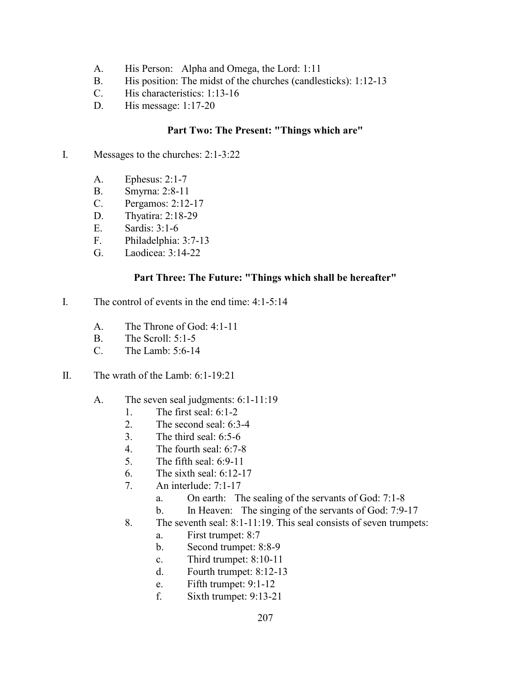- A. His Person: Alpha and Omega, the Lord: 1:11
- B. His position: The midst of the churches (candlesticks): 1:12-13
- C. His characteristics: 1:13-16
- D. His message: 1:17-20

### **Part Two: The Present: "Things which are"**

- I. Messages to the churches: 2:1-3:22
	- A. Ephesus: 2:1-7
	- B. Smyrna: 2:8-11
	- C. Pergamos: 2:12-17
	- D. Thyatira: 2:18-29
	- E. Sardis: 3:1-6
	- F. Philadelphia: 3:7-13
	- G. Laodicea: 3:14-22

#### **Part Three: The Future: "Things which shall be hereafter"**

- I. The control of events in the end time: 4:1-5:14
	- A. The Throne of God: 4:1-11
	- B. The Scroll: 5:1-5
	- C. The Lamb: 5:6-14
- II. The wrath of the Lamb: 6:1-19:21
	- A. The seven seal judgments: 6:1-11:19
		- 1. The first seal: 6:1-2
		- 2. The second seal: 6:3-4
		- 3. The third seal: 6:5-6
		- 4. The fourth seal: 6:7-8
		- 5. The fifth seal: 6:9-11
		- 6. The sixth seal: 6:12-17
		- 7. An interlude: 7:1-17
			- a. On earth: The sealing of the servants of God: 7:1-8
			- b. In Heaven: The singing of the servants of God: 7:9-17
		- 8. The seventh seal: 8:1-11:19. This seal consists of seven trumpets:
			- a. First trumpet: 8:7
			- b. Second trumpet: 8:8-9
			- c. Third trumpet: 8:10-11
			- d. Fourth trumpet: 8:12-13
			- e. Fifth trumpet: 9:1-12
			- f. Sixth trumpet: 9:13-21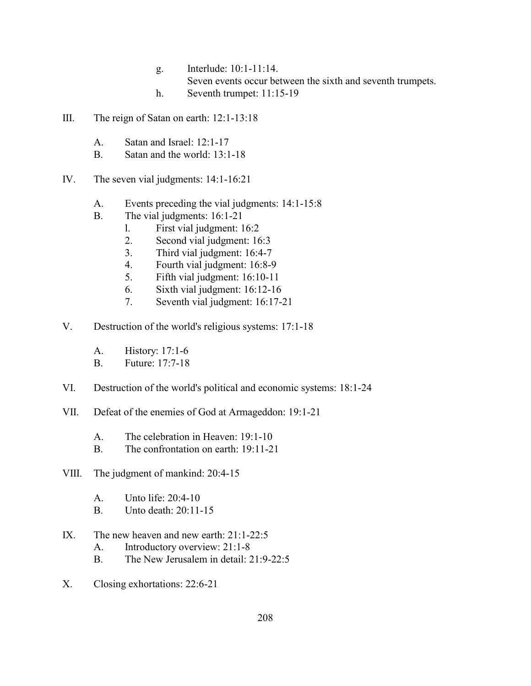- g. Interlude: 10:1-11:14.
	- Seven events occur between the sixth and seventh trumpets.
- h. Seventh trumpet: 11:15-19
- III. The reign of Satan on earth: 12:1-13:18
	- A. Satan and Israel: 12:1-17
	- B. Satan and the world: 13:1-18
- IV. The seven vial judgments: 14:1-16:21
	- A. Events preceding the vial judgments: 14:1-15:8
	- B. The vial judgments: 16:1-21
		- l. First vial judgment: 16:2
		- 2. Second vial judgment: 16:3
		- 3. Third vial judgment: 16:4-7
		- 4. Fourth vial judgment: 16:8-9
		- 5. Fifth vial judgment: 16:10-11
		- 6. Sixth vial judgment: 16:12-16
		- 7. Seventh vial judgment: 16:17-21
- V. Destruction of the world's religious systems: 17:1-18
	- A. History: 17:1-6
	- B. Future: 17:7-18
- VI. Destruction of the world's political and economic systems: 18:1-24
- VII. Defeat of the enemies of God at Armageddon: 19:1-21
	- A. The celebration in Heaven: 19:1-10
	- B. The confrontation on earth: 19:11-21
- VIII. The judgment of mankind: 20:4-15
	- A. Unto life: 20:4-10
	- B. Unto death: 20:11-15
- IX. The new heaven and new earth: 21:1-22:5
	- A. Introductory overview: 21:1-8
	- B. The New Jerusalem in detail: 21:9-22:5
- X. Closing exhortations: 22:6-21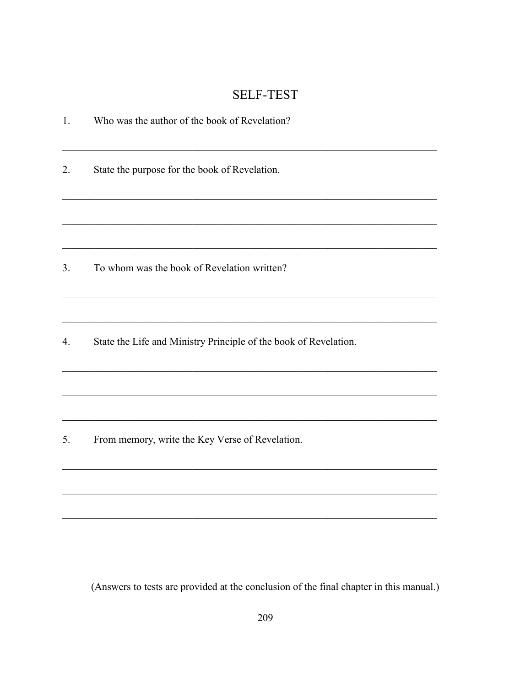| 1. | Who was the author of the book of Revelation?                    |
|----|------------------------------------------------------------------|
| 2. | State the purpose for the book of Revelation.                    |
|    |                                                                  |
| 3. | To whom was the book of Revelation written?                      |
|    |                                                                  |
| 4. | State the Life and Ministry Principle of the book of Revelation. |
|    |                                                                  |
| 5. | From memory, write the Key Verse of Revelation.                  |
|    |                                                                  |
|    |                                                                  |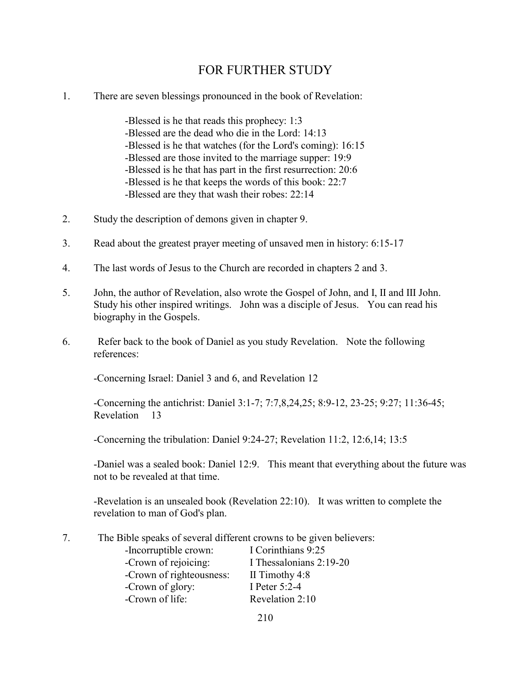1. There are seven blessings pronounced in the book of Revelation:

-Blessed is he that reads this prophecy: 1:3 -Blessed are the dead who die in the Lord: 14:13 -Blessed is he that watches (for the Lord's coming): 16:15 -Blessed are those invited to the marriage supper: 19:9 -Blessed is he that has part in the first resurrection: 20:6 -Blessed is he that keeps the words of this book: 22:7 -Blessed are they that wash their robes: 22:14

- 2. Study the description of demons given in chapter 9.
- 3. Read about the greatest prayer meeting of unsaved men in history: 6:15-17
- 4. The last words of Jesus to the Church are recorded in chapters 2 and 3.
- 5. John, the author of Revelation, also wrote the Gospel of John, and I, II and III John. Study his other inspired writings. John was a disciple of Jesus. You can read his biography in the Gospels.
- 6. Refer back to the book of Daniel as you study Revelation. Note the following references:

-Concerning Israel: Daniel 3 and 6, and Revelation 12

-Concerning the antichrist: Daniel 3:1-7; 7:7,8,24,25; 8:9-12, 23-25; 9:27; 11:36-45; Revelation 13

-Concerning the tribulation: Daniel 9:24-27; Revelation 11:2, 12:6,14; 13:5

-Daniel was a sealed book: Daniel 12:9. This meant that everything about the future was not to be revealed at that time.

-Revelation is an unsealed book (Revelation 22:10). It was written to complete the revelation to man of God's plan.

7. The Bible speaks of several different crowns to be given believers:

| -Incorruptible crown:    | I Corinthians 9:25      |
|--------------------------|-------------------------|
| -Crown of rejoicing:     | I Thessalonians 2:19-20 |
| -Crown of righteousness: | II Timothy $4:8$        |
| -Crown of glory:         | I Peter 5:2-4           |
| -Crown of life:          | Revelation 2:10         |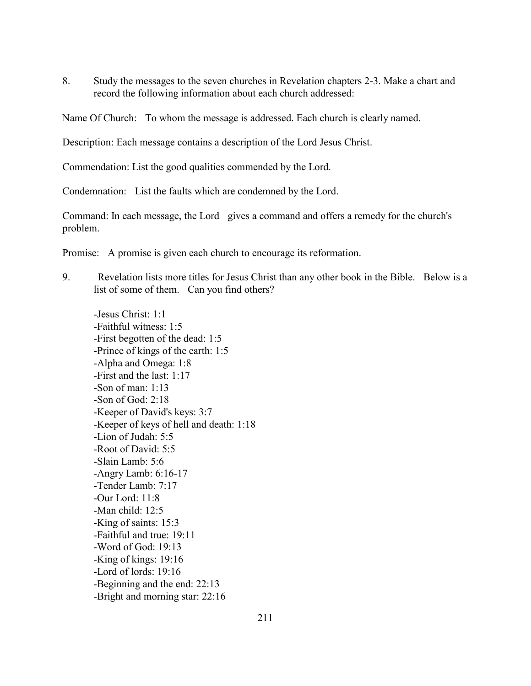8. Study the messages to the seven churches in Revelation chapters 2-3. Make a chart and record the following information about each church addressed:

Name Of Church: To whom the message is addressed. Each church is clearly named.

Description: Each message contains a description of the Lord Jesus Christ.

Commendation: List the good qualities commended by the Lord.

Condemnation: List the faults which are condemned by the Lord.

Command: In each message, the Lord gives a command and offers a remedy for the church's problem.

Promise: A promise is given each church to encourage its reformation.

9. Revelation lists more titles for Jesus Christ than any other book in the Bible. Below is a list of some of them. Can you find others?

-Jesus Christ: 1:1 -Faithful witness: 1:5 -First begotten of the dead: 1:5 -Prince of kings of the earth: 1:5 -Alpha and Omega: 1:8 -First and the last: 1:17 -Son of man: 1:13 -Son of God: 2:18 -Keeper of David's keys: 3:7 -Keeper of keys of hell and death: 1:18 -Lion of Judah: 5:5 -Root of David: 5:5 -Slain Lamb: 5:6 -Angry Lamb: 6:16-17 -Tender Lamb: 7:17 -Our Lord: 11:8 -Man child: 12:5 -King of saints: 15:3 -Faithful and true: 19:11 -Word of God: 19:13 -King of kings: 19:16 -Lord of lords: 19:16 -Beginning and the end: 22:13 -Bright and morning star: 22:16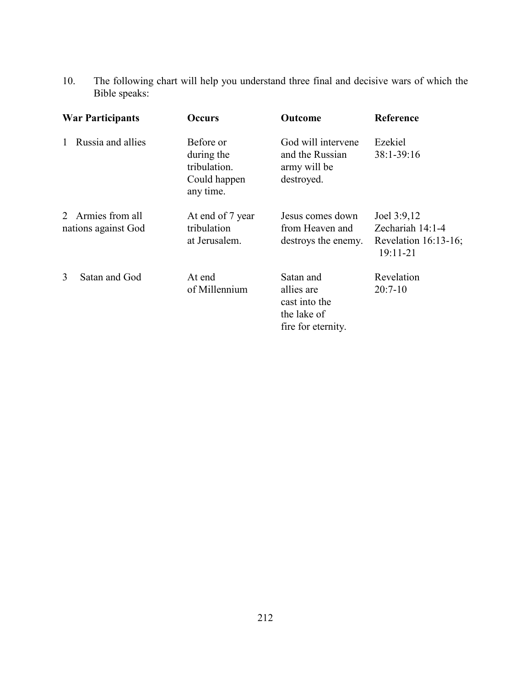10. The following chart will help you understand three final and decisive wars of which the Bible speaks:

| <b>War Participants</b>                  | <b>Occurs</b>                                                        | Outcome                                                                       | Reference                                                           |
|------------------------------------------|----------------------------------------------------------------------|-------------------------------------------------------------------------------|---------------------------------------------------------------------|
| Russia and allies<br>$\mathbf{1}$        | Before or<br>during the<br>tribulation.<br>Could happen<br>any time. | God will intervene<br>and the Russian<br>army will be<br>destroyed.           | Ezekiel<br>38:1-39:16                                               |
| 2 Armies from all<br>nations against God | At end of 7 year<br>tribulation<br>at Jerusalem.                     | Jesus comes down<br>from Heaven and<br>destroys the enemy.                    | Joel 3:9,12<br>Zechariah 14:1-4<br>Revelation 16:13-16;<br>19:11-21 |
| 3<br>Satan and God                       | At end<br>of Millennium                                              | Satan and<br>allies are<br>cast into the<br>the lake of<br>fire for eternity. | Revelation<br>$20:7-10$                                             |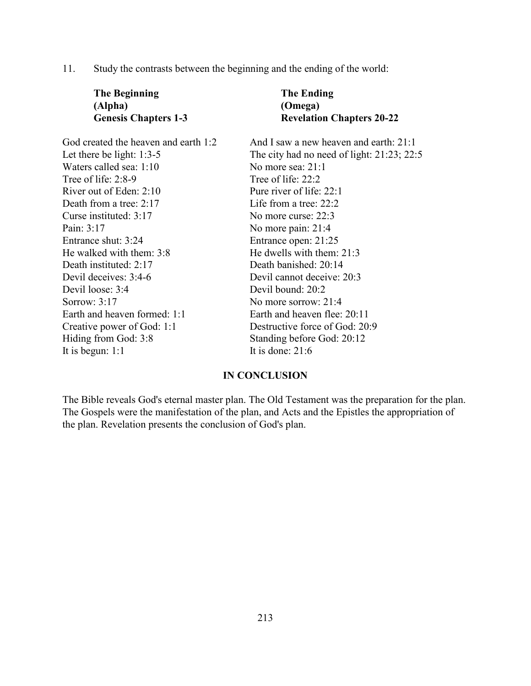11. Study the contrasts between the beginning and the ending of the world:

| The Beginning                        | The Ending<br>(Omega)                           |  |
|--------------------------------------|-------------------------------------------------|--|
| (Alpha)                              |                                                 |  |
| <b>Genesis Chapters 1-3</b>          | <b>Revelation Chapters 20-22</b>                |  |
| God created the heaven and earth 1:2 | And I saw a new heaven and earth: $21:1$        |  |
| Let there be light: $1:3-5$          | The city had no need of light: $21:23$ ; $22:5$ |  |
| Waters called sea: 1:10              | No more sea: $21:1$                             |  |
| Tree of life: 2:8-9                  | Tree of life: 22:2                              |  |
| River out of Eden: 2:10              | Pure river of life: 22:1                        |  |
| Death from a tree: 2:17              | Life from a tree: $22:2$                        |  |
| Curse instituted: 3:17               | No more curse: 22:3                             |  |
| Pain: 3:17                           | No more pain: 21:4                              |  |
| Entrance shut: 3:24                  | Entrance open: 21:25                            |  |
| He walked with them: 3:8             | He dwells with them: $21:3$                     |  |
| Death instituted: 2:17               | Death banished: 20:14                           |  |
| Devil deceives: 3:4-6                | Devil cannot deceive: 20:3                      |  |
| Devil loose: 3:4                     | Devil bound: 20:2                               |  |
| Sorrow: 3:17                         | No more sorrow: 21:4                            |  |
| Earth and heaven formed: 1:1         | Earth and heaven flee: 20:11                    |  |
| Creative power of God: 1:1           | Destructive force of God: 20:9                  |  |
| Hiding from God: 3:8                 | Standing before God: 20:12                      |  |
| It is begun: $1:1$                   | It is done: $21:6$                              |  |
|                                      |                                                 |  |

#### **IN CONCLUSION**

The Bible reveals God's eternal master plan. The Old Testament was the preparation for the plan. The Gospels were the manifestation of the plan, and Acts and the Epistles the appropriation of the plan. Revelation presents the conclusion of God's plan.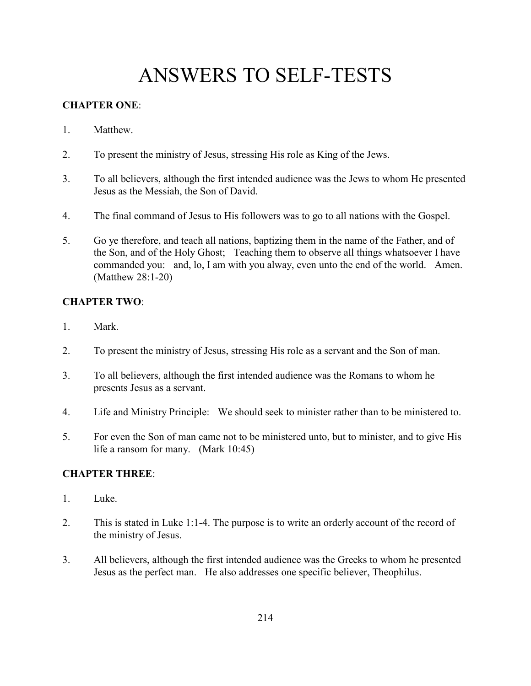# ANSWERS TO SELF-TESTS

### **CHAPTER ONE**:

- 1. Matthew.
- 2. To present the ministry of Jesus, stressing His role as King of the Jews.
- 3. To all believers, although the first intended audience was the Jews to whom He presented Jesus as the Messiah, the Son of David.
- 4. The final command of Jesus to His followers was to go to all nations with the Gospel.
- 5. Go ye therefore, and teach all nations, baptizing them in the name of the Father, and of the Son, and of the Holy Ghost; Teaching them to observe all things whatsoever I have commanded you: and, lo, I am with you alway, even unto the end of the world. Amen. (Matthew 28:1-20)

#### **CHAPTER TWO**:

- 1. Mark.
- 2. To present the ministry of Jesus, stressing His role as a servant and the Son of man.
- 3. To all believers, although the first intended audience was the Romans to whom he presents Jesus as a servant.
- 4. Life and Ministry Principle: We should seek to minister rather than to be ministered to.
- 5. For even the Son of man came not to be ministered unto, but to minister, and to give His life a ransom for many. (Mark 10:45)

#### **CHAPTER THREE**:

- 1. Luke.
- 2. This is stated in Luke 1:1-4. The purpose is to write an orderly account of the record of the ministry of Jesus.
- 3. All believers, although the first intended audience was the Greeks to whom he presented Jesus as the perfect man. He also addresses one specific believer, Theophilus.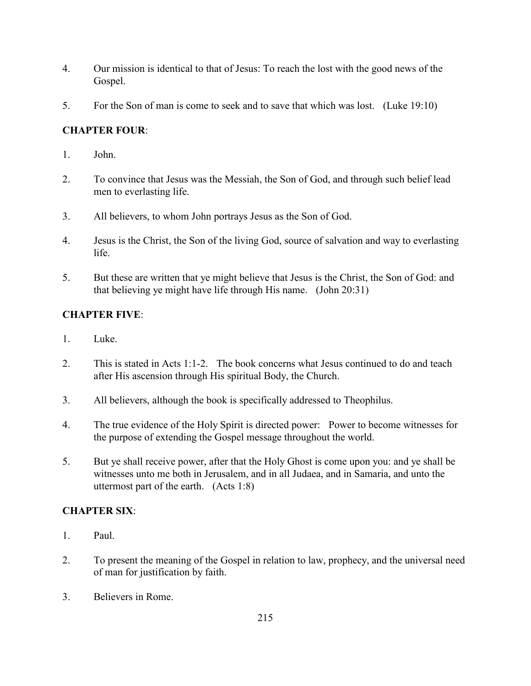- 4. Our mission is identical to that of Jesus: To reach the lost with the good news of the Gospel.
- 5. For the Son of man is come to seek and to save that which was lost. (Luke 19:10)

#### **CHAPTER FOUR**:

- 1. John.
- 2. To convince that Jesus was the Messiah, the Son of God, and through such belief lead men to everlasting life.
- 3. All believers, to whom John portrays Jesus as the Son of God.
- 4. Jesus is the Christ, the Son of the living God, source of salvation and way to everlasting life.
- 5. But these are written that ye might believe that Jesus is the Christ, the Son of God: and that believing ye might have life through His name. (John 20:31)

#### **CHAPTER FIVE**:

- 1. Luke.
- 2. This is stated in Acts 1:1-2. The book concerns what Jesus continued to do and teach after His ascension through His spiritual Body, the Church.
- 3. All believers, although the book is specifically addressed to Theophilus.
- 4. The true evidence of the Holy Spirit is directed power: Power to become witnesses for the purpose of extending the Gospel message throughout the world.
- 5. But ye shall receive power, after that the Holy Ghost is come upon you: and ye shall be witnesses unto me both in Jerusalem, and in all Judaea, and in Samaria, and unto the uttermost part of the earth. (Acts 1:8)

#### **CHAPTER SIX**:

- 1. Paul.
- 2. To present the meaning of the Gospel in relation to law, prophecy, and the universal need of man for justification by faith.
- 3. Believers in Rome.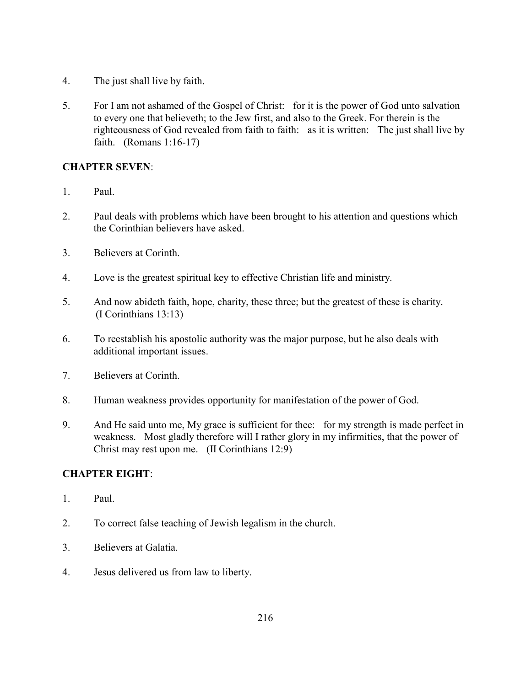- 4. The just shall live by faith.
- 5. For I am not ashamed of the Gospel of Christ: for it is the power of God unto salvation to every one that believeth; to the Jew first, and also to the Greek. For therein is the righteousness of God revealed from faith to faith: as it is written: The just shall live by faith. (Romans 1:16-17)

### **CHAPTER SEVEN**:

- 1. Paul.
- 2. Paul deals with problems which have been brought to his attention and questions which the Corinthian believers have asked.
- 3. Believers at Corinth.
- 4. Love is the greatest spiritual key to effective Christian life and ministry.
- 5. And now abideth faith, hope, charity, these three; but the greatest of these is charity. (I Corinthians 13:13)
- 6. To reestablish his apostolic authority was the major purpose, but he also deals with additional important issues.
- 7. Believers at Corinth.
- 8. Human weakness provides opportunity for manifestation of the power of God.
- 9. And He said unto me, My grace is sufficient for thee: for my strength is made perfect in weakness. Most gladly therefore will I rather glory in my infirmities, that the power of Christ may rest upon me. (II Corinthians 12:9)

#### **CHAPTER EIGHT**:

- 1. Paul.
- 2. To correct false teaching of Jewish legalism in the church.
- 3. Believers at Galatia.
- 4. Jesus delivered us from law to liberty.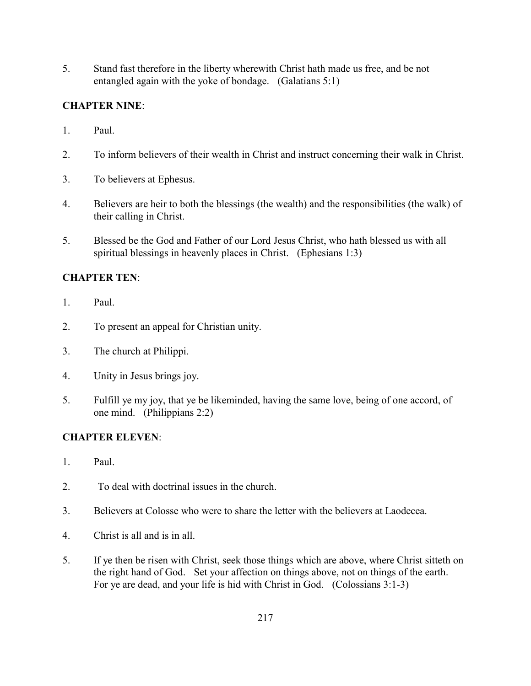5. Stand fast therefore in the liberty wherewith Christ hath made us free, and be not entangled again with the yoke of bondage. (Galatians 5:1)

## **CHAPTER NINE**:

- 1. Paul.
- 2. To inform believers of their wealth in Christ and instruct concerning their walk in Christ.
- 3. To believers at Ephesus.
- 4. Believers are heir to both the blessings (the wealth) and the responsibilities (the walk) of their calling in Christ.
- 5. Blessed be the God and Father of our Lord Jesus Christ, who hath blessed us with all spiritual blessings in heavenly places in Christ. (Ephesians 1:3)

## **CHAPTER TEN**:

- 1. Paul.
- 2. To present an appeal for Christian unity.
- 3. The church at Philippi.
- 4. Unity in Jesus brings joy.
- 5. Fulfill ye my joy, that ye be likeminded, having the same love, being of one accord, of one mind. (Philippians 2:2)

#### **CHAPTER ELEVEN**:

- 1. Paul.
- 2. To deal with doctrinal issues in the church.
- 3. Believers at Colosse who were to share the letter with the believers at Laodecea.
- 4. Christ is all and is in all.
- 5. If ye then be risen with Christ, seek those things which are above, where Christ sitteth on the right hand of God. Set your affection on things above, not on things of the earth. For ye are dead, and your life is hid with Christ in God. (Colossians 3:1-3)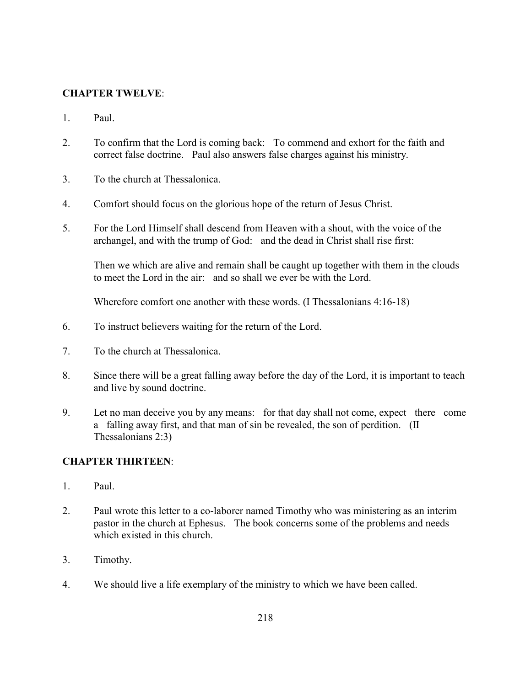#### **CHAPTER TWELVE**:

- 1. Paul.
- 2. To confirm that the Lord is coming back: To commend and exhort for the faith and correct false doctrine. Paul also answers false charges against his ministry.
- 3. To the church at Thessalonica.
- 4. Comfort should focus on the glorious hope of the return of Jesus Christ.
- 5. For the Lord Himself shall descend from Heaven with a shout, with the voice of the archangel, and with the trump of God: and the dead in Christ shall rise first:

Then we which are alive and remain shall be caught up together with them in the clouds to meet the Lord in the air: and so shall we ever be with the Lord.

Wherefore comfort one another with these words. (I Thessalonians 4:16-18)

- 6. To instruct believers waiting for the return of the Lord.
- 7. To the church at Thessalonica.
- 8. Since there will be a great falling away before the day of the Lord, it is important to teach and live by sound doctrine.
- 9. Let no man deceive you by any means: for that day shall not come, expect there come a falling away first, and that man of sin be revealed, the son of perdition. (II Thessalonians 2:3)

#### **CHAPTER THIRTEEN**:

- 1. Paul.
- 2. Paul wrote this letter to a co-laborer named Timothy who was ministering as an interim pastor in the church at Ephesus. The book concerns some of the problems and needs which existed in this church.
- 3. Timothy.
- 4. We should live a life exemplary of the ministry to which we have been called.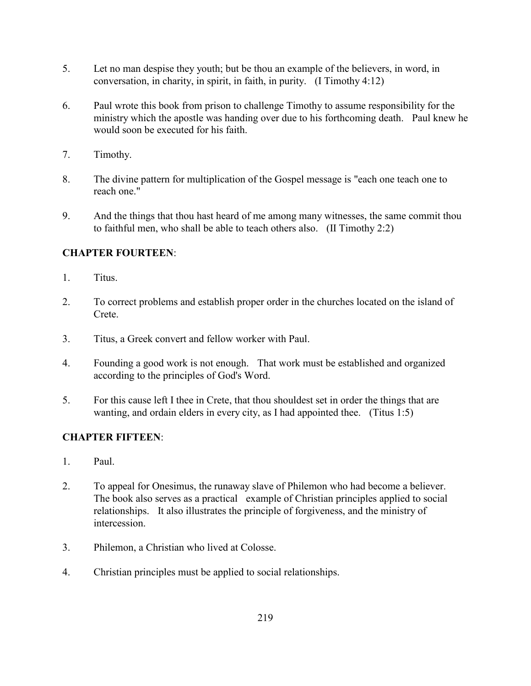- 5. Let no man despise they youth; but be thou an example of the believers, in word, in conversation, in charity, in spirit, in faith, in purity. (I Timothy 4:12)
- 6. Paul wrote this book from prison to challenge Timothy to assume responsibility for the ministry which the apostle was handing over due to his forthcoming death. Paul knew he would soon be executed for his faith.
- 7. Timothy.
- 8. The divine pattern for multiplication of the Gospel message is "each one teach one to reach one."
- 9. And the things that thou hast heard of me among many witnesses, the same commit thou to faithful men, who shall be able to teach others also. (II Timothy 2:2)

## **CHAPTER FOURTEEN**:

- 1. Titus.
- 2. To correct problems and establish proper order in the churches located on the island of Crete.
- 3. Titus, a Greek convert and fellow worker with Paul.
- 4. Founding a good work is not enough. That work must be established and organized according to the principles of God's Word.
- 5. For this cause left I thee in Crete, that thou shouldest set in order the things that are wanting, and ordain elders in every city, as I had appointed thee. (Titus 1:5)

## **CHAPTER FIFTEEN**:

- 1. Paul.
- 2. To appeal for Onesimus, the runaway slave of Philemon who had become a believer. The book also serves as a practical example of Christian principles applied to social relationships. It also illustrates the principle of forgiveness, and the ministry of intercession.
- 3. Philemon, a Christian who lived at Colosse.
- 4. Christian principles must be applied to social relationships.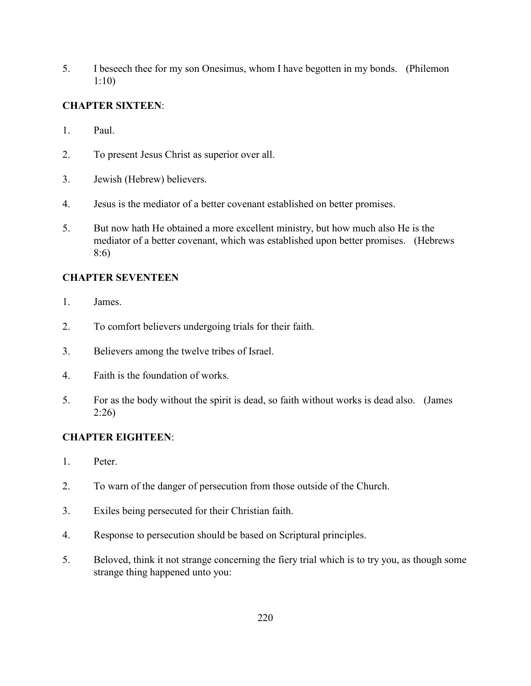5. I beseech thee for my son Onesimus, whom I have begotten in my bonds. (Philemon 1:10)

## **CHAPTER SIXTEEN**:

- 1. Paul.
- 2. To present Jesus Christ as superior over all.
- 3. Jewish (Hebrew) believers.
- 4. Jesus is the mediator of a better covenant established on better promises.
- 5. But now hath He obtained a more excellent ministry, but how much also He is the mediator of a better covenant, which was established upon better promises. (Hebrews 8:6)

#### **CHAPTER SEVENTEEN**

- 1. James.
- 2. To comfort believers undergoing trials for their faith.
- 3. Believers among the twelve tribes of Israel.
- 4. Faith is the foundation of works.
- 5. For as the body without the spirit is dead, so faith without works is dead also. (James 2:26)

#### **CHAPTER EIGHTEEN**:

- 1. Peter.
- 2. To warn of the danger of persecution from those outside of the Church.
- 3. Exiles being persecuted for their Christian faith.
- 4. Response to persecution should be based on Scriptural principles.
- 5. Beloved, think it not strange concerning the fiery trial which is to try you, as though some strange thing happened unto you: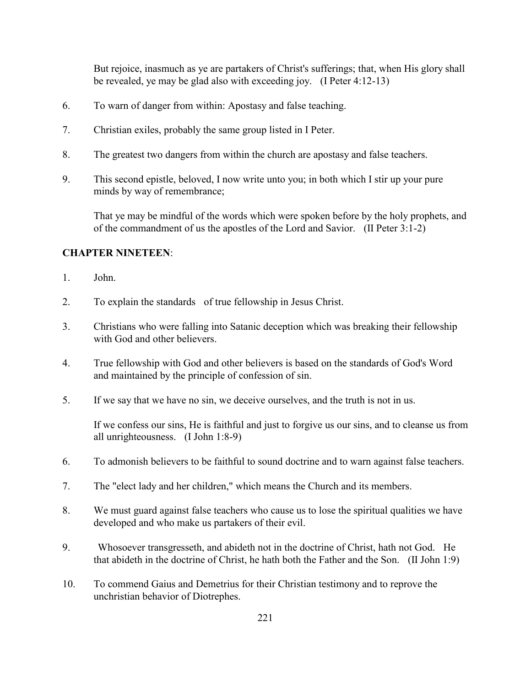But rejoice, inasmuch as ye are partakers of Christ's sufferings; that, when His glory shall be revealed, ye may be glad also with exceeding joy. (I Peter 4:12-13)

- 6. To warn of danger from within: Apostasy and false teaching.
- 7. Christian exiles, probably the same group listed in I Peter.
- 8. The greatest two dangers from within the church are apostasy and false teachers.
- 9. This second epistle, beloved, I now write unto you; in both which I stir up your pure minds by way of remembrance;

That ye may be mindful of the words which were spoken before by the holy prophets, and of the commandment of us the apostles of the Lord and Savior. (II Peter 3:1-2)

#### **CHAPTER NINETEEN**:

- 1. John.
- 2. To explain the standards of true fellowship in Jesus Christ.
- 3. Christians who were falling into Satanic deception which was breaking their fellowship with God and other believers.
- 4. True fellowship with God and other believers is based on the standards of God's Word and maintained by the principle of confession of sin.
- 5. If we say that we have no sin, we deceive ourselves, and the truth is not in us.

If we confess our sins, He is faithful and just to forgive us our sins, and to cleanse us from all unrighteousness. (I John 1:8-9)

- 6. To admonish believers to be faithful to sound doctrine and to warn against false teachers.
- 7. The "elect lady and her children," which means the Church and its members.
- 8. We must guard against false teachers who cause us to lose the spiritual qualities we have developed and who make us partakers of their evil.
- 9. Whosoever transgresseth, and abideth not in the doctrine of Christ, hath not God. He that abideth in the doctrine of Christ, he hath both the Father and the Son. (II John 1:9)
- 10. To commend Gaius and Demetrius for their Christian testimony and to reprove the unchristian behavior of Diotrephes.